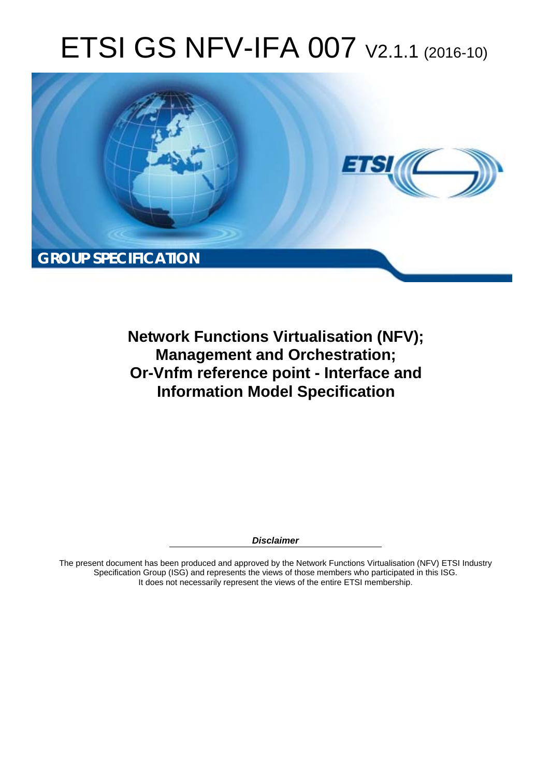# ETSI GS NFV-IFA 007 V2.1.1 (2016-10)



**Network Functions Virtualisation (NFV); Management and Orchestration; Or-Vnfm reference point - Interface and Information Model Specification** 

*Disclaimer* 

The present document has been produced and approved by the Network Functions Virtualisation (NFV) ETSI Industry Specification Group (ISG) and represents the views of those members who participated in this ISG. It does not necessarily represent the views of the entire ETSI membership.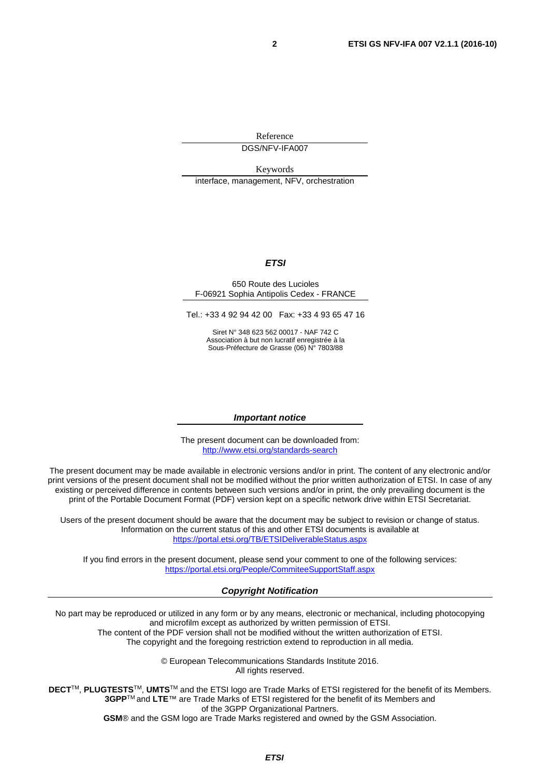Reference DGS/NFV-IFA007

Keywords interface, management, NFV, orchestration

#### *ETSI*

#### 650 Route des Lucioles F-06921 Sophia Antipolis Cedex - FRANCE

Tel.: +33 4 92 94 42 00 Fax: +33 4 93 65 47 16

Siret N° 348 623 562 00017 - NAF 742 C Association à but non lucratif enregistrée à la Sous-Préfecture de Grasse (06) N° 7803/88

#### *Important notice*

The present document can be downloaded from: <http://www.etsi.org/standards-search>

The present document may be made available in electronic versions and/or in print. The content of any electronic and/or print versions of the present document shall not be modified without the prior written authorization of ETSI. In case of any existing or perceived difference in contents between such versions and/or in print, the only prevailing document is the print of the Portable Document Format (PDF) version kept on a specific network drive within ETSI Secretariat.

Users of the present document should be aware that the document may be subject to revision or change of status. Information on the current status of this and other ETSI documents is available at <https://portal.etsi.org/TB/ETSIDeliverableStatus.aspx>

If you find errors in the present document, please send your comment to one of the following services: <https://portal.etsi.org/People/CommiteeSupportStaff.aspx>

#### *Copyright Notification*

No part may be reproduced or utilized in any form or by any means, electronic or mechanical, including photocopying and microfilm except as authorized by written permission of ETSI.

The content of the PDF version shall not be modified without the written authorization of ETSI. The copyright and the foregoing restriction extend to reproduction in all media.

> © European Telecommunications Standards Institute 2016. All rights reserved.

**DECT**TM, **PLUGTESTS**TM, **UMTS**TM and the ETSI logo are Trade Marks of ETSI registered for the benefit of its Members. **3GPP**TM and **LTE**™ are Trade Marks of ETSI registered for the benefit of its Members and of the 3GPP Organizational Partners.

**GSM**® and the GSM logo are Trade Marks registered and owned by the GSM Association.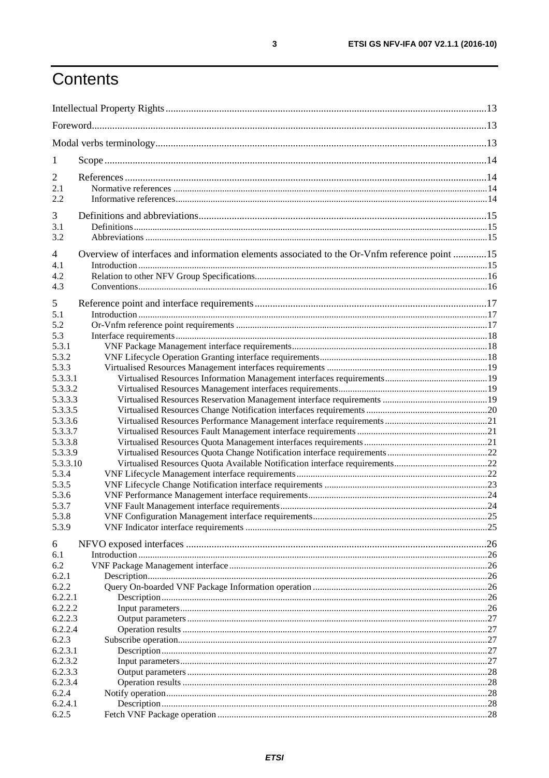# Contents

| 1                  |                                                                                              |  |
|--------------------|----------------------------------------------------------------------------------------------|--|
| $\overline{2}$     |                                                                                              |  |
| 2.1                |                                                                                              |  |
| 2.2                |                                                                                              |  |
| 3                  |                                                                                              |  |
| 3.1                |                                                                                              |  |
| 3.2                |                                                                                              |  |
| $\overline{4}$     | Overview of interfaces and information elements associated to the Or-Vnfm reference point 15 |  |
| 4.1                |                                                                                              |  |
| 4.2                |                                                                                              |  |
| 4.3                |                                                                                              |  |
|                    |                                                                                              |  |
| 5<br>5.1           |                                                                                              |  |
| 5.2                |                                                                                              |  |
| 5.3                |                                                                                              |  |
| 5.3.1              |                                                                                              |  |
| 5.3.2              |                                                                                              |  |
| 5.3.3              |                                                                                              |  |
| 5.3.3.1            |                                                                                              |  |
| 5.3.3.2            |                                                                                              |  |
| 5.3.3.3            |                                                                                              |  |
| 5.3.3.5            |                                                                                              |  |
| 5.3.3.6            |                                                                                              |  |
| 5.3.3.7            |                                                                                              |  |
| 5.3.3.8            |                                                                                              |  |
| 5.3.3.9            |                                                                                              |  |
| 5.3.3.10           |                                                                                              |  |
| 5.3.4              |                                                                                              |  |
| 5.3.5              |                                                                                              |  |
| 5.3.6              |                                                                                              |  |
| 5.3.7              |                                                                                              |  |
| 5.3.8              |                                                                                              |  |
| 5.3.9              |                                                                                              |  |
| 6                  |                                                                                              |  |
| 6.1                |                                                                                              |  |
| 6.2                |                                                                                              |  |
| 6.2.1              |                                                                                              |  |
| 6.2.2              |                                                                                              |  |
| 6.2.2.1<br>6.2.2.2 |                                                                                              |  |
| 6.2.2.3            |                                                                                              |  |
| 6.2.2.4            |                                                                                              |  |
| 6.2.3              |                                                                                              |  |
| 6.2.3.1            |                                                                                              |  |
| 6.2.3.2            |                                                                                              |  |
| 6.2.3.3            |                                                                                              |  |
| 6.2.3.4            |                                                                                              |  |
| 6.2.4              |                                                                                              |  |
| 6.2.4.1            |                                                                                              |  |
| 6.2.5              |                                                                                              |  |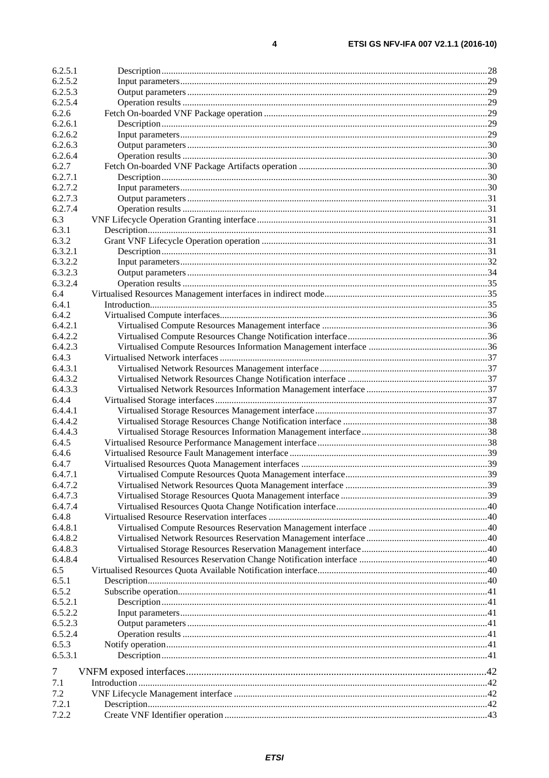$\pmb{4}$ 

| 6.2.5.1 |  |
|---------|--|
| 6.2.5.2 |  |
| 6.2.5.3 |  |
| 6.2.5.4 |  |
| 6.2.6   |  |
| 6.2.6.1 |  |
| 6.2.6.2 |  |
| 6.2.6.3 |  |
| 6.2.6.4 |  |
| 6.2.7   |  |
| 6.2.7.1 |  |
| 6.2.7.2 |  |
| 6.2.7.3 |  |
| 6.2.7.4 |  |
| 6.3     |  |
| 6.3.1   |  |
| 6.3.2   |  |
| 6.3.2.1 |  |
| 6.3.2.2 |  |
| 6.3.2.3 |  |
| 6.3.2.4 |  |
| 6.4     |  |
| 6.4.1   |  |
| 6.4.2   |  |
| 6.4.2.1 |  |
| 6.4.2.2 |  |
| 6.4.2.3 |  |
| 6.4.3   |  |
| 6.4.3.1 |  |
| 6.4.3.2 |  |
| 6.4.3.3 |  |
| 6.4.4   |  |
| 6.4.4.1 |  |
| 6.4.4.2 |  |
| 6.4.4.3 |  |
| 6.4.5   |  |
| 6.4.6   |  |
| 6.4.7   |  |
| 6.4.7.1 |  |
| 6.4.7.2 |  |
| 6.4.7.3 |  |
| 6.4.7.4 |  |
| 6.4.8   |  |
| 6.4.8.1 |  |
| 6.4.8.2 |  |
| 6.4.8.3 |  |
| 6.4.8.4 |  |
| 6.5     |  |
| 6.5.1   |  |
| 6.5.2   |  |
| 6.5.2.1 |  |
| 6.5.2.2 |  |
| 6.5.2.3 |  |
| 6.5.2.4 |  |
| 6.5.3   |  |
| 6.5.3.1 |  |
| 7       |  |
| 7.1     |  |
| 7.2     |  |
| 7.2.1   |  |
| 7.2.2   |  |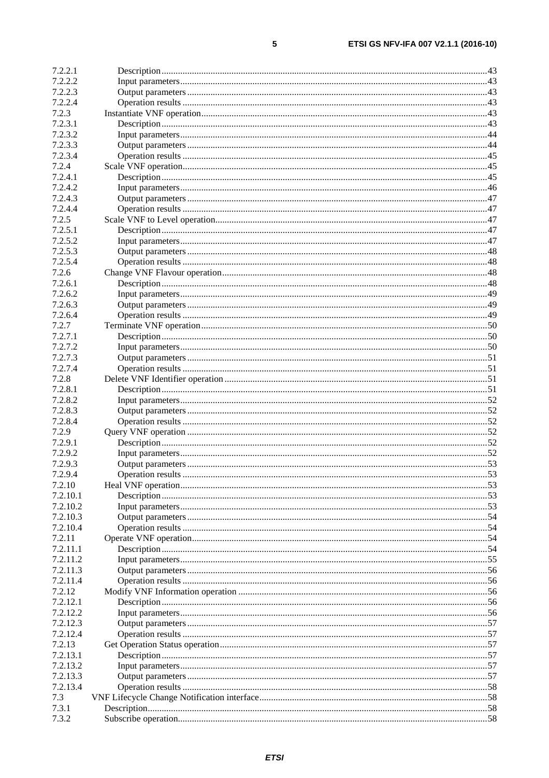| 7.2.2.1  |  |
|----------|--|
| 7.2.2.2  |  |
| 7.2.2.3  |  |
| 7.2.2.4  |  |
| 7.2.3    |  |
| 7.2.3.1  |  |
| 7.2.3.2  |  |
| 7.2.3.3  |  |
| 7.2.3.4  |  |
| 7.2.4    |  |
| 7.2.4.1  |  |
| 7.2.4.2  |  |
| 7.2.4.3  |  |
| 7.2.4.4  |  |
| 7.2.5    |  |
| 7.2.5.1  |  |
| 7.2.5.2  |  |
| 7.2.5.3  |  |
| 7.2.5.4  |  |
| 7.2.6    |  |
| 7.2.6.1  |  |
| 7.2.6.2  |  |
| 7.2.6.3  |  |
| 7.2.6.4  |  |
| 7.2.7    |  |
| 7.2.7.1  |  |
| 7.2.7.2  |  |
| 7.2.7.3  |  |
| 7.2.7.4  |  |
| 7.2.8    |  |
| 7.2.8.1  |  |
| 7.2.8.2  |  |
| 7.2.8.3  |  |
| 7.2.8.4  |  |
| 7.2.9    |  |
| 7.2.9.1  |  |
| 7.2.9.2  |  |
| 7.2.9.3  |  |
| 7.2.9.4  |  |
| 7.2.10   |  |
| 7.2.10.1 |  |
| 7.2.10.2 |  |
| 7.2.10.3 |  |
| 7.2.10.4 |  |
| 7.2.11   |  |
| 7.2.11.1 |  |
| 7.2.11.2 |  |
| 7.2.11.3 |  |
| 7.2.11.4 |  |
| 7.2.12   |  |
| 7.2.12.1 |  |
| 7.2.12.2 |  |
| 7.2.12.3 |  |
| 7.2.12.4 |  |
| 7.2.13   |  |
| 7.2.13.1 |  |
| 7.2.13.2 |  |
| 7.2.13.3 |  |
| 7.2.13.4 |  |
| 7.3      |  |
| 7.3.1    |  |
| 7.3.2    |  |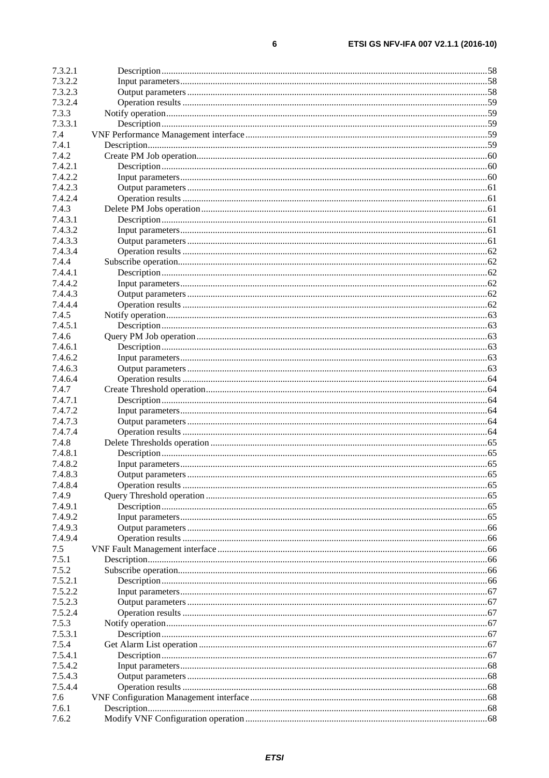| 7.3.2.1 |  |
|---------|--|
| 7.3.2.2 |  |
| 7.3.2.3 |  |
| 7.3.2.4 |  |
| 7.3.3   |  |
| 7.3.3.1 |  |
| 7.4     |  |
| 7.4.1   |  |
| 7.4.2   |  |
| 7.4.2.1 |  |
| 7.4.2.2 |  |
| 7.4.2.3 |  |
| 7.4.2.4 |  |
| 7.4.3   |  |
| 7.4.3.1 |  |
| 7.4.3.2 |  |
| 7.4.3.3 |  |
| 7.4.3.4 |  |
| 7.4.4   |  |
| 7.4.4.1 |  |
| 7.4.4.2 |  |
| 7.4.4.3 |  |
| 7.4.4.4 |  |
| 7.4.5   |  |
| 7.4.5.1 |  |
| 7.4.6   |  |
| 7.4.6.1 |  |
| 7.4.6.2 |  |
| 7.4.6.3 |  |
| 7.4.6.4 |  |
| 7.4.7   |  |
|         |  |
| 7.4.7.1 |  |
| 7.4.7.2 |  |
| 7.4.7.3 |  |
| 7.4.7.4 |  |
| 7.4.8   |  |
| 7.4.8.1 |  |
| 7.4.8.2 |  |
| 7.4.8.3 |  |
| 7.4.8.4 |  |
| 7.4.9   |  |
| 7.4.9.1 |  |
| 7.4.9.2 |  |
| 7.4.9.3 |  |
| 7.4.9.4 |  |
| 7.5     |  |
| 7.5.1   |  |
| 7.5.2   |  |
| 7.5.2.1 |  |
| 7.5.2.2 |  |
| 7.5.2.3 |  |
| 7.5.2.4 |  |
| 7.5.3   |  |
| 7.5.3.1 |  |
| 7.5.4   |  |
| 7.5.4.1 |  |
| 7.5.4.2 |  |
| 7.5.4.3 |  |
| 7.5.4.4 |  |
| 7.6     |  |
| 7.6.1   |  |
| 7.6.2   |  |
|         |  |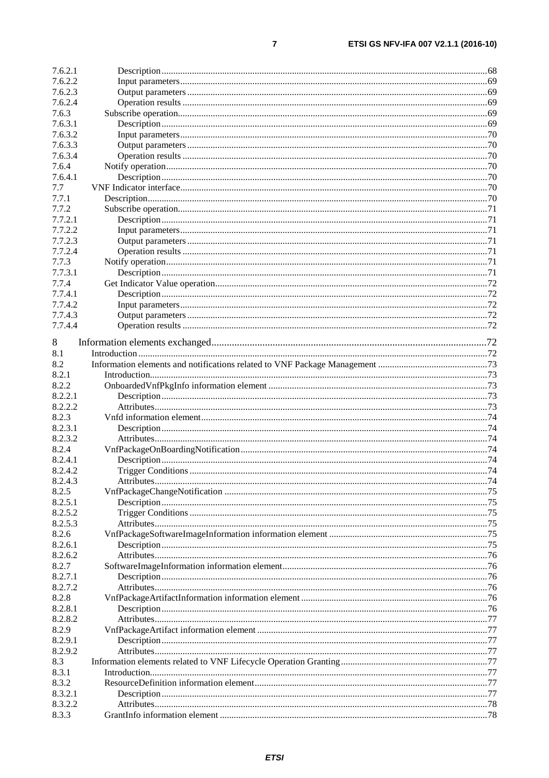| 7.6.2.1            |  |
|--------------------|--|
| 7.6.2.2            |  |
| 7.6.2.3            |  |
| 7.6.2.4            |  |
| 7.6.3              |  |
| 7.6.3.1            |  |
| 7.6.3.2            |  |
| 7.6.3.3            |  |
| 7.6.3.4            |  |
| 7.6.4              |  |
| 7.6.4.1            |  |
| 7.7                |  |
| 7.7.1              |  |
| 7.7.2              |  |
| 7.7.2.1            |  |
| 7.7.2.2            |  |
| 7.7.2.3            |  |
| 7.7.2.4            |  |
| 7.7.3              |  |
| 7.7.3.1            |  |
| 7.7.4              |  |
| 7.7.4.1            |  |
| 7.7.4.2            |  |
| 7.7.4.3            |  |
| 7.7.4.4            |  |
|                    |  |
| 8                  |  |
| 8.1                |  |
| 8.2                |  |
| 8.2.1              |  |
| 8.2.2              |  |
| 8.2.2.1            |  |
| 8.2.2.2            |  |
| 8.2.3              |  |
| 8.2.3.1            |  |
| 8.2.3.2            |  |
| 8.2.4              |  |
| 8.2.4.1            |  |
| 8.2.4.2            |  |
| 8.2.4.3            |  |
| 8.2.5              |  |
| 8.2.5.1            |  |
| 8.2.5.2            |  |
| 8.2.5.3            |  |
| 8.2.6              |  |
|                    |  |
| 8.2.6.1<br>8.2.6.2 |  |
|                    |  |
| 8.2.7              |  |
| 8.2.7.1            |  |
| 8.2.7.2            |  |
| 8.2.8              |  |
| 8.2.8.1            |  |
| 8.2.8.2            |  |
| 8.2.9              |  |
| 8.2.9.1            |  |
| 8.2.9.2            |  |
| 8.3                |  |
| 8.3.1              |  |
| 8.3.2              |  |
| 8.3.2.1            |  |
| 8.3.2.2            |  |
| 8.3.3              |  |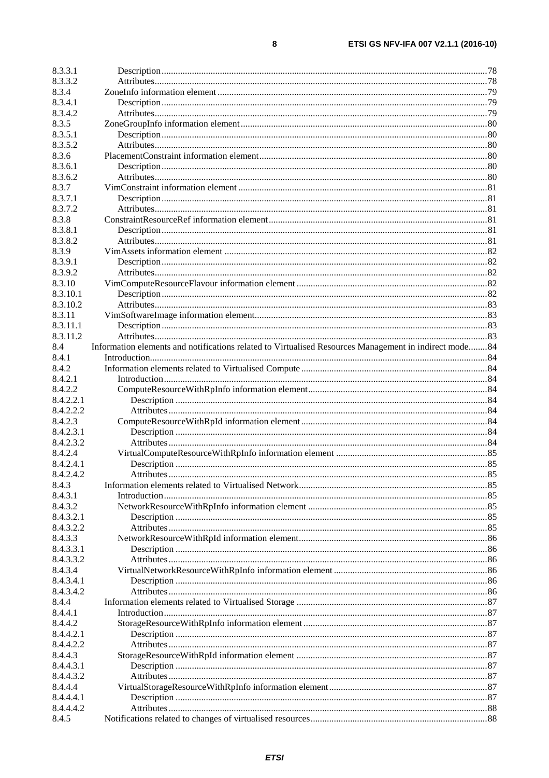| 8.3.3.1            |                                                                                                       |  |
|--------------------|-------------------------------------------------------------------------------------------------------|--|
| 8.3.3.2            |                                                                                                       |  |
| 8.3.4              |                                                                                                       |  |
| 8.3.4.1            |                                                                                                       |  |
| 8.3.4.2            |                                                                                                       |  |
| 8.3.5              |                                                                                                       |  |
| 8.3.5.1            |                                                                                                       |  |
| 8.3.5.2            |                                                                                                       |  |
| 8.3.6              |                                                                                                       |  |
| 8.3.6.1            |                                                                                                       |  |
| 8.3.6.2            |                                                                                                       |  |
| 8.3.7              |                                                                                                       |  |
| 8.3.7.1            |                                                                                                       |  |
| 8.3.7.2            |                                                                                                       |  |
| 8.3.8              |                                                                                                       |  |
|                    |                                                                                                       |  |
| 8.3.8.1            |                                                                                                       |  |
| 8.3.8.2            |                                                                                                       |  |
| 8.3.9              |                                                                                                       |  |
| 8.3.9.1            |                                                                                                       |  |
| 8.3.9.2            |                                                                                                       |  |
| 8.3.10             |                                                                                                       |  |
| 8.3.10.1           |                                                                                                       |  |
| 8.3.10.2           |                                                                                                       |  |
| 8.3.11             |                                                                                                       |  |
| 8.3.11.1           |                                                                                                       |  |
| 8.3.11.2           |                                                                                                       |  |
| 8.4                | Information elements and notifications related to Virtualised Resources Management in indirect mode84 |  |
| 8.4.1              |                                                                                                       |  |
| 8.4.2              |                                                                                                       |  |
| 8.4.2.1            |                                                                                                       |  |
| 8.4.2.2            |                                                                                                       |  |
| 8.4.2.2.1          |                                                                                                       |  |
| 8.4.2.2.2          |                                                                                                       |  |
| 8.4.2.3            |                                                                                                       |  |
| 8.4.2.3.1          |                                                                                                       |  |
| 8.4.2.3.2          |                                                                                                       |  |
| 8.4.2.4            |                                                                                                       |  |
| 8.4.2.4.1          |                                                                                                       |  |
| 8.4.2.4.2          |                                                                                                       |  |
| 8.4.3              |                                                                                                       |  |
| 8.4.3.1            |                                                                                                       |  |
| 8.4.3.2            |                                                                                                       |  |
| 8.4.3.2.1          |                                                                                                       |  |
| 8.4.3.2.2          |                                                                                                       |  |
| 8.4.3.3            |                                                                                                       |  |
| 8.4.3.3.1          |                                                                                                       |  |
| 8.4.3.3.2          |                                                                                                       |  |
| 8.4.3.4            |                                                                                                       |  |
| 8.4.3.4.1          |                                                                                                       |  |
| 8.4.3.4.2          |                                                                                                       |  |
| 8.4.4              |                                                                                                       |  |
| 8.4.4.1            |                                                                                                       |  |
| 8.4.4.2            |                                                                                                       |  |
| 8.4.4.2.1          |                                                                                                       |  |
| 8.4.4.2.2          |                                                                                                       |  |
| 8.4.4.3            |                                                                                                       |  |
| 8.4.4.3.1          |                                                                                                       |  |
| 8.4.4.3.2          |                                                                                                       |  |
|                    |                                                                                                       |  |
| 8.4.4.4            |                                                                                                       |  |
| 8.4.4.4.1          |                                                                                                       |  |
| 8.4.4.4.2<br>8.4.5 |                                                                                                       |  |
|                    |                                                                                                       |  |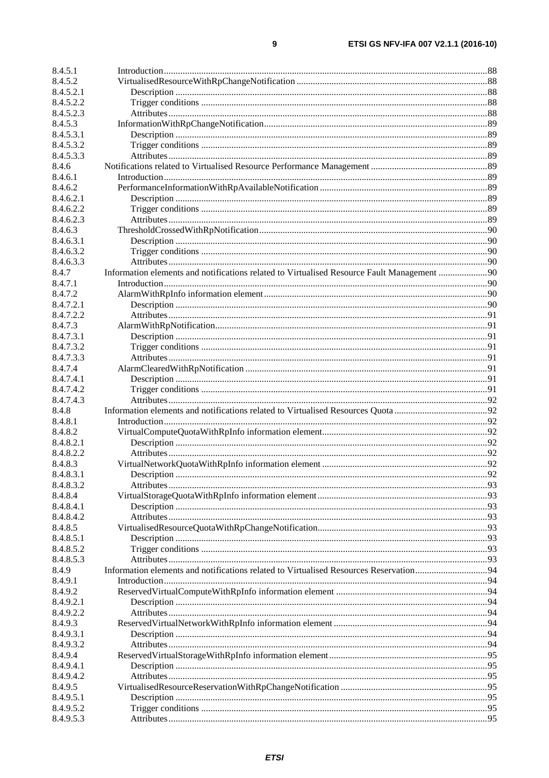| 8.4.5.1                |                                                                                            |  |
|------------------------|--------------------------------------------------------------------------------------------|--|
| 8.4.5.2                |                                                                                            |  |
| 8.4.5.2.1              |                                                                                            |  |
| 8.4.5.2.2              |                                                                                            |  |
| 8.4.5.2.3              |                                                                                            |  |
| 8.4.5.3                |                                                                                            |  |
| 8.4.5.3.1              |                                                                                            |  |
| 8.4.5.3.2              |                                                                                            |  |
| 8.4.5.3.3              |                                                                                            |  |
| 8.4.6                  |                                                                                            |  |
| 8.4.6.1                |                                                                                            |  |
| 8.4.6.2                |                                                                                            |  |
| 8.4.6.2.1              |                                                                                            |  |
| 8.4.6.2.2              |                                                                                            |  |
| 8.4.6.2.3              |                                                                                            |  |
| 8.4.6.3                |                                                                                            |  |
| 8.4.6.3.1<br>8.4.6.3.2 |                                                                                            |  |
| 8.4.6.3.3              |                                                                                            |  |
| 8.4.7                  | Information elements and notifications related to Virtualised Resource Fault Management 90 |  |
| 8.4.7.1                |                                                                                            |  |
| 8.4.7.2                |                                                                                            |  |
| 8.4.7.2.1              |                                                                                            |  |
| 8.4.7.2.2              |                                                                                            |  |
| 8.4.7.3                |                                                                                            |  |
| 8.4.7.3.1              |                                                                                            |  |
| 8.4.7.3.2              |                                                                                            |  |
| 8.4.7.3.3              |                                                                                            |  |
| 8.4.7.4                |                                                                                            |  |
| 8.4.7.4.1              |                                                                                            |  |
| 8.4.7.4.2              |                                                                                            |  |
| 8.4.7.4.3              |                                                                                            |  |
| 8.4.8                  |                                                                                            |  |
| 8.4.8.1                |                                                                                            |  |
| 8.4.8.2                |                                                                                            |  |
| 8.4.8.2.1<br>8.4.8.2.2 |                                                                                            |  |
| 8.4.8.3                |                                                                                            |  |
| 8.4.8.3.1              |                                                                                            |  |
| 8.4.8.3.2              |                                                                                            |  |
| 8.4.8.4                |                                                                                            |  |
| 8.4.8.4.1              |                                                                                            |  |
| 8.4.8.4.2              |                                                                                            |  |
| 8.4.8.5                |                                                                                            |  |
| 8.4.8.5.1              |                                                                                            |  |
| 8.4.8.5.2              |                                                                                            |  |
| 8.4.8.5.3              |                                                                                            |  |
| 8.4.9                  |                                                                                            |  |
| 8.4.9.1                |                                                                                            |  |
| 8.4.9.2                |                                                                                            |  |
| 8.4.9.2.1              |                                                                                            |  |
| 8.4.9.2.2              |                                                                                            |  |
| 8.4.9.3<br>8.4.9.3.1   |                                                                                            |  |
| 8.4.9.3.2              |                                                                                            |  |
| 8.4.9.4                |                                                                                            |  |
| 8.4.9.4.1              |                                                                                            |  |
| 8.4.9.4.2              |                                                                                            |  |
| 8.4.9.5                |                                                                                            |  |
| 8.4.9.5.1              |                                                                                            |  |
| 8.4.9.5.2              |                                                                                            |  |
| 8.4.9.5.3              |                                                                                            |  |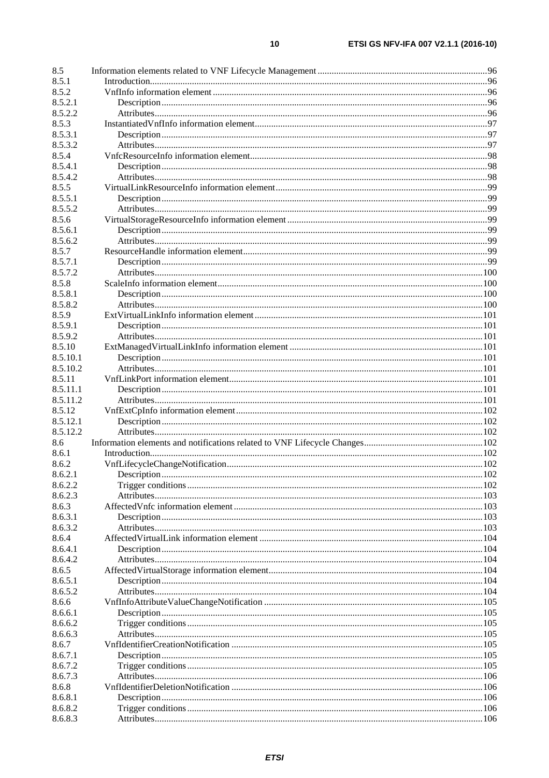| 8.5      |  |
|----------|--|
| 8.5.1    |  |
| 8.5.2    |  |
| 8.5.2.1  |  |
| 8.5.2.2  |  |
| 8.5.3    |  |
| 8.5.3.1  |  |
| 8.5.3.2  |  |
| 8.5.4    |  |
| 8.5.4.1  |  |
| 8.5.4.2  |  |
| 8.5.5    |  |
| 8.5.5.1  |  |
| 8.5.5.2  |  |
| 8.5.6    |  |
| 8.5.6.1  |  |
| 8.5.6.2  |  |
| 8.5.7    |  |
| 8.5.7.1  |  |
| 8.5.7.2  |  |
| 8.5.8    |  |
| 8.5.8.1  |  |
| 8.5.8.2  |  |
|          |  |
| 8.5.9    |  |
| 8.5.9.1  |  |
| 8.5.9.2  |  |
| 8.5.10   |  |
| 8.5.10.1 |  |
| 8.5.10.2 |  |
| 8.5.11   |  |
| 8.5.11.1 |  |
| 8.5.11.2 |  |
| 8.5.12   |  |
| 8.5.12.1 |  |
| 8.5.12.2 |  |
| 8.6      |  |
| 8.6.1    |  |
| 8.6.2    |  |
| 8.6.2.1  |  |
| 8.6.2.2  |  |
| 8.6.2.3  |  |
| 8.6.3    |  |
| 8.6.3.1  |  |
| 8.6.3.2  |  |
| 8.6.4    |  |
| 8.6.4.1  |  |
| 8.6.4.2  |  |
| 8.6.5    |  |
| 8.6.5.1  |  |
| 8.6.5.2  |  |
| 8.6.6    |  |
| 8.6.6.1  |  |
| 8.6.6.2  |  |
| 8.6.6.3  |  |
| 8.6.7    |  |
|          |  |
| 8.6.7.1  |  |
| 8.6.7.2  |  |
| 8.6.7.3  |  |
| 8.6.8    |  |
| 8.6.8.1  |  |
| 8.6.8.2  |  |
| 8.6.8.3  |  |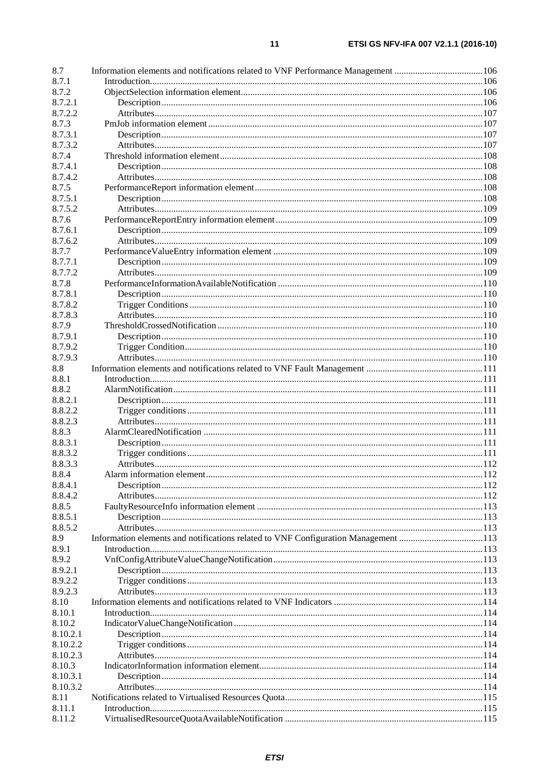| 8.7      | Information elements and notifications related to VNF Performance Management 106   |  |
|----------|------------------------------------------------------------------------------------|--|
| 8.7.1    |                                                                                    |  |
| 8.7.2    |                                                                                    |  |
| 8.7.2.1  |                                                                                    |  |
| 8.7.2.2  |                                                                                    |  |
| 8.7.3    |                                                                                    |  |
| 8.7.3.1  |                                                                                    |  |
| 8.7.3.2  |                                                                                    |  |
| 8.7.4    |                                                                                    |  |
| 8.7.4.1  |                                                                                    |  |
| 8.7.4.2  |                                                                                    |  |
| 8.7.5    |                                                                                    |  |
| 8.7.5.1  |                                                                                    |  |
| 8.7.5.2  |                                                                                    |  |
| 8.7.6    |                                                                                    |  |
| 8.7.6.1  |                                                                                    |  |
| 8.7.6.2  |                                                                                    |  |
| 8.7.7    |                                                                                    |  |
| 8.7.7.1  |                                                                                    |  |
| 8.7.7.2  |                                                                                    |  |
| 8.7.8    |                                                                                    |  |
| 8.7.8.1  |                                                                                    |  |
| 8.7.8.2  |                                                                                    |  |
| 8.7.8.3  |                                                                                    |  |
| 8.7.9    |                                                                                    |  |
| 8.7.9.1  |                                                                                    |  |
| 8.7.9.2  |                                                                                    |  |
| 8.7.9.3  |                                                                                    |  |
| 8.8      |                                                                                    |  |
| 8.8.1    |                                                                                    |  |
| 8.8.2    |                                                                                    |  |
| 8.8.2.1  |                                                                                    |  |
| 8.8.2.2  |                                                                                    |  |
| 8.8.2.3  |                                                                                    |  |
| 8.8.3    |                                                                                    |  |
|          |                                                                                    |  |
| 8.8.3.1  |                                                                                    |  |
| 8.8.3.2  |                                                                                    |  |
| 8.8.3.3  |                                                                                    |  |
| 8.8.4    |                                                                                    |  |
| 8.8.4.1  |                                                                                    |  |
| 8.8.4.2  |                                                                                    |  |
| 8.8.5    |                                                                                    |  |
| 8.8.5.1  |                                                                                    |  |
| 8.8.5.2  |                                                                                    |  |
| 8.9      | Information elements and notifications related to VNF Configuration Management 113 |  |
| 8.9.1    |                                                                                    |  |
| 8.9.2    |                                                                                    |  |
| 8.9.2.1  |                                                                                    |  |
| 8.9.2.2  |                                                                                    |  |
| 8.9.2.3  |                                                                                    |  |
| 8.10     |                                                                                    |  |
| 8.10.1   |                                                                                    |  |
| 8.10.2   |                                                                                    |  |
| 8.10.2.1 |                                                                                    |  |
| 8.10.2.2 |                                                                                    |  |
| 8.10.2.3 |                                                                                    |  |
| 8.10.3   |                                                                                    |  |
| 8.10.3.1 |                                                                                    |  |
| 8.10.3.2 |                                                                                    |  |
| 8.11     |                                                                                    |  |
| 8.11.1   |                                                                                    |  |
| 8.11.2   |                                                                                    |  |
|          |                                                                                    |  |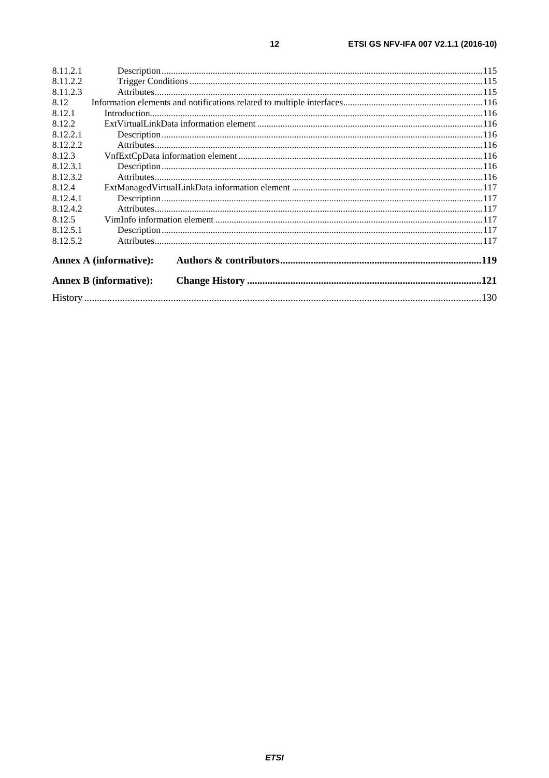| 8.11.2.1 |                               |  |  |  |
|----------|-------------------------------|--|--|--|
| 8.11.2.2 |                               |  |  |  |
| 8.11.2.3 |                               |  |  |  |
| 8.12     |                               |  |  |  |
| 8.12.1   |                               |  |  |  |
| 8.12.2   |                               |  |  |  |
| 8.12.2.1 |                               |  |  |  |
| 8.12.2.2 |                               |  |  |  |
| 8.12.3   |                               |  |  |  |
| 8.12.3.1 |                               |  |  |  |
| 8.12.3.2 |                               |  |  |  |
| 8.12.4   |                               |  |  |  |
| 8.12.4.1 |                               |  |  |  |
| 8.12.4.2 |                               |  |  |  |
| 8.12.5   |                               |  |  |  |
| 8.12.5.1 |                               |  |  |  |
| 8.12.5.2 |                               |  |  |  |
|          | <b>Annex A (informative):</b> |  |  |  |
|          | <b>Annex B (informative):</b> |  |  |  |
|          |                               |  |  |  |

 $12$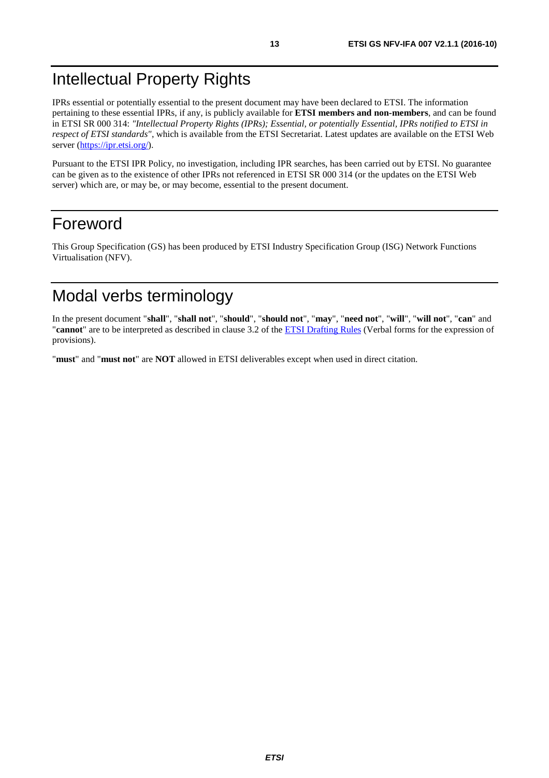# <span id="page-12-0"></span>Intellectual Property Rights

IPRs essential or potentially essential to the present document may have been declared to ETSI. The information pertaining to these essential IPRs, if any, is publicly available for **ETSI members and non-members**, and can be found in ETSI SR 000 314: *"Intellectual Property Rights (IPRs); Essential, or potentially Essential, IPRs notified to ETSI in respect of ETSI standards"*, which is available from the ETSI Secretariat. Latest updates are available on the ETSI Web server (<https://ipr.etsi.org/>).

Pursuant to the ETSI IPR Policy, no investigation, including IPR searches, has been carried out by ETSI. No guarantee can be given as to the existence of other IPRs not referenced in ETSI SR 000 314 (or the updates on the ETSI Web server) which are, or may be, or may become, essential to the present document.

# Foreword

This Group Specification (GS) has been produced by ETSI Industry Specification Group (ISG) Network Functions Virtualisation (NFV).

# Modal verbs terminology

In the present document "**shall**", "**shall not**", "**should**", "**should not**", "**may**", "**need not**", "**will**", "**will not**", "**can**" and "**cannot**" are to be interpreted as described in clause 3.2 of the [ETSI Drafting Rules](https://portal.etsi.org/Services/editHelp!/Howtostart/ETSIDraftingRules.aspx) (Verbal forms for the expression of provisions).

"**must**" and "**must not**" are **NOT** allowed in ETSI deliverables except when used in direct citation.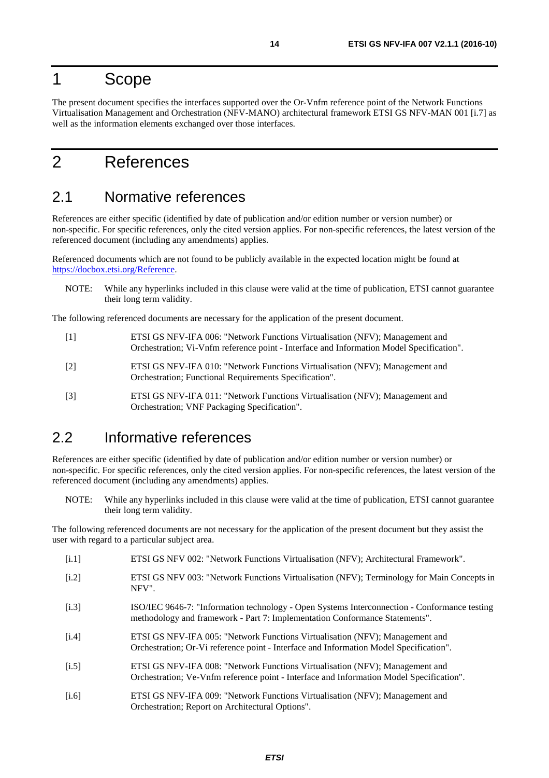# <span id="page-13-0"></span>1 Scope

The present document specifies the interfaces supported over the Or-Vnfm reference point of the Network Functions Virtualisation Management and Orchestration (NFV-MANO) architectural framework ETSI GS NFV-MAN 001 [[i.7\]](#page-14-0) as well as the information elements exchanged over those interfaces.

# 2 References

# 2.1 Normative references

References are either specific (identified by date of publication and/or edition number or version number) or non-specific. For specific references, only the cited version applies. For non-specific references, the latest version of the referenced document (including any amendments) applies.

Referenced documents which are not found to be publicly available in the expected location might be found at [https://docbox.etsi.org/Reference](https://docbox.etsi.org/Reference/).

NOTE: While any hyperlinks included in this clause were valid at the time of publication, ETSI cannot guarantee their long term validity.

The following referenced documents are necessary for the application of the present document.

- [1] ETSI GS NFV-IFA 006: "Network Functions Virtualisation (NFV); Management and Orchestration; Vi-Vnfm reference point - Interface and Information Model Specification".
- [2] ETSI GS NFV-IFA 010: "Network Functions Virtualisation (NFV); Management and Orchestration; Functional Requirements Specification".
- [3] ETSI GS NFV-IFA 011: "Network Functions Virtualisation (NFV); Management and Orchestration; VNF Packaging Specification".

# 2.2 Informative references

References are either specific (identified by date of publication and/or edition number or version number) or non-specific. For specific references, only the cited version applies. For non-specific references, the latest version of the referenced document (including any amendments) applies.

NOTE: While any hyperlinks included in this clause were valid at the time of publication, ETSI cannot guarantee their long term validity.

The following referenced documents are not necessary for the application of the present document but they assist the user with regard to a particular subject area.

- [i.1] ETSI GS NFV 002: "Network Functions Virtualisation (NFV); Architectural Framework". [i.2] ETSI GS NFV 003: "Network Functions Virtualisation (NFV); Terminology for Main Concepts in NFV".
- [i.3] ISO/IEC 9646-7: "Information technology Open Systems Interconnection Conformance testing methodology and framework - Part 7: Implementation Conformance Statements".
- [i.4] ETSI GS NFV-IFA 005: "Network Functions Virtualisation (NFV); Management and Orchestration; Or-Vi reference point - Interface and Information Model Specification".
- [i.5] ETSI GS NFV-IFA 008: "Network Functions Virtualisation (NFV); Management and Orchestration; Ve-Vnfm reference point - Interface and Information Model Specification".
- [i.6] ETSI GS NFV-IFA 009: "Network Functions Virtualisation (NFV); Management and Orchestration; Report on Architectural Options".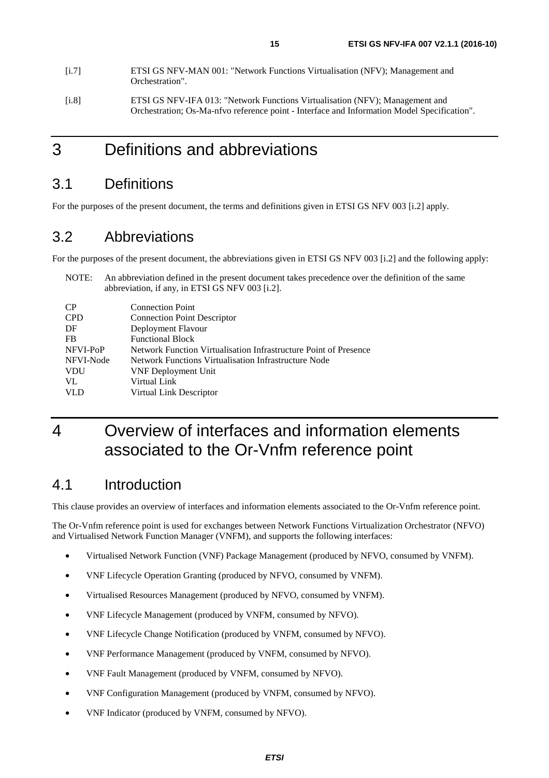- <span id="page-14-0"></span>[i.7] ETSI GS NFV-MAN 001: "Network Functions Virtualisation (NFV); Management and Orchestration". [i.8] ETSI GS NFV-IFA 013: "Network Functions Virtualisation (NFV); Management and
	- Orchestration; Os-Ma-nfvo reference point Interface and Information Model Specification".

# 3 Definitions and abbreviations

# 3.1 Definitions

For the purposes of the present document, the terms and definitions given in ETSI GS NFV 003 [\[i.2](#page-13-0)] apply.

# 3.2 Abbreviations

For the purposes of the present document, the abbreviations given in ETSI GS NFV 003 [\[i.2\]](#page-13-0) and the following apply:

NOTE: An abbreviation defined in the present document takes precedence over the definition of the same abbreviation, if any, in ETSI GS NFV 003 [[i.2](#page-13-0)].

| $\overline{CP}$ | <b>Connection Point</b>                                          |
|-----------------|------------------------------------------------------------------|
| <b>CPD</b>      | <b>Connection Point Descriptor</b>                               |
| DF              | Deployment Flavour                                               |
| FB              | <b>Functional Block</b>                                          |
| NFVI-PoP        | Network Function Virtualisation Infrastructure Point of Presence |
| NFVI-Node       | Network Functions Virtualisation Infrastructure Node             |
| <b>VDU</b>      | <b>VNF Deployment Unit</b>                                       |
| VL              | Virtual Link                                                     |
| <b>VLD</b>      | Virtual Link Descriptor                                          |
|                 |                                                                  |

# 4 Overview of interfaces and information elements associated to the Or-Vnfm reference point

# 4.1 Introduction

This clause provides an overview of interfaces and information elements associated to the Or-Vnfm reference point.

The Or-Vnfm reference point is used for exchanges between Network Functions Virtualization Orchestrator (NFVO) and Virtualised Network Function Manager (VNFM), and supports the following interfaces:

- Virtualised Network Function (VNF) Package Management (produced by NFVO, consumed by VNFM).
- VNF Lifecycle Operation Granting (produced by NFVO, consumed by VNFM).
- Virtualised Resources Management (produced by NFVO, consumed by VNFM).
- VNF Lifecycle Management (produced by VNFM, consumed by NFVO).
- VNF Lifecycle Change Notification (produced by VNFM, consumed by NFVO).
- VNF Performance Management (produced by VNFM, consumed by NFVO).
- VNF Fault Management (produced by VNFM, consumed by NFVO).
- VNF Configuration Management (produced by VNFM, consumed by NFVO).
- VNF Indicator (produced by VNFM, consumed by NFVO).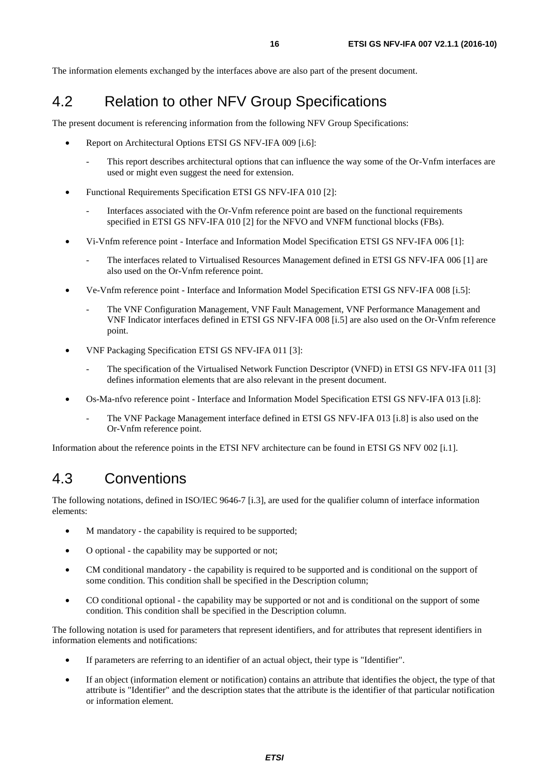<span id="page-15-0"></span>The information elements exchanged by the interfaces above are also part of the present document.

# 4.2 Relation to other NFV Group Specifications

The present document is referencing information from the following NFV Group Specifications:

- Report on Architectural Options ETSI GS NFV-IFA 009 [\[i.6\]](#page-13-0):
	- This report describes architectural options that can influence the way some of the Or-Vnfm interfaces are used or might even suggest the need for extension.
- Functional Requirements Specification ETSI GS NFV-IFA 010 [[2\]](#page-13-0):
	- Interfaces associated with the Or-Vnfm reference point are based on the functional requirements specified in ETSI GS NFV-IFA 010 [[2\]](#page-13-0) for the NFVO and VNFM functional blocks (FBs).
- Vi-Vnfm reference point Interface and Information Model Specification ETSI GS NFV-IFA 006 [\[1\]](#page-13-0):
	- The interfaces related to Virtualised Resources Management defined in ETSI GS NFV-IFA 006 [\[1](#page-13-0)] are also used on the Or-Vnfm reference point.
- Ve-Vnfm reference point Interface and Information Model Specification ETSI GS NFV-IFA 008 [[i.5\]](#page-13-0):
	- The VNF Configuration Management, VNF Fault Management, VNF Performance Management and VNF Indicator interfaces defined in ETSI GS NFV-IFA 008 [[i.5](#page-13-0)] are also used on the Or-Vnfm reference point.
- VNF Packaging Specification ETSI GS NFV-IFA 011 [\[3](#page-13-0)]:
	- The specification of the Virtualised Network Function Descriptor (VNFD) in ETSI GS NFV-IFA 011 [[3\]](#page-13-0) defines information elements that are also relevant in the present document.
- Os-Ma-nfvo reference point Interface and Information Model Specification ETSI GS NFV-IFA 013 [[i.8](#page-14-0)]:
	- The VNF Package Management interface defined in ETSI GS NFV-IFA 013 [\[i.8](#page-14-0)] is also used on the Or-Vnfm reference point.

Information about the reference points in the ETSI NFV architecture can be found in ETSI GS NFV 002 [\[i.1](#page-13-0)].

# 4.3 Conventions

The following notations, defined in ISO/IEC 9646-7 [\[i.3\]](#page-13-0), are used for the qualifier column of interface information elements:

- M mandatory the capability is required to be supported;
- O optional the capability may be supported or not;
- CM conditional mandatory the capability is required to be supported and is conditional on the support of some condition. This condition shall be specified in the Description column;
- CO conditional optional the capability may be supported or not and is conditional on the support of some condition. This condition shall be specified in the Description column.

The following notation is used for parameters that represent identifiers, and for attributes that represent identifiers in information elements and notifications:

- If parameters are referring to an identifier of an actual object, their type is "Identifier".
- If an object (information element or notification) contains an attribute that identifies the object, the type of that attribute is "Identifier" and the description states that the attribute is the identifier of that particular notification or information element.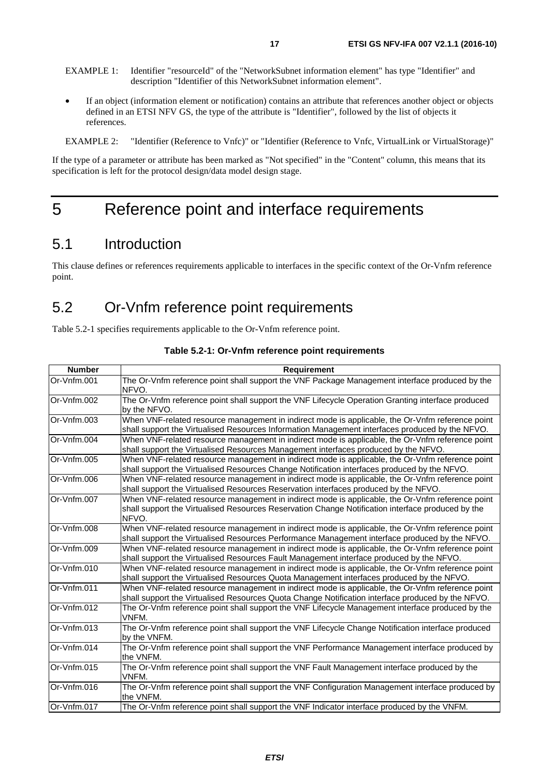- <span id="page-16-0"></span>EXAMPLE 1: Identifier "resourceId" of the "NetworkSubnet information element" has type "Identifier" and description "Identifier of this NetworkSubnet information element".
- If an object (information element or notification) contains an attribute that references another object or objects defined in an ETSI NFV GS, the type of the attribute is "Identifier", followed by the list of objects it references.

EXAMPLE 2: "Identifier (Reference to Vnfc)" or "Identifier (Reference to Vnfc, VirtualLink or VirtualStorage)"

If the type of a parameter or attribute has been marked as "Not specified" in the "Content" column, this means that its specification is left for the protocol design/data model design stage.

# 5 Reference point and interface requirements

# 5.1 Introduction

This clause defines or references requirements applicable to interfaces in the specific context of the Or-Vnfm reference point.

# 5.2 Or-Vnfm reference point requirements

Table 5.2-1 specifies requirements applicable to the Or-Vnfm reference point.

| <b>Number</b> | Requirement                                                                                                                                                                                                    |
|---------------|----------------------------------------------------------------------------------------------------------------------------------------------------------------------------------------------------------------|
| Or-Vnfm.001   | The Or-Vnfm reference point shall support the VNF Package Management interface produced by the<br>NFVO.                                                                                                        |
| Or-Vnfm.002   | The Or-Vnfm reference point shall support the VNF Lifecycle Operation Granting interface produced<br>by the NFVO.                                                                                              |
| Or-Vnfm.003   | When VNF-related resource management in indirect mode is applicable, the Or-Vnfm reference point<br>shall support the Virtualised Resources Information Management interfaces produced by the NFVO.            |
| Or-Vnfm.004   | When VNF-related resource management in indirect mode is applicable, the Or-Vnfm reference point<br>shall support the Virtualised Resources Management interfaces produced by the NFVO.                        |
| Or-Vnfm.005   | When VNF-related resource management in indirect mode is applicable, the Or-Vnfm reference point<br>shall support the Virtualised Resources Change Notification interfaces produced by the NFVO.               |
| Or-Vnfm.006   | When VNF-related resource management in indirect mode is applicable, the Or-Vnfm reference point<br>shall support the Virtualised Resources Reservation interfaces produced by the NFVO.                       |
| Or-Vnfm.007   | When VNF-related resource management in indirect mode is applicable, the Or-Vnfm reference point<br>shall support the Virtualised Resources Reservation Change Notification interface produced by the<br>NFVO. |
| Or-Vnfm.008   | When VNF-related resource management in indirect mode is applicable, the Or-Vnfm reference point<br>shall support the Virtualised Resources Performance Management interface produced by the NFVO.             |
| Or-Vnfm.009   | When VNF-related resource management in indirect mode is applicable, the Or-Vnfm reference point<br>shall support the Virtualised Resources Fault Management interface produced by the NFVO.                   |
| Or-Vnfm.010   | When VNF-related resource management in indirect mode is applicable, the Or-Vnfm reference point<br>shall support the Virtualised Resources Quota Management interfaces produced by the NFVO.                  |
| Or-Vnfm.011   | When VNF-related resource management in indirect mode is applicable, the Or-Vnfm reference point<br>shall support the Virtualised Resources Quota Change Notification interface produced by the NFVO.          |
| Or-Vnfm.012   | The Or-Vnfm reference point shall support the VNF Lifecycle Management interface produced by the<br>VNFM.                                                                                                      |
| Or-Vnfm.013   | The Or-Vnfm reference point shall support the VNF Lifecycle Change Notification interface produced<br>by the VNFM.                                                                                             |
| Or-Vnfm.014   | The Or-Vnfm reference point shall support the VNF Performance Management interface produced by<br>the VNFM.                                                                                                    |
| Or-Vnfm.015   | The Or-Vnfm reference point shall support the VNF Fault Management interface produced by the<br>VNFM.                                                                                                          |
| Or-Vnfm.016   | The Or-Vnfm reference point shall support the VNF Configuration Management interface produced by<br>the VNFM.                                                                                                  |
| Or-Vnfm.017   | The Or-Vnfm reference point shall support the VNF Indicator interface produced by the VNFM.                                                                                                                    |

#### **Table 5.2-1: Or-Vnfm reference point requirements**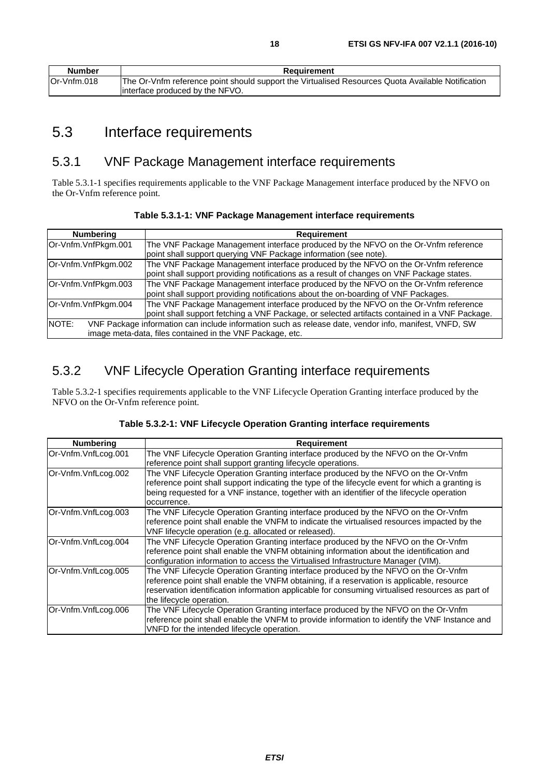<span id="page-17-0"></span>

| <b>Number</b> | Requirement                                                                                       |  |  |  |
|---------------|---------------------------------------------------------------------------------------------------|--|--|--|
| lOr-Vnfm.018  | The Or-Vnfm reference point should support the Virtualised Resources Quota Available Notification |  |  |  |
|               | linterface produced by the NFVO.                                                                  |  |  |  |

# 5.3 Interface requirements

# 5.3.1 VNF Package Management interface requirements

Table 5.3.1-1 specifies requirements applicable to the VNF Package Management interface produced by the NFVO on the Or-Vnfm reference point.

| <b>Numbering</b>                                                                                                                                                            | <b>Requirement</b>                                                                                                                                                                  |  |
|-----------------------------------------------------------------------------------------------------------------------------------------------------------------------------|-------------------------------------------------------------------------------------------------------------------------------------------------------------------------------------|--|
| Or-Vnfm.VnfPkgm.001                                                                                                                                                         | The VNF Package Management interface produced by the NFVO on the Or-Vnfm reference<br>point shall support querying VNF Package information (see note).                              |  |
| Or-Vnfm.VnfPkgm.002                                                                                                                                                         | The VNF Package Management interface produced by the NFVO on the Or-Vnfm reference<br>point shall support providing notifications as a result of changes on VNF Package states.     |  |
| Or-Vnfm.VnfPkgm.003                                                                                                                                                         | The VNF Package Management interface produced by the NFVO on the Or-Vnfm reference<br>point shall support providing notifications about the on-boarding of VNF Packages.            |  |
| Or-Vnfm.VnfPkgm.004                                                                                                                                                         | The VNF Package Management interface produced by the NFVO on the Or-Vnfm reference<br>point shall support fetching a VNF Package, or selected artifacts contained in a VNF Package. |  |
| NOTE:<br>VNF Package information can include information such as release date, vendor info, manifest, VNFD, SW<br>image meta-data, files contained in the VNF Package, etc. |                                                                                                                                                                                     |  |

# 5.3.2 VNF Lifecycle Operation Granting interface requirements

Table 5.3.2-1 specifies requirements applicable to the VNF Lifecycle Operation Granting interface produced by the NFVO on the Or-Vnfm reference point.

| Table 5.3.2-1: VNF Lifecycle Operation Granting interface requirements |  |
|------------------------------------------------------------------------|--|
|------------------------------------------------------------------------|--|

| <b>Numbering</b>    | Requirement                                                                                                                                                                                                                                                                                                     |
|---------------------|-----------------------------------------------------------------------------------------------------------------------------------------------------------------------------------------------------------------------------------------------------------------------------------------------------------------|
| Or-Vnfm.VnfLcog.001 | The VNF Lifecycle Operation Granting interface produced by the NFVO on the Or-Vnfm<br>reference point shall support granting lifecycle operations.                                                                                                                                                              |
| Or-Vnfm.VnfLcog.002 | The VNF Lifecycle Operation Granting interface produced by the NFVO on the Or-Vnfm<br>reference point shall support indicating the type of the lifecycle event for which a granting is<br>being requested for a VNF instance, together with an identifier of the lifecycle operation<br>occurrence.             |
| Or-Vnfm.VnfLcog.003 | The VNF Lifecycle Operation Granting interface produced by the NFVO on the Or-Vnfm<br>reference point shall enable the VNFM to indicate the virtualised resources impacted by the<br>VNF lifecycle operation (e.g. allocated or released).                                                                      |
| Or-Vnfm.VnfLcog.004 | The VNF Lifecycle Operation Granting interface produced by the NFVO on the Or-Vnfm<br>reference point shall enable the VNFM obtaining information about the identification and<br>configuration information to access the Virtualised Infrastructure Manager (VIM).                                             |
| Or-Vnfm.VnfLcog.005 | The VNF Lifecycle Operation Granting interface produced by the NFVO on the Or-Vnfm<br>reference point shall enable the VNFM obtaining, if a reservation is applicable, resource<br>reservation identification information applicable for consuming virtualised resources as part of<br>the lifecycle operation. |
| Or-Vnfm.VnfLcog.006 | The VNF Lifecycle Operation Granting interface produced by the NFVO on the Or-Vnfm<br>reference point shall enable the VNFM to provide information to identify the VNF Instance and<br>VNFD for the intended lifecycle operation.                                                                               |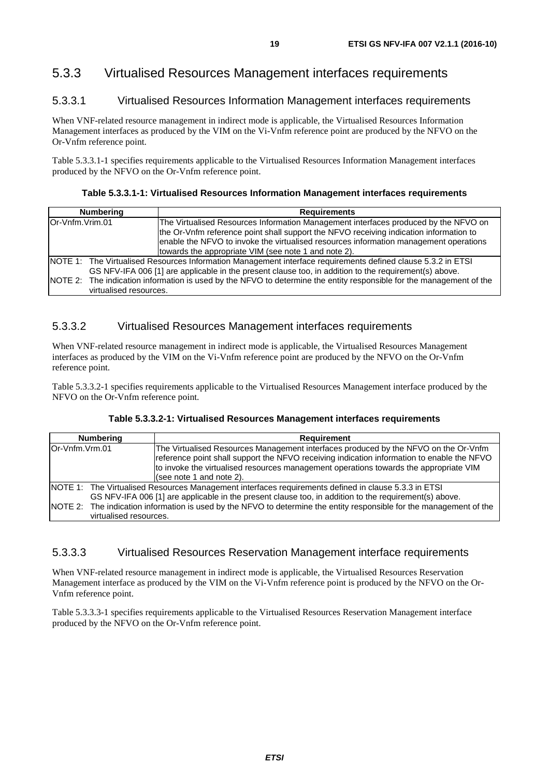# <span id="page-18-0"></span>5.3.3 Virtualised Resources Management interfaces requirements

### 5.3.3.1 Virtualised Resources Information Management interfaces requirements

When VNF-related resource management in indirect mode is applicable, the Virtualised Resources Information Management interfaces as produced by the VIM on the Vi-Vnfm reference point are produced by the NFVO on the Or-Vnfm reference point.

Table 5.3.3.1-1 specifies requirements applicable to the Virtualised Resources Information Management interfaces produced by the NFVO on the Or-Vnfm reference point.

#### **Table 5.3.3.1-1: Virtualised Resources Information Management interfaces requirements**

| <b>Numbering</b> |                        | <b>Requirements</b>                                                                                                                                                                                                                                                                                                            |  |  |  |
|------------------|------------------------|--------------------------------------------------------------------------------------------------------------------------------------------------------------------------------------------------------------------------------------------------------------------------------------------------------------------------------|--|--|--|
| Or-Vnfm.Vrim.01  |                        | The Virtualised Resources Information Management interfaces produced by the NFVO on<br>the Or-Vnfm reference point shall support the NFVO receiving indication information to<br>enable the NFVO to invoke the virtualised resources information management operations<br>towards the appropriate VIM (see note 1 and note 2). |  |  |  |
|                  |                        | NOTE 1: The Virtualised Resources Information Management interface requirements defined clause 5.3.2 in ETSI<br>GS NFV-IFA 006 [1] are applicable in the present clause too, in addition to the requirement(s) above.                                                                                                          |  |  |  |
|                  | virtualised resources. | NOTE 2: The indication information is used by the NFVO to determine the entity responsible for the management of the                                                                                                                                                                                                           |  |  |  |

### 5.3.3.2 Virtualised Resources Management interfaces requirements

When VNF-related resource management in indirect mode is applicable, the Virtualised Resources Management interfaces as produced by the VIM on the Vi-Vnfm reference point are produced by the NFVO on the Or-Vnfm reference point.

Table 5.3.3.2-1 specifies requirements applicable to the Virtualised Resources Management interface produced by the NFVO on the Or-Vnfm reference point.

|                 | <b>Numbering</b>       | <b>Requirement</b>                                                                                                                                                                |
|-----------------|------------------------|-----------------------------------------------------------------------------------------------------------------------------------------------------------------------------------|
|                 |                        |                                                                                                                                                                                   |
| lOr-Vnfm.Vrm.01 |                        | The Virtualised Resources Management interfaces produced by the NFVO on the Or-Vnfm<br>reference point shall support the NFVO receiving indication information to enable the NFVO |
|                 |                        | to invoke the virtualised resources management operations towards the appropriate VIM                                                                                             |
|                 |                        | (see note 1 and note 2).                                                                                                                                                          |
|                 |                        | NOTE 1: The Virtualised Resources Management interfaces requirements defined in clause 5.3.3 in ETSI                                                                              |
|                 |                        | GS NFV-IFA 006 [1] are applicable in the present clause too, in addition to the requirement(s) above.                                                                             |
|                 | virtualised resources. | NOTE 2: The indication information is used by the NFVO to determine the entity responsible for the management of the                                                              |

### 5.3.3.3 Virtualised Resources Reservation Management interface requirements

When VNF-related resource management in indirect mode is applicable, the Virtualised Resources Reservation Management interface as produced by the VIM on the Vi-Vnfm reference point is produced by the NFVO on the Or-Vnfm reference point.

Table 5.3.3.3-1 specifies requirements applicable to the Virtualised Resources Reservation Management interface produced by the NFVO on the Or-Vnfm reference point.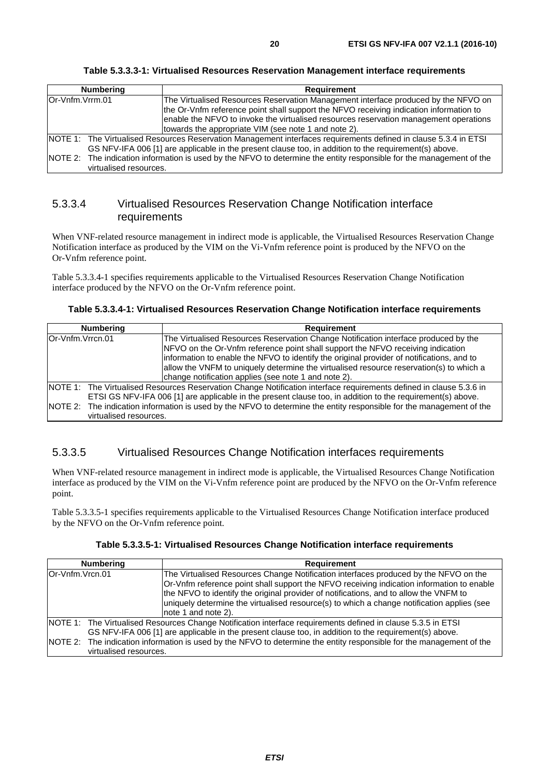| Table 5.3.3.3-1: Virtualised Resources Reservation Management interface requirements |  |
|--------------------------------------------------------------------------------------|--|
|--------------------------------------------------------------------------------------|--|

<span id="page-19-0"></span>

| <b>Numbering</b> |                        | <b>Requirement</b>                                                                                                                                                                                                                                                                                                            |  |  |
|------------------|------------------------|-------------------------------------------------------------------------------------------------------------------------------------------------------------------------------------------------------------------------------------------------------------------------------------------------------------------------------|--|--|
| Or-Vnfm.Vrrm.01  |                        | The Virtualised Resources Reservation Management interface produced by the NFVO on<br>the Or-Vnfm reference point shall support the NFVO receiving indication information to<br>enable the NFVO to invoke the virtualised resources reservation management operations<br>towards the appropriate VIM (see note 1 and note 2). |  |  |
|                  |                        | NOTE 1: The Virtualised Resources Reservation Management interfaces requirements defined in clause 5.3.4 in ETSI<br>GS NFV-IFA 006 [1] are applicable in the present clause too, in addition to the requirement(s) above.                                                                                                     |  |  |
|                  | virtualised resources. | NOTE 2: The indication information is used by the NFVO to determine the entity responsible for the management of the                                                                                                                                                                                                          |  |  |

### 5.3.3.4 Virtualised Resources Reservation Change Notification interface requirements

When VNF-related resource management in indirect mode is applicable, the Virtualised Resources Reservation Change Notification interface as produced by the VIM on the Vi-Vnfm reference point is produced by the NFVO on the Or-Vnfm reference point.

Table 5.3.3.4-1 specifies requirements applicable to the Virtualised Resources Reservation Change Notification interface produced by the NFVO on the Or-Vnfm reference point.

**Table 5.3.3.4-1: Virtualised Resources Reservation Change Notification interface requirements** 

| <b>Numbering</b>                                                                                                                                                                                                                                                                                                                                          | <b>Requirement</b>                                                                                                                                                                                                                                                                                                                                                                                                     |  |  |  |
|-----------------------------------------------------------------------------------------------------------------------------------------------------------------------------------------------------------------------------------------------------------------------------------------------------------------------------------------------------------|------------------------------------------------------------------------------------------------------------------------------------------------------------------------------------------------------------------------------------------------------------------------------------------------------------------------------------------------------------------------------------------------------------------------|--|--|--|
| Or-Vnfm.Vrrcn.01                                                                                                                                                                                                                                                                                                                                          | The Virtualised Resources Reservation Change Notification interface produced by the<br>NFVO on the Or-Vnfm reference point shall support the NFVO receiving indication<br>information to enable the NFVO to identify the original provider of notifications, and to<br>allow the VNFM to uniquely determine the virtualised resource reservation(s) to which a<br>change notification applies (see note 1 and note 2). |  |  |  |
| NOTE 1: The Virtualised Resources Reservation Change Notification interface requirements defined in clause 5.3.6 in<br>ETSI GS NFV-IFA 006 [1] are applicable in the present clause too, in addition to the requirement(s) above.<br>NOTE 2: The indication information is used by the NFVO to determine the entity responsible for the management of the |                                                                                                                                                                                                                                                                                                                                                                                                                        |  |  |  |
| virtualised resources.                                                                                                                                                                                                                                                                                                                                    |                                                                                                                                                                                                                                                                                                                                                                                                                        |  |  |  |

### 5.3.3.5 Virtualised Resources Change Notification interfaces requirements

When VNF-related resource management in indirect mode is applicable, the Virtualised Resources Change Notification interface as produced by the VIM on the Vi-Vnfm reference point are produced by the NFVO on the Or-Vnfm reference point.

Table 5.3.3.5-1 specifies requirements applicable to the Virtualised Resources Change Notification interface produced by the NFVO on the Or-Vnfm reference point.

| Table 5.3.3.5-1: Virtualised Resources Change Notification interface requirements |  |  |  |  |
|-----------------------------------------------------------------------------------|--|--|--|--|
|-----------------------------------------------------------------------------------|--|--|--|--|

| <b>Numbering</b> | Requirement                                                                                                                                                                                                                                                                                                                                                                                     |  |
|------------------|-------------------------------------------------------------------------------------------------------------------------------------------------------------------------------------------------------------------------------------------------------------------------------------------------------------------------------------------------------------------------------------------------|--|
| lOr-Vnfm.Vrcn.01 | The Virtualised Resources Change Notification interfaces produced by the NFVO on the<br>Or-Vnfm reference point shall support the NFVO receiving indication information to enable<br>the NFVO to identify the original provider of notifications, and to allow the VNFM to<br>uniquely determine the virtualised resource(s) to which a change notification applies (see<br>note 1 and note 2). |  |
|                  | NOTE 1: The Virtualised Resources Change Notification interface requirements defined in clause 5.3.5 in ETSI<br>GS NFV-IFA 006 [1] are applicable in the present clause too, in addition to the requirement(s) above.                                                                                                                                                                           |  |
|                  | NOTE 2: The indication information is used by the NFVO to determine the entity responsible for the management of the<br>virtualised resources.                                                                                                                                                                                                                                                  |  |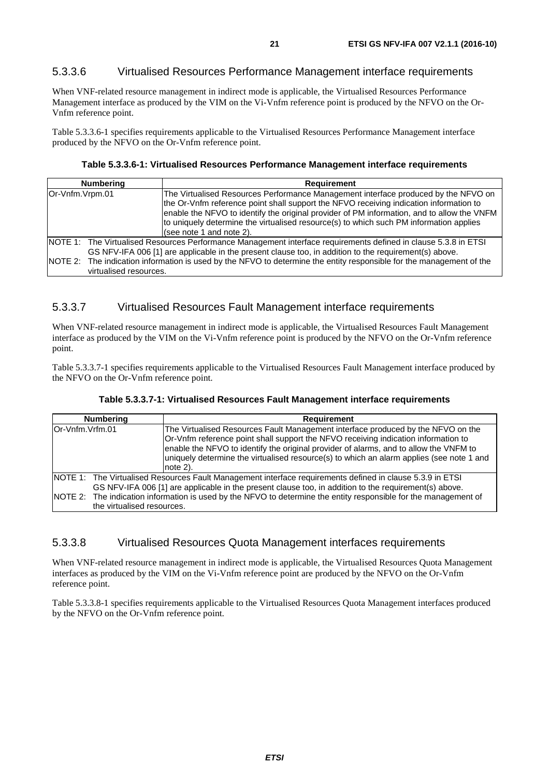### <span id="page-20-0"></span>5.3.3.6 Virtualised Resources Performance Management interface requirements

When VNF-related resource management in indirect mode is applicable, the Virtualised Resources Performance Management interface as produced by the VIM on the Vi-Vnfm reference point is produced by the NFVO on the Or-Vnfm reference point.

Table 5.3.3.6-1 specifies requirements applicable to the Virtualised Resources Performance Management interface produced by the NFVO on the Or-Vnfm reference point.

#### **Table 5.3.3.6-1: Virtualised Resources Performance Management interface requirements**

| <b>Numbering</b>       | <b>Requirement</b>                                                                                                                                                                                                                                                                                                                                                                               |  |  |  |
|------------------------|--------------------------------------------------------------------------------------------------------------------------------------------------------------------------------------------------------------------------------------------------------------------------------------------------------------------------------------------------------------------------------------------------|--|--|--|
| Or-Vnfm.Vrpm.01        | The Virtualised Resources Performance Management interface produced by the NFVO on<br>the Or-Vnfm reference point shall support the NFVO receiving indication information to<br>enable the NFVO to identify the original provider of PM information, and to allow the VNFM<br>to uniquely determine the virtualised resource(s) to which such PM information applies<br>(see note 1 and note 2). |  |  |  |
| virtualised resources. | NOTE 1: The Virtualised Resources Performance Management interface requirements defined in clause 5.3.8 in ETSI<br>GS NFV-IFA 006 [1] are applicable in the present clause too, in addition to the requirement(s) above.<br>NOTE 2: The indication information is used by the NFVO to determine the entity responsible for the management of the                                                 |  |  |  |

#### 5.3.3.7 Virtualised Resources Fault Management interface requirements

When VNF-related resource management in indirect mode is applicable, the Virtualised Resources Fault Management interface as produced by the VIM on the Vi-Vnfm reference point is produced by the NFVO on the Or-Vnfm reference point.

Table 5.3.3.7-1 specifies requirements applicable to the Virtualised Resources Fault Management interface produced by the NFVO on the Or-Vnfm reference point.

| <b>Numbering</b>           | <b>Requirement</b>                                                                                                                                                                                                                                                                                                                                                      |
|----------------------------|-------------------------------------------------------------------------------------------------------------------------------------------------------------------------------------------------------------------------------------------------------------------------------------------------------------------------------------------------------------------------|
| Or-Vnfm.Vrfm.01            | The Virtualised Resources Fault Management interface produced by the NFVO on the<br>Or-Vnfm reference point shall support the NFVO receiving indication information to<br>enable the NFVO to identify the original provider of alarms, and to allow the VNFM to<br>uniquely determine the virtualised resource(s) to which an alarm applies (see note 1 and<br>note 2). |
| the virtualised resources. | <b>NOTE 1:</b> The Virtualised Resources Fault Management interface requirements defined in clause 5.3.9 in ETSI<br>GS NFV-IFA 006 [1] are applicable in the present clause too, in addition to the requirement(s) above.<br>NOTE 2: The indication information is used by the NFVO to determine the entity responsible for the management of                           |
|                            |                                                                                                                                                                                                                                                                                                                                                                         |

#### 5.3.3.8 Virtualised Resources Quota Management interfaces requirements

When VNF-related resource management in indirect mode is applicable, the Virtualised Resources Quota Management interfaces as produced by the VIM on the Vi-Vnfm reference point are produced by the NFVO on the Or-Vnfm reference point.

Table 5.3.3.8-1 specifies requirements applicable to the Virtualised Resources Quota Management interfaces produced by the NFVO on the Or-Vnfm reference point.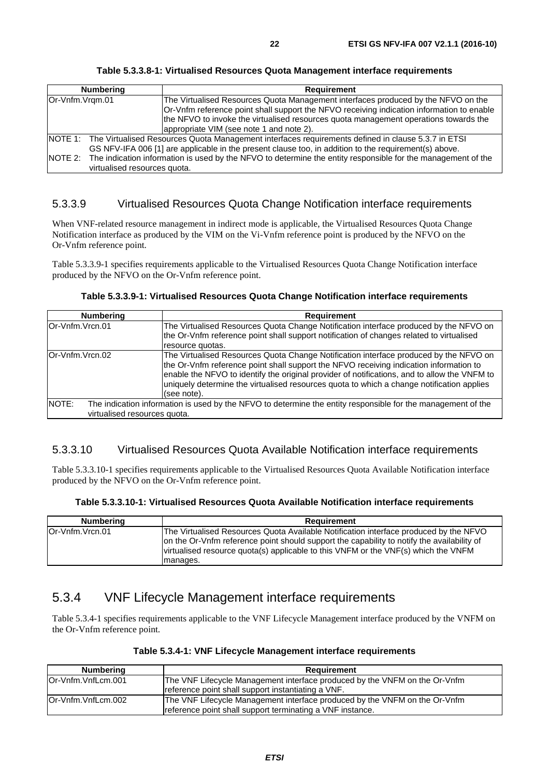<span id="page-21-0"></span>

| <b>Numbering</b> |                                                                                                                                                                                                                                                       | <b>Requirement</b>                                                                                                                                                                                                                                                                                                 |  |  |
|------------------|-------------------------------------------------------------------------------------------------------------------------------------------------------------------------------------------------------------------------------------------------------|--------------------------------------------------------------------------------------------------------------------------------------------------------------------------------------------------------------------------------------------------------------------------------------------------------------------|--|--|
| Or-Vnfm.Vrgm.01  |                                                                                                                                                                                                                                                       | The Virtualised Resources Quota Management interfaces produced by the NFVO on the<br>Or-Vnfm reference point shall support the NFVO receiving indication information to enable<br>the NFVO to invoke the virtualised resources quota management operations towards the<br>appropriate VIM (see note 1 and note 2). |  |  |
|                  |                                                                                                                                                                                                                                                       | NOTE 1: The Virtualised Resources Quota Management interfaces requirements defined in clause 5.3.7 in ETSI                                                                                                                                                                                                         |  |  |
| NOTE 2:          | GS NFV-IFA 006 [1] are applicable in the present clause too, in addition to the requirement(s) above.<br>The indication information is used by the NFVO to determine the entity responsible for the management of the<br>virtualised resources quota. |                                                                                                                                                                                                                                                                                                                    |  |  |

**Table 5.3.3.8-1: Virtualised Resources Quota Management interface requirements** 

### 5.3.3.9 Virtualised Resources Quota Change Notification interface requirements

When VNF-related resource management in indirect mode is applicable, the Virtualised Resources Quota Change Notification interface as produced by the VIM on the Vi-Vnfm reference point is produced by the NFVO on the Or-Vnfm reference point.

Table 5.3.3.9-1 specifies requirements applicable to the Virtualised Resources Quota Change Notification interface produced by the NFVO on the Or-Vnfm reference point.

|  | Table 5.3.3.9-1: Virtualised Resources Quota Change Notification interface requirements |  |  |  |  |
|--|-----------------------------------------------------------------------------------------|--|--|--|--|
|--|-----------------------------------------------------------------------------------------|--|--|--|--|

| <b>Numbering</b>                      | <b>Requirement</b>                                                                                                                                                                                                                                                                                                                                                                          |  |
|---------------------------------------|---------------------------------------------------------------------------------------------------------------------------------------------------------------------------------------------------------------------------------------------------------------------------------------------------------------------------------------------------------------------------------------------|--|
| lOr-Vnfm.Vrcn.01                      | The Virtualised Resources Quota Change Notification interface produced by the NFVO on<br>the Or-Vnfm reference point shall support notification of changes related to virtualised<br>resource quotas.                                                                                                                                                                                       |  |
| Or-Vnfm.Vrcn.02                       | The Virtualised Resources Quota Change Notification interface produced by the NFVO on<br>the Or-Vnfm reference point shall support the NFVO receiving indication information to<br>enable the NFVO to identify the original provider of notifications, and to allow the VNFM to<br>uniquely determine the virtualised resources quota to which a change notification applies<br>(see note). |  |
| NOTE:<br>virtualised resources quota. | The indication information is used by the NFVO to determine the entity responsible for the management of the                                                                                                                                                                                                                                                                                |  |

### 5.3.3.10 Virtualised Resources Quota Available Notification interface requirements

Table 5.3.3.10-1 specifies requirements applicable to the Virtualised Resources Quota Available Notification interface produced by the NFVO on the Or-Vnfm reference point.

| Table 5.3.3.10-1: Virtualised Resources Quota Available Notification interface requirements |  |  |  |  |  |  |  |  |  |
|---------------------------------------------------------------------------------------------|--|--|--|--|--|--|--|--|--|
|---------------------------------------------------------------------------------------------|--|--|--|--|--|--|--|--|--|

| <b>Numbering</b> | Requirement                                                                                                                                                                                                                                                                           |
|------------------|---------------------------------------------------------------------------------------------------------------------------------------------------------------------------------------------------------------------------------------------------------------------------------------|
| Or-Vnfm.Vrcn.01  | The Virtualised Resources Quota Available Notification interface produced by the NFVO<br>on the Or-Vnfm reference point should support the capability to notify the availability of<br>virtualised resource quota(s) applicable to this VNFM or the VNF(s) which the VNFM<br>manages. |

### 5.3.4 VNF Lifecycle Management interface requirements

Table 5.3.4-1 specifies requirements applicable to the VNF Lifecycle Management interface produced by the VNFM on the Or-Vnfm reference point.

| Table 5.3.4-1: VNF Lifecycle Management interface requirements |  |  |  |  |
|----------------------------------------------------------------|--|--|--|--|
|----------------------------------------------------------------|--|--|--|--|

| Numbering           | Requirement                                                                                                                             |
|---------------------|-----------------------------------------------------------------------------------------------------------------------------------------|
| IOr-Vnfm.VnfLcm.001 | The VNF Lifecycle Management interface produced by the VNFM on the Or-Vnfm<br>reference point shall support instantiating a VNF.        |
| lOr-Vnfm.VnfLcm.002 | The VNF Lifecycle Management interface produced by the VNFM on the Or-Vnfm<br>reference point shall support terminating a VNF instance. |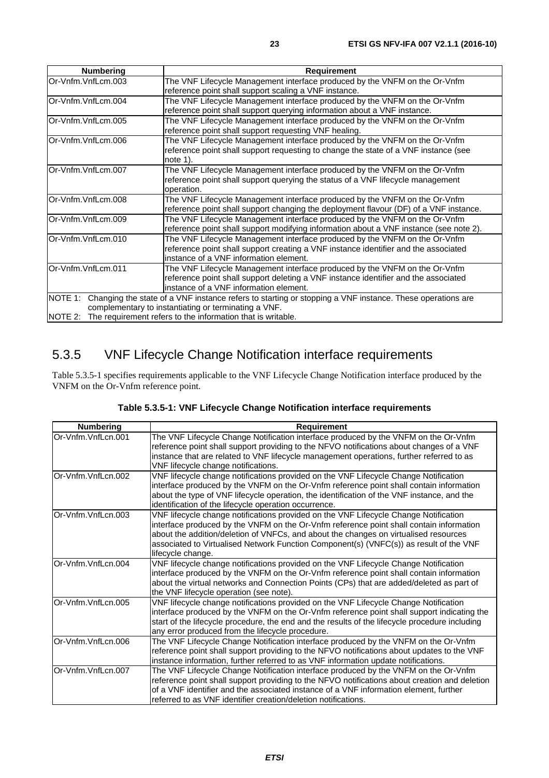<span id="page-22-0"></span>

| <b>Numbering</b>    | <b>Requirement</b>                                                                                       |
|---------------------|----------------------------------------------------------------------------------------------------------|
| Or-Vnfm.VnfLcm.003  | The VNF Lifecycle Management interface produced by the VNFM on the Or-Vnfm                               |
|                     | reference point shall support scaling a VNF instance.                                                    |
| lOr-Vnfm.VnfLcm.004 | The VNF Lifecycle Management interface produced by the VNFM on the Or-Vnfm                               |
|                     | reference point shall support querying information about a VNF instance.                                 |
| Or-Vnfm.VnfLcm.005  | The VNF Lifecycle Management interface produced by the VNFM on the Or-Vnfm                               |
|                     | reference point shall support requesting VNF healing.                                                    |
| lOr-Vnfm.VnfLcm.006 | The VNF Lifecycle Management interface produced by the VNFM on the Or-Vnfm                               |
|                     | reference point shall support requesting to change the state of a VNF instance (see                      |
|                     | note $1$ ).                                                                                              |
| Or-Vnfm.VnfLcm.007  | The VNF Lifecycle Management interface produced by the VNFM on the Or-Vnfm                               |
|                     | reference point shall support querying the status of a VNF lifecycle management                          |
|                     | operation.                                                                                               |
| Or-Vnfm.VnfLcm.008  | The VNF Lifecycle Management interface produced by the VNFM on the Or-Vnfm                               |
|                     | reference point shall support changing the deployment flavour (DF) of a VNF instance.                    |
| Or-Vnfm.VnfLcm.009  | The VNF Lifecycle Management interface produced by the VNFM on the Or-Vnfm                               |
|                     | reference point shall support modifying information about a VNF instance (see note 2).                   |
| lOr-Vnfm.VnfLcm.010 | The VNF Lifecycle Management interface produced by the VNFM on the Or-Vnfm                               |
|                     | reference point shall support creating a VNF instance identifier and the associated                      |
|                     | instance of a VNF information element.                                                                   |
| Or-Vnfm.VnfLcm.011  | The VNF Lifecycle Management interface produced by the VNFM on the Or-Vnfm                               |
|                     | reference point shall support deleting a VNF instance identifier and the associated                      |
|                     | instance of a VNF information element.                                                                   |
| NOTE 1:             | Changing the state of a VNF instance refers to starting or stopping a VNF instance. These operations are |
|                     | complementary to instantiating or terminating a VNF.                                                     |
|                     | NOTE 2: The requirement refers to the information that is writable.                                      |

# 5.3.5 VNF Lifecycle Change Notification interface requirements

Table 5.3.5-1 specifies requirements applicable to the VNF Lifecycle Change Notification interface produced by the VNFM on the Or-Vnfm reference point.

| Table 5.3.5-1: VNF Lifecycle Change Notification interface requirements |  |
|-------------------------------------------------------------------------|--|
|-------------------------------------------------------------------------|--|

| <b>Numbering</b>    | <b>Requirement</b>                                                                                                                                                                                                                                                                                                                                                                     |
|---------------------|----------------------------------------------------------------------------------------------------------------------------------------------------------------------------------------------------------------------------------------------------------------------------------------------------------------------------------------------------------------------------------------|
| Or-Vnfm.Vnfl.cn.001 | The VNF Lifecycle Change Notification interface produced by the VNFM on the Or-Vnfm<br>reference point shall support providing to the NFVO notifications about changes of a VNF<br>instance that are related to VNF lifecycle management operations, further referred to as<br>VNF lifecycle change notifications.                                                                     |
| Or-Vnfm.VnfLcn.002  | VNF lifecycle change notifications provided on the VNF Lifecycle Change Notification<br>interface produced by the VNFM on the Or-Vnfm reference point shall contain information<br>about the type of VNF lifecycle operation, the identification of the VNF instance, and the<br>identification of the lifecycle operation occurrence.                                                 |
| Or-Vnfm.VnfLcn.003  | VNF lifecycle change notifications provided on the VNF Lifecycle Change Notification<br>interface produced by the VNFM on the Or-Vnfm reference point shall contain information<br>about the addition/deletion of VNFCs, and about the changes on virtualised resources<br>associated to Virtualised Network Function Component(s) (VNFC(s)) as result of the VNF<br>lifecycle change. |
| Or-Vnfm.VnfLcn.004  | VNF lifecycle change notifications provided on the VNF Lifecycle Change Notification<br>interface produced by the VNFM on the Or-Vnfm reference point shall contain information<br>about the virtual networks and Connection Points (CPs) that are added/deleted as part of<br>the VNF lifecycle operation (see note).                                                                 |
| Or-Vnfm.VnfLcn.005  | VNF lifecycle change notifications provided on the VNF Lifecycle Change Notification<br>interface produced by the VNFM on the Or-Vnfm reference point shall support indicating the<br>start of the lifecycle procedure, the end and the results of the lifecycle procedure including<br>any error produced from the lifecycle procedure.                                               |
| Or-Vnfm.VnfLcn.006  | The VNF Lifecycle Change Notification interface produced by the VNFM on the Or-Vnfm<br>reference point shall support providing to the NFVO notifications about updates to the VNF<br>instance information, further referred to as VNF information update notifications.                                                                                                                |
| Or-Vnfm.VnfLcn.007  | The VNF Lifecycle Change Notification interface produced by the VNFM on the Or-Vnfm<br>reference point shall support providing to the NFVO notifications about creation and deletion<br>of a VNF identifier and the associated instance of a VNF information element, further<br>referred to as VNF identifier creation/deletion notifications.                                        |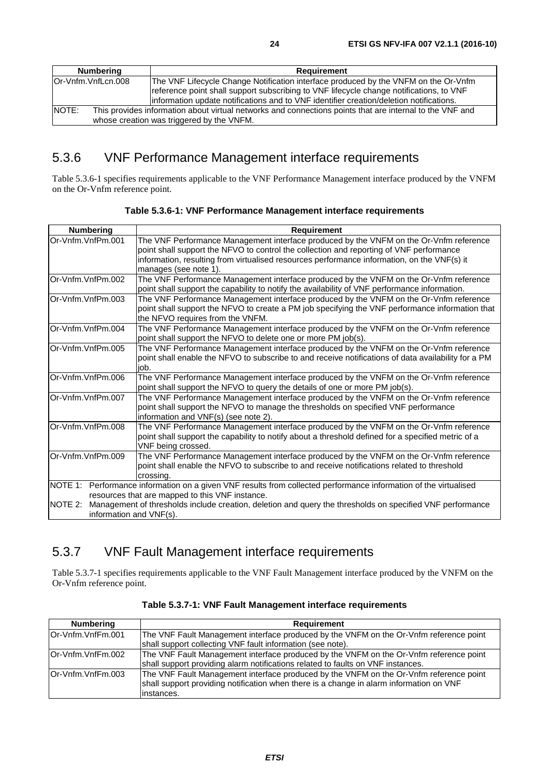<span id="page-23-0"></span>

| Numbering                                                                                                                                                      | Requirement                                                                                                                                                                        |
|----------------------------------------------------------------------------------------------------------------------------------------------------------------|------------------------------------------------------------------------------------------------------------------------------------------------------------------------------------|
| Or-Vnfm.VnfLcn.008                                                                                                                                             | The VNF Lifecycle Change Notification interface produced by the VNFM on the Or-Vnfm                                                                                                |
|                                                                                                                                                                | reference point shall support subscribing to VNF lifecycle change notifications, to VNF<br>information update notifications and to VNF identifier creation/deletion notifications. |
| NOTE:<br>This provides information about virtual networks and connections points that are internal to the VNF and<br>whose creation was triggered by the VNFM. |                                                                                                                                                                                    |

# 5.3.6 VNF Performance Management interface requirements

Table 5.3.6-1 specifies requirements applicable to the VNF Performance Management interface produced by the VNFM on the Or-Vnfm reference point.

| <b>Numbering</b>        | <b>Requirement</b>                                                                                        |  |  |
|-------------------------|-----------------------------------------------------------------------------------------------------------|--|--|
| lOr-Vnfm.VnfPm.001      | The VNF Performance Management interface produced by the VNFM on the Or-Vnfm reference                    |  |  |
|                         | point shall support the NFVO to control the collection and reporting of VNF performance                   |  |  |
|                         | information, resulting from virtualised resources performance information, on the VNF(s) it               |  |  |
|                         | manages (see note 1).                                                                                     |  |  |
| Or-Vnfm.VnfPm.002       | The VNF Performance Management interface produced by the VNFM on the Or-Vnfm reference                    |  |  |
|                         | point shall support the capability to notify the availability of VNF performance information.             |  |  |
| Or-Vnfm.VnfPm.003       | The VNF Performance Management interface produced by the VNFM on the Or-Vnfm reference                    |  |  |
|                         | point shall support the NFVO to create a PM job specifying the VNF performance information that           |  |  |
|                         | the NFVO requires from the VNFM.                                                                          |  |  |
| Or-Vnfm.VnfPm.004       | The VNF Performance Management interface produced by the VNFM on the Or-Vnfm reference                    |  |  |
|                         | point shall support the NFVO to delete one or more PM job(s).                                             |  |  |
| lOr-Vnfm.VnfPm.005      | The VNF Performance Management interface produced by the VNFM on the Or-Vnfm reference                    |  |  |
|                         | point shall enable the NFVO to subscribe to and receive notifications of data availability for a PM       |  |  |
|                         | iob.                                                                                                      |  |  |
| Or-Vnfm.VnfPm.006       | The VNF Performance Management interface produced by the VNFM on the Or-Vnfm reference                    |  |  |
|                         | point shall support the NFVO to query the details of one or more PM job(s).                               |  |  |
| Or-Vnfm.VnfPm.007       | The VNF Performance Management interface produced by the VNFM on the Or-Vnfm reference                    |  |  |
|                         | point shall support the NFVO to manage the thresholds on specified VNF performance                        |  |  |
|                         | information and VNF(s) (see note 2).                                                                      |  |  |
| Or-Vnfm.VnfPm.008       | The VNF Performance Management interface produced by the VNFM on the Or-Vnfm reference                    |  |  |
|                         | point shall support the capability to notify about a threshold defined for a specified metric of a        |  |  |
|                         | VNF being crossed.                                                                                        |  |  |
| Or-Vnfm.VnfPm.009       | The VNF Performance Management interface produced by the VNFM on the Or-Vnfm reference                    |  |  |
|                         | point shall enable the NFVO to subscribe to and receive notifications related to threshold                |  |  |
|                         | crossing.                                                                                                 |  |  |
| <b>INOTE 1:</b>         | Performance information on a given VNF results from collected performance information of the virtualised  |  |  |
|                         | resources that are mapped to this VNF instance.                                                           |  |  |
| NOTE 2:                 | Management of thresholds include creation, deletion and query the thresholds on specified VNF performance |  |  |
| information and VNF(s). |                                                                                                           |  |  |

**Table 5.3.6-1: VNF Performance Management interface requirements** 

# 5.3.7 VNF Fault Management interface requirements

Table 5.3.7-1 specifies requirements applicable to the VNF Fault Management interface produced by the VNFM on the Or-Vnfm reference point.

| Numbering          | <b>Requirement</b>                                                                                                                                                                               |  |  |
|--------------------|--------------------------------------------------------------------------------------------------------------------------------------------------------------------------------------------------|--|--|
| Or-Vnfm.VnfFm.001  | The VNF Fault Management interface produced by the VNFM on the Or-Vnfm reference point                                                                                                           |  |  |
|                    | shall support collecting VNF fault information (see note).                                                                                                                                       |  |  |
| lOr-Vnfm.VnfFm.002 | The VNF Fault Management interface produced by the VNFM on the Or-Vnfm reference point<br>shall support providing alarm notifications related to faults on VNF instances.                        |  |  |
| lOr-Vnfm.VnfFm.003 | The VNF Fault Management interface produced by the VNFM on the Or-Vnfm reference point<br>shall support providing notification when there is a change in alarm information on VNF<br>linstances. |  |  |

**Table 5.3.7-1: VNF Fault Management interface requirements**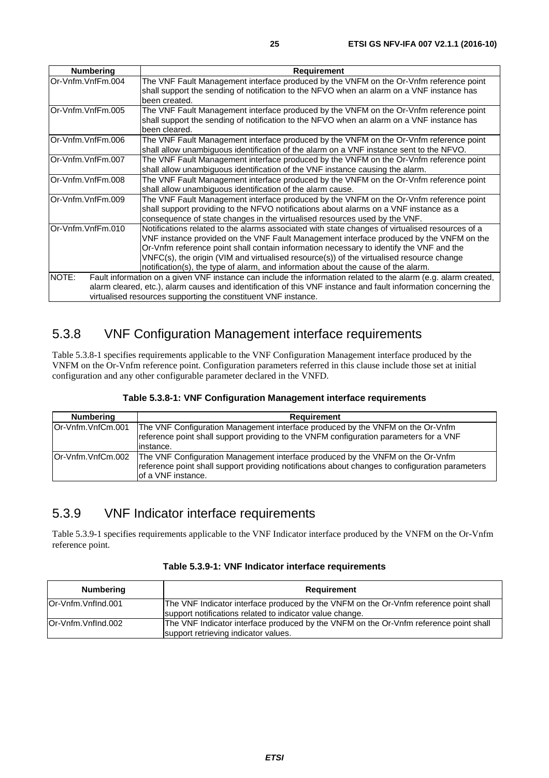<span id="page-24-0"></span>

| <b>Numbering</b>  | <b>Requirement</b>                                                                                              |
|-------------------|-----------------------------------------------------------------------------------------------------------------|
| Or-Vnfm.VnfFm.004 | The VNF Fault Management interface produced by the VNFM on the Or-Vnfm reference point                          |
|                   | shall support the sending of notification to the NFVO when an alarm on a VNF instance has                       |
|                   | been created.                                                                                                   |
| Or-Vnfm.VnfFm.005 | The VNF Fault Management interface produced by the VNFM on the Or-Vnfm reference point                          |
|                   | shall support the sending of notification to the NFVO when an alarm on a VNF instance has                       |
|                   | been cleared.                                                                                                   |
| Or-Vnfm.VnfFm.006 | The VNF Fault Management interface produced by the VNFM on the Or-Vnfm reference point                          |
|                   | shall allow unambiguous identification of the alarm on a VNF instance sent to the NFVO.                         |
| Or-Vnfm.VnfFm.007 | The VNF Fault Management interface produced by the VNFM on the Or-Vnfm reference point                          |
|                   | shall allow unambiguous identification of the VNF instance causing the alarm.                                   |
| Or-Vnfm.VnfFm.008 | The VNF Fault Management interface produced by the VNFM on the Or-Vnfm reference point                          |
|                   | shall allow unambiguous identification of the alarm cause.                                                      |
| Or-Vnfm.VnfFm.009 | The VNF Fault Management interface produced by the VNFM on the Or-Vnfm reference point                          |
|                   | shall support providing to the NFVO notifications about alarms on a VNF instance as a                           |
|                   | consequence of state changes in the virtualised resources used by the VNF.                                      |
| Or-Vnfm.VnfFm.010 | Notifications related to the alarms associated with state changes of virtualised resources of a                 |
|                   | VNF instance provided on the VNF Fault Management interface produced by the VNFM on the                         |
|                   | Or-Vnfm reference point shall contain information necessary to identify the VNF and the                         |
|                   | VNFC(s), the origin (VIM and virtualised resource(s)) of the virtualised resource change                        |
|                   | notification(s), the type of alarm, and information about the cause of the alarm.                               |
| NOTE:             | Fault information on a given VNF instance can include the information related to the alarm (e.g. alarm created, |
|                   | alarm cleared, etc.), alarm causes and identification of this VNF instance and fault information concerning the |
|                   | virtualised resources supporting the constituent VNF instance.                                                  |

# 5.3.8 VNF Configuration Management interface requirements

Table 5.3.8-1 specifies requirements applicable to the VNF Configuration Management interface produced by the VNFM on the Or-Vnfm reference point. Configuration parameters referred in this clause include those set at initial configuration and any other configurable parameter declared in the VNFD.

| Table 5.3.8-1: VNF Configuration Management interface requirements |  |  |  |  |
|--------------------------------------------------------------------|--|--|--|--|
|--------------------------------------------------------------------|--|--|--|--|

| Numbering          | Requirement                                                                                                                                                                                              |
|--------------------|----------------------------------------------------------------------------------------------------------------------------------------------------------------------------------------------------------|
| lOr-Vnfm.VnfCm.001 | The VNF Configuration Management interface produced by the VNFM on the Or-Vnfm<br>reference point shall support providing to the VNFM configuration parameters for a VNF<br>linstance.                   |
| lOr-Vnfm.VnfCm.002 | The VNF Configuration Management interface produced by the VNFM on the Or-Vnfm<br>reference point shall support providing notifications about changes to configuration parameters<br>lof a VNF instance. |

# 5.3.9 VNF Indicator interface requirements

Table 5.3.9-1 specifies requirements applicable to the VNF Indicator interface produced by the VNFM on the Or-Vnfm reference point.

| Table 5.3.9-1: VNF Indicator interface requirements |  |  |
|-----------------------------------------------------|--|--|
|-----------------------------------------------------|--|--|

| <b>Numbering</b>    | Requirement                                                                                                                                       |  |
|---------------------|---------------------------------------------------------------------------------------------------------------------------------------------------|--|
| lOr-Vnfm.Vnflnd.001 | The VNF Indicator interface produced by the VNFM on the Or-Vnfm reference point shall<br>support notifications related to indicator value change. |  |
| lOr-Vnfm.Vnflnd.002 | The VNF Indicator interface produced by the VNFM on the Or-Vnfm reference point shall<br>support retrieving indicator values.                     |  |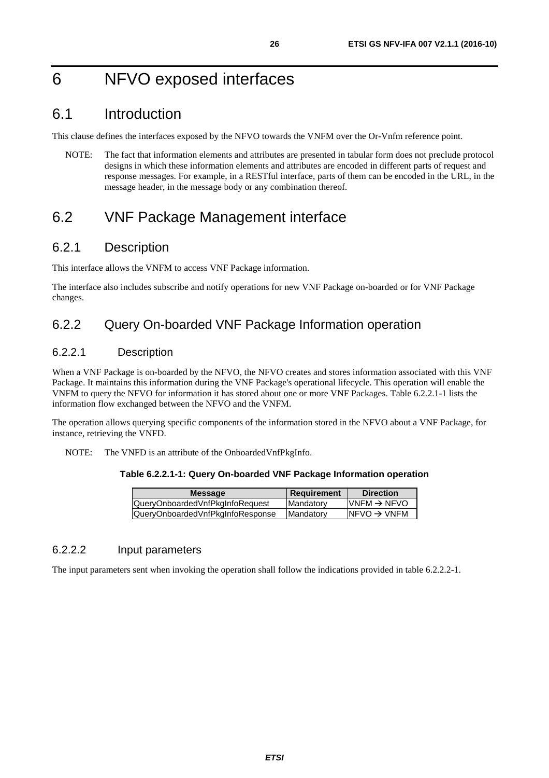# <span id="page-25-0"></span>6 NFVO exposed interfaces

# 6.1 Introduction

This clause defines the interfaces exposed by the NFVO towards the VNFM over the Or-Vnfm reference point.

NOTE: The fact that information elements and attributes are presented in tabular form does not preclude protocol designs in which these information elements and attributes are encoded in different parts of request and response messages. For example, in a RESTful interface, parts of them can be encoded in the URL, in the message header, in the message body or any combination thereof.

# 6.2 VNF Package Management interface

### 6.2.1 Description

This interface allows the VNFM to access VNF Package information.

The interface also includes subscribe and notify operations for new VNF Package on-boarded or for VNF Package changes.

### 6.2.2 Query On-boarded VNF Package Information operation

### 6.2.2.1 Description

When a VNF Package is on-boarded by the NFVO, the NFVO creates and stores information associated with this VNF Package. It maintains this information during the VNF Package's operational lifecycle. This operation will enable the VNFM to query the NFVO for information it has stored about one or more VNF Packages. Table 6.2.2.1-1 lists the information flow exchanged between the NFVO and the VNFM.

The operation allows querying specific components of the information stored in the NFVO about a VNF Package, for instance, retrieving the VNFD.

NOTE: The VNFD is an attribute of the OnboardedVnfPkgInfo.

#### **Table 6.2.2.1-1: Query On-boarded VNF Package Information operation**

| <b>Message</b>                   | Requirement | <b>Direction</b>         |
|----------------------------------|-------------|--------------------------|
| QueryOnboardedVnfPkgInfoRequest  | Mandatory   | $IVNFM \rightarrow NFVO$ |
| QueryOnboardedVnfPkgInfoResponse | Mandatory   | $INFVO \rightarrow VNFM$ |
|                                  |             |                          |

#### 6.2.2.2 Input parameters

The input parameters sent when invoking the operation shall follow the indications provided in table 6.2.2.2-1.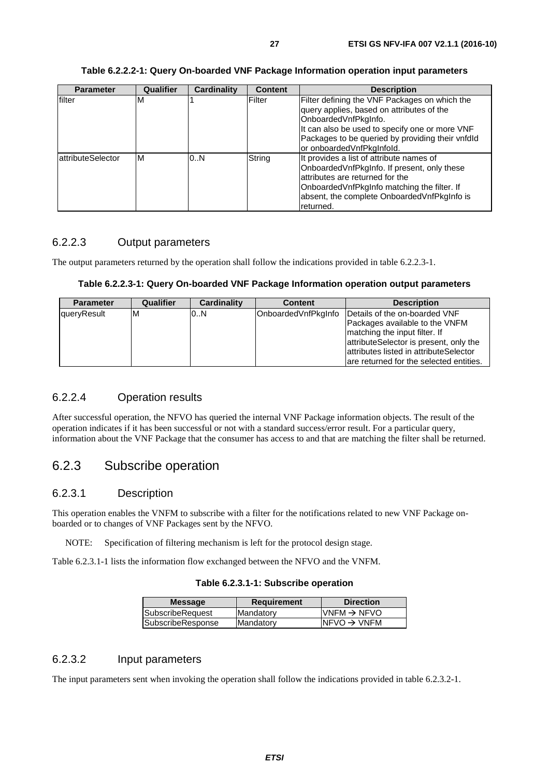<span id="page-26-0"></span>

| <b>Parameter</b>          | <b>Qualifier</b> | <b>Cardinality</b> | <b>Content</b> | <b>Description</b>                                                                                                                                                                                                                                    |
|---------------------------|------------------|--------------------|----------------|-------------------------------------------------------------------------------------------------------------------------------------------------------------------------------------------------------------------------------------------------------|
| filter                    | M                |                    | Filter         | Filter defining the VNF Packages on which the<br>query applies, based on attributes of the<br>OnboardedVnfPkgInfo.<br>It can also be used to specify one or more VNF<br>Packages to be queried by providing their vnfdld<br>or onboardedVnfPkgInfold. |
| <b>lattributeSelector</b> | ΙM               | 0.N                | String         | It provides a list of attribute names of<br>OnboardedVnfPkgInfo. If present, only these<br>attributes are returned for the<br>Onboarded VnfPkgInfo matching the filter. If<br>absent, the complete Onboarded VnfPkgInfo is<br>returned.               |

#### **Table 6.2.2.2-1: Query On-boarded VNF Package Information operation input parameters**

### 6.2.2.3 Output parameters

The output parameters returned by the operation shall follow the indications provided in table 6.2.2.3-1.

#### **Table 6.2.2.3-1: Query On-boarded VNF Package Information operation output parameters**

| <b>Parameter</b> | <b>Qualifier</b> | Cardinality | <b>Content</b>      | <b>Description</b>                                                                                                                                                                                                              |
|------------------|------------------|-------------|---------------------|---------------------------------------------------------------------------------------------------------------------------------------------------------------------------------------------------------------------------------|
| queryResult      | ΙM               | 0N          | OnboardedVnfPkgInfo | Details of the on-boarded VNF<br>Packages available to the VNFM<br>matching the input filter. If<br>attributeSelector is present, only the<br>attributes listed in attributeSelector<br>are returned for the selected entities. |

#### 6.2.2.4 Operation results

After successful operation, the NFVO has queried the internal VNF Package information objects. The result of the operation indicates if it has been successful or not with a standard success/error result. For a particular query, information about the VNF Package that the consumer has access to and that are matching the filter shall be returned.

### 6.2.3 Subscribe operation

#### 6.2.3.1 Description

This operation enables the VNFM to subscribe with a filter for the notifications related to new VNF Package onboarded or to changes of VNF Packages sent by the NFVO.

NOTE: Specification of filtering mechanism is left for the protocol design stage.

Table 6.2.3.1-1 lists the information flow exchanged between the NFVO and the VNFM.

#### **Table 6.2.3.1-1: Subscribe operation**

| <b>Message</b>    | <b>Requirement</b> | <b>Direction</b>        |
|-------------------|--------------------|-------------------------|
| SubscribeRequest  | Mandatory          | $VNFM \rightarrow NFVO$ |
| SubscribeResponse | lMandatorv         | $NFVO \rightarrow VNFM$ |
|                   |                    |                         |

#### 6.2.3.2 Input parameters

The input parameters sent when invoking the operation shall follow the indications provided in table 6.2.3.2-1.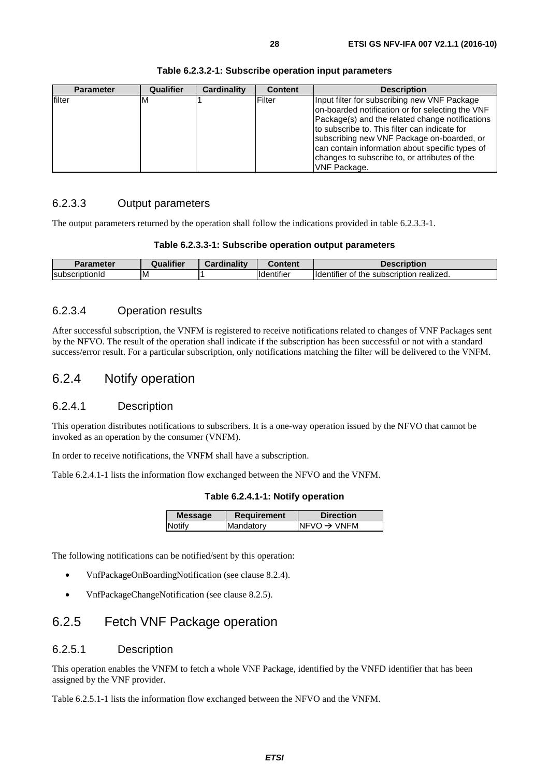<span id="page-27-0"></span>

| <b>Parameter</b> | Qualifier | Cardinality | <b>Content</b> | <b>Description</b>                                                                                                                                                                                                                                                                                                                                                     |
|------------------|-----------|-------------|----------------|------------------------------------------------------------------------------------------------------------------------------------------------------------------------------------------------------------------------------------------------------------------------------------------------------------------------------------------------------------------------|
| filter           | M         |             | Filter         | Input filter for subscribing new VNF Package<br>on-boarded notification or for selecting the VNF<br>Package(s) and the related change notifications<br>to subscribe to. This filter can indicate for<br>subscribing new VNF Package on-boarded, or<br>can contain information about specific types of<br>changes to subscribe to, or attributes of the<br>VNF Package. |

#### **Table 6.2.3.2-1: Subscribe operation input parameters**

### 6.2.3.3 Output parameters

The output parameters returned by the operation shall follow the indications provided in table 6.2.3.3-1.

#### **Table 6.2.3.3-1: Subscribe operation output parameters**

| <b>Parameter</b>                  | <b>Hifior</b> | <b>Cardinality</b> | . .<br>`^ninni                | scription                                                                  |
|-----------------------------------|---------------|--------------------|-------------------------------|----------------------------------------------------------------------------|
| <b>Subscrip</b><br>.<br>טנוטווע " | ιM            |                    | $\cdot$<br><b>I</b> dentifier | $\cdots$<br>realized.<br><b>Ildentifier</b><br>the<br>` subscription<br>OI |

### 6.2.3.4 Operation results

After successful subscription, the VNFM is registered to receive notifications related to changes of VNF Packages sent by the NFVO. The result of the operation shall indicate if the subscription has been successful or not with a standard success/error result. For a particular subscription, only notifications matching the filter will be delivered to the VNFM.

### 6.2.4 Notify operation

#### 6.2.4.1 Description

This operation distributes notifications to subscribers. It is a one-way operation issued by the NFVO that cannot be invoked as an operation by the consumer (VNFM).

In order to receive notifications, the VNFM shall have a subscription.

Table 6.2.4.1-1 lists the information flow exchanged between the NFVO and the VNFM.

**Table 6.2.4.1-1: Notify operation** 

| <b>Message</b> | <b>Requirement</b> | <b>Direction</b>        |
|----------------|--------------------|-------------------------|
| <b>Notify</b>  | Mandatory          | $NFVO \rightarrow VNFM$ |
|                |                    |                         |

The following notifications can be notified/sent by this operation:

- VnfPackageOnBoardingNotification (see clause 8.2.4).
- VnfPackageChangeNotification (see clause 8.2.5).

### 6.2.5 Fetch VNF Package operation

#### 6.2.5.1 Description

This operation enables the VNFM to fetch a whole VNF Package, identified by the VNFD identifier that has been assigned by the VNF provider.

Table 6.2.5.1-1 lists the information flow exchanged between the NFVO and the VNFM.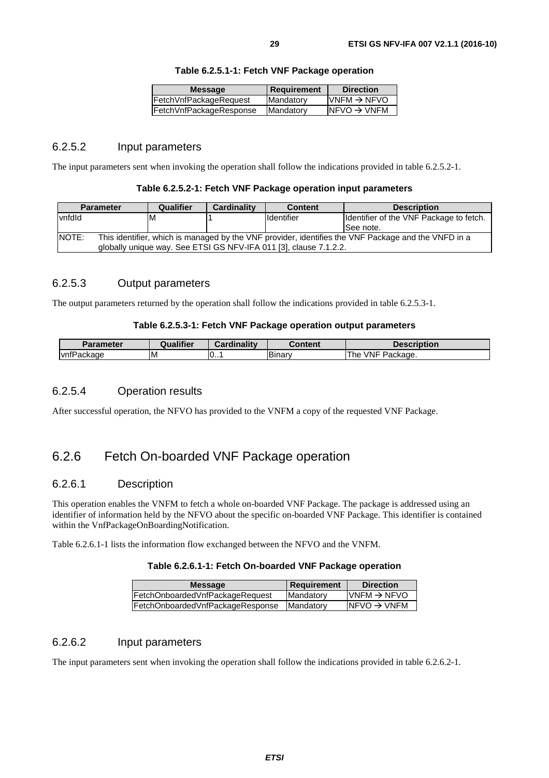| <b>Message</b>          | <b>Requirement</b> | <b>Direction</b>         |
|-------------------------|--------------------|--------------------------|
| FetchVnfPackageRequest  | Mandatory          | $IVNFM \rightarrow NFVO$ |
| FetchVnfPackageResponse | Mandatory          | $NFVO \rightarrow VNFM$  |

#### **Table 6.2.5.1-1: Fetch VNF Package operation**

#### <span id="page-28-0"></span>6.2.5.2 Input parameters

The input parameters sent when invoking the operation shall follow the indications provided in table 6.2.5.2-1.

#### **Table 6.2.5.2-1: Fetch VNF Package operation input parameters**

| <b>Parameter</b> | Qualifier | <b>Cardinality</b> | <b>Content</b>                                                    | <b>Description</b>                                                                                  |
|------------------|-----------|--------------------|-------------------------------------------------------------------|-----------------------------------------------------------------------------------------------------|
| vnfdld           | ΙM        |                    | <b>Identifier</b>                                                 | Identifier of the VNF Package to fetch.                                                             |
|                  |           |                    |                                                                   | ISee note.                                                                                          |
| NOTE:            |           |                    |                                                                   | This identifier, which is managed by the VNF provider, identifies the VNF Package and the VNFD in a |
|                  |           |                    | globally unique way. See ETSI GS NFV-IFA 011 [3], clause 7.1.2.2. |                                                                                                     |

### 6.2.5.3 Output parameters

The output parameters returned by the operation shall follow the indications provided in table 6.2.5.3-1.

#### **Table 6.2.5.3-1: Fetch VNF Package operation output parameters**

| Parameter  | <b>Qualifier</b> | Cardinality | Content | <b>Description</b>                 |
|------------|------------------|-------------|---------|------------------------------------|
| vnfPackage | ΙM               | 10          | Binary  | <b>VNF</b><br>-<br>The<br>Package. |

### 6.2.5.4 Operation results

After successful operation, the NFVO has provided to the VNFM a copy of the requested VNF Package.

### 6.2.6 Fetch On-boarded VNF Package operation

#### 6.2.6.1 Description

This operation enables the VNFM to fetch a whole on-boarded VNF Package. The package is addressed using an identifier of information held by the NFVO about the specific on-boarded VNF Package. This identifier is contained within the VnfPackageOnBoardingNotification.

Table 6.2.6.1-1 lists the information flow exchanged between the NFVO and the VNFM.

#### **Table 6.2.6.1-1: Fetch On-boarded VNF Package operation**

| <b>Message</b>                   | <b>Requirement</b> | <b>Direction</b>                          |
|----------------------------------|--------------------|-------------------------------------------|
| FetchOnboardedVnfPackageRequest  | Mandatory          | $\textsf{IVNFM}\rightarrow \textsf{NFVO}$ |
| FetchOnboardedVnfPackageResponse | <b>IMandatory</b>  | $INFVO \rightarrow VNFM$                  |
|                                  |                    |                                           |

### 6.2.6.2 Input parameters

The input parameters sent when invoking the operation shall follow the indications provided in table 6.2.6.2-1.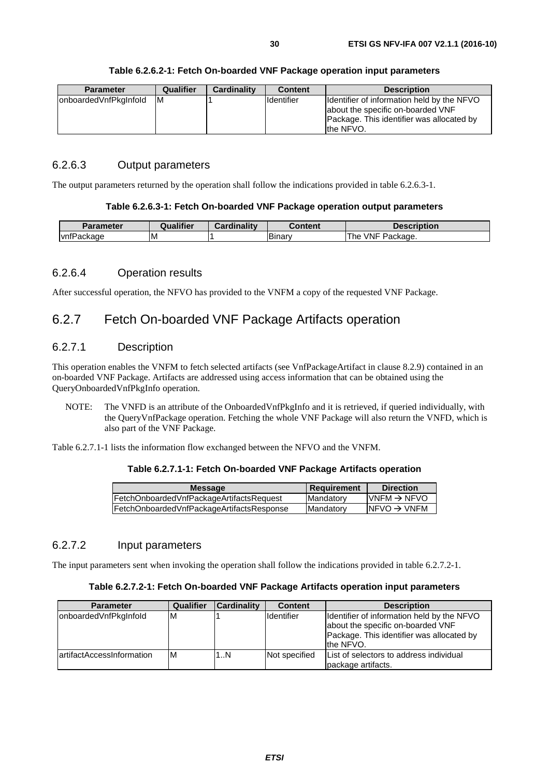<span id="page-29-0"></span>

| <b>Parameter</b>      | Qualifier | <b>Cardinality</b> | <b>Content</b>    | <b>Description</b>                                                                                                            |
|-----------------------|-----------|--------------------|-------------------|-------------------------------------------------------------------------------------------------------------------------------|
| onboardedVnfPkgInfold | ΙM        |                    | <b>Identifier</b> | Ildentifier of information held by the NFVO<br>about the specific on-boarded VNF<br>Package. This identifier was allocated by |
|                       |           |                    |                   | the NFVO.                                                                                                                     |

#### **Table 6.2.6.2-1: Fetch On-boarded VNF Package operation input parameters**

### 6.2.6.3 Output parameters

The output parameters returned by the operation shall follow the indications provided in table 6.2.6.3-1.

#### **Table 6.2.6.3-1: Fetch On-boarded VNF Package operation output parameters**

| Parameter  | Qualifier | Cardinality | ີontent             | <b>Description</b>            |
|------------|-----------|-------------|---------------------|-------------------------------|
| vnfPackage | ΙM        |             | -<br><b>Binar</b> v | <b>VNF</b><br>Package.<br>The |

#### 6.2.6.4 Operation results

After successful operation, the NFVO has provided to the VNFM a copy of the requested VNF Package.

### 6.2.7 Fetch On-boarded VNF Package Artifacts operation

#### 6.2.7.1 Description

This operation enables the VNFM to fetch selected artifacts (see VnfPackageArtifact in clause 8.2.9) contained in an on-boarded VNF Package. Artifacts are addressed using access information that can be obtained using the QueryOnboardedVnfPkgInfo operation.

NOTE: The VNFD is an attribute of the OnboardedVnfPkgInfo and it is retrieved, if queried individually, with the QueryVnfPackage operation. Fetching the whole VNF Package will also return the VNFD, which is also part of the VNF Package.

Table 6.2.7.1-1 lists the information flow exchanged between the NFVO and the VNFM.

#### **Table 6.2.7.1-1: Fetch On-boarded VNF Package Artifacts operation**

| <b>Message</b>                            | <b>Requirement</b> | <b>Direction</b>         |
|-------------------------------------------|--------------------|--------------------------|
| FetchOnboardedVnfPackageArtifactsRequest  | <b>Mandatory</b>   | $IVNFM \rightarrow NFVO$ |
| FetchOnboardedVnfPackageArtifactsResponse | <b>Mandatory</b>   | INFVO $\rightarrow$ VNFM |
|                                           |                    |                          |

### 6.2.7.2 Input parameters

The input parameters sent when invoking the operation shall follow the indications provided in table 6.2.7.2-1.

#### **Table 6.2.7.2-1: Fetch On-boarded VNF Package Artifacts operation input parameters**

| <b>Parameter</b>           | Qualifier | <b>Cardinality</b> | <b>Content</b>     | <b>Description</b>                                                                                                                        |
|----------------------------|-----------|--------------------|--------------------|-------------------------------------------------------------------------------------------------------------------------------------------|
| onboardedVnfPkgInfold      | ΙM        |                    | <b>I</b> dentifier | Identifier of information held by the NFVO<br>about the specific on-boarded VNF<br>Package. This identifier was allocated by<br>the NFVO. |
| lartifactAccessInformation | M         | 1N                 | Not specified      | List of selectors to address individual<br>package artifacts.                                                                             |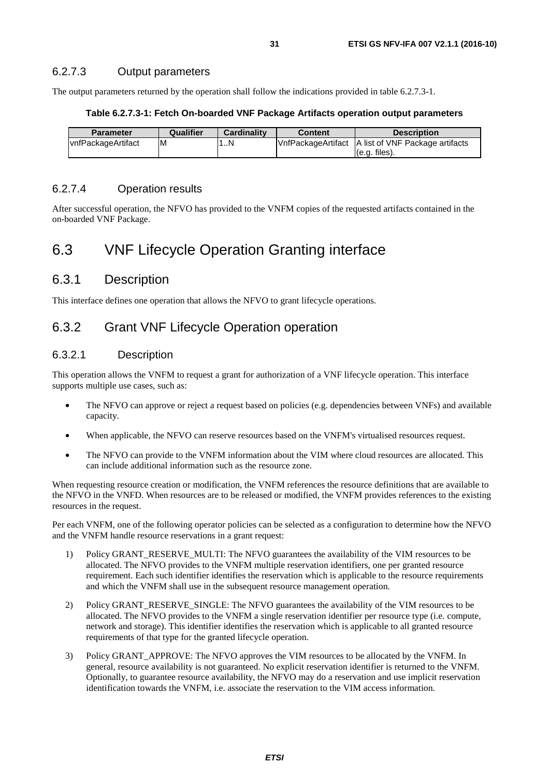#### <span id="page-30-0"></span>6.2.7.3 Output parameters

The output parameters returned by the operation shall follow the indications provided in table 6.2.7.3-1.

#### **Table 6.2.7.3-1: Fetch On-boarded VNF Package Artifacts operation output parameters**

| <b>Parameter</b>          | Qualifier | <b>Cardinality</b> | <b>Content</b> | <b>Description</b>                                   |
|---------------------------|-----------|--------------------|----------------|------------------------------------------------------|
| <b>vnfPackageArtifact</b> | ΙM        | L.N                |                | VnfPackageArtifact   A list of VNF Package artifacts |
|                           |           |                    |                | $(e.q.$ files).                                      |

### 6.2.7.4 Operation results

After successful operation, the NFVO has provided to the VNFM copies of the requested artifacts contained in the on-boarded VNF Package.

# 6.3 VNF Lifecycle Operation Granting interface

### 6.3.1 Description

This interface defines one operation that allows the NFVO to grant lifecycle operations.

### 6.3.2 Grant VNF Lifecycle Operation operation

#### 6.3.2.1 Description

This operation allows the VNFM to request a grant for authorization of a VNF lifecycle operation. This interface supports multiple use cases, such as:

- The NFVO can approve or reject a request based on policies (e.g. dependencies between VNFs) and available capacity.
- When applicable, the NFVO can reserve resources based on the VNFM's virtualised resources request.
- The NFVO can provide to the VNFM information about the VIM where cloud resources are allocated. This can include additional information such as the resource zone.

When requesting resource creation or modification, the VNFM references the resource definitions that are available to the NFVO in the VNFD. When resources are to be released or modified, the VNFM provides references to the existing resources in the request.

Per each VNFM, one of the following operator policies can be selected as a configuration to determine how the NFVO and the VNFM handle resource reservations in a grant request:

- 1) Policy GRANT\_RESERVE\_MULTI: The NFVO guarantees the availability of the VIM resources to be allocated. The NFVO provides to the VNFM multiple reservation identifiers, one per granted resource requirement. Each such identifier identifies the reservation which is applicable to the resource requirements and which the VNFM shall use in the subsequent resource management operation.
- 2) Policy GRANT\_RESERVE\_SINGLE: The NFVO guarantees the availability of the VIM resources to be allocated. The NFVO provides to the VNFM a single reservation identifier per resource type (i.e. compute, network and storage). This identifier identifies the reservation which is applicable to all granted resource requirements of that type for the granted lifecycle operation.
- 3) Policy GRANT\_APPROVE: The NFVO approves the VIM resources to be allocated by the VNFM. In general, resource availability is not guaranteed. No explicit reservation identifier is returned to the VNFM. Optionally, to guarantee resource availability, the NFVO may do a reservation and use implicit reservation identification towards the VNFM, i.e. associate the reservation to the VIM access information.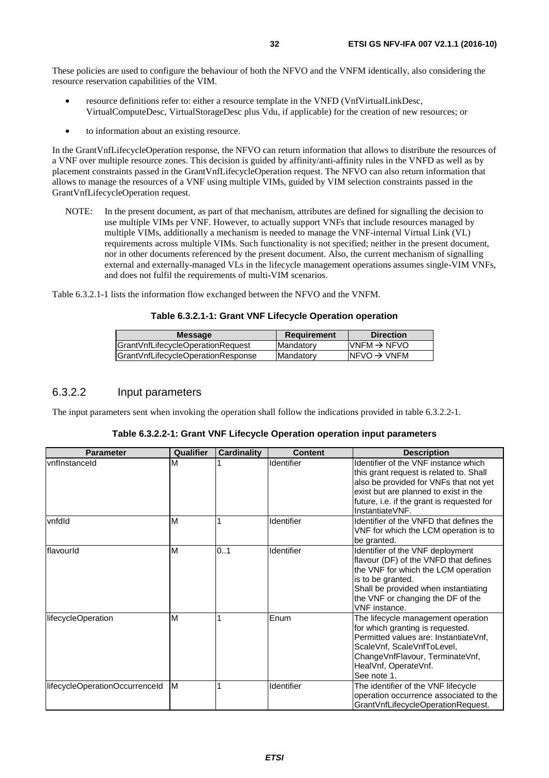<span id="page-31-0"></span>These policies are used to configure the behaviour of both the NFVO and the VNFM identically, also considering the resource reservation capabilities of the VIM.

- resource definitions refer to: either a resource template in the VNFD (VnfVirtualLinkDesc, VirtualComputeDesc, VirtualStorageDesc plus Vdu, if applicable) for the creation of new resources; or
- to information about an existing resource.

In the GrantVnfLifecycleOperation response, the NFVO can return information that allows to distribute the resources of a VNF over multiple resource zones. This decision is guided by affinity/anti-affinity rules in the VNFD as well as by placement constraints passed in the GrantVnfLifecycleOperation request. The NFVO can also return information that allows to manage the resources of a VNF using multiple VIMs, guided by VIM selection constraints passed in the GrantVnfLifecycleOperation request.

NOTE: In the present document, as part of that mechanism, attributes are defined for signalling the decision to use multiple VIMs per VNF. However, to actually support VNFs that include resources managed by multiple VIMs, additionally a mechanism is needed to manage the VNF-internal Virtual Link (VL) requirements across multiple VIMs. Such functionality is not specified; neither in the present document, nor in other documents referenced by the present document. Also, the current mechanism of signalling external and externally-managed VLs in the lifecycle management operations assumes single-VIM VNFs, and does not fulfil the requirements of multi-VIM scenarios.

Table 6.3.2.1-1 lists the information flow exchanged between the NFVO and the VNFM.

#### **Table 6.3.2.1-1: Grant VNF Lifecycle Operation operation**

| <b>Message</b>                     | <b>Requirement</b> | <b>Direction</b>         |
|------------------------------------|--------------------|--------------------------|
| GrantVnfLifecycleOperationRequest  | <b>IMandatory</b>  | $IVNFM \rightarrow NFVO$ |
| GrantVnfLifecycleOperationResponse | <b>IMandatory</b>  | INFVO $\rightarrow$ VNFM |
|                                    |                    |                          |

#### 6.3.2.2 Input parameters

The input parameters sent when invoking the operation shall follow the indications provided in table 6.3.2.2-1.

| <b>Parameter</b> | Qualifier | <b>Cardinality</b> | <b>Content</b>      | <b>Description</b>                                                                                                                                                                                                                    |
|------------------|-----------|--------------------|---------------------|---------------------------------------------------------------------------------------------------------------------------------------------------------------------------------------------------------------------------------------|
| vnfInstanceId    | ΙM        |                    | <b>I</b> Identifier | Ildentifier of the VNF instance which<br>this grant request is related to. Shall<br>also be provided for VNFs that not yet<br>exist but are planned to exist in the<br>future, i.e. if the grant is requested for<br>IlnstantiateVNF. |
| vnfdld           | м         |                    | Identifier          | Identifier of the VNFD that defines the                                                                                                                                                                                               |

**Table 6.3.2.2-1: Grant VNF Lifecycle Operation operation input parameters** 

|                                |    |     |            | future, i.e. if the grant is requested for<br>Instantiate VNF.                                                                                                                                                                      |
|--------------------------------|----|-----|------------|-------------------------------------------------------------------------------------------------------------------------------------------------------------------------------------------------------------------------------------|
| vnfdld                         | M  |     | Identifier | Identifier of the VNFD that defines the<br>VNF for which the LCM operation is to<br>be granted.                                                                                                                                     |
| flavourld                      | M  | 0.1 | Identifier | Identifier of the VNF deployment<br>flavour (DF) of the VNFD that defines<br>the VNF for which the LCM operation<br>is to be granted.<br>Shall be provided when instantiating<br>the VNF or changing the DF of the<br>VNF instance. |
| lifecycleOperation             | M  |     | Enum       | The lifecycle management operation<br>for which granting is requested.<br>Permitted values are: InstantiateVnf,<br>ScaleVnf, ScaleVnfToLevel,<br>ChangeVnfFlavour, TerminateVnf,<br>HealVnf, OperateVnf.<br>See note 1.             |
| lifecycleOperationOccurrenceId | ΙM |     | Identifier | The identifier of the VNF lifecycle<br>operation occurrence associated to the<br>GrantVnfLifecycleOperationRequest.                                                                                                                 |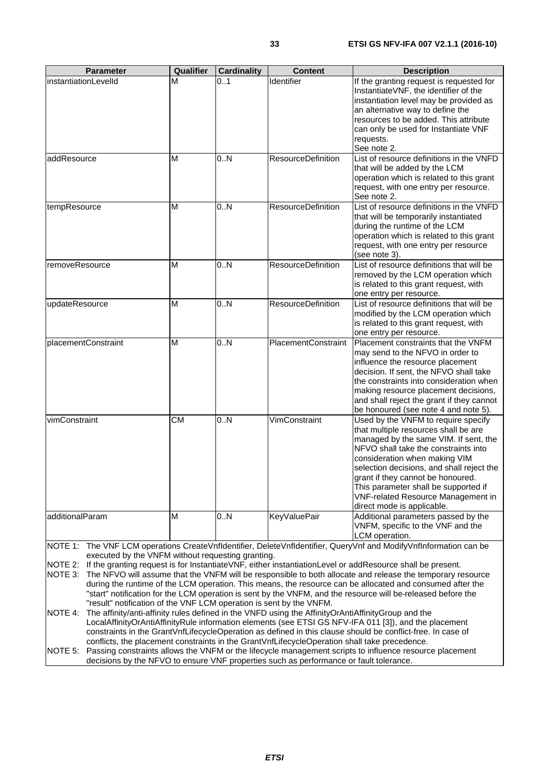| <b>Parameter</b>                         | Qualifier | <b>Cardinality</b> | <b>Content</b>             | <b>Description</b>                                                                                                                                                                                                                                                                                                                                                                                 |
|------------------------------------------|-----------|--------------------|----------------------------|----------------------------------------------------------------------------------------------------------------------------------------------------------------------------------------------------------------------------------------------------------------------------------------------------------------------------------------------------------------------------------------------------|
| instantiationLevelId                     | м         | 0.1                | Identifier                 | If the granting request is requested for<br>InstantiateVNF, the identifier of the<br>instantiation level may be provided as<br>an alternative way to define the<br>resources to be added. This attribute<br>can only be used for Instantiate VNF<br>requests.<br>See note 2.                                                                                                                       |
| addResource                              | М         | 0N                 | <b>ResourceDefinition</b>  | List of resource definitions in the VNFD<br>that will be added by the LCM<br>operation which is related to this grant<br>request, with one entry per resource.<br>See note 2.                                                                                                                                                                                                                      |
| tempResource                             | М         | 0N                 | <b>ResourceDefinition</b>  | List of resource definitions in the VNFD<br>that will be temporarily instantiated<br>during the runtime of the LCM<br>operation which is related to this grant<br>request, with one entry per resource<br>(see note 3).                                                                                                                                                                            |
| removeResource                           | М         | 0N                 | <b>ResourceDefinition</b>  | List of resource definitions that will be<br>removed by the LCM operation which<br>is related to this grant request, with<br>one entry per resource.                                                                                                                                                                                                                                               |
| updateResource                           | М         | 0N                 | <b>ResourceDefinition</b>  | List of resource definitions that will be<br>modified by the LCM operation which<br>is related to this grant request, with<br>one entry per resource.                                                                                                                                                                                                                                              |
| placementConstraint                      | М         | 0N                 | <b>PlacementConstraint</b> | Placement constraints that the VNFM<br>may send to the NFVO in order to<br>influence the resource placement<br>decision. If sent, the NFVO shall take<br>the constraints into consideration when<br>making resource placement decisions,<br>and shall reject the grant if they cannot<br>be honoured (see note 4 and note 5).                                                                      |
| vimConstraint                            | СM        | 0N                 | VimConstraint              | Used by the VNFM to require specify<br>that multiple resources shall be are<br>managed by the same VIM. If sent, the<br>NFVO shall take the constraints into<br>consideration when making VIM<br>selection decisions, and shall reject the<br>grant if they cannot be honoured.<br>This parameter shall be supported if<br><b>VNF-related Resource Management in</b><br>direct mode is applicable. |
| additionalParam<br>$I \cap T \Gamma$ $I$ | М         | 0N                 | <b>KeyValuePair</b>        | Additional parameters passed by the<br>VNFM, specific to the VNF and the<br>LCM operation.<br>دمكم المعارف كالممار المعرم كعارف                                                                                                                                                                                                                                                                    |

NOTE 1: The VNF LCM operations CreateVnfIdentifier, DeleteVnfIdentifier, QueryVnf and ModifyVnfInformation can be executed by the VNFM without requesting granting.

NOTE 2: If the granting request is for InstantiateVNF, either instantiationLevel or addResource shall be present.

NOTE 3: The NFVO will assume that the VNFM will be responsible to both allocate and release the temporary resource during the runtime of the LCM operation. This means, the resource can be allocated and consumed after the "start" notification for the LCM operation is sent by the VNFM, and the resource will be released before the "result" notification of the VNF LCM operation is sent by the VNFM.

NOTE 4: The affinity/anti-affinity rules defined in the VNFD using the AffinityOrAntiAffinityGroup and the LocalAffinityOrAntiAffinityRule information elements (see ETSI GS NFV-IFA 011 [\[3](#page-13-0)]), and the placement constraints in the GrantVnfLifecycleOperation as defined in this clause should be conflict-free. In case of conflicts, the placement constraints in the GrantVnfLifecycleOperation shall take precedence.

NOTE 5: Passing constraints allows the VNFM or the lifecycle management scripts to influence resource placement decisions by the NFVO to ensure VNF properties such as performance or fault tolerance.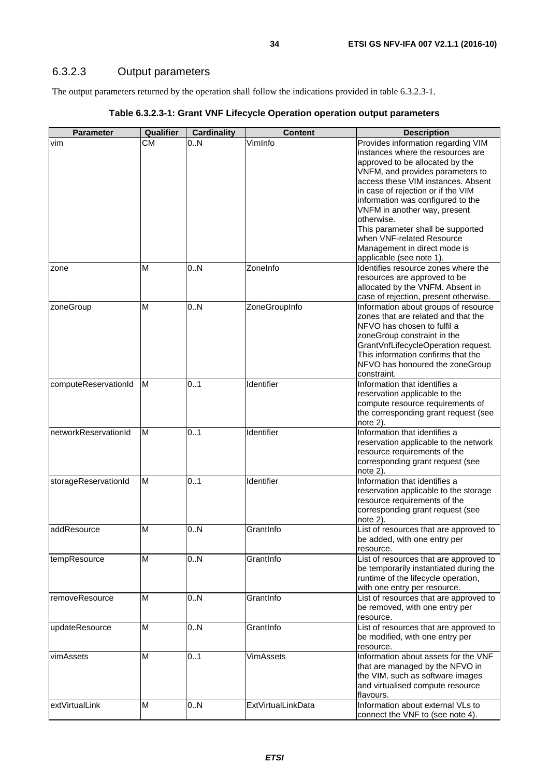### <span id="page-33-0"></span>6.3.2.3 Output parameters

The output parameters returned by the operation shall follow the indications provided in table 6.3.2.3-1.

| <b>Parameter</b>     | Qualifier       | <b>Cardinality</b> | <b>Content</b>            | <b>Description</b>                                                            |
|----------------------|-----------------|--------------------|---------------------------|-------------------------------------------------------------------------------|
| vim                  | $C\overline{M}$ | 0N                 | VimInfo                   | Provides information regarding VIM                                            |
|                      |                 |                    |                           | instances where the resources are                                             |
|                      |                 |                    |                           | approved to be allocated by the                                               |
|                      |                 |                    |                           | VNFM, and provides parameters to                                              |
|                      |                 |                    |                           | access these VIM instances. Absent                                            |
|                      |                 |                    |                           | in case of rejection or if the VIM                                            |
|                      |                 |                    |                           | information was configured to the                                             |
|                      |                 |                    |                           | VNFM in another way, present<br>otherwise.                                    |
|                      |                 |                    |                           |                                                                               |
|                      |                 |                    |                           | This parameter shall be supported<br>when VNF-related Resource                |
|                      |                 |                    |                           | Management in direct mode is                                                  |
|                      |                 |                    |                           | applicable (see note 1).                                                      |
|                      | М               | 0N                 | ZoneInfo                  | Identifies resource zones where the                                           |
| zone                 |                 |                    |                           | resources are approved to be                                                  |
|                      |                 |                    |                           | allocated by the VNFM. Absent in                                              |
|                      |                 |                    |                           | case of rejection, present otherwise.                                         |
| zoneGroup            | M               | 0.N                | ZoneGroupInfo             | Information about groups of resource                                          |
|                      |                 |                    |                           | zones that are related and that the                                           |
|                      |                 |                    |                           | NFVO has chosen to fulfil a                                                   |
|                      |                 |                    |                           | zoneGroup constraint in the                                                   |
|                      |                 |                    |                           | GrantVnfLifecycleOperation request.                                           |
|                      |                 |                    |                           | This information confirms that the                                            |
|                      |                 |                    |                           | NFVO has honoured the zoneGroup                                               |
|                      |                 |                    |                           | constraint.                                                                   |
| computeReservationId | ΙM              | 0.1                | Identifier                | Information that identifies a                                                 |
|                      |                 |                    |                           | reservation applicable to the                                                 |
|                      |                 |                    |                           | compute resource requirements of                                              |
|                      |                 |                    |                           | the corresponding grant request (see                                          |
|                      |                 |                    |                           | note 2).                                                                      |
| networkReservationId | M               | 01                 | Identifier                | Information that identifies a                                                 |
|                      |                 |                    |                           | reservation applicable to the network                                         |
|                      |                 |                    |                           | resource requirements of the                                                  |
|                      |                 |                    |                           | corresponding grant request (see                                              |
|                      |                 |                    |                           | note 2).                                                                      |
| storageReservationId | M               | 0.1                | Identifier                | Information that identifies a                                                 |
|                      |                 |                    |                           | reservation applicable to the storage                                         |
|                      |                 |                    |                           | resource requirements of the                                                  |
|                      |                 |                    |                           | corresponding grant request (see                                              |
|                      |                 |                    |                           | $note$ 2).                                                                    |
| addResource          | М               | 0N                 | GrantInfo                 | List of resources that are approved to                                        |
|                      |                 |                    |                           | be added, with one entry per                                                  |
|                      |                 |                    |                           | resource.                                                                     |
| tempResource         | М               | 0.N                | GrantInfo                 | List of resources that are approved to                                        |
|                      |                 |                    |                           | be temporarily instantiated during the<br>runtime of the lifecycle operation, |
|                      |                 |                    |                           |                                                                               |
|                      | M               |                    | GrantInfo                 | with one entry per resource.<br>List of resources that are approved to        |
| removeResource       |                 | 0.N                |                           | be removed, with one entry per                                                |
|                      |                 |                    |                           | resource.                                                                     |
| updateResource       | M               | 0.N                | GrantInfo                 | List of resources that are approved to                                        |
|                      |                 |                    |                           | be modified, with one entry per                                               |
|                      |                 |                    |                           | resource.                                                                     |
| vimAssets            | M               | 0.1                | <b>VimAssets</b>          | Information about assets for the VNF                                          |
|                      |                 |                    |                           | that are managed by the NFVO in                                               |
|                      |                 |                    |                           | the VIM, such as software images                                              |
|                      |                 |                    |                           | and virtualised compute resource                                              |
|                      |                 |                    |                           | flavours.                                                                     |
| extVirtualLink       | M               | 0.N                | <b>ExtVirtualLinkData</b> | Information about external VLs to                                             |
|                      |                 |                    |                           | connect the VNF to (see note 4).                                              |

### **Table 6.3.2.3-1: Grant VNF Lifecycle Operation operation output parameters**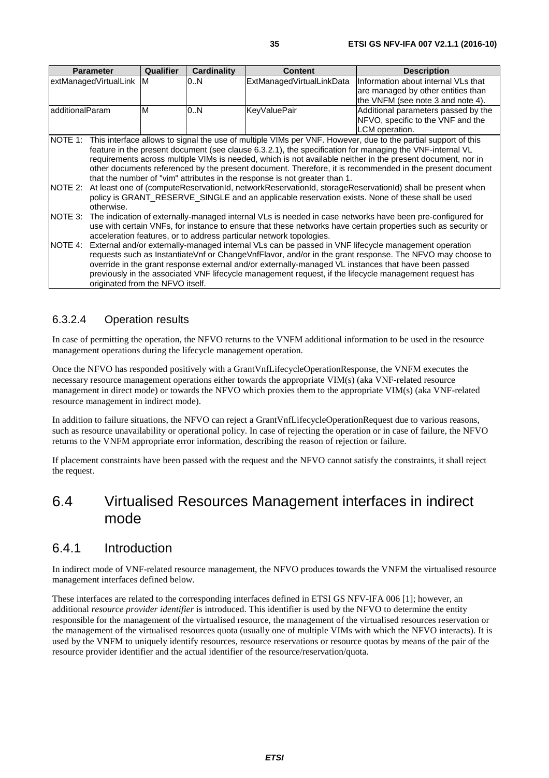<span id="page-34-0"></span>

|                    | <b>Parameter</b>                                                                                                                                                                                                                                                                                                                                                                                                                                                                                                                                                                                                                                                                                                                                                 | <b>Qualifier</b> | <b>Cardinality</b> | <b>Content</b>            | <b>Description</b>                                                                                             |  |
|--------------------|------------------------------------------------------------------------------------------------------------------------------------------------------------------------------------------------------------------------------------------------------------------------------------------------------------------------------------------------------------------------------------------------------------------------------------------------------------------------------------------------------------------------------------------------------------------------------------------------------------------------------------------------------------------------------------------------------------------------------------------------------------------|------------------|--------------------|---------------------------|----------------------------------------------------------------------------------------------------------------|--|
|                    | extManagedVirtualLink M                                                                                                                                                                                                                                                                                                                                                                                                                                                                                                                                                                                                                                                                                                                                          |                  | 0N                 | ExtManagedVirtualLinkData | Information about internal VLs that<br>are managed by other entities than<br>the VNFM (see note 3 and note 4). |  |
| additionalParam    |                                                                                                                                                                                                                                                                                                                                                                                                                                                                                                                                                                                                                                                                                                                                                                  | M                | 0N                 | <b>KeyValuePair</b>       | Additional parameters passed by the<br>NFVO, specific to the VNF and the<br>LCM operation.                     |  |
| NOTE 1:<br>NOTE 2: | This interface allows to signal the use of multiple VIMs per VNF. However, due to the partial support of this<br>feature in the present document (see clause 6.3.2.1), the specification for managing the VNF-internal VL<br>requirements across multiple VIMs is needed, which is not available neither in the present document, nor in<br>other documents referenced by the present document. Therefore, it is recommended in the present document<br>that the number of "vim" attributes in the response is not greater than 1.<br>At least one of (computeReservationId, networkReservationId, storageReservationId) shall be present when<br>policy is GRANT_RESERVE_SINGLE and an applicable reservation exists. None of these shall be used<br>otherwise. |                  |                    |                           |                                                                                                                |  |
| INOTE 3:           | The indication of externally-managed internal VLs is needed in case networks have been pre-configured for<br>use with certain VNFs, for instance to ensure that these networks have certain properties such as security or<br>acceleration features, or to address particular network topologies.                                                                                                                                                                                                                                                                                                                                                                                                                                                                |                  |                    |                           |                                                                                                                |  |
| NOTE 4:            | External and/or externally-managed internal VLs can be passed in VNF lifecycle management operation<br>requests such as InstantiateVnf or ChangeVnfFlavor, and/or in the grant response. The NFVO may choose to<br>override in the grant response external and/or externally-managed VL instances that have been passed                                                                                                                                                                                                                                                                                                                                                                                                                                          |                  |                    |                           |                                                                                                                |  |

previously in the associated VNF lifecycle management request, if the lifecycle management request has originated from the NFVO itself.

### 6.3.2.4 Operation results

In case of permitting the operation, the NFVO returns to the VNFM additional information to be used in the resource management operations during the lifecycle management operation.

Once the NFVO has responded positively with a GrantVnfLifecycleOperationResponse, the VNFM executes the necessary resource management operations either towards the appropriate VIM(s) (aka VNF-related resource management in direct mode) or towards the NFVO which proxies them to the appropriate VIM(s) (aka VNF-related resource management in indirect mode).

In addition to failure situations, the NFVO can reject a GrantVnfLifecycleOperationRequest due to various reasons, such as resource unavailability or operational policy. In case of rejecting the operation or in case of failure, the NFVO returns to the VNFM appropriate error information, describing the reason of rejection or failure.

If placement constraints have been passed with the request and the NFVO cannot satisfy the constraints, it shall reject the request.

# 6.4 Virtualised Resources Management interfaces in indirect mode

### 6.4.1 Introduction

In indirect mode of VNF-related resource management, the NFVO produces towards the VNFM the virtualised resource management interfaces defined below.

These interfaces are related to the corresponding interfaces defined in ETSI GS NFV-IFA 006 [\[1](#page-13-0)]; however, an additional *resource provider identifier* is introduced. This identifier is used by the NFVO to determine the entity responsible for the management of the virtualised resource, the management of the virtualised resources reservation or the management of the virtualised resources quota (usually one of multiple VIMs with which the NFVO interacts). It is used by the VNFM to uniquely identify resources, resource reservations or resource quotas by means of the pair of the resource provider identifier and the actual identifier of the resource/reservation/quota.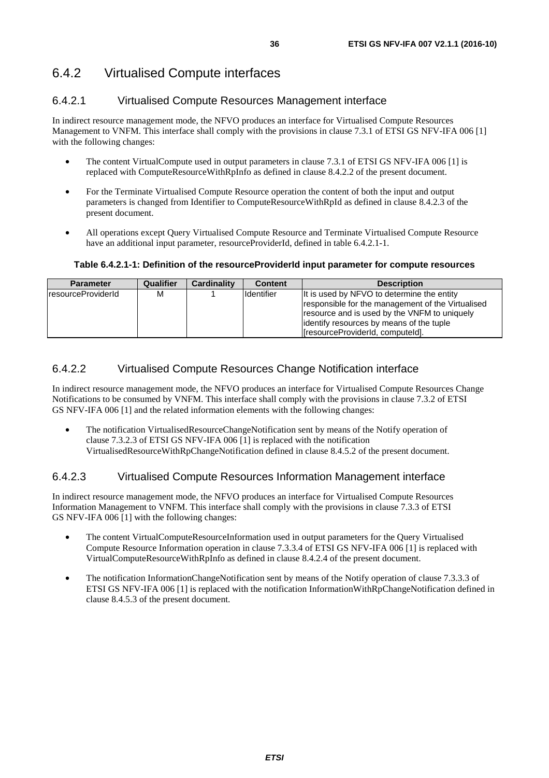### <span id="page-35-0"></span>6.4.2.1 Virtualised Compute Resources Management interface

In indirect resource management mode, the NFVO produces an interface for Virtualised Compute Resources Management to VNFM. This interface shall comply with the provisions in clause 7.3.1 of ETSI GS NFV-IFA 006 [\[1](#page-13-0)] with the following changes:

- The content VirtualCompute used in output parameters in clause 7.3.1 of ETSI GS NFV-IFA 006 [\[1](#page-13-0)] is replaced with ComputeResourceWithRpInfo as defined in clause 8.4.2.2 of the present document.
- For the Terminate Virtualised Compute Resource operation the content of both the input and output parameters is changed from Identifier to ComputeResourceWithRpId as defined in clause 8.4.2.3 of the present document.
- All operations except Query Virtualised Compute Resource and Terminate Virtualised Compute Resource have an additional input parameter, resourceProviderId, defined in table 6.4.2.1-1.

#### **Table 6.4.2.1-1: Definition of the resourceProviderId input parameter for compute resources**

| <b>Parameter</b>   | <b>Qualifier</b> | <b>Cardinality</b> | <b>Content</b>    | <b>Description</b>                                                                                                                                                                           |
|--------------------|------------------|--------------------|-------------------|----------------------------------------------------------------------------------------------------------------------------------------------------------------------------------------------|
| resourceProviderId | M                |                    | <b>Identifier</b> | It is used by NFVO to determine the entity<br>responsible for the management of the Virtualised<br>resource and is used by the VNFM to uniquely<br>lidentify resources by means of the tuple |
|                    |                  |                    |                   | [resourceProviderId, computeId].                                                                                                                                                             |

### 6.4.2.2 Virtualised Compute Resources Change Notification interface

In indirect resource management mode, the NFVO produces an interface for Virtualised Compute Resources Change Notifications to be consumed by VNFM. This interface shall comply with the provisions in clause 7.3.2 of ETSI GS NFV-IFA 006 [[1\]](#page-13-0) and the related information elements with the following changes:

• The notification VirtualisedResourceChangeNotification sent by means of the Notify operation of clause 7.3.2.3 of ETSI GS NFV-IFA 006 [\[1](#page-13-0)] is replaced with the notification VirtualisedResourceWithRpChangeNotification defined in clause 8.4.5.2 of the present document.

### 6.4.2.3 Virtualised Compute Resources Information Management interface

In indirect resource management mode, the NFVO produces an interface for Virtualised Compute Resources Information Management to VNFM. This interface shall comply with the provisions in clause 7.3.3 of ETSI GS NFV-IFA 006 [[1\]](#page-13-0) with the following changes:

- The content VirtualComputeResourceInformation used in output parameters for the Query Virtualised Compute Resource Information operation in clause 7.3.3.4 of ETSI GS NFV-IFA 006 [\[1](#page-13-0)] is replaced with VirtualComputeResourceWithRpInfo as defined in clause 8.4.2.4 of the present document.
- The notification InformationChangeNotification sent by means of the Notify operation of clause 7.3.3.3 of ETSI GS NFV-IFA 006 [\[1](#page-13-0)] is replaced with the notification InformationWithRpChangeNotification defined in clause 8.4.5.3 of the present document.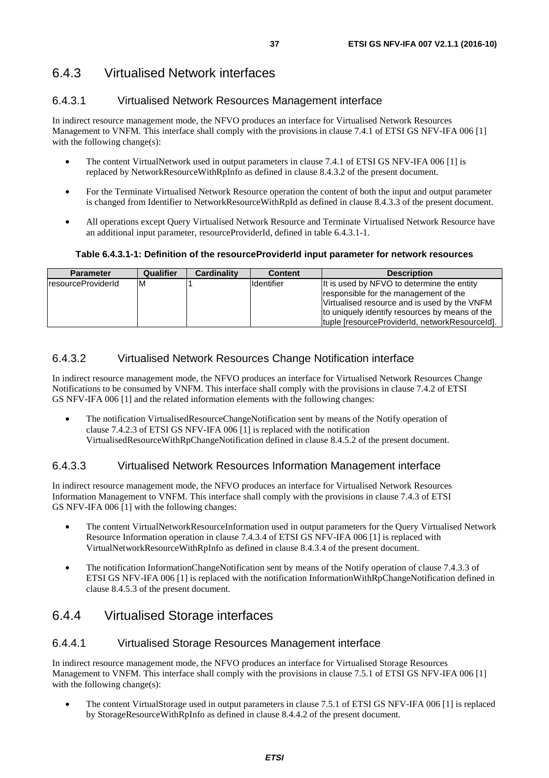### 6.4.3.1 Virtualised Network Resources Management interface

In indirect resource management mode, the NFVO produces an interface for Virtualised Network Resources Management to VNFM. This interface shall comply with the provisions in clause 7.4.1 of ETSI GS NFV-IFA 006 [\[1](#page-13-0)] with the following change(s):

- The content VirtualNetwork used in output parameters in clause 7.4.1 of ETSI GS NFV-IFA 006 [\[1](#page-13-0)] is replaced by NetworkResourceWithRpInfo as defined in clause 8.4.3.2 of the present document.
- For the Terminate Virtualised Network Resource operation the content of both the input and output parameter is changed from Identifier to NetworkResourceWithRpId as defined in clause 8.4.3.3 of the present document.
- All operations except Query Virtualised Network Resource and Terminate Virtualised Network Resource have an additional input parameter, resourceProviderId, defined in table 6.4.3.1-1.

#### **Table 6.4.3.1-1: Definition of the resourceProviderId input parameter for network resources**

| <b>Parameter</b>    | <b>Qualifier</b> | Cardinality | <b>Content</b> | <b>Description</b>                                                                                                                                                                                                                      |
|---------------------|------------------|-------------|----------------|-----------------------------------------------------------------------------------------------------------------------------------------------------------------------------------------------------------------------------------------|
| IresourceProviderId | ΙM               |             | Identifier     | It is used by NFVO to determine the entity<br>responsible for the management of the<br>Virtualised resource and is used by the VNFM<br>to uniquely identify resources by means of the<br>tuple [resourceProviderId, networkResourceId]. |

### 6.4.3.2 Virtualised Network Resources Change Notification interface

In indirect resource management mode, the NFVO produces an interface for Virtualised Network Resources Change Notifications to be consumed by VNFM. This interface shall comply with the provisions in clause 7.4.2 of ETSI GS NFV-IFA 006 [[1\]](#page-13-0) and the related information elements with the following changes:

• The notification VirtualisedResourceChangeNotification sent by means of the Notify operation of clause 7.4.2.3 of ETSI GS NFV-IFA 006 [\[1](#page-13-0)] is replaced with the notification VirtualisedResourceWithRpChangeNotification defined in clause 8.4.5.2 of the present document.

### 6.4.3.3 Virtualised Network Resources Information Management interface

In indirect resource management mode, the NFVO produces an interface for Virtualised Network Resources Information Management to VNFM. This interface shall comply with the provisions in clause 7.4.3 of ETSI GS NFV-IFA 006 [[1\]](#page-13-0) with the following changes:

- The content VirtualNetworkResourceInformation used in output parameters for the Query Virtualised Network Resource Information operation in clause 7.4.3.4 of ETSI GS NFV-IFA 006 [[1\]](#page-13-0) is replaced with VirtualNetworkResourceWithRpInfo as defined in clause 8.4.3.4 of the present document.
- The notification InformationChangeNotification sent by means of the Notify operation of clause 7.4.3.3 of ETSI GS NFV-IFA 006 [\[1](#page-13-0)] is replaced with the notification InformationWithRpChangeNotification defined in clause 8.4.5.3 of the present document.

## 6.4.4 Virtualised Storage interfaces

### 6.4.4.1 Virtualised Storage Resources Management interface

In indirect resource management mode, the NFVO produces an interface for Virtualised Storage Resources Management to VNFM. This interface shall comply with the provisions in clause 7.5.1 of ETSI GS NFV-IFA 006 [\[1](#page-13-0)] with the following change(s):

• The content VirtualStorage used in output parameters in clause 7.5.1 of ETSI GS NFV-IFA 006 [[1](#page-13-0)] is replaced by StorageResourceWithRpInfo as defined in clause 8.4.4.2 of the present document.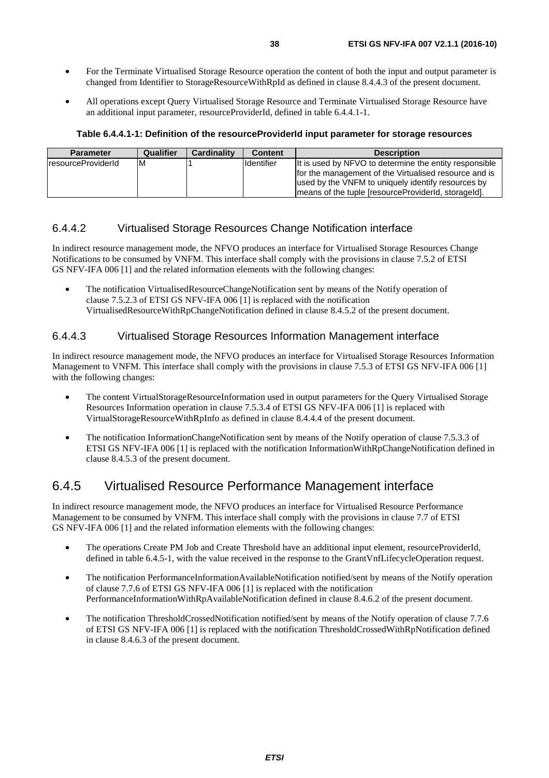- For the Terminate Virtualised Storage Resource operation the content of both the input and output parameter is changed from Identifier to StorageResourceWithRpId as defined in clause 8.4.4.3 of the present document.
- All operations except Query Virtualised Storage Resource and Terminate Virtualised Storage Resource have an additional input parameter, resourceProviderId, defined in table 6.4.4.1-1.

**Table 6.4.4.1-1: Definition of the resourceProviderId input parameter for storage resources** 

| <b>Parameter</b>    | Qualifier | Cardinality | <b>Content</b>    | <b>Description</b>                                                                                                                                                                                                            |
|---------------------|-----------|-------------|-------------------|-------------------------------------------------------------------------------------------------------------------------------------------------------------------------------------------------------------------------------|
| IresourceProviderId | ıм        |             | <b>Identifier</b> | It is used by NFVO to determine the entity responsible<br>for the management of the Virtualised resource and is<br>used by the VNFM to uniquely identify resources by<br>Imeans of the tuple (resourceProviderId, storageId). |

#### 6.4.4.2 Virtualised Storage Resources Change Notification interface

In indirect resource management mode, the NFVO produces an interface for Virtualised Storage Resources Change Notifications to be consumed by VNFM. This interface shall comply with the provisions in clause 7.5.2 of ETSI GS NFV-IFA 006 [[1\]](#page-13-0) and the related information elements with the following changes:

• The notification VirtualisedResourceChangeNotification sent by means of the Notify operation of clause 7.5.2.3 of ETSI GS NFV-IFA 006 [\[1](#page-13-0)] is replaced with the notification VirtualisedResourceWithRpChangeNotification defined in clause 8.4.5.2 of the present document.

### 6.4.4.3 Virtualised Storage Resources Information Management interface

In indirect resource management mode, the NFVO produces an interface for Virtualised Storage Resources Information Management to VNFM. This interface shall comply with the provisions in clause 7.5.3 of ETSI GS NFV-IFA 006 [\[1](#page-13-0)] with the following changes:

- The content VirtualStorageResourceInformation used in output parameters for the Query Virtualised Storage Resources Information operation in clause 7.5.3.4 of ETSI GS NFV-IFA 006 [[1\]](#page-13-0) is replaced with VirtualStorageResourceWithRpInfo as defined in clause 8.4.4.4 of the present document.
- The notification InformationChangeNotification sent by means of the Notify operation of clause 7.5.3.3 of ETSI GS NFV-IFA 006 [\[1](#page-13-0)] is replaced with the notification InformationWithRpChangeNotification defined in clause 8.4.5.3 of the present document.

### 6.4.5 Virtualised Resource Performance Management interface

In indirect resource management mode, the NFVO produces an interface for Virtualised Resource Performance Management to be consumed by VNFM. This interface shall comply with the provisions in clause 7.7 of ETSI GS NFV-IFA 006 [[1\]](#page-13-0) and the related information elements with the following changes:

- The operations Create PM Job and Create Threshold have an additional input element, resourceProviderId, defined in table 6.4.5-1, with the value received in the response to the GrantVnfLifecycleOperation request.
- The notification PerformanceInformationAvailableNotification notified/sent by means of the Notify operation of clause 7.7.6 of ETSI GS NFV-IFA 006 [[1\]](#page-13-0) is replaced with the notification PerformanceInformationWithRpAvailableNotification defined in clause 8.4.6.2 of the present document.
- The notification ThresholdCrossedNotification notified/sent by means of the Notify operation of clause 7.7.6 of ETSI GS NFV-IFA 006 [[1\]](#page-13-0) is replaced with the notification ThresholdCrossedWithRpNotification defined in clause 8.4.6.3 of the present document.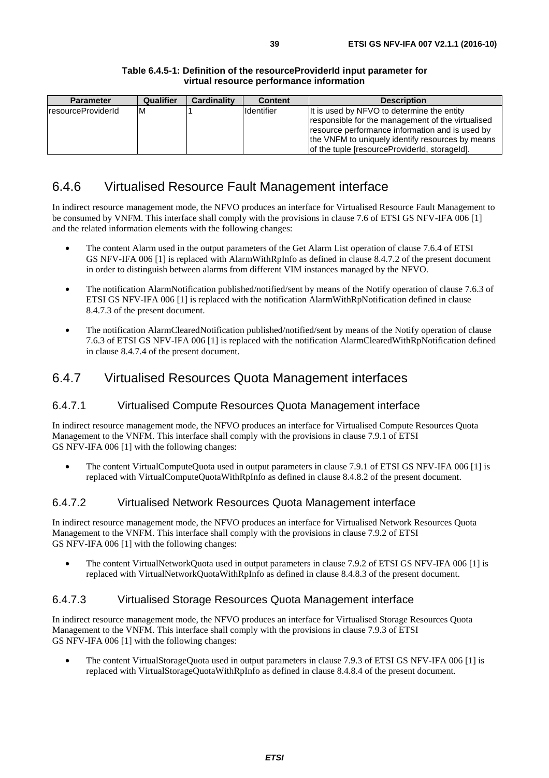| <b>Parameter</b>           | <b>Qualifier</b> | <b>Cardinality</b> | <b>Content</b>    | <b>Description</b>                                                                                                                                 |
|----------------------------|------------------|--------------------|-------------------|----------------------------------------------------------------------------------------------------------------------------------------------------|
| <b>IresourceProviderId</b> | ΙM               |                    | <b>Identifier</b> | It is used by NFVO to determine the entity<br>responsible for the management of the virtualised<br>resource performance information and is used by |
|                            |                  |                    |                   | the VNFM to uniquely identify resources by means<br>of the tuple [resourceProviderId, storageId].                                                  |

## 6.4.6 Virtualised Resource Fault Management interface

In indirect resource management mode, the NFVO produces an interface for Virtualised Resource Fault Management to be consumed by VNFM. This interface shall comply with the provisions in clause 7.6 of ETSI GS NFV-IFA 006 [\[1](#page-13-0)] and the related information elements with the following changes:

- The content Alarm used in the output parameters of the Get Alarm List operation of clause 7.6.4 of ETSI GS NFV-IFA 006 [[1\]](#page-13-0) is replaced with AlarmWithRpInfo as defined in clause 8.4.7.2 of the present document in order to distinguish between alarms from different VIM instances managed by the NFVO.
- The notification AlarmNotification published/notified/sent by means of the Notify operation of clause 7.6.3 of ETSI GS NFV-IFA 006 [\[1](#page-13-0)] is replaced with the notification AlarmWithRpNotification defined in clause 8.4.7.3 of the present document.
- The notification AlarmClearedNotification published/notified/sent by means of the Notify operation of clause 7.6.3 of ETSI GS NFV-IFA 006 [\[1](#page-13-0)] is replaced with the notification AlarmClearedWithRpNotification defined in clause 8.4.7.4 of the present document.

## 6.4.7 Virtualised Resources Quota Management interfaces

### 6.4.7.1 Virtualised Compute Resources Quota Management interface

In indirect resource management mode, the NFVO produces an interface for Virtualised Compute Resources Quota Management to the VNFM. This interface shall comply with the provisions in clause 7.9.1 of ETSI GS NFV-IFA 006 [[1\]](#page-13-0) with the following changes:

• The content VirtualComputeQuota used in output parameters in clause 7.9.1 of ETSI GS NFV-IFA 006 [[1\]](#page-13-0) is replaced with VirtualComputeQuotaWithRpInfo as defined in clause 8.4.8.2 of the present document.

### 6.4.7.2 Virtualised Network Resources Quota Management interface

In indirect resource management mode, the NFVO produces an interface for Virtualised Network Resources Quota Management to the VNFM. This interface shall comply with the provisions in clause 7.9.2 of ETSI GS NFV-IFA 006 [[1\]](#page-13-0) with the following changes:

• The content VirtualNetworkQuota used in output parameters in clause 7.9.2 of ETSI GS NFV-IFA 006 [[1\]](#page-13-0) is replaced with VirtualNetworkQuotaWithRpInfo as defined in clause 8.4.8.3 of the present document.

### 6.4.7.3 Virtualised Storage Resources Quota Management interface

In indirect resource management mode, the NFVO produces an interface for Virtualised Storage Resources Quota Management to the VNFM. This interface shall comply with the provisions in clause 7.9.3 of ETSI GS NFV-IFA 006 [[1\]](#page-13-0) with the following changes:

• The content VirtualStorageQuota used in output parameters in clause 7.9.3 of ETSI GS NFV-IFA 006 [\[1](#page-13-0)] is replaced with VirtualStorageQuotaWithRpInfo as defined in clause 8.4.8.4 of the present document.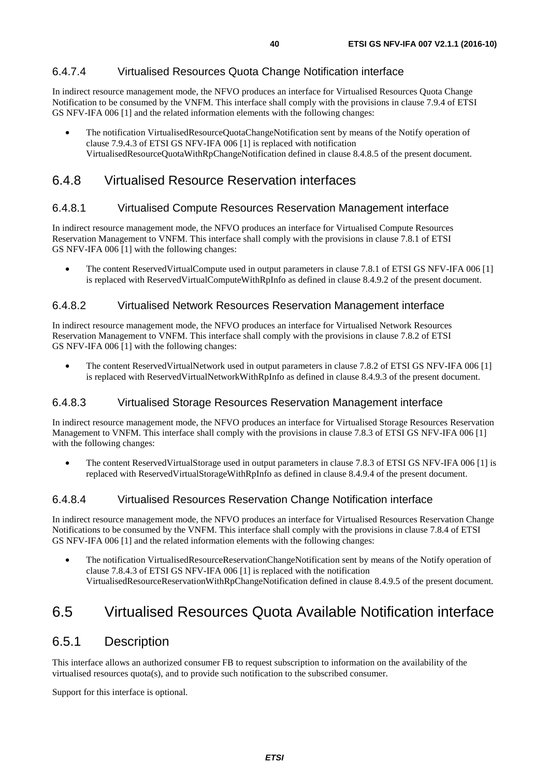### 6.4.7.4 Virtualised Resources Quota Change Notification interface

In indirect resource management mode, the NFVO produces an interface for Virtualised Resources Quota Change Notification to be consumed by the VNFM. This interface shall comply with the provisions in clause 7.9.4 of ETSI GS NFV-IFA 006 [[1\]](#page-13-0) and the related information elements with the following changes:

• The notification VirtualisedResourceQuotaChangeNotification sent by means of the Notify operation of clause 7.9.4.3 of ETSI GS NFV-IFA 006 [\[1](#page-13-0)] is replaced with notification VirtualisedResourceQuotaWithRpChangeNotification defined in clause 8.4.8.5 of the present document.

## 6.4.8 Virtualised Resource Reservation interfaces

### 6.4.8.1 Virtualised Compute Resources Reservation Management interface

In indirect resource management mode, the NFVO produces an interface for Virtualised Compute Resources Reservation Management to VNFM. This interface shall comply with the provisions in clause 7.8.1 of ETSI GS NFV-IFA 006 [[1\]](#page-13-0) with the following changes:

• The content ReservedVirtualCompute used in output parameters in clause 7.8.1 of ETSI GS NFV-IFA 006 [\[1](#page-13-0)] is replaced with ReservedVirtualComputeWithRpInfo as defined in clause 8.4.9.2 of the present document.

### 6.4.8.2 Virtualised Network Resources Reservation Management interface

In indirect resource management mode, the NFVO produces an interface for Virtualised Network Resources Reservation Management to VNFM. This interface shall comply with the provisions in clause 7.8.2 of ETSI GS NFV-IFA 006 [[1\]](#page-13-0) with the following changes:

• The content ReservedVirtualNetwork used in output parameters in clause 7.8.2 of ETSI GS NFV-IFA 006 [[1\]](#page-13-0) is replaced with ReservedVirtualNetworkWithRpInfo as defined in clause 8.4.9.3 of the present document.

### 6.4.8.3 Virtualised Storage Resources Reservation Management interface

In indirect resource management mode, the NFVO produces an interface for Virtualised Storage Resources Reservation Management to VNFM. This interface shall comply with the provisions in clause 7.8.3 of ETSI GS NFV-IFA 006 [\[1](#page-13-0)] with the following changes:

• The content ReservedVirtualStorage used in output parameters in clause 7.8.3 of ETSI GS NFV-IFA 006 [\[1](#page-13-0)] is replaced with ReservedVirtualStorageWithRpInfo as defined in clause 8.4.9.4 of the present document.

### 6.4.8.4 Virtualised Resources Reservation Change Notification interface

In indirect resource management mode, the NFVO produces an interface for Virtualised Resources Reservation Change Notifications to be consumed by the VNFM. This interface shall comply with the provisions in clause 7.8.4 of ETSI GS NFV-IFA 006 [[1\]](#page-13-0) and the related information elements with the following changes:

• The notification VirtualisedResourceReservationChangeNotification sent by means of the Notify operation of clause 7.8.4.3 of ETSI GS NFV-IFA 006 [\[1](#page-13-0)] is replaced with the notification VirtualisedResourceReservationWithRpChangeNotification defined in clause 8.4.9.5 of the present document.

## 6.5 Virtualised Resources Quota Available Notification interface

### 6.5.1 Description

This interface allows an authorized consumer FB to request subscription to information on the availability of the virtualised resources quota(s), and to provide such notification to the subscribed consumer.

Support for this interface is optional.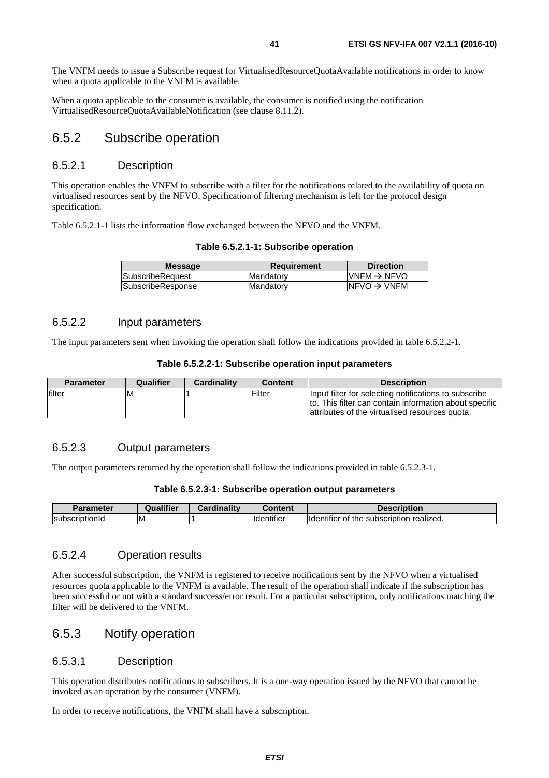The VNFM needs to issue a Subscribe request for VirtualisedResourceQuotaAvailable notifications in order to know when a quota applicable to the VNFM is available.

When a quota applicable to the consumer is available, the consumer is notified using the notification VirtualisedResourceQuotaAvailableNotification (see clause 8.11.2).

### 6.5.2 Subscribe operation

#### 6.5.2.1 Description

This operation enables the VNFM to subscribe with a filter for the notifications related to the availability of quota on virtualised resources sent by the NFVO. Specification of filtering mechanism is left for the protocol design specification.

Table 6.5.2.1-1 lists the information flow exchanged between the NFVO and the VNFM.

|  |  | Table 6.5.2.1-1: Subscribe operation |  |
|--|--|--------------------------------------|--|
|--|--|--------------------------------------|--|

| <b>Message</b>          | <b>Requirement</b> | <b>Direction</b>         |
|-------------------------|--------------------|--------------------------|
| <b>SubscribeRequest</b> | <b>Mandatory</b>   | $IVNFM \rightarrow NFVO$ |
| SubscribeResponse       | Mandatory          | $NFVO \rightarrow VNFM$  |
|                         |                    |                          |

### 6.5.2.2 Input parameters

The input parameters sent when invoking the operation shall follow the indications provided in table 6.5.2.2-1.

| Table 6.5.2.2-1: Subscribe operation input parameters |  |  |
|-------------------------------------------------------|--|--|
|-------------------------------------------------------|--|--|

| Parameter | Qualifier | <b>Cardinality</b> | <b>Content</b> | <b>Description</b>                                     |
|-----------|-----------|--------------------|----------------|--------------------------------------------------------|
| filter    | ΙM        |                    | Filter         | Input filter for selecting notifications to subscribe  |
|           |           |                    |                | to. This filter can contain information about specific |
|           |           |                    |                | lattributes of the virtualised resources quota.        |

### 6.5.2.3 Output parameters

The output parameters returned by the operation shall follow the indications provided in table 6.5.2.3-1.

#### **Table 6.5.2.3-1: Subscribe operation output parameters**

| <b>Parameter</b>              | alifier<br>Qua | المتقالم متالوهم<br>nalitv | ∶ontent                       | <b>)escription</b>                                           |
|-------------------------------|----------------|----------------------------|-------------------------------|--------------------------------------------------------------|
| <b>Isubso</b><br>cribtionia - | ΙM             |                            | $\cdots$<br><b>Identifier</b> | realized.<br>subscription<br><b>Ildentifier</b><br>the<br>ОT |

#### 6.5.2.4 Operation results

After successful subscription, the VNFM is registered to receive notifications sent by the NFVO when a virtualised resources quota applicable to the VNFM is available. The result of the operation shall indicate if the subscription has been successful or not with a standard success/error result. For a particular subscription, only notifications matching the filter will be delivered to the VNFM.

### 6.5.3 Notify operation

#### 6.5.3.1 Description

This operation distributes notifications to subscribers. It is a one-way operation issued by the NFVO that cannot be invoked as an operation by the consumer (VNFM).

In order to receive notifications, the VNFM shall have a subscription.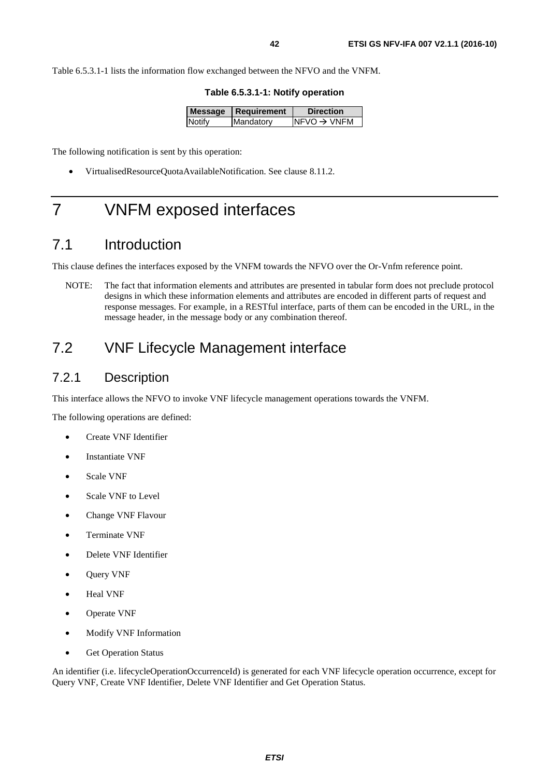Table 6.5.3.1-1 lists the information flow exchanged between the NFVO and the VNFM.

**Table 6.5.3.1-1: Notify operation** 

|               | Message   Requirement | <b>Direction</b>         |
|---------------|-----------------------|--------------------------|
| <b>Notify</b> | Mandatory             | $INFVO \rightarrow VNFM$ |
|               |                       |                          |

The following notification is sent by this operation:

• VirtualisedResourceQuotaAvailableNotification. See clause 8.11.2.

# 7 VNFM exposed interfaces

## 7.1 Introduction

This clause defines the interfaces exposed by the VNFM towards the NFVO over the Or-Vnfm reference point.

NOTE: The fact that information elements and attributes are presented in tabular form does not preclude protocol designs in which these information elements and attributes are encoded in different parts of request and response messages. For example, in a RESTful interface, parts of them can be encoded in the URL, in the message header, in the message body or any combination thereof.

## 7.2 VNF Lifecycle Management interface

### 7.2.1 Description

This interface allows the NFVO to invoke VNF lifecycle management operations towards the VNFM.

The following operations are defined:

- Create VNF Identifier
- Instantiate VNF
- Scale VNF
- Scale VNF to Level
- Change VNF Flavour
- Terminate VNF
- Delete VNF Identifier
- Query VNF
- Heal VNF
- Operate VNF
- Modify VNF Information
- Get Operation Status

An identifier (i.e. lifecycleOperationOccurrenceId) is generated for each VNF lifecycle operation occurrence, except for Query VNF, Create VNF Identifier, Delete VNF Identifier and Get Operation Status.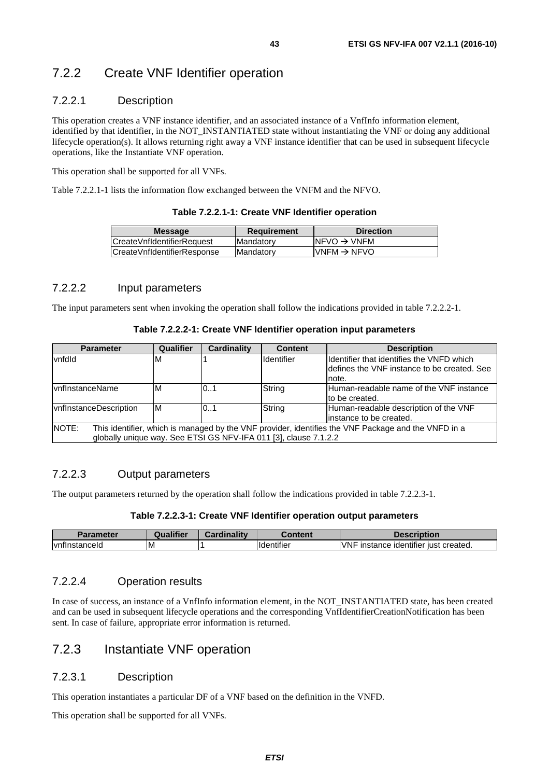### 7.2.2.1 Description

This operation creates a VNF instance identifier, and an associated instance of a VnfInfo information element, identified by that identifier, in the NOT\_INSTANTIATED state without instantiating the VNF or doing any additional lifecycle operation(s). It allows returning right away a VNF instance identifier that can be used in subsequent lifecycle operations, like the Instantiate VNF operation.

This operation shall be supported for all VNFs.

Table 7.2.2.1-1 lists the information flow exchanged between the VNFM and the NFVO.

| Table 7.2.2.1-1: Create VNF Identifier operation |  |  |  |  |
|--------------------------------------------------|--|--|--|--|
|--------------------------------------------------|--|--|--|--|

| <b>Message</b>               | <b>Requirement</b> | <b>Direction</b>         |
|------------------------------|--------------------|--------------------------|
| ICreateVnfIdentifierRequest  | <b>Mandatory</b>   | $NFVO \rightarrow VNFM$  |
| ICreateVnfIdentifierResponse | <b>IMandatory</b>  | IVNFM $\rightarrow$ NFVO |
|                              |                    |                          |

#### 7.2.2.2 Input parameters

The input parameters sent when invoking the operation shall follow the indications provided in table 7.2.2.2-1.

#### **Table 7.2.2.2-1: Create VNF Identifier operation input parameters**

| <b>Parameter</b>                                                                                              | <b>Qualifier</b> | <b>Cardinality</b> | <b>Content</b>                                                   | <b>Description</b>                           |
|---------------------------------------------------------------------------------------------------------------|------------------|--------------------|------------------------------------------------------------------|----------------------------------------------|
| vnfdld                                                                                                        | ΙM               |                    | Identifier                                                       | Ildentifier that identifies the VNFD which   |
|                                                                                                               |                  |                    |                                                                  | Idefines the VNF instance to be created. See |
|                                                                                                               |                  |                    |                                                                  | note.                                        |
| <b>IvnfInstanceName</b>                                                                                       | IM               | 0.1                | String                                                           | Human-readable name of the VNF instance      |
|                                                                                                               |                  |                    |                                                                  | to be created.                               |
| <b>vnflnstanceDescription</b>                                                                                 | ΙM               | 01                 | String                                                           | Human-readable description of the VNF        |
|                                                                                                               |                  |                    |                                                                  | linstance to be created.                     |
| INOTE:<br>This identifier, which is managed by the VNF provider, identifies the VNF Package and the VNFD in a |                  |                    |                                                                  |                                              |
|                                                                                                               |                  |                    | globally unique way. See ETSI GS NFV-IFA 011 [3], clause 7.1.2.2 |                                              |

### 7.2.2.3 Output parameters

The output parameters returned by the operation shall follow the indications provided in table 7.2.2.3-1.

#### **Table 7.2.2.3-1: Create VNF Identifier operation output parameters**

|                                  | 1000<br>Jua<br>ifier | <b>BOX</b><br><br>ırdinalitv | Content                       | Description                                                              |
|----------------------------------|----------------------|------------------------------|-------------------------------|--------------------------------------------------------------------------|
| $\cdot$<br><b>Ivnflnstanceld</b> | ΙM                   |                              | $\cdots$<br><b>Identifier</b> | $\cdots$<br><b>IVNF</b><br>created.<br>instance<br>, identifier<br>∵ıust |

#### 7.2.2.4 Operation results

In case of success, an instance of a VnfInfo information element, in the NOT\_INSTANTIATED state, has been created and can be used in subsequent lifecycle operations and the corresponding VnfIdentifierCreationNotification has been sent. In case of failure, appropriate error information is returned.

## 7.2.3 Instantiate VNF operation

#### 7.2.3.1 Description

This operation instantiates a particular DF of a VNF based on the definition in the VNFD.

This operation shall be supported for all VNFs.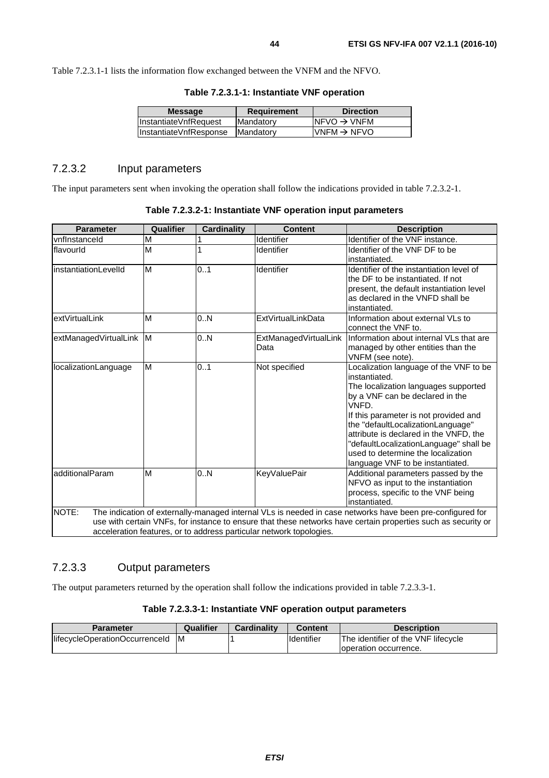Table 7.2.3.1-1 lists the information flow exchanged between the VNFM and the NFVO.

| <b>Message</b>         | <b>Requirement</b> | <b>Direction</b>         |
|------------------------|--------------------|--------------------------|
| InstantiateVnfRequest  | Mandatory          | INFVO $\rightarrow$ VNFM |
| InstantiateVnfResponse | Mandatory          | $IVNFM \rightarrow NFVO$ |
|                        |                    |                          |

#### **Table 7.2.3.1-1: Instantiate VNF operation**

### 7.2.3.2 Input parameters

The input parameters sent when invoking the operation shall follow the indications provided in table 7.2.3.2-1.

| <b>Parameter</b>      | Qualifier | <b>Cardinality</b> | <b>Content</b>                                                      | <b>Description</b>                                                                                                                                                                                                                                                                                                                                                                      |
|-----------------------|-----------|--------------------|---------------------------------------------------------------------|-----------------------------------------------------------------------------------------------------------------------------------------------------------------------------------------------------------------------------------------------------------------------------------------------------------------------------------------------------------------------------------------|
| vnflnstanceld         | M         |                    | Identifier                                                          | Identifier of the VNF instance.                                                                                                                                                                                                                                                                                                                                                         |
| flavourld             | M         |                    | Identifier                                                          | Identifier of the VNF DF to be<br>instantiated.                                                                                                                                                                                                                                                                                                                                         |
| instantiationLevelId  | M         | 0.1                | Identifier                                                          | Identifier of the instantiation level of<br>the DF to be instantiated. If not<br>present, the default instantiation level<br>as declared in the VNFD shall be<br>instantiated.                                                                                                                                                                                                          |
| extVirtualLink        | M         | 0.N                | ExtVirtualLinkData                                                  | Information about external VLs to<br>connect the VNF to.                                                                                                                                                                                                                                                                                                                                |
| extManagedVirtualLink | <b>IM</b> | 0.N                | ExtManagedVirtualLink<br>Data                                       | Information about internal VLs that are<br>managed by other entities than the<br>VNFM (see note).                                                                                                                                                                                                                                                                                       |
| localizationLanguage  | M         | 0.1                | Not specified                                                       | Localization language of the VNF to be<br>instantiated.<br>The localization languages supported<br>by a VNF can be declared in the<br>VNFD.<br>If this parameter is not provided and<br>the "defaultLocalizationLanguage"<br>attribute is declared in the VNFD, the<br>"defaultLocalizationLanguage" shall be<br>used to determine the localization<br>language VNF to be instantiated. |
| additionalParam       | M         | 0.N                | <b>KeyValuePair</b>                                                 | Additional parameters passed by the<br>NFVO as input to the instantiation<br>process, specific to the VNF being<br>instantiated.                                                                                                                                                                                                                                                        |
| NOTE:                 |           |                    | acceleration features, or to address particular network topologies. | The indication of externally-managed internal VLs is needed in case networks have been pre-configured for<br>use with certain VNFs, for instance to ensure that these networks have certain properties such as security or                                                                                                                                                              |

#### **Table 7.2.3.2-1: Instantiate VNF operation input parameters**

### 7.2.3.3 Output parameters

The output parameters returned by the operation shall follow the indications provided in table 7.2.3.3-1.

#### **Table 7.2.3.3-1: Instantiate VNF operation output parameters**

| <b>Parameter</b>               | Qualifier | Cardinality | Content             | <b>Description</b>                  |
|--------------------------------|-----------|-------------|---------------------|-------------------------------------|
| lifecycleOperationOccurrenceId | ΙM        |             | <b>I</b> ldentifier | The identifier of the VNF lifecycle |
|                                |           |             |                     | loperation occurrence.              |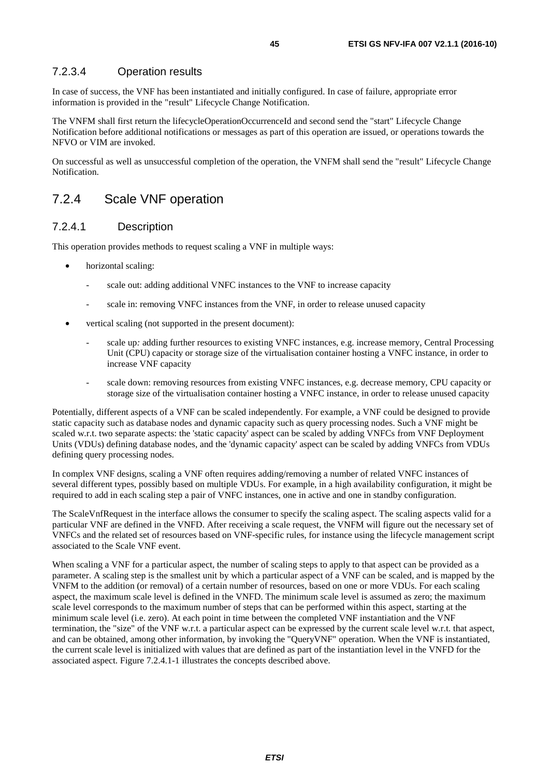### 7.2.3.4 Operation results

In case of success, the VNF has been instantiated and initially configured. In case of failure, appropriate error information is provided in the "result" Lifecycle Change Notification.

The VNFM shall first return the lifecycleOperationOccurrenceId and second send the "start" Lifecycle Change Notification before additional notifications or messages as part of this operation are issued, or operations towards the NFVO or VIM are invoked.

On successful as well as unsuccessful completion of the operation, the VNFM shall send the "result" Lifecycle Change Notification.

### 7.2.4 Scale VNF operation

#### 7.2.4.1 Description

This operation provides methods to request scaling a VNF in multiple ways:

- horizontal scaling:
	- scale out: adding additional VNFC instances to the VNF to increase capacity
	- scale in: removing VNFC instances from the VNF, in order to release unused capacity
- vertical scaling (not supported in the present document):
	- scale up: adding further resources to existing VNFC instances, e.g. increase memory, Central Processing Unit (CPU) capacity or storage size of the virtualisation container hosting a VNFC instance, in order to increase VNF capacity
	- scale down: removing resources from existing VNFC instances, e.g. decrease memory, CPU capacity or storage size of the virtualisation container hosting a VNFC instance, in order to release unused capacity

Potentially, different aspects of a VNF can be scaled independently. For example, a VNF could be designed to provide static capacity such as database nodes and dynamic capacity such as query processing nodes. Such a VNF might be scaled w.r.t. two separate aspects: the 'static capacity' aspect can be scaled by adding VNFCs from VNF Deployment Units (VDUs) defining database nodes, and the 'dynamic capacity' aspect can be scaled by adding VNFCs from VDUs defining query processing nodes.

In complex VNF designs, scaling a VNF often requires adding/removing a number of related VNFC instances of several different types, possibly based on multiple VDUs. For example, in a high availability configuration, it might be required to add in each scaling step a pair of VNFC instances, one in active and one in standby configuration.

The ScaleVnfRequest in the interface allows the consumer to specify the scaling aspect. The scaling aspects valid for a particular VNF are defined in the VNFD. After receiving a scale request, the VNFM will figure out the necessary set of VNFCs and the related set of resources based on VNF-specific rules, for instance using the lifecycle management script associated to the Scale VNF event.

When scaling a VNF for a particular aspect, the number of scaling steps to apply to that aspect can be provided as a parameter. A scaling step is the smallest unit by which a particular aspect of a VNF can be scaled, and is mapped by the VNFM to the addition (or removal) of a certain number of resources, based on one or more VDUs. For each scaling aspect, the maximum scale level is defined in the VNFD. The minimum scale level is assumed as zero; the maximum scale level corresponds to the maximum number of steps that can be performed within this aspect, starting at the minimum scale level (i.e. zero). At each point in time between the completed VNF instantiation and the VNF termination, the "size" of the VNF w.r.t. a particular aspect can be expressed by the current scale level w.r.t. that aspect, and can be obtained, among other information, by invoking the "QueryVNF" operation. When the VNF is instantiated, the current scale level is initialized with values that are defined as part of the instantiation level in the VNFD for the associated aspect. Figure 7.2.4.1-1 illustrates the concepts described above.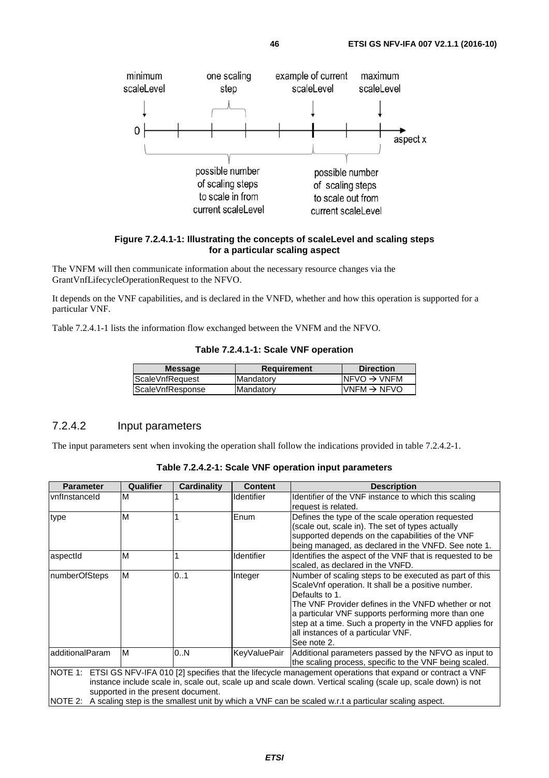

#### **Figure 7.2.4.1-1: Illustrating the concepts of scaleLevel and scaling steps for a particular scaling aspect**

The VNFM will then communicate information about the necessary resource changes via the GrantVnfLifecycleOperationRequest to the NFVO.

It depends on the VNF capabilities, and is declared in the VNFD, whether and how this operation is supported for a particular VNF.

Table 7.2.4.1-1 lists the information flow exchanged between the VNFM and the NFVO.

| Table 7.2.4.1-1: Scale VNF operation |  |  |
|--------------------------------------|--|--|
|--------------------------------------|--|--|

| <b>Message</b>   | <b>Requirement</b> | <b>Direction</b>         |
|------------------|--------------------|--------------------------|
| ScaleVnfRequest  | Mandatory          | INFVO $\rightarrow$ VNFM |
| ScaleVnfResponse | Mandatory          | $IVNFM \rightarrow NFVO$ |
|                  |                    |                          |

### 7.2.4.2 Input parameters

minimum

scaleLevel

The input parameters sent when invoking the operation shall follow the indications provided in table 7.2.4.2-1.

| Table 7.2.4.2-1: Scale VNF operation input parameters |  |  |  |  |
|-------------------------------------------------------|--|--|--|--|
|-------------------------------------------------------|--|--|--|--|

| <b>Parameter</b>     | Qualifier                          | <b>Cardinality</b> | <b>Content</b> | <b>Description</b>                                                                                                                                                                                                                                                                                                                                           |
|----------------------|------------------------------------|--------------------|----------------|--------------------------------------------------------------------------------------------------------------------------------------------------------------------------------------------------------------------------------------------------------------------------------------------------------------------------------------------------------------|
| <b>vnflnstanceld</b> | M                                  |                    | Identifier     | Identifier of the VNF instance to which this scaling<br>request is related.                                                                                                                                                                                                                                                                                  |
| type                 | M                                  |                    | Enum           | Defines the type of the scale operation requested<br>(scale out, scale in). The set of types actually<br>supported depends on the capabilities of the VNF<br>being managed, as declared in the VNFD. See note 1.                                                                                                                                             |
| aspectId             | M                                  |                    | Identifier     | Identifies the aspect of the VNF that is requested to be<br>scaled, as declared in the VNFD.                                                                                                                                                                                                                                                                 |
| InumberOfSteps       | M                                  | 01                 | Integer        | Number of scaling steps to be executed as part of this<br>Scale Vnf operation. It shall be a positive number.<br>Defaults to 1.<br>The VNF Provider defines in the VNFD whether or not<br>a particular VNF supports performing more than one<br>step at a time. Such a property in the VNFD applies for<br>all instances of a particular VNF.<br>See note 2. |
| additionalParam      | M                                  | 0N                 | KeyValuePair   | Additional parameters passed by the NFVO as input to<br>the scaling process, specific to the VNF being scaled.                                                                                                                                                                                                                                               |
| NOTE 1:<br>NOTE 2:   | supported in the present document. |                    |                | ETSI GS NFV-IFA 010 [2] specifies that the lifecycle management operations that expand or contract a VNF<br>instance include scale in, scale out, scale up and scale down. Vertical scaling (scale up, scale down) is not<br>A scaling step is the smallest unit by which a VNF can be scaled w.r.t a particular scaling aspect.                             |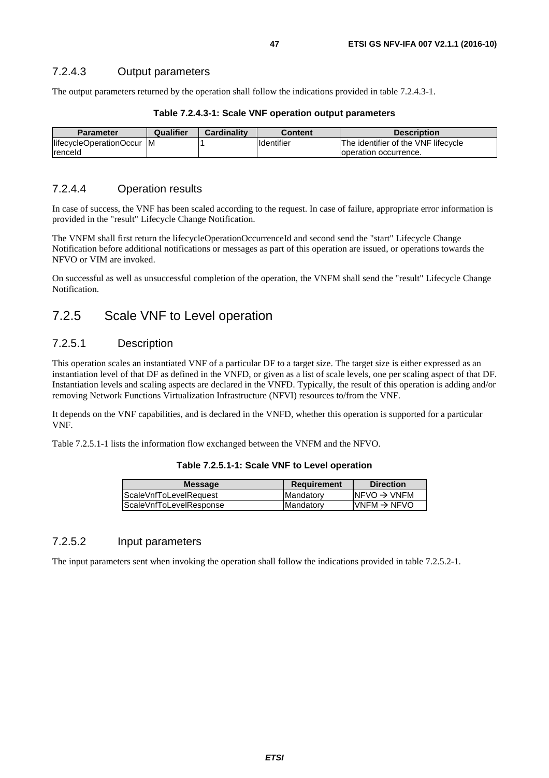The output parameters returned by the operation shall follow the indications provided in table 7.2.4.3-1.

| <b>Parameter</b>        | Qualifier | <b>Cardinality</b> | <b>Content</b>    | <b>Description</b>                  |
|-------------------------|-----------|--------------------|-------------------|-------------------------------------|
| lifecycleOperationOccur | IM.       |                    | <b>Identifier</b> | The identifier of the VNF lifecycle |
| <b>Irenceld</b>         |           |                    |                   | Toperation occurrence.              |

#### **Table 7.2.4.3-1: Scale VNF operation output parameters**

### 7.2.4.4 Operation results

In case of success, the VNF has been scaled according to the request. In case of failure, appropriate error information is provided in the "result" Lifecycle Change Notification.

The VNFM shall first return the lifecycleOperationOccurrenceId and second send the "start" Lifecycle Change Notification before additional notifications or messages as part of this operation are issued, or operations towards the NFVO or VIM are invoked.

On successful as well as unsuccessful completion of the operation, the VNFM shall send the "result" Lifecycle Change Notification.

## 7.2.5 Scale VNF to Level operation

### 7.2.5.1 Description

This operation scales an instantiated VNF of a particular DF to a target size. The target size is either expressed as an instantiation level of that DF as defined in the VNFD, or given as a list of scale levels, one per scaling aspect of that DF. Instantiation levels and scaling aspects are declared in the VNFD. Typically, the result of this operation is adding and/or removing Network Functions Virtualization Infrastructure (NFVI) resources to/from the VNF.

It depends on the VNF capabilities, and is declared in the VNFD, whether this operation is supported for a particular VNF.

Table 7.2.5.1-1 lists the information flow exchanged between the VNFM and the NFVO.

#### **Table 7.2.5.1-1: Scale VNF to Level operation**

| $NFVO \rightarrow VNFM$  |
|--------------------------|
| $IVNFM \rightarrow NFVO$ |
|                          |

### 7.2.5.2 Input parameters

The input parameters sent when invoking the operation shall follow the indications provided in table 7.2.5.2-1.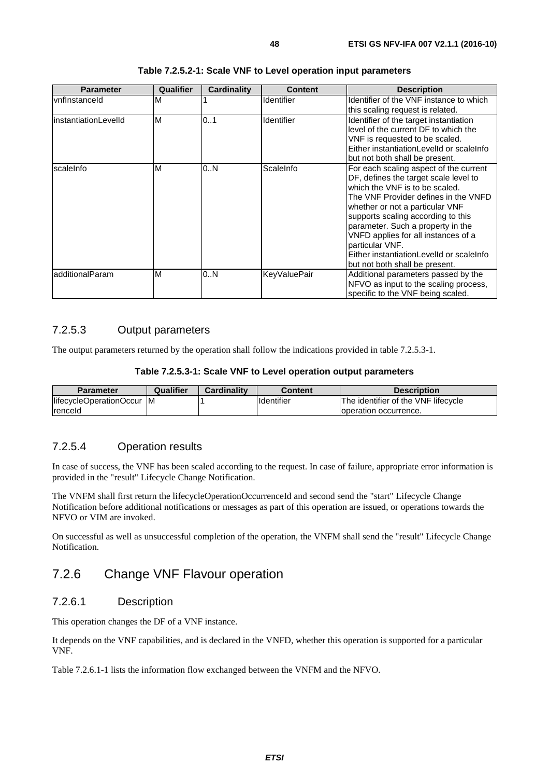| <b>Parameter</b>      | Qualifier | Cardinality | <b>Content</b>      | <b>Description</b>                                                                                                                                                                                                                                                                                                                                                                                              |
|-----------------------|-----------|-------------|---------------------|-----------------------------------------------------------------------------------------------------------------------------------------------------------------------------------------------------------------------------------------------------------------------------------------------------------------------------------------------------------------------------------------------------------------|
| <b>vnflnstanceld</b>  | M         |             | Identifier          | Identifier of the VNF instance to which<br>this scaling request is related.                                                                                                                                                                                                                                                                                                                                     |
| linstantiationLevelId | M         | 01          | Identifier          | Identifier of the target instantiation<br>level of the current DF to which the<br>VNF is requested to be scaled.<br>Either instantiationLevelId or scaleInfo<br>but not both shall be present.                                                                                                                                                                                                                  |
| scaleInfo             | M         | 0N          | ScaleInfo           | For each scaling aspect of the current<br>DF, defines the target scale level to<br>which the VNF is to be scaled.<br>The VNF Provider defines in the VNFD<br>whether or not a particular VNF<br>supports scaling according to this<br>parameter. Such a property in the<br>VNFD applies for all instances of a<br>particular VNF.<br>Either instantiationLevelId or scaleInfo<br>but not both shall be present. |
| IadditionalParam      | M         | 0N          | <b>KeyValuePair</b> | Additional parameters passed by the<br>NFVO as input to the scaling process,<br>specific to the VNF being scaled.                                                                                                                                                                                                                                                                                               |

#### **Table 7.2.5.2-1: Scale VNF to Level operation input parameters**

### 7.2.5.3 Output parameters

The output parameters returned by the operation shall follow the indications provided in table 7.2.5.3-1.

#### **Table 7.2.5.3-1: Scale VNF to Level operation output parameters**

| <b>Parameter</b>          | Qualifier | Cardinality | Content           | <b>Description</b>                  |
|---------------------------|-----------|-------------|-------------------|-------------------------------------|
| lifecycleOperationOccur M |           |             | <b>Identifier</b> | The identifier of the VNF lifecycle |
| <b>Irenceld</b>           |           |             |                   | Toperation occurrence.              |

### 7.2.5.4 Operation results

In case of success, the VNF has been scaled according to the request. In case of failure, appropriate error information is provided in the "result" Lifecycle Change Notification.

The VNFM shall first return the lifecycleOperationOccurrenceId and second send the "start" Lifecycle Change Notification before additional notifications or messages as part of this operation are issued, or operations towards the NFVO or VIM are invoked.

On successful as well as unsuccessful completion of the operation, the VNFM shall send the "result" Lifecycle Change Notification.

## 7.2.6 Change VNF Flavour operation

### 7.2.6.1 Description

This operation changes the DF of a VNF instance.

It depends on the VNF capabilities, and is declared in the VNFD, whether this operation is supported for a particular VNF.

Table 7.2.6.1-1 lists the information flow exchanged between the VNFM and the NFVO.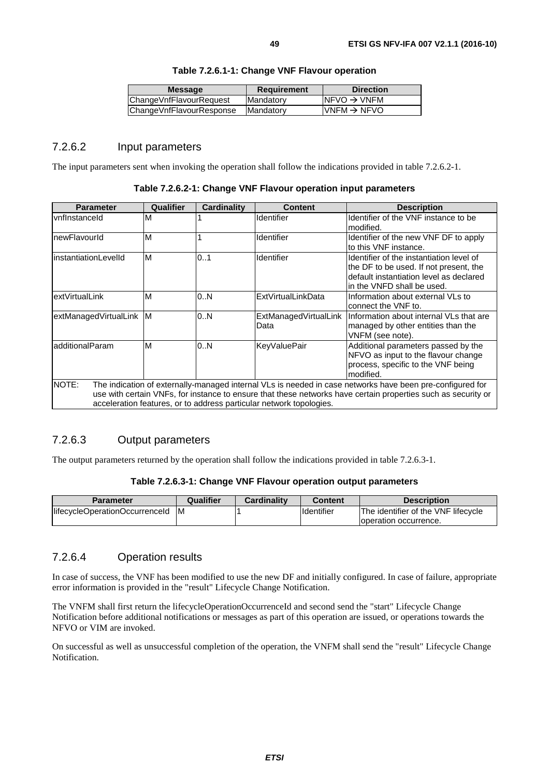| <b>Message</b>           | <b>Requirement</b> | <b>Direction</b>         |
|--------------------------|--------------------|--------------------------|
| ChangeVnfFlavourRequest  | Mandatory          | INFVO $\rightarrow$ VNFM |
| ChangeVnfFlavourResponse | IMandatorv         | $IVNFM \rightarrow NFVO$ |
|                          |                    |                          |

#### **Table 7.2.6.1-1: Change VNF Flavour operation**

### 7.2.6.2 Input parameters

The input parameters sent when invoking the operation shall follow the indications provided in table 7.2.6.2-1.

| Table 7.2.6.2-1: Change VNF Flavour operation input parameters |  |  |  |
|----------------------------------------------------------------|--|--|--|
|----------------------------------------------------------------|--|--|--|

| <b>Parameter</b>                                                                                                                                                                                                                                                                                           | Qualifier | <b>Cardinality</b> | <b>Content</b>                | <b>Description</b>                                                                                                                                           |  |
|------------------------------------------------------------------------------------------------------------------------------------------------------------------------------------------------------------------------------------------------------------------------------------------------------------|-----------|--------------------|-------------------------------|--------------------------------------------------------------------------------------------------------------------------------------------------------------|--|
| <b>vnflnstanceld</b>                                                                                                                                                                                                                                                                                       | м         |                    | Identifier                    | Identifier of the VNF instance to be<br>modified.                                                                                                            |  |
| newFlavourId                                                                                                                                                                                                                                                                                               | M         |                    | <b>Identifier</b>             | Identifier of the new VNF DF to apply<br>lto this VNF instance.                                                                                              |  |
| linstantiationLevelId                                                                                                                                                                                                                                                                                      | M         | 0.1                | Identifier                    | Identifier of the instantiation level of<br>the DF to be used. If not present, the<br>default instantiation level as declared<br>lin the VNFD shall be used. |  |
| extVirtualLink                                                                                                                                                                                                                                                                                             | M         | 0N                 | ExtVirtualLinkData            | Information about external VLs to<br>connect the VNF to.                                                                                                     |  |
| extManagedVirtualLink M                                                                                                                                                                                                                                                                                    |           | 0N                 | ExtManagedVirtualLink<br>Data | Information about internal VLs that are<br>managed by other entities than the<br>VNFM (see note).                                                            |  |
| additionalParam<br>M<br>Additional parameters passed by the<br>0N<br><b>KeyValuePair</b><br>NFVO as input to the flavour change<br>process, specific to the VNF being<br>modified.                                                                                                                         |           |                    |                               |                                                                                                                                                              |  |
| NOTE:<br>The indication of externally-managed internal VLs is needed in case networks have been pre-configured for<br>use with certain VNFs, for instance to ensure that these networks have certain properties such as security or<br>acceleration features, or to address particular network topologies. |           |                    |                               |                                                                                                                                                              |  |

### 7.2.6.3 Output parameters

The output parameters returned by the operation shall follow the indications provided in table 7.2.6.3-1.

#### **Table 7.2.6.3-1: Change VNF Flavour operation output parameters**

| <b>Parameter</b>               | Qualifier | <b>Cardinality</b> | Content             | <b>Description</b>                  |
|--------------------------------|-----------|--------------------|---------------------|-------------------------------------|
| lifecycleOperationOccurrenceId | ΙM        |                    | <b>I</b> Identifier | The identifier of the VNF lifecycle |
|                                |           |                    |                     | loperation occurrence.              |

#### 7.2.6.4 Operation results

In case of success, the VNF has been modified to use the new DF and initially configured. In case of failure, appropriate error information is provided in the "result" Lifecycle Change Notification.

The VNFM shall first return the lifecycleOperationOccurrenceId and second send the "start" Lifecycle Change Notification before additional notifications or messages as part of this operation are issued, or operations towards the NFVO or VIM are invoked.

On successful as well as unsuccessful completion of the operation, the VNFM shall send the "result" Lifecycle Change Notification.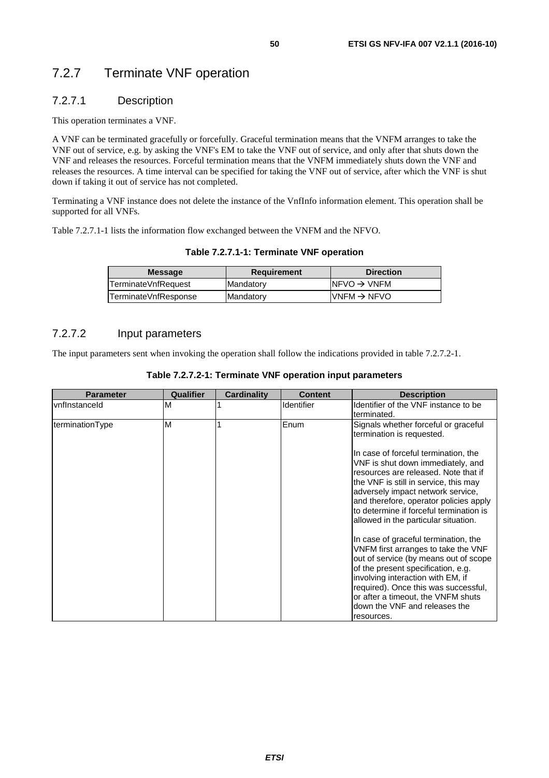## 7.2.7 Terminate VNF operation

### 7.2.7.1 Description

This operation terminates a VNF.

A VNF can be terminated gracefully or forcefully. Graceful termination means that the VNFM arranges to take the VNF out of service, e.g. by asking the VNF's EM to take the VNF out of service, and only after that shuts down the VNF and releases the resources. Forceful termination means that the VNFM immediately shuts down the VNF and releases the resources. A time interval can be specified for taking the VNF out of service, after which the VNF is shut down if taking it out of service has not completed.

Terminating a VNF instance does not delete the instance of the VnfInfo information element. This operation shall be supported for all VNFs.

Table 7.2.7.1-1 lists the information flow exchanged between the VNFM and the NFVO.

| <b>Message</b>       | <b>Requirement</b> | <b>Direction</b>         |
|----------------------|--------------------|--------------------------|
| TerminateVnfRequest  | <b>IMandatory</b>  | INFVO $\rightarrow$ VNFM |
| TerminateVnfResponse | <b>IMandatory</b>  | $IVNFM \rightarrow NFVO$ |

### 7.2.7.2 Input parameters

The input parameters sent when invoking the operation shall follow the indications provided in table 7.2.7.2-1.

| <b>Parameter</b>      | Qualifier | <b>Cardinality</b> | <b>Content</b>    | <b>Description</b>                                                                                                                                                                                                                                                                                                           |
|-----------------------|-----------|--------------------|-------------------|------------------------------------------------------------------------------------------------------------------------------------------------------------------------------------------------------------------------------------------------------------------------------------------------------------------------------|
| <b>IvnfInstanceId</b> | M         |                    | <b>Identifier</b> | Identifier of the VNF instance to be                                                                                                                                                                                                                                                                                         |
|                       |           |                    |                   | terminated.                                                                                                                                                                                                                                                                                                                  |
| terminationType       | M         |                    | Enum              | Signals whether forceful or graceful<br>termination is requested.                                                                                                                                                                                                                                                            |
|                       |           |                    |                   | In case of forceful termination, the<br>VNF is shut down immediately, and<br>resources are released. Note that if<br>the VNF is still in service, this may<br>adversely impact network service,<br>and therefore, operator policies apply<br>to determine if forceful termination is<br>allowed in the particular situation. |
|                       |           |                    |                   | In case of graceful termination, the<br>VNFM first arranges to take the VNF<br>out of service (by means out of scope<br>of the present specification, e.g.<br>involving interaction with EM, if<br>required). Once this was successful,<br>or after a timeout, the VNFM shuts<br>down the VNF and releases the<br>resources. |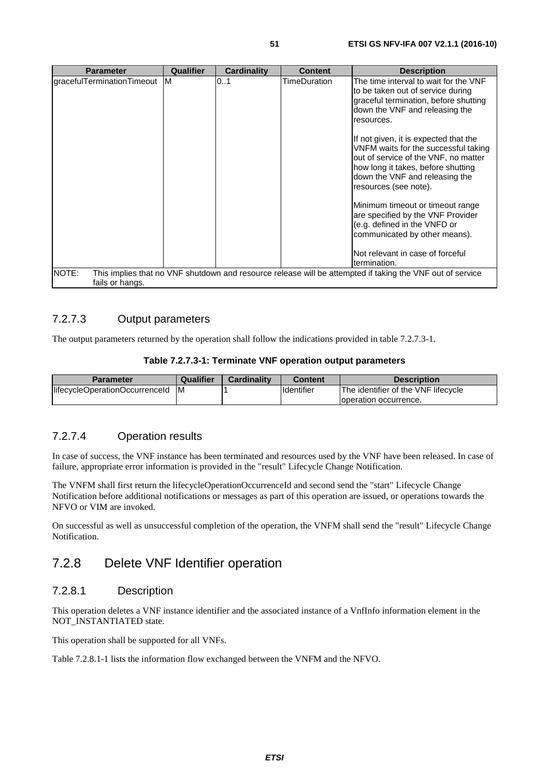| <b>Parameter</b>                                                                                                                      | Qualifier | <b>Cardinality</b> | <b>Content</b> | <b>Description</b>                                                                                                                                                                                                     |
|---------------------------------------------------------------------------------------------------------------------------------------|-----------|--------------------|----------------|------------------------------------------------------------------------------------------------------------------------------------------------------------------------------------------------------------------------|
| gracefulTerminationTimeout                                                                                                            | <b>M</b>  | 0.1                | TimeDuration   | The time interval to wait for the VNF<br>to be taken out of service during<br>graceful termination, before shutting<br>down the VNF and releasing the<br>resources.                                                    |
|                                                                                                                                       |           |                    |                | If not given, it is expected that the<br>VNFM waits for the successful taking<br>out of service of the VNF, no matter<br>how long it takes, before shutting<br>down the VNF and releasing the<br>resources (see note). |
|                                                                                                                                       |           |                    |                | Minimum timeout or timeout range<br>are specified by the VNF Provider<br>(e.g. defined in the VNFD or<br>communicated by other means).                                                                                 |
|                                                                                                                                       |           |                    |                | Not relevant in case of forceful<br>termination.                                                                                                                                                                       |
| NOTE:<br>This implies that no VNF shutdown and resource release will be attempted if taking the VNF out of service<br>fails or hangs. |           |                    |                |                                                                                                                                                                                                                        |

### 7.2.7.3 Output parameters

The output parameters returned by the operation shall follow the indications provided in table 7.2.7.3-1.

#### **Table 7.2.7.3-1: Terminate VNF operation output parameters**

| <b>Parameter</b>               | Qualifier | Cardinality | Content     | <b>Description</b>                  |
|--------------------------------|-----------|-------------|-------------|-------------------------------------|
| lifecycleOperationOccurrenceId | ΙM        |             | Ildentifier | The identifier of the VNF lifecycle |
|                                |           |             |             | Toperation occurrence.              |

### 7.2.7.4 Operation results

In case of success, the VNF instance has been terminated and resources used by the VNF have been released. In case of failure, appropriate error information is provided in the "result" Lifecycle Change Notification.

The VNFM shall first return the lifecycleOperationOccurrenceId and second send the "start" Lifecycle Change Notification before additional notifications or messages as part of this operation are issued, or operations towards the NFVO or VIM are invoked.

On successful as well as unsuccessful completion of the operation, the VNFM shall send the "result" Lifecycle Change Notification.

## 7.2.8 Delete VNF Identifier operation

### 7.2.8.1 Description

This operation deletes a VNF instance identifier and the associated instance of a VnfInfo information element in the NOT\_INSTANTIATED state.

This operation shall be supported for all VNFs.

Table 7.2.8.1-1 lists the information flow exchanged between the VNFM and the NFVO.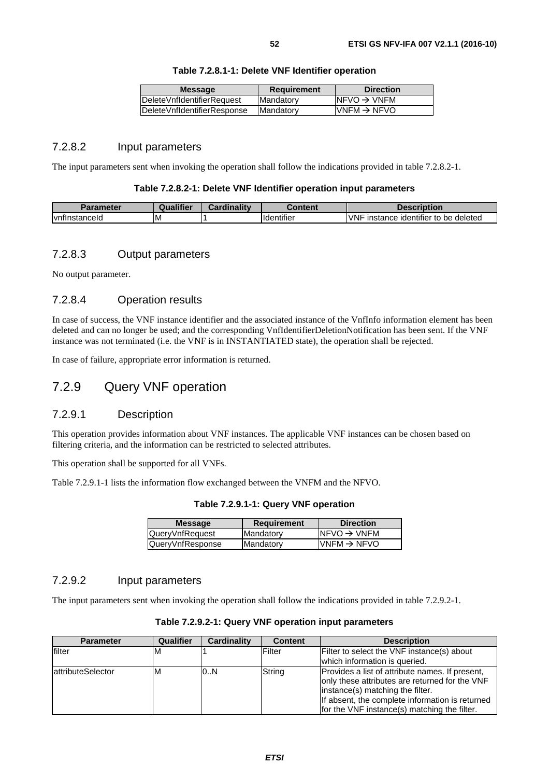| Table 7.2.8.1-1: Delete VNF Identifier operation |  |  |
|--------------------------------------------------|--|--|
|--------------------------------------------------|--|--|

| <b>Message</b>                     | <b>Requirement</b> | <b>Direction</b>         |
|------------------------------------|--------------------|--------------------------|
| <b>IDeleteVnfldentifierRequest</b> | Mandatory          | INFVO $\rightarrow$ VNFM |
| DeleteVnfldentifierResponse        | Mandatory          | $IVNFM \rightarrow NFVO$ |
|                                    |                    |                          |

### 7.2.8.2 Input parameters

The input parameters sent when invoking the operation shall follow the indications provided in table 7.2.8.2-1.

#### **Table 7.2.8.2-1: Delete VNF Identifier operation input parameters**

| Parameter             | Qualifier | Cardinality | Content            | <b>Description</b>                              |
|-----------------------|-----------|-------------|--------------------|-------------------------------------------------|
| <b>IvnflnstanceId</b> | ΙM        |             | <b>I</b> dentifier | <b>VNF</b><br>instance identifier to be deleted |

### 7.2.8.3 Output parameters

No output parameter.

### 7.2.8.4 Operation results

In case of success, the VNF instance identifier and the associated instance of the VnfInfo information element has been deleted and can no longer be used; and the corresponding VnfIdentifierDeletionNotification has been sent. If the VNF instance was not terminated (i.e. the VNF is in INSTANTIATED state), the operation shall be rejected.

In case of failure, appropriate error information is returned.

### 7.2.9 Query VNF operation

#### 7.2.9.1 Description

This operation provides information about VNF instances. The applicable VNF instances can be chosen based on filtering criteria, and the information can be restricted to selected attributes.

This operation shall be supported for all VNFs.

Table 7.2.9.1-1 lists the information flow exchanged between the VNFM and the NFVO.

**Table 7.2.9.1-1: Query VNF operation** 

| <b>Message</b>   | <b>Requirement</b> | <b>Direction</b>         |
|------------------|--------------------|--------------------------|
| QueryVnfRequest  | Mandatory          | $INFVO \rightarrow VNFM$ |
| QueryVnfResponse | Mandatory          | $IVNFM \rightarrow NFVO$ |
|                  |                    |                          |

### 7.2.9.2 Input parameters

The input parameters sent when invoking the operation shall follow the indications provided in table 7.2.9.2-1.

| <b>Parameter</b>  | Qualifier | Cardinality | <b>Content</b> | <b>Description</b>                                                                                                                                                                                                                       |
|-------------------|-----------|-------------|----------------|------------------------------------------------------------------------------------------------------------------------------------------------------------------------------------------------------------------------------------------|
|                   |           |             |                |                                                                                                                                                                                                                                          |
| filter            | M         |             | Filter         | Filter to select the VNF instance(s) about                                                                                                                                                                                               |
|                   |           |             |                | which information is queried.                                                                                                                                                                                                            |
| attributeSelector | м         | 0.N         | String         | Provides a list of attribute names. If present,<br>only these attributes are returned for the VNF<br>instance(s) matching the filter.<br>If absent, the complete information is returned<br>for the VNF instance(s) matching the filter. |

**Table 7.2.9.2-1: Query VNF operation input parameters**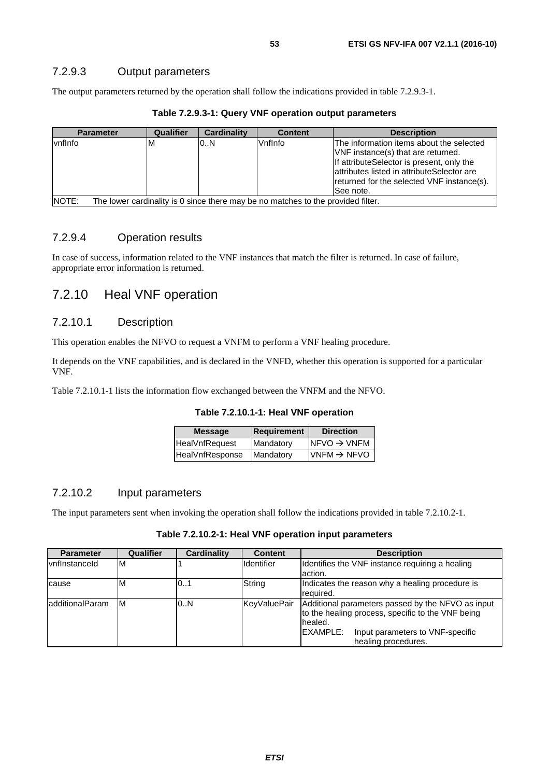The output parameters returned by the operation shall follow the indications provided in table 7.2.9.3-1.

| <b>Parameter</b>                                                                          | Qualifier | Cardinality | <b>Content</b> | <b>Description</b>                                                                                                                                                                                                                    |
|-------------------------------------------------------------------------------------------|-----------|-------------|----------------|---------------------------------------------------------------------------------------------------------------------------------------------------------------------------------------------------------------------------------------|
| vnflnfo                                                                                   | ΙM        | 0.N         | Vnflnfo        | The information items about the selected<br>VNF instance(s) that are returned.<br>If attributeSelector is present, only the<br>lattributes listed in attributeSelector are<br>returned for the selected VNF instance(s).<br>See note. |
| NOTE:<br>The lower cardinality is 0 since there may be no matches to the provided filter. |           |             |                |                                                                                                                                                                                                                                       |

**Table 7.2.9.3-1: Query VNF operation output parameters** 

### 7.2.9.4 Operation results

In case of success, information related to the VNF instances that match the filter is returned. In case of failure, appropriate error information is returned.

## 7.2.10 Heal VNF operation

#### 7.2.10.1 Description

This operation enables the NFVO to request a VNFM to perform a VNF healing procedure.

It depends on the VNF capabilities, and is declared in the VNFD, whether this operation is supported for a particular VNF.

Table 7.2.10.1-1 lists the information flow exchanged between the VNFM and the NFVO.

| Table 7.2.10.1-1: Heal VNF operation |  |
|--------------------------------------|--|
|--------------------------------------|--|

| <b>Message</b>        | Requirement | <b>Direction</b>        |
|-----------------------|-------------|-------------------------|
| <b>HealVnfRequest</b> | Mandatory   | $NFVO \rightarrow VNFM$ |
| HealVnfResponse       | Mandatory   | $VNFM \rightarrow NFVO$ |

#### 7.2.10.2 Input parameters

The input parameters sent when invoking the operation shall follow the indications provided in table 7.2.10.2-1.

| Table 7.2.10.2-1: Heal VNF operation input parameters |  |  |
|-------------------------------------------------------|--|--|
|-------------------------------------------------------|--|--|

| <b>Parameter</b> | Qualifier | Cardinality | <b>Content</b> | <b>Description</b>                                                                                                |  |  |
|------------------|-----------|-------------|----------------|-------------------------------------------------------------------------------------------------------------------|--|--|
| vnflnstanceld    | ΙM        |             | Identifier     | Identifies the VNF instance requiring a healing<br>action.                                                        |  |  |
|                  | ΙM        | 101         | String         | Indicates the reason why a healing procedure is                                                                   |  |  |
| cause            |           |             |                | required.                                                                                                         |  |  |
| ladditionalParam | ΙM        | 0.N         | KeyValuePair   | Additional parameters passed by the NFVO as input<br>to the healing process, specific to the VNF being<br>healed. |  |  |
|                  |           |             |                | <b>IEXAMPLE:</b><br>Input parameters to VNF-specific                                                              |  |  |
|                  |           |             |                | healing procedures.                                                                                               |  |  |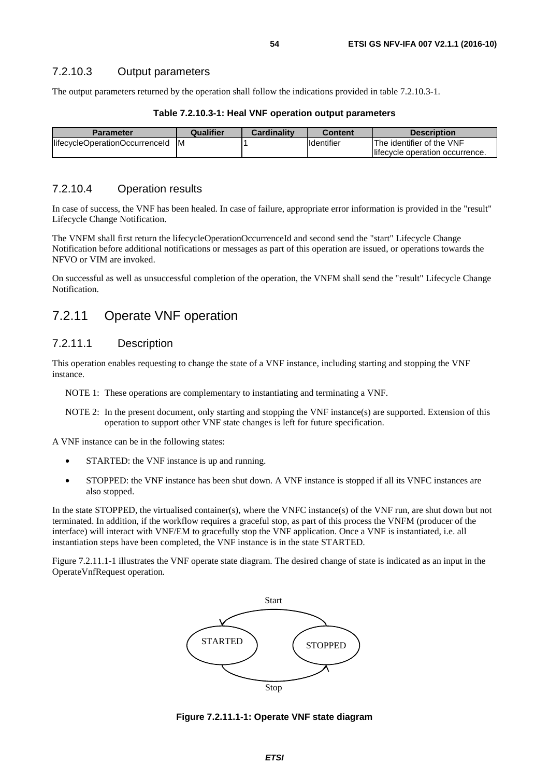The output parameters returned by the operation shall follow the indications provided in table 7.2.10.3-1.

| <b>Parameter</b>                 | Qualifier | <b>Cardinality</b> | <b>Content</b> | <b>Description</b>              |
|----------------------------------|-----------|--------------------|----------------|---------------------------------|
| lifecycleOperationOccurrenceId M |           |                    | Identifier     | The identifier of the VNF       |
|                                  |           |                    |                | lifecycle operation occurrence. |

**Table 7.2.10.3-1: Heal VNF operation output parameters** 

### 7.2.10.4 Operation results

In case of success, the VNF has been healed. In case of failure, appropriate error information is provided in the "result" Lifecycle Change Notification.

The VNFM shall first return the lifecycleOperationOccurrenceId and second send the "start" Lifecycle Change Notification before additional notifications or messages as part of this operation are issued, or operations towards the NFVO or VIM are invoked.

On successful as well as unsuccessful completion of the operation, the VNFM shall send the "result" Lifecycle Change Notification.

## 7.2.11 Operate VNF operation

### 7.2.11.1 Description

This operation enables requesting to change the state of a VNF instance, including starting and stopping the VNF instance.

NOTE 1: These operations are complementary to instantiating and terminating a VNF.

NOTE 2: In the present document, only starting and stopping the VNF instance(s) are supported. Extension of this operation to support other VNF state changes is left for future specification.

A VNF instance can be in the following states:

- STARTED: the VNF instance is up and running.
- STOPPED: the VNF instance has been shut down. A VNF instance is stopped if all its VNFC instances are also stopped.

In the state STOPPED, the virtualised container(s), where the VNFC instance(s) of the VNF run, are shut down but not terminated. In addition, if the workflow requires a graceful stop, as part of this process the VNFM (producer of the interface) will interact with VNF/EM to gracefully stop the VNF application. Once a VNF is instantiated, i.e. all instantiation steps have been completed, the VNF instance is in the state STARTED.

Figure 7.2.11.1-1 illustrates the VNF operate state diagram. The desired change of state is indicated as an input in the OperateVnfRequest operation.



**Figure 7.2.11.1-1: Operate VNF state diagram**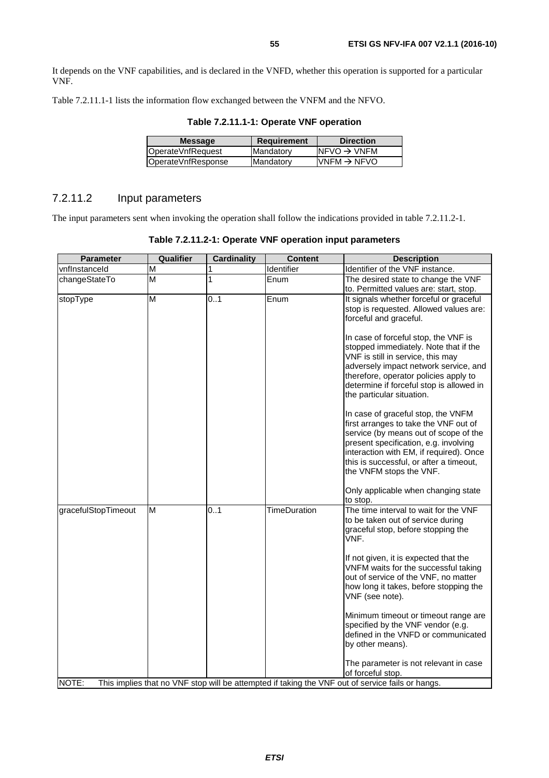It depends on the VNF capabilities, and is declared in the VNFD, whether this operation is supported for a particular VNF.

Table 7.2.11.1-1 lists the information flow exchanged between the VNFM and the NFVO.

| <b>Message</b>     | <b>Requirement</b> | <b>Direction</b>         |
|--------------------|--------------------|--------------------------|
|                    |                    |                          |
| OperateVnfRequest  | Mandatory          | $NFVO \rightarrow VNFM$  |
| OperateVnfResponse | Mandatory          | $IVNFM \rightarrow NFVO$ |
|                    |                    |                          |

#### **Table 7.2.11.1-1: Operate VNF operation**

### 7.2.11.2 Input parameters

The input parameters sent when invoking the operation shall follow the indications provided in table 7.2.11.2-1.

| <b>Parameter</b>    | Qualifier               | <b>Cardinality</b> | <b>Content</b>      | <b>Description</b>                                                                               |
|---------------------|-------------------------|--------------------|---------------------|--------------------------------------------------------------------------------------------------|
| vnflnstanceld       | М                       | 1                  | Identifier          | Identifier of the VNF instance.                                                                  |
| changeStateTo       | М                       | 1                  | Enum                | The desired state to change the VNF                                                              |
|                     |                         |                    |                     | to. Permitted values are: start, stop.                                                           |
| stopType            | $\overline{\mathsf{M}}$ | 0.1                | Enum                | It signals whether forceful or graceful                                                          |
|                     |                         |                    |                     | stop is requested. Allowed values are:                                                           |
|                     |                         |                    |                     | forceful and graceful.                                                                           |
|                     |                         |                    |                     | In case of forceful stop, the VNF is                                                             |
|                     |                         |                    |                     | stopped immediately. Note that if the                                                            |
|                     |                         |                    |                     | VNF is still in service, this may                                                                |
|                     |                         |                    |                     | adversely impact network service, and                                                            |
|                     |                         |                    |                     | therefore, operator policies apply to                                                            |
|                     |                         |                    |                     | determine if forceful stop is allowed in                                                         |
|                     |                         |                    |                     | the particular situation.                                                                        |
|                     |                         |                    |                     | In case of graceful stop, the VNFM                                                               |
|                     |                         |                    |                     | first arranges to take the VNF out of                                                            |
|                     |                         |                    |                     | service (by means out of scope of the                                                            |
|                     |                         |                    |                     | present specification, e.g. involving                                                            |
|                     |                         |                    |                     | interaction with EM, if required). Once<br>this is successful, or after a timeout,               |
|                     |                         |                    |                     | the VNFM stops the VNF.                                                                          |
|                     |                         |                    |                     |                                                                                                  |
|                     |                         |                    |                     | Only applicable when changing state                                                              |
|                     |                         |                    |                     | to stop.                                                                                         |
| gracefulStopTimeout | M                       | 0.1                | <b>TimeDuration</b> | The time interval to wait for the VNF                                                            |
|                     |                         |                    |                     | to be taken out of service during<br>graceful stop, before stopping the                          |
|                     |                         |                    |                     | VNF.                                                                                             |
|                     |                         |                    |                     | If not given, it is expected that the                                                            |
|                     |                         |                    |                     | VNFM waits for the successful taking                                                             |
|                     |                         |                    |                     | out of service of the VNF, no matter                                                             |
|                     |                         |                    |                     | how long it takes, before stopping the                                                           |
|                     |                         |                    |                     | VNF (see note).                                                                                  |
|                     |                         |                    |                     | Minimum timeout or timeout range are                                                             |
|                     |                         |                    |                     | specified by the VNF vendor (e.g.                                                                |
|                     |                         |                    |                     | defined in the VNFD or communicated                                                              |
|                     |                         |                    |                     | by other means).                                                                                 |
|                     |                         |                    |                     | The parameter is not relevant in case                                                            |
|                     |                         |                    |                     | of forceful stop.                                                                                |
| NOTE:               |                         |                    |                     | This implies that no VNF stop will be attempted if taking the VNF out of service fails or hangs. |

**Table 7.2.11.2-1: Operate VNF operation input parameters**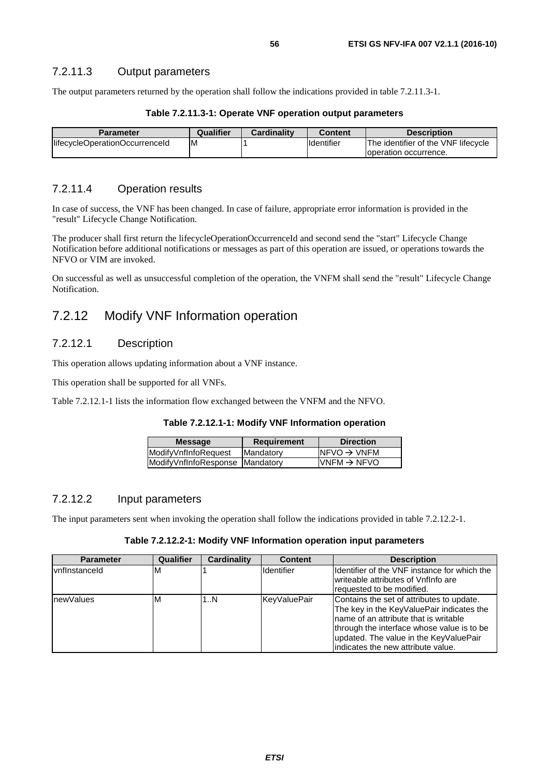The output parameters returned by the operation shall follow the indications provided in table 7.2.11.3-1.

#### **Table 7.2.11.3-1: Operate VNF operation output parameters**

| <b>Parameter</b>               | Qualifier | <b>Cardinality</b> | <b>Content</b> | <b>Description</b>                  |
|--------------------------------|-----------|--------------------|----------------|-------------------------------------|
| lifecycleOperationOccurrenceId | ΙM        |                    | Identifier     | The identifier of the VNF lifecycle |
|                                |           |                    |                | loperation occurrence.              |

### 7.2.11.4 Operation results

In case of success, the VNF has been changed. In case of failure, appropriate error information is provided in the "result" Lifecycle Change Notification.

The producer shall first return the lifecycleOperationOccurrenceId and second send the "start" Lifecycle Change Notification before additional notifications or messages as part of this operation are issued, or operations towards the NFVO or VIM are invoked.

On successful as well as unsuccessful completion of the operation, the VNFM shall send the "result" Lifecycle Change Notification.

## 7.2.12 Modify VNF Information operation

### 7.2.12.1 Description

This operation allows updating information about a VNF instance.

This operation shall be supported for all VNFs.

Table 7.2.12.1-1 lists the information flow exchanged between the VNFM and the NFVO.

| Table 7.2.12.1-1: Modify VNF Information operation |  |  |
|----------------------------------------------------|--|--|
|----------------------------------------------------|--|--|

| $NFVO \rightarrow VNFM$<br>ModifyVnfInfoRequest<br>Mandatory |  |
|--------------------------------------------------------------|--|
|                                                              |  |
| $IVNFM \rightarrow NFVO$<br>ModifyVnfInfoResponse Mandatory  |  |

#### 7.2.12.2 Input parameters

The input parameters sent when invoking the operation shall follow the indications provided in table 7.2.12.2-1.

**Table 7.2.12.2-1: Modify VNF Information operation input parameters** 

| <b>Parameter</b>     | Qualifier | <b>Cardinality</b> | <b>Content</b>    | <b>Description</b>                                                                                                                                                                                                                                              |
|----------------------|-----------|--------------------|-------------------|-----------------------------------------------------------------------------------------------------------------------------------------------------------------------------------------------------------------------------------------------------------------|
| <b>vnflnstanceld</b> | ιM        |                    | <b>Identifier</b> | Identifier of the VNF instance for which the<br>writeable attributes of Vnflnfo are<br>requested to be modified.                                                                                                                                                |
| newValues            | M         | 1N                 | KeyValuePair      | Contains the set of attributes to update.<br>The key in the KeyValuePair indicates the<br>Iname of an attribute that is writable<br>through the interface whose value is to be<br>updated. The value in the KeyValuePair<br>lindicates the new attribute value. |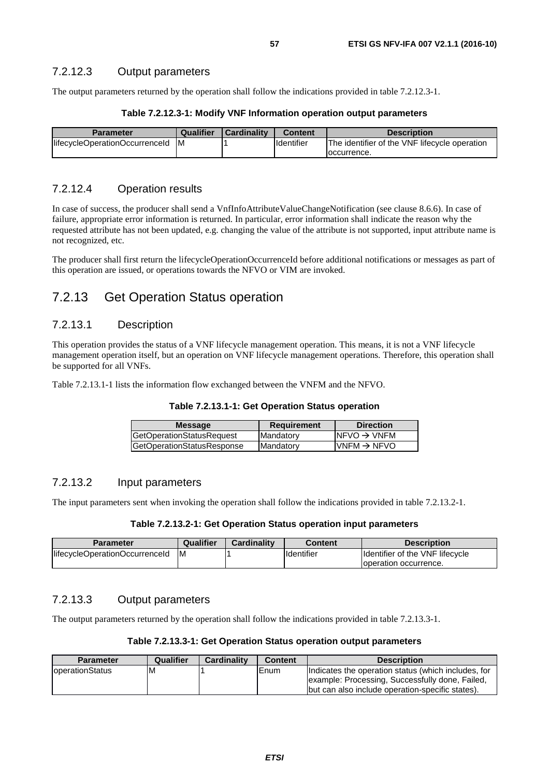The output parameters returned by the operation shall follow the indications provided in table 7.2.12.3-1.

#### **Table 7.2.12.3-1: Modify VNF Information operation output parameters**

| <b>Parameter</b>               | Qualifier | Cardinality | <b>Content</b>    | <b>Description</b>                            |
|--------------------------------|-----------|-------------|-------------------|-----------------------------------------------|
| lifecycleOperationOccurrenceId | ΙM        |             | <b>Identifier</b> | The identifier of the VNF lifecycle operation |
|                                |           |             |                   | loccurrence.                                  |

### 7.2.12.4 Operation results

In case of success, the producer shall send a VnfInfoAttributeValueChangeNotification (see clause 8.6.6). In case of failure, appropriate error information is returned. In particular, error information shall indicate the reason why the requested attribute has not been updated, e.g. changing the value of the attribute is not supported, input attribute name is not recognized, etc.

The producer shall first return the lifecycleOperationOccurrenceId before additional notifications or messages as part of this operation are issued, or operations towards the NFVO or VIM are invoked.

## 7.2.13 Get Operation Status operation

### 7.2.13.1 Description

This operation provides the status of a VNF lifecycle management operation. This means, it is not a VNF lifecycle management operation itself, but an operation on VNF lifecycle management operations. Therefore, this operation shall be supported for all VNFs.

Table 7.2.13.1-1 lists the information flow exchanged between the VNFM and the NFVO.

| <b>Message</b>             | <b>Requirement</b> | <b>Direction</b>         |
|----------------------------|--------------------|--------------------------|
| GetOperationStatusRequest  | <b>Mandatory</b>   | INFVO $\rightarrow$ VNFM |
| GetOperationStatusResponse | Mandatory          | $IVNFM \rightarrow NFVO$ |

### 7.2.13.2 Input parameters

The input parameters sent when invoking the operation shall follow the indications provided in table 7.2.13.2-1.

#### **Table 7.2.13.2-1: Get Operation Status operation input parameters**

| Parameter                      | Qualifier | <b>Cardinality</b> | Content    | <b>Description</b>              |
|--------------------------------|-----------|--------------------|------------|---------------------------------|
| lifecycleOperationOccurrenceId | ΙM        |                    | Identifier | Identifier of the VNF lifecycle |
|                                |           |                    |            | Toperation occurrence.          |

### 7.2.13.3 Output parameters

The output parameters returned by the operation shall follow the indications provided in table 7.2.13.3-1.

#### **Table 7.2.13.3-1: Get Operation Status operation output parameters**

| <b>Parameter</b>       | Qualifier | Cardinality | <b>Content</b> | <b>Description</b>                                                                                     |
|------------------------|-----------|-------------|----------------|--------------------------------------------------------------------------------------------------------|
| <b>operationStatus</b> | ΙM        |             | lEnum.         | Indicates the operation status (which includes, for<br>example: Processing, Successfully done, Failed, |
|                        |           |             |                | (but can also include operation-specific states).                                                      |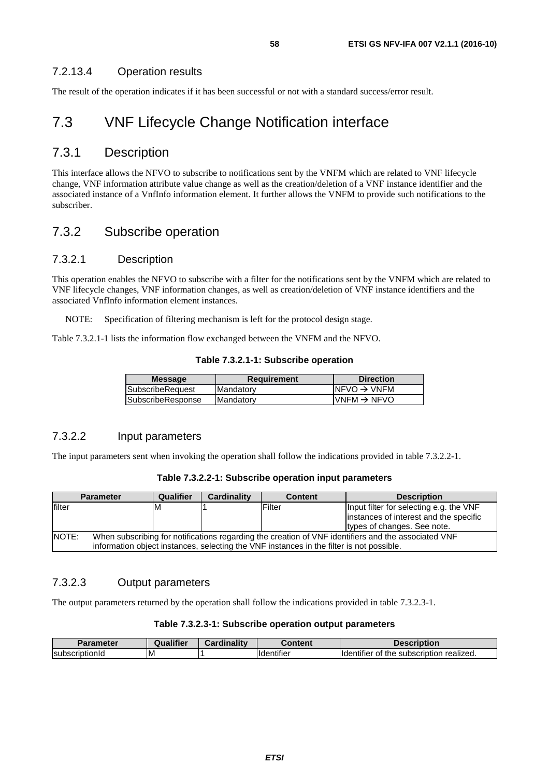### 7.2.13.4 Operation results

The result of the operation indicates if it has been successful or not with a standard success/error result.

## 7.3 VNF Lifecycle Change Notification interface

### 7.3.1 Description

This interface allows the NFVO to subscribe to notifications sent by the VNFM which are related to VNF lifecycle change, VNF information attribute value change as well as the creation/deletion of a VNF instance identifier and the associated instance of a VnfInfo information element. It further allows the VNFM to provide such notifications to the subscriber.

## 7.3.2 Subscribe operation

### 7.3.2.1 Description

This operation enables the NFVO to subscribe with a filter for the notifications sent by the VNFM which are related to VNF lifecycle changes, VNF information changes, as well as creation/deletion of VNF instance identifiers and the associated VnfInfo information element instances.

NOTE: Specification of filtering mechanism is left for the protocol design stage.

Table 7.3.2.1-1 lists the information flow exchanged between the VNFM and the NFVO.

**Table 7.3.2.1-1: Subscribe operation** 

| $INFVO \rightarrow VNFM$                  |
|-------------------------------------------|
| $\textsf{IVNFM}\rightarrow \textsf{NFVO}$ |
|                                           |

### 7.3.2.2 Input parameters

The input parameters sent when invoking the operation shall follow the indications provided in table 7.3.2.2-1.

| Table 7.3.2.2-1: Subscribe operation input parameters |  |  |
|-------------------------------------------------------|--|--|
|-------------------------------------------------------|--|--|

|        | <b>Parameter</b>                                                                                                                                                                                | Qualifier | <b>Cardinality</b> | <b>Content</b> | <b>Description</b>                                                                                               |  |
|--------|-------------------------------------------------------------------------------------------------------------------------------------------------------------------------------------------------|-----------|--------------------|----------------|------------------------------------------------------------------------------------------------------------------|--|
| filter |                                                                                                                                                                                                 | IМ        |                    | Filter         | Input filter for selecting e.g. the VNF<br>instances of interest and the specific<br>types of changes. See note. |  |
| INOTE: | When subscribing for notifications regarding the creation of VNF identifiers and the associated VNF<br>information object instances, selecting the VNF instances in the filter is not possible. |           |                    |                |                                                                                                                  |  |

### 7.3.2.3 Output parameters

The output parameters returned by the operation shall follow the indications provided in table 7.3.2.3-1.

#### **Table 7.3.2.3-1: Subscribe operation output parameters**

| Parameter                               | <b>Qualifier</b> | <b>Cardinality</b> | Content                        | Description                                                     |
|-----------------------------------------|------------------|--------------------|--------------------------------|-----------------------------------------------------------------|
| <b>Subscrip</b><br>.<br><b>TIDUONIG</b> | ΙM               |                    | $\cdots$<br><b>I</b> dentifier | <br>realized.<br>subscription<br><b>Identifier</b><br>the<br>ΩT |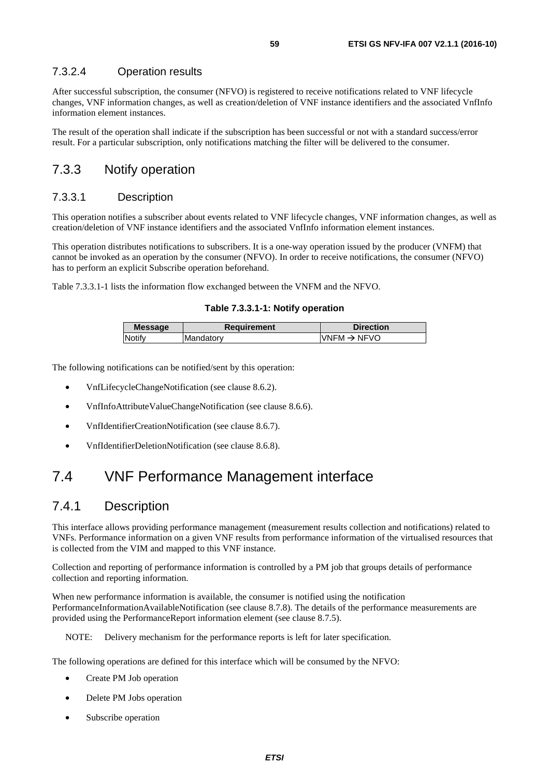### 7.3.2.4 Operation results

After successful subscription, the consumer (NFVO) is registered to receive notifications related to VNF lifecycle changes, VNF information changes, as well as creation/deletion of VNF instance identifiers and the associated VnfInfo information element instances.

The result of the operation shall indicate if the subscription has been successful or not with a standard success/error result. For a particular subscription, only notifications matching the filter will be delivered to the consumer.

### 7.3.3 Notify operation

#### 7.3.3.1 Description

This operation notifies a subscriber about events related to VNF lifecycle changes, VNF information changes, as well as creation/deletion of VNF instance identifiers and the associated VnfInfo information element instances.

This operation distributes notifications to subscribers. It is a one-way operation issued by the producer (VNFM) that cannot be invoked as an operation by the consumer (NFVO). In order to receive notifications, the consumer (NFVO) has to perform an explicit Subscribe operation beforehand.

Table 7.3.3.1-1 lists the information flow exchanged between the VNFM and the NFVO.

#### **Table 7.3.3.1-1: Notify operation**

| <b>Message</b> | <b>Requirement</b> | <b>Direction</b>        |
|----------------|--------------------|-------------------------|
| Notify         | Mandatory          | VNFM $\rightarrow$ NFVO |
|                |                    |                         |

The following notifications can be notified/sent by this operation:

- VnfLifecycleChangeNotification (see clause 8.6.2).
- VnfInfoAttributeValueChangeNotification (see clause 8.6.6).
- VnfIdentifierCreationNotification (see clause 8.6.7).
- VnfIdentifierDeletionNotification (see clause 8.6.8).

## 7.4 VNF Performance Management interface

### 7.4.1 Description

This interface allows providing performance management (measurement results collection and notifications) related to VNFs. Performance information on a given VNF results from performance information of the virtualised resources that is collected from the VIM and mapped to this VNF instance.

Collection and reporting of performance information is controlled by a PM job that groups details of performance collection and reporting information.

When new performance information is available, the consumer is notified using the notification PerformanceInformationAvailableNotification (see clause 8.7.8). The details of the performance measurements are provided using the PerformanceReport information element (see clause 8.7.5).

NOTE: Delivery mechanism for the performance reports is left for later specification.

The following operations are defined for this interface which will be consumed by the NFVO:

- Create PM Job operation
- Delete PM Jobs operation
- Subscribe operation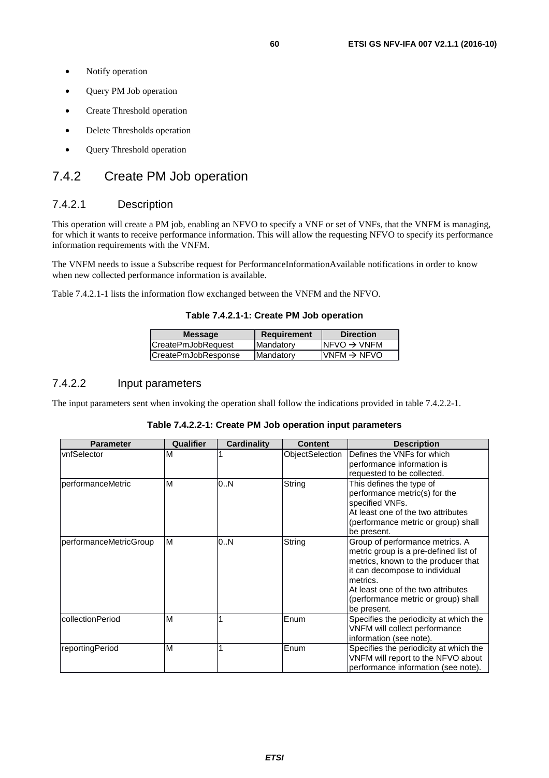- Notify operation
- Query PM Job operation
- Create Threshold operation
- Delete Thresholds operation
- Query Threshold operation

### 7.4.2 Create PM Job operation

### 7.4.2.1 Description

This operation will create a PM job, enabling an NFVO to specify a VNF or set of VNFs, that the VNFM is managing, for which it wants to receive performance information. This will allow the requesting NFVO to specify its performance information requirements with the VNFM.

The VNFM needs to issue a Subscribe request for PerformanceInformationAvailable notifications in order to know when new collected performance information is available.

Table 7.4.2.1-1 lists the information flow exchanged between the VNFM and the NFVO.

#### **Table 7.4.2.1-1: Create PM Job operation**

| <b>Message</b>      | Requirement | <b>Direction</b>         |
|---------------------|-------------|--------------------------|
| CreatePmJobRequest  | Mandatory   | INFVO $\rightarrow$ VNFM |
| CreatePmJobResponse | Mandatory   | $IVNFM \rightarrow NFVO$ |
|                     |             |                          |

### 7.4.2.2 Input parameters

The input parameters sent when invoking the operation shall follow the indications provided in table 7.4.2.2-1.

| Table 7.4.2.2-1: Create PM Job operation input parameters |  |  |
|-----------------------------------------------------------|--|--|
|-----------------------------------------------------------|--|--|

| <b>Parameter</b>       | Qualifier | Cardinality | <b>Content</b>  | <b>Description</b>                                                                                                                                                                                                                                        |
|------------------------|-----------|-------------|-----------------|-----------------------------------------------------------------------------------------------------------------------------------------------------------------------------------------------------------------------------------------------------------|
| vnfSelector            | M         |             | ObjectSelection | Defines the VNFs for which<br>performance information is<br>requested to be collected.                                                                                                                                                                    |
| performanceMetric      | м         | 0N          | String          | This defines the type of<br>performance metric(s) for the<br>specified VNFs.<br>At least one of the two attributes<br>(performance metric or group) shall<br>be present.                                                                                  |
| performanceMetricGroup | M         | 0N          | String          | Group of performance metrics. A<br>metric group is a pre-defined list of<br>metrics, known to the producer that<br>it can decompose to individual<br>metrics.<br>At least one of the two attributes<br>(performance metric or group) shall<br>be present. |
| collectionPeriod       | M         |             | Enum            | Specifies the periodicity at which the<br>VNFM will collect performance<br>information (see note).                                                                                                                                                        |
| reportingPeriod        | M         |             | Enum            | Specifies the periodicity at which the<br>VNFM will report to the NFVO about<br>performance information (see note).                                                                                                                                       |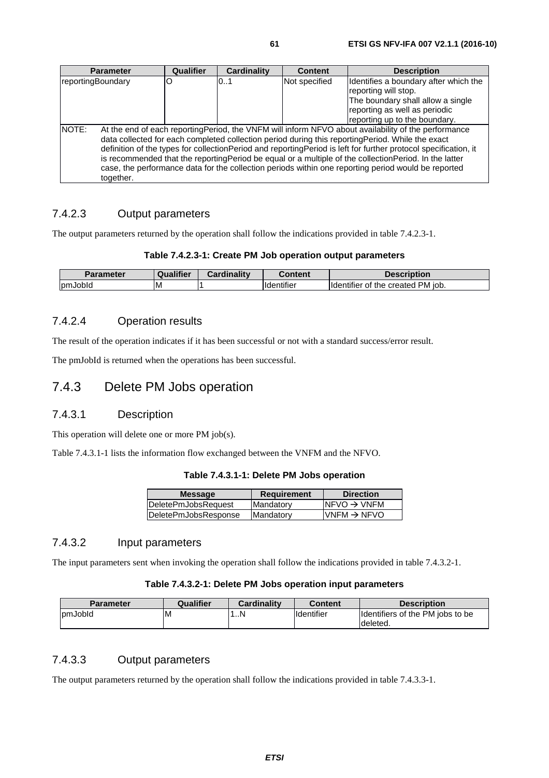| <b>Parameter</b>          | Qualifier | Cardinality | <b>Content</b> | <b>Description</b>                                                                                                                                                                                                                                                                                                                                                                                                                                                                                                                          |
|---------------------------|-----------|-------------|----------------|---------------------------------------------------------------------------------------------------------------------------------------------------------------------------------------------------------------------------------------------------------------------------------------------------------------------------------------------------------------------------------------------------------------------------------------------------------------------------------------------------------------------------------------------|
| reportingBoundary         |           | 0.1         | Not specified  | Identifies a boundary after which the                                                                                                                                                                                                                                                                                                                                                                                                                                                                                                       |
|                           |           |             |                | reporting will stop.                                                                                                                                                                                                                                                                                                                                                                                                                                                                                                                        |
|                           |           |             |                | The boundary shall allow a single                                                                                                                                                                                                                                                                                                                                                                                                                                                                                                           |
|                           |           |             |                | reporting as well as periodic                                                                                                                                                                                                                                                                                                                                                                                                                                                                                                               |
|                           |           |             |                | reporting up to the boundary.                                                                                                                                                                                                                                                                                                                                                                                                                                                                                                               |
| <b>NOTE:</b><br>together. |           |             |                | At the end of each reporting Period, the VNFM will inform NFVO about availability of the performance<br>data collected for each completed collection period during this reportingPeriod. While the exact<br>definition of the types for collectionPeriod and reportingPeriod is left for further protocol specification, it<br>is recommended that the reportingPeriod be equal or a multiple of the collectionPeriod. In the latter<br>case, the performance data for the collection periods within one reporting period would be reported |

### 7.4.2.3 Output parameters

The output parameters returned by the operation shall follow the indications provided in table 7.4.2.3-1.

#### **Table 7.4.2.3-1: Create PM Job operation output parameters**

| <b>Parameter</b> | Qualifier | Cardinalitv | Content                        | <b>Description</b>                                      |
|------------------|-----------|-------------|--------------------------------|---------------------------------------------------------|
| nJobld<br>lom    | ıΜ        |             | $\cdots$<br><b>I</b> dentifier | PM iob.<br>created<br><b>Ildentifier</b><br>∵the<br>`0t |

### 7.4.2.4 Operation results

The result of the operation indicates if it has been successful or not with a standard success/error result.

The pmJobId is returned when the operations has been successful.

### 7.4.3 Delete PM Jobs operation

### 7.4.3.1 Description

This operation will delete one or more PM job(s).

Table 7.4.3.1-1 lists the information flow exchanged between the VNFM and the NFVO.

#### **Table 7.4.3.1-1: Delete PM Jobs operation**

| <b>Message</b>       | <b>Requirement</b> | <b>Direction</b>         |
|----------------------|--------------------|--------------------------|
| DeletePmJobsRequest  | <b>Mandatory</b>   | $NFVO \rightarrow VNFM$  |
| DeletePmJobsResponse | <b>Mandatory</b>   | $IVNFM \rightarrow NFVO$ |
|                      |                    |                          |

### 7.4.3.2 Input parameters

The input parameters sent when invoking the operation shall follow the indications provided in table 7.4.3.2-1.

#### **Table 7.4.3.2-1: Delete PM Jobs operation input parameters**

| <b>Parameter</b> | Qualifier | Cardinality | Content            | <b>Description</b>                            |
|------------------|-----------|-------------|--------------------|-----------------------------------------------|
| <b>IpmJobId</b>  | ıм        | 1N          | <b>I</b> dentifier | Ildentifiers of the PM jobs to be<br>deleted. |

### 7.4.3.3 Output parameters

The output parameters returned by the operation shall follow the indications provided in table 7.4.3.3-1.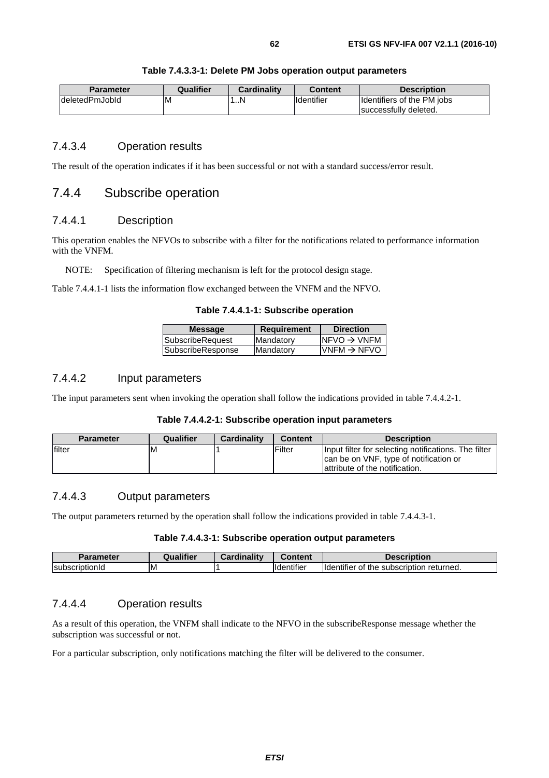| <b>Parameter</b> | Qualifier | <b>Cardinality</b> | <b>Content</b>     | <b>Description</b>                                   |
|------------------|-----------|--------------------|--------------------|------------------------------------------------------|
| IdeletedPmJobId  | ΙM        | N                  | <b>Ildentifier</b> | Identifiers of the PM jobs<br>Isuccessfully deleted. |

#### **Table 7.4.3.3-1: Delete PM Jobs operation output parameters**

#### 7.4.3.4 Operation results

The result of the operation indicates if it has been successful or not with a standard success/error result.

### 7.4.4 Subscribe operation

#### 7.4.4.1 Description

This operation enables the NFVOs to subscribe with a filter for the notifications related to performance information with the VNFM.

NOTE: Specification of filtering mechanism is left for the protocol design stage.

Table 7.4.4.1-1 lists the information flow exchanged between the VNFM and the NFVO.

**Table 7.4.4.1-1: Subscribe operation** 

| <b>Message</b>          | <b>Requirement</b> | <b>Direction</b>        |
|-------------------------|--------------------|-------------------------|
| <b>SubscribeRequest</b> | Mandatory          | $NFVO \rightarrow VNFM$ |
| SubscribeResponse       | Mandatory          | $VNFM \rightarrow NFVO$ |
|                         |                    |                         |

#### 7.4.4.2 Input parameters

The input parameters sent when invoking the operation shall follow the indications provided in table 7.4.4.2-1.

#### **Table 7.4.4.2-1: Subscribe operation input parameters**

| <b>Parameter</b> | <b>Qualifier</b> | <b>Cardinality</b> | <b>Content</b> | <b>Description</b>                                                                                                                |
|------------------|------------------|--------------------|----------------|-----------------------------------------------------------------------------------------------------------------------------------|
| lfilter          | M                |                    | Filter         | Input filter for selecting notifications. The filter<br>can be on VNF, type of notification or<br>lattribute of the notification. |

### 7.4.4.3 Output parameters

The output parameters returned by the operation shall follow the indications provided in table 7.4.4.3-1.

#### **Table 7.4.4.3-1: Subscribe operation output parameters**

| <b>Daramatar</b>       | ualifier | Cardinalitv | $\sim$<br>Content              | -<br>.<br><b>PSCription</b><br>Je~                                      |
|------------------------|----------|-------------|--------------------------------|-------------------------------------------------------------------------|
| <b>IsubscriptionId</b> | ΙM       |             | $\cdots$<br><b>Ildentifier</b> | .<br>returned.<br><b>ilder</b><br>the<br>. subscription<br>titler<br>ΩТ |

### 7.4.4.4 Operation results

As a result of this operation, the VNFM shall indicate to the NFVO in the subscribeResponse message whether the subscription was successful or not.

For a particular subscription, only notifications matching the filter will be delivered to the consumer.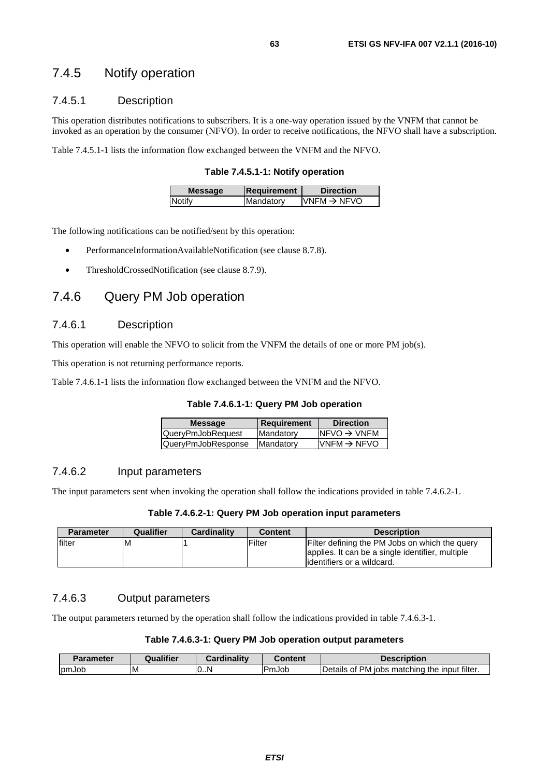### 7.4.5 Notify operation

### 7.4.5.1 Description

This operation distributes notifications to subscribers. It is a one-way operation issued by the VNFM that cannot be invoked as an operation by the consumer (NFVO). In order to receive notifications, the NFVO shall have a subscription.

Table 7.4.5.1-1 lists the information flow exchanged between the VNFM and the NFVO.

**Table 7.4.5.1-1: Notify operation** 

| <b>Message</b> | Requirement | <b>Direction</b>         |
|----------------|-------------|--------------------------|
| Notify         | Mandatory   | $IVNFM \rightarrow NFVO$ |
|                |             |                          |

The following notifications can be notified/sent by this operation:

- PerformanceInformationAvailableNotification (see clause 8.7.8).
- ThresholdCrossedNotification (see clause 8.7.9).

### 7.4.6 Query PM Job operation

#### 7.4.6.1 Description

This operation will enable the NFVO to solicit from the VNFM the details of one or more PM job(s).

This operation is not returning performance reports.

Table 7.4.6.1-1 lists the information flow exchanged between the VNFM and the NFVO.

**Table 7.4.6.1-1: Query PM Job operation** 

| <b>Message</b>     | Requirement       | <b>Direction</b>         |
|--------------------|-------------------|--------------------------|
| QueryPmJobRequest  | Mandatory         | $NFVO \rightarrow VNFM$  |
| QueryPmJobResponse | <b>IMandatory</b> | $IVNFM \rightarrow NFVO$ |

#### 7.4.6.2 Input parameters

The input parameters sent when invoking the operation shall follow the indications provided in table 7.4.6.2-1.

#### **Table 7.4.6.2-1: Query PM Job operation input parameters**

| <b>Parameter</b> | Qualifier | <b>Cardinality</b> | <b>Content</b> | <b>Description</b>                               |
|------------------|-----------|--------------------|----------------|--------------------------------------------------|
| lfilter          | M         |                    | Filter         | Filter defining the PM Jobs on which the query   |
|                  |           |                    |                | applies. It can be a single identifier, multiple |
|                  |           |                    |                | lidentifiers or a wildcard.                      |

#### 7.4.6.3 Output parameters

The output parameters returned by the operation shall follow the indications provided in table 7.4.6.3-1.

#### **Table 7.4.6.3-1: Query PM Job operation output parameters**

| Parameter     | <b>Qualifier</b> | Cardinalitv | Content | <b>Description</b>                                                      |
|---------------|------------------|-------------|---------|-------------------------------------------------------------------------|
| <b>IpmJob</b> | ΙM               | 0N          | PmJob   | input filter.<br>PM.<br><b>Details</b><br>the<br>matching<br>iobs<br>0t |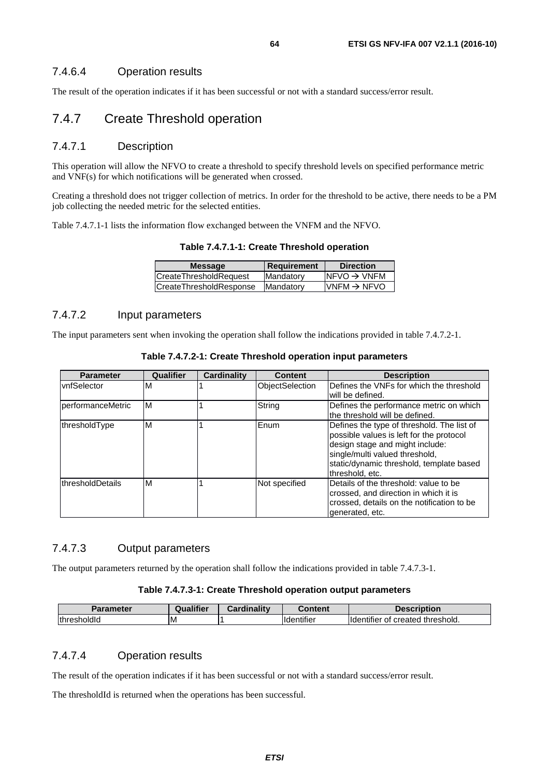### 7.4.6.4 Operation results

The result of the operation indicates if it has been successful or not with a standard success/error result.

### 7.4.7 Create Threshold operation

#### 7.4.7.1 Description

This operation will allow the NFVO to create a threshold to specify threshold levels on specified performance metric and VNF(s) for which notifications will be generated when crossed.

Creating a threshold does not trigger collection of metrics. In order for the threshold to be active, there needs to be a PM job collecting the needed metric for the selected entities.

Table 7.4.7.1-1 lists the information flow exchanged between the VNFM and the NFVO.

**Table 7.4.7.1-1: Create Threshold operation** 

| <b>Message</b>          | <b>Requirement</b> | <b>Direction</b>           |
|-------------------------|--------------------|----------------------------|
| CreateThresholdRequest  | Mandatory          | $INFVO \rightarrow VNFM$   |
| CreateThresholdResponse | Mandatory          | $N$ NFM $\rightarrow$ NFVO |
|                         |                    |                            |

#### 7.4.7.2 Input parameters

The input parameters sent when invoking the operation shall follow the indications provided in table 7.4.7.2-1.

| <b>Parameter</b>          | Qualifier | <b>Cardinality</b> | <b>Content</b>  | <b>Description</b>                                                                                                        |
|---------------------------|-----------|--------------------|-----------------|---------------------------------------------------------------------------------------------------------------------------|
| vnfSelector               | M         |                    | ObjectSelection | Defines the VNFs for which the threshold                                                                                  |
|                           |           |                    |                 | will be defined.                                                                                                          |
| <b>IperformanceMetric</b> | ΙM        |                    | String          | Defines the performance metric on which                                                                                   |
|                           |           |                    |                 | the threshold will be defined.                                                                                            |
| thresholdType             | ΙM        |                    | Enum            | Defines the type of threshold. The list of<br>possible values is left for the protocol<br>design stage and might include: |
|                           |           |                    |                 | single/multi valued threshold,                                                                                            |
|                           |           |                    |                 | static/dynamic threshold, template based                                                                                  |
|                           |           |                    |                 | threshold, etc.                                                                                                           |
| IthresholdDetails         | ΙM        |                    | Not specified   | Details of the threshold: value to be                                                                                     |
|                           |           |                    |                 | crossed, and direction in which it is                                                                                     |
|                           |           |                    |                 | crossed, details on the notification to be                                                                                |
|                           |           |                    |                 | generated, etc.                                                                                                           |

**Table 7.4.7.2-1: Create Threshold operation input parameters** 

#### 7.4.7.3 Output parameters

The output parameters returned by the operation shall follow the indications provided in table 7.4.7.3-1.

#### **Table 7.4.7.3-1: Create Threshold operation output parameters**

| Parameter   | Qualifier | <b>Cardinality</b> | ∶ontent                       | <b>Description</b>                                   |
|-------------|-----------|--------------------|-------------------------------|------------------------------------------------------|
| thresholdId | ιM        |                    | $\cdots$<br><b>Identifier</b> | ' threshold.<br>created<br><b>I</b> dentifier<br>ot. |

#### 7.4.7.4 Operation results

The result of the operation indicates if it has been successful or not with a standard success/error result.

The thresholdId is returned when the operations has been successful.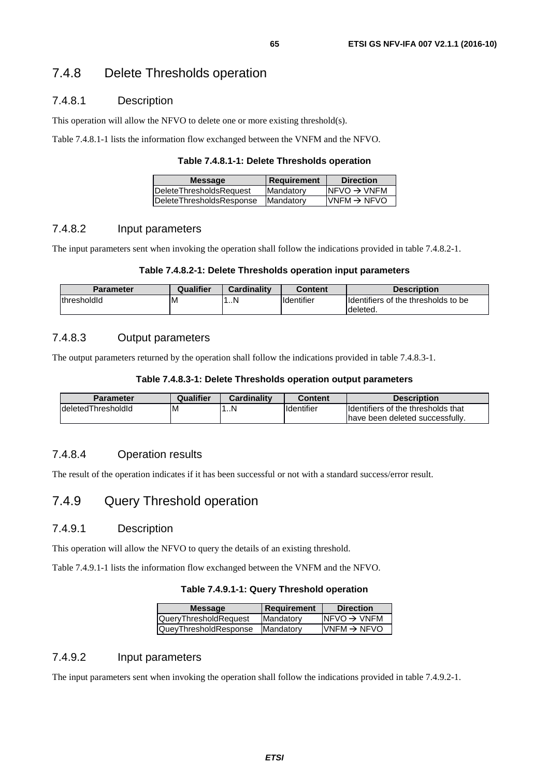## 7.4.8 Delete Thresholds operation

### 7.4.8.1 Description

This operation will allow the NFVO to delete one or more existing threshold(s).

Table 7.4.8.1-1 lists the information flow exchanged between the VNFM and the NFVO.

#### **Table 7.4.8.1-1: Delete Thresholds operation**

| <b>Message</b>                  | <b>Requirement</b> | <b>Direction</b>         |
|---------------------------------|--------------------|--------------------------|
| <b>DeleteThresholdsRequest</b>  | <b>Mandatory</b>   | $INFVO \rightarrow VNFM$ |
| <b>DeleteThresholdsResponse</b> | <b>Mandatory</b>   | $IVNFM \rightarrow NFVO$ |

### 7.4.8.2 Input parameters

The input parameters sent when invoking the operation shall follow the indications provided in table 7.4.8.2-1.

#### **Table 7.4.8.2-1: Delete Thresholds operation input parameters**

| Parameter           | Qualifier | <b>Cardinality</b> | <b>Content</b>    | <b>Description</b>                              |
|---------------------|-----------|--------------------|-------------------|-------------------------------------------------|
| <i>IthresholdId</i> | M         | . N                | <b>Identifier</b> | Identifiers of the thresholds to be<br>deleted. |

### 7.4.8.3 Output parameters

The output parameters returned by the operation shall follow the indications provided in table 7.4.8.3-1.

#### **Table 7.4.8.3-1: Delete Thresholds operation output parameters**

| Parameter           | Qualifier | <b>Cardinality</b> | Content            | <b>Description</b>                  |
|---------------------|-----------|--------------------|--------------------|-------------------------------------|
| IdeletedThresholdId | ΙM        | 1N                 | <b>I</b> dentifier | Ildentifiers of the thresholds that |
|                     |           |                    |                    | have been deleted successfully.     |

### 7.4.8.4 Operation results

The result of the operation indicates if it has been successful or not with a standard success/error result.

## 7.4.9 Query Threshold operation

### 7.4.9.1 Description

This operation will allow the NFVO to query the details of an existing threshold.

Table 7.4.9.1-1 lists the information flow exchanged between the VNFM and the NFVO.

#### **Table 7.4.9.1-1: Query Threshold operation**

| <b>Message</b>               | <b>Requirement</b> | <b>Direction</b>         |
|------------------------------|--------------------|--------------------------|
| <b>QueryThresholdRequest</b> | Mandatory          | $INFVO \rightarrow VNFM$ |
| QueyThresholdResponse        | <b>IMandatory</b>  | $IVNFM \rightarrow NFVO$ |

### 7.4.9.2 Input parameters

The input parameters sent when invoking the operation shall follow the indications provided in table 7.4.9.2-1.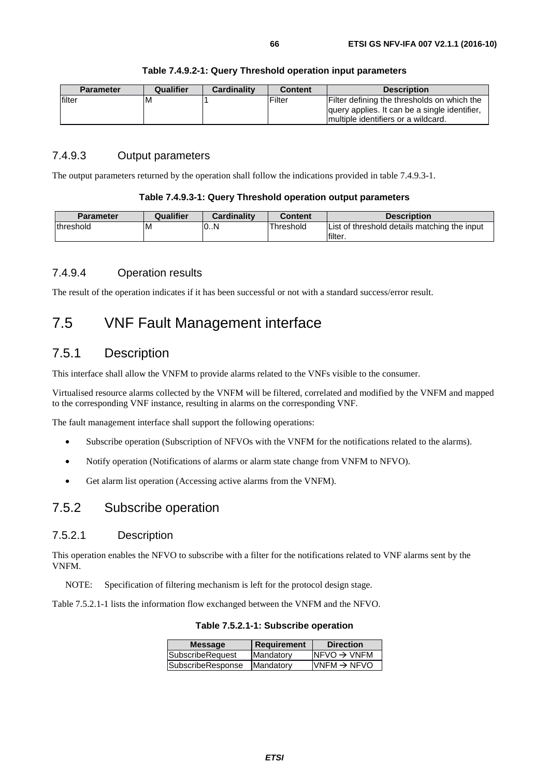| <b>Parameter</b> | Qualifier | <b>Cardinality</b> | <b>Content</b> | <b>Description</b>                            |
|------------------|-----------|--------------------|----------------|-----------------------------------------------|
| filter           | ΙM        |                    | Filter         | Filter defining the thresholds on which the   |
|                  |           |                    |                | query applies. It can be a single identifier, |
|                  |           |                    |                | Imultiple identifiers or a wildcard.          |

#### **Table 7.4.9.2-1: Query Threshold operation input parameters**

### 7.4.9.3 Output parameters

The output parameters returned by the operation shall follow the indications provided in table 7.4.9.3-1.

#### **Table 7.4.9.3-1: Query Threshold operation output parameters**

| <b>Parameter</b> | Qualifier | <b>Cardinality</b> | Content   | <b>Description</b>                                      |
|------------------|-----------|--------------------|-----------|---------------------------------------------------------|
| Ithreshold       | M         | 0.N                | Threshold | List of threshold details matching the input<br>filter. |

#### 7.4.9.4 Operation results

The result of the operation indicates if it has been successful or not with a standard success/error result.

## 7.5 VNF Fault Management interface

### 7.5.1 Description

This interface shall allow the VNFM to provide alarms related to the VNFs visible to the consumer.

Virtualised resource alarms collected by the VNFM will be filtered, correlated and modified by the VNFM and mapped to the corresponding VNF instance, resulting in alarms on the corresponding VNF.

The fault management interface shall support the following operations:

- Subscribe operation (Subscription of NFVOs with the VNFM for the notifications related to the alarms).
- Notify operation (Notifications of alarms or alarm state change from VNFM to NFVO).
- Get alarm list operation (Accessing active alarms from the VNFM).

## 7.5.2 Subscribe operation

#### 7.5.2.1 Description

This operation enables the NFVO to subscribe with a filter for the notifications related to VNF alarms sent by the VNFM.

NOTE: Specification of filtering mechanism is left for the protocol design stage.

Table 7.5.2.1-1 lists the information flow exchanged between the VNFM and the NFVO.

| <b>Message</b>    | <b>Requirement</b> | <b>Direction</b>         |
|-------------------|--------------------|--------------------------|
| SubscribeRequest  | Mandatory          | $INFVO \rightarrow VNFM$ |
| SubscribeResponse | Mandatory          | $VNFM \rightarrow NFVO$  |
|                   |                    |                          |

**Table 7.5.2.1-1: Subscribe operation**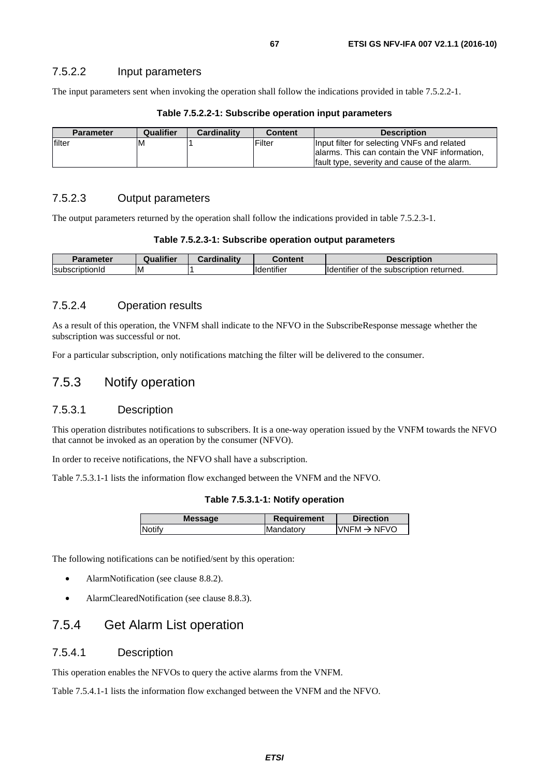#### 7.5.2.2 Input parameters

The input parameters sent when invoking the operation shall follow the indications provided in table 7.5.2.2-1.

| <b>Parameter</b> | Qualifier | <b>Cardinality</b> | <b>Content</b> | <b>Description</b>                                                                                                                            |
|------------------|-----------|--------------------|----------------|-----------------------------------------------------------------------------------------------------------------------------------------------|
| filter           | ıм        |                    | Filter         | Input filter for selecting VNFs and related<br>lalarms. This can contain the VNF information,<br>fault type, severity and cause of the alarm. |

#### **Table 7.5.2.2-1: Subscribe operation input parameters**

### 7.5.2.3 Output parameters

The output parameters returned by the operation shall follow the indications provided in table 7.5.2.3-1.

#### **Table 7.5.2.3-1: Subscribe operation output parameters**

| Parameter       | <br>Qualifier | <b>The Contract Contract Contract Contract Contract Contract Contract Contract Contract Contract Contract Contract Contract Contract Contract Contract Contract Contract Contract Contract Contract Contract Contract Contract C</b><br>~<br>$\mathbf{r}$ and $\mathbf{r}$<br>nann | `antani              | <b>Pascription</b>                                                       |
|-----------------|---------------|------------------------------------------------------------------------------------------------------------------------------------------------------------------------------------------------------------------------------------------------------------------------------------|----------------------|--------------------------------------------------------------------------|
| IsubscriptionId | ΙM            |                                                                                                                                                                                                                                                                                    | $\cdots$<br>entifier | $\cdots$<br>returned.<br>subscription<br>the<br><b>Ildentifier</b><br>Οt |

#### 7.5.2.4 Operation results

As a result of this operation, the VNFM shall indicate to the NFVO in the SubscribeResponse message whether the subscription was successful or not.

For a particular subscription, only notifications matching the filter will be delivered to the consumer.

### 7.5.3 Notify operation

### 7.5.3.1 Description

This operation distributes notifications to subscribers. It is a one-way operation issued by the VNFM towards the NFVO that cannot be invoked as an operation by the consumer (NFVO).

In order to receive notifications, the NFVO shall have a subscription.

Table 7.5.3.1-1 lists the information flow exchanged between the VNFM and the NFVO.

#### **Table 7.5.3.1-1: Notify operation**

| <b>Message</b> | <b>Requirement</b> | <b>Direction</b>         |
|----------------|--------------------|--------------------------|
| Notify         | Mandatory          | $IVNFM \rightarrow NFVO$ |
|                |                    |                          |

The following notifications can be notified/sent by this operation:

- AlarmNotification (see clause 8.8.2).
- AlarmClearedNotification (see clause 8.8.3).

### 7.5.4 Get Alarm List operation

### 7.5.4.1 Description

This operation enables the NFVOs to query the active alarms from the VNFM.

Table 7.5.4.1-1 lists the information flow exchanged between the VNFM and the NFVO.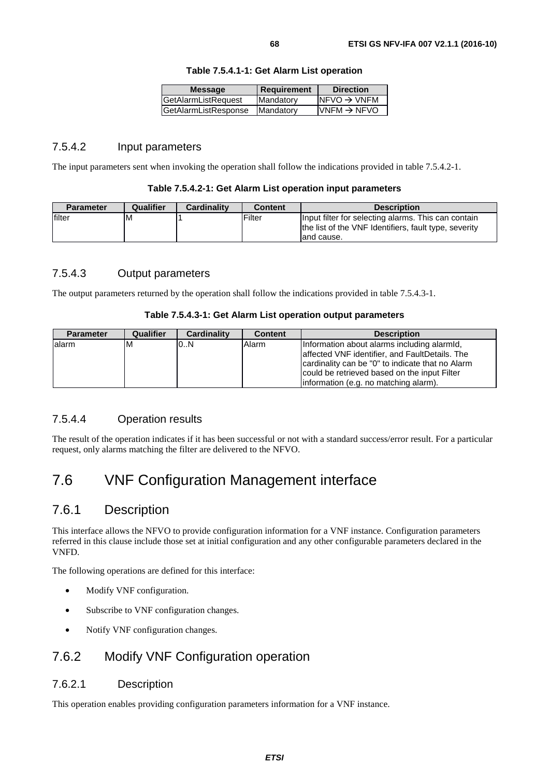| <b>Direction</b>         | Requirement | <b>Message</b>       |
|--------------------------|-------------|----------------------|
| $NFVO \rightarrow VNFM$  | Mandatory   | GetAlarmListRequest  |
| $IVNFM \rightarrow NFVO$ | Mandatory   | GetAlarmListResponse |
|                          |             |                      |

#### **Table 7.5.4.1-1: Get Alarm List operation**

### 7.5.4.2 Input parameters

The input parameters sent when invoking the operation shall follow the indications provided in table 7.5.4.2-1.

#### **Table 7.5.4.2-1: Get Alarm List operation input parameters**

| <b>Parameter</b> | Qualifier | <b>Cardinality</b> | <b>Content</b> | <b>Description</b>                                    |
|------------------|-----------|--------------------|----------------|-------------------------------------------------------|
| lfilter          | ١M        |                    | Filter         | Input filter for selecting alarms. This can contain   |
|                  |           |                    |                | the list of the VNF Identifiers, fault type, severity |
|                  |           |                    |                | land cause.                                           |

### 7.5.4.3 Output parameters

The output parameters returned by the operation shall follow the indications provided in table 7.5.4.3-1.

#### **Table 7.5.4.3-1: Get Alarm List operation output parameters**

| <b>Parameter</b> | <b>Qualifier</b> | <b>Cardinality</b> | <b>Content</b> | <b>Description</b>                               |
|------------------|------------------|--------------------|----------------|--------------------------------------------------|
| lalarm           | ΙM               | 0.N                | Alarm          | Information about alarms including alarmid,      |
|                  |                  |                    |                | affected VNF identifier, and FaultDetails. The   |
|                  |                  |                    |                | cardinality can be "0" to indicate that no Alarm |
|                  |                  |                    |                | could be retrieved based on the input Filter     |
|                  |                  |                    |                | linformation (e.g. no matching alarm).           |

#### 7.5.4.4 Operation results

The result of the operation indicates if it has been successful or not with a standard success/error result. For a particular request, only alarms matching the filter are delivered to the NFVO.

## 7.6 VNF Configuration Management interface

### 7.6.1 Description

This interface allows the NFVO to provide configuration information for a VNF instance. Configuration parameters referred in this clause include those set at initial configuration and any other configurable parameters declared in the VNFD.

The following operations are defined for this interface:

- Modify VNF configuration.
- Subscribe to VNF configuration changes.
- Notify VNF configuration changes.

## 7.6.2 Modify VNF Configuration operation

### 7.6.2.1 Description

This operation enables providing configuration parameters information for a VNF instance.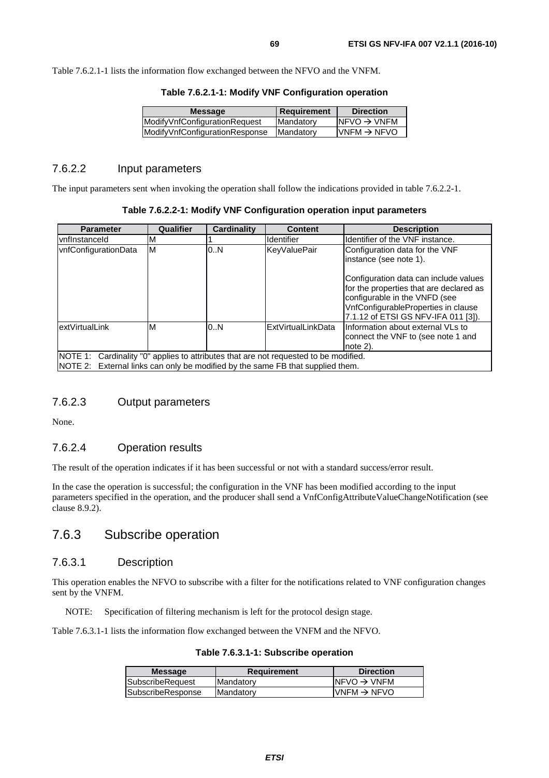Table 7.6.2.1-1 lists the information flow exchanged between the NFVO and the VNFM.

| <b>Requirement</b>                   |  |
|--------------------------------------|--|
| $NFVO \rightarrow VNFM$<br>Mandatory |  |
| $VNFM \rightarrow NFVO$<br>Mandatory |  |
|                                      |  |

**Table 7.6.2.1-1: Modify VNF Configuration operation** 

#### 7.6.2.2 Input parameters

The input parameters sent when invoking the operation shall follow the indications provided in table 7.6.2.2-1.

| Table 7.6.2.2-1: Modify VNF Configuration operation input parameters |  |  |  |
|----------------------------------------------------------------------|--|--|--|
|----------------------------------------------------------------------|--|--|--|

| <b>Parameter</b>                                                                                                                                                       | Qualifier | <b>Cardinality</b> | <b>Content</b>    | <b>Description</b>                                                                                                                                                                              |  |
|------------------------------------------------------------------------------------------------------------------------------------------------------------------------|-----------|--------------------|-------------------|-------------------------------------------------------------------------------------------------------------------------------------------------------------------------------------------------|--|
| <b>IvnfInstanceId</b>                                                                                                                                                  | м         |                    | <b>Identifier</b> | Identifier of the VNF instance.                                                                                                                                                                 |  |
| vnfConfigurationData                                                                                                                                                   | M         | 0N                 | KeyValuePair      | Configuration data for the VNF<br>linstance (see note 1).                                                                                                                                       |  |
|                                                                                                                                                                        |           |                    |                   | Configuration data can include values<br>for the properties that are declared as<br>configurable in the VNFD (see<br>VnfConfigurableProperties in clause<br>7.1.12 of ETSI GS NFV-IFA 011 [3]). |  |
| M<br>extVirtualLink<br>0.N<br>ExtVirtualLinkData<br>Information about external VLs to<br>connect the VNF to (see note 1 and<br>note 2).                                |           |                    |                   |                                                                                                                                                                                                 |  |
| NOTE 1: Cardinality "0" applies to attributes that are not requested to be modified.<br>NOTE 2: External links can only be modified by the same FB that supplied them. |           |                    |                   |                                                                                                                                                                                                 |  |

### 7.6.2.3 Output parameters

None.

#### 7.6.2.4 Operation results

The result of the operation indicates if it has been successful or not with a standard success/error result.

In the case the operation is successful; the configuration in the VNF has been modified according to the input parameters specified in the operation, and the producer shall send a VnfConfigAttributeValueChangeNotification (see clause 8.9.2).

### 7.6.3 Subscribe operation

#### 7.6.3.1 Description

This operation enables the NFVO to subscribe with a filter for the notifications related to VNF configuration changes sent by the VNFM.

NOTE: Specification of filtering mechanism is left for the protocol design stage.

Table 7.6.3.1-1 lists the information flow exchanged between the VNFM and the NFVO.

|  |  | Table 7.6.3.1-1: Subscribe operation |  |
|--|--|--------------------------------------|--|
|--|--|--------------------------------------|--|

| <b>Message</b>    | <b>Requirement</b> | <b>Direction</b>         |
|-------------------|--------------------|--------------------------|
| SubscribeRequest  | Mandatory          | $INFVO \rightarrow VNFM$ |
| SubscribeResponse | <b>IMandatory</b>  | $IVNFM \rightarrow NFVO$ |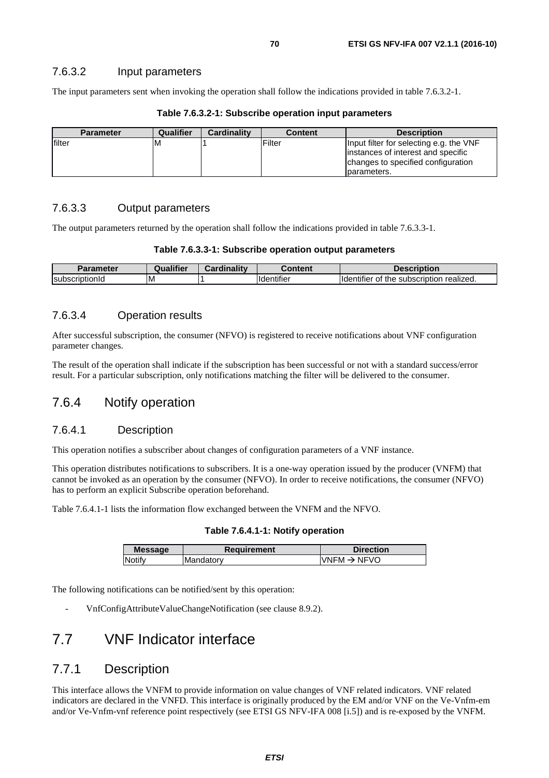The input parameters sent when invoking the operation shall follow the indications provided in table 7.6.3.2-1.

| <b>Parameter</b> | <b>Qualifier</b> | <b>Cardinality</b> | <b>Content</b> | <b>Description</b>                                                                                                                  |
|------------------|------------------|--------------------|----------------|-------------------------------------------------------------------------------------------------------------------------------------|
| <b>Ifilter</b>   | ΙM               |                    | <b>Filter</b>  | Input filter for selecting e.g. the VNF<br>instances of interest and specific<br>changes to specified configuration<br>lparameters. |

**Table 7.6.3.2-1: Subscribe operation input parameters** 

### 7.6.3.3 Output parameters

The output parameters returned by the operation shall follow the indications provided in table 7.6.3.3-1.

#### **Table 7.6.3.3-1: Subscribe operation output parameters**

| <b>Parameter</b> | Qualifier | Cardinality | Content                        | <b>Description</b>                                   |
|------------------|-----------|-------------|--------------------------------|------------------------------------------------------|
| IsubscriptionId  | ΙM        |             | $\cdots$<br><b>I</b> dentifier | subscription realized.<br>the<br>lider<br>rier<br>OI |

#### 7.6.3.4 Operation results

After successful subscription, the consumer (NFVO) is registered to receive notifications about VNF configuration parameter changes.

The result of the operation shall indicate if the subscription has been successful or not with a standard success/error result. For a particular subscription, only notifications matching the filter will be delivered to the consumer.

### 7.6.4 Notify operation

#### 7.6.4.1 Description

This operation notifies a subscriber about changes of configuration parameters of a VNF instance.

This operation distributes notifications to subscribers. It is a one-way operation issued by the producer (VNFM) that cannot be invoked as an operation by the consumer (NFVO). In order to receive notifications, the consumer (NFVO) has to perform an explicit Subscribe operation beforehand.

Table 7.6.4.1-1 lists the information flow exchanged between the VNFM and the NFVO.

**Table 7.6.4.1-1: Notify operation** 

| <b>Message</b> | <b>Requirement</b> | <b>Direction</b>         |
|----------------|--------------------|--------------------------|
| Notify         | lMandatorv         | $IVNFM \rightarrow NFVO$ |
|                |                    |                          |

The following notifications can be notified/sent by this operation:

- VnfConfigAttributeValueChangeNotification (see clause 8.9.2).

## 7.7 VNF Indicator interface

### 7.7.1 Description

This interface allows the VNFM to provide information on value changes of VNF related indicators. VNF related indicators are declared in the VNFD. This interface is originally produced by the EM and/or VNF on the Ve-Vnfm-em and/or Ve-Vnfm-vnf reference point respectively (see ETSI GS NFV-IFA 008 [[i.5](#page-13-0)]) and is re-exposed by the VNFM.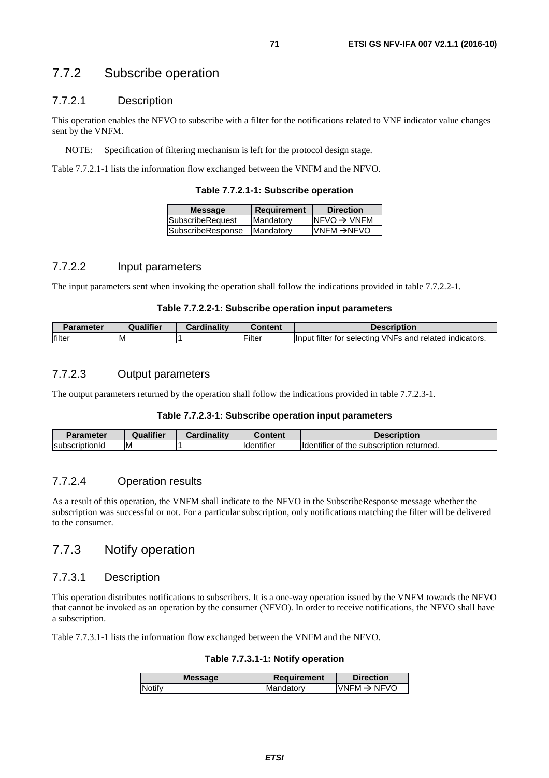### 7.7.2 Subscribe operation

### 7.7.2.1 Description

This operation enables the NFVO to subscribe with a filter for the notifications related to VNF indicator value changes sent by the VNFM.

NOTE: Specification of filtering mechanism is left for the protocol design stage.

Table 7.7.2.1-1 lists the information flow exchanged between the VNFM and the NFVO.

| <b>Message</b>           | Requirement | <b>Direction</b>         |
|--------------------------|-------------|--------------------------|
| SubscribeRequest         | Mandatory   | $INFVO \rightarrow VNFM$ |
| <b>SubscribeResponse</b> | Mandatory   | <b>VNFM →NFVO</b>        |
|                          |             |                          |

#### 7.7.2.2 Input parameters

The input parameters sent when invoking the operation shall follow the indications provided in table 7.7.2.2-1.

#### **Table 7.7.2.2-1: Subscribe operation input parameters**

| arameter       | $\ddotsc$ | <b>Cardinality</b> | <b>Content</b> | Description                                                  |
|----------------|-----------|--------------------|----------------|--------------------------------------------------------------|
| <b>Ifilter</b> | ΙM        |                    | Filter         | filter for selecting<br>VNFs and<br>' indicators.<br>related |

### 7.7.2.3 Output parameters

The output parameters returned by the operation shall follow the indications provided in table 7.7.2.3-1.

#### **Table 7.7.2.3-1: Subscribe operation input parameters**

| Parameter              | <b>Qualifier</b> | Cardinality | Content                       | <b>Description</b>                                                       |
|------------------------|------------------|-------------|-------------------------------|--------------------------------------------------------------------------|
| Isubscrin<br>ribtionid | IM.              |             | $\cdot$<br><b>Ildentifier</b> | $\cdots$<br>returned.<br><b>Ildentifier</b><br>subscription<br>the<br>Οt |

### 7.7.2.4 Operation results

As a result of this operation, the VNFM shall indicate to the NFVO in the SubscribeResponse message whether the subscription was successful or not. For a particular subscription, only notifications matching the filter will be delivered to the consumer.

### 7.7.3 Notify operation

#### 7.7.3.1 Description

This operation distributes notifications to subscribers. It is a one-way operation issued by the VNFM towards the NFVO that cannot be invoked as an operation by the consumer (NFVO). In order to receive notifications, the NFVO shall have a subscription.

Table 7.7.3.1-1 lists the information flow exchanged between the VNFM and the NFVO.

**Table 7.7.3.1-1: Notify operation** 

| <b>Message</b> | <b>Requirement</b> | <b>Direction</b>         |
|----------------|--------------------|--------------------------|
| Notify         | Mandatory          | IVNFM $\rightarrow$ NFVO |
|                |                    |                          |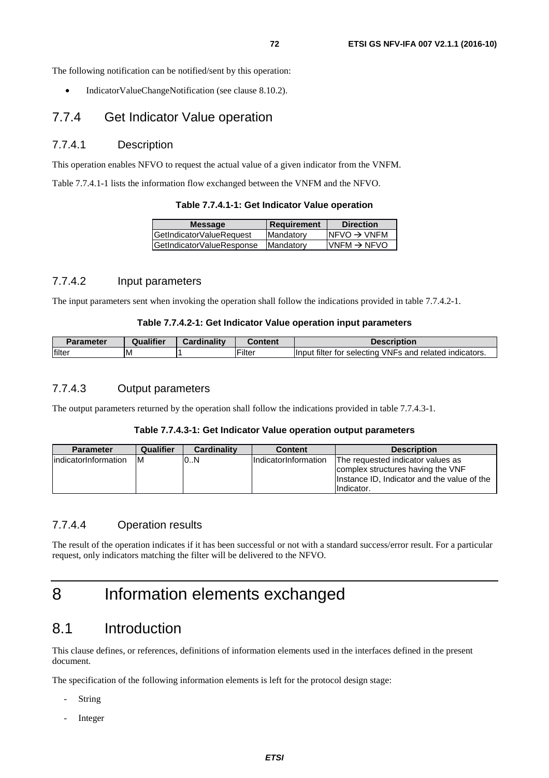The following notification can be notified/sent by this operation:

• IndicatorValueChangeNotification (see clause 8.10.2).

### 7.7.4 Get Indicator Value operation

#### 7.7.4.1 Description

This operation enables NFVO to request the actual value of a given indicator from the VNFM.

Table 7.7.4.1-1 lists the information flow exchanged between the VNFM and the NFVO.

|  |  | Table 7.7.4.1-1: Get Indicator Value operation |  |
|--|--|------------------------------------------------|--|
|--|--|------------------------------------------------|--|

| <b>Message</b>            | <b>Requirement</b> | <b>Direction</b>         |
|---------------------------|--------------------|--------------------------|
| GetIndicatorValueRequest  | Mandatory          | $NFVO \rightarrow VNFM$  |
| GetIndicatorValueResponse | <b>IMandatory</b>  | $IVNFM \rightarrow NFVO$ |
|                           |                    |                          |

### 7.7.4.2 Input parameters

The input parameters sent when invoking the operation shall follow the indications provided in table 7.7.4.2-1.

#### **Table 7.7.4.2-1: Get Indicator Value operation input parameters**

| <b>Parameter</b> | Qualifier | <b>Cardinality</b> | ີ`ontent      | <b>Description</b>                                                  |
|------------------|-----------|--------------------|---------------|---------------------------------------------------------------------|
| filter           | ΙM        |                    | <b>Filter</b> | a filter for selecting<br>I VNFs and related indicators.<br>llnput. |

#### 7.7.4.3 Output parameters

The output parameters returned by the operation shall follow the indications provided in table 7.7.4.3-1.

#### **Table 7.7.4.3-1: Get Indicator Value operation output parameters**

| <b>Parameter</b>      | Qualifier | <b>Cardinality</b> | <b>Content</b>        | <b>Description</b>                                                                                                                  |
|-----------------------|-----------|--------------------|-----------------------|-------------------------------------------------------------------------------------------------------------------------------------|
| lindicatorInformation | ΙM        | 0.N                | IIndicatorInformation | The requested indicator values as<br>complex structures having the VNF<br>Instance ID, Indicator and the value of the<br>Indicator. |

### 7.7.4.4 Operation results

The result of the operation indicates if it has been successful or not with a standard success/error result. For a particular request, only indicators matching the filter will be delivered to the NFVO.

## 8 Information elements exchanged

## 8.1 Introduction

This clause defines, or references, definitions of information elements used in the interfaces defined in the present document.

The specification of the following information elements is left for the protocol design stage:

- **String**
- **Integer**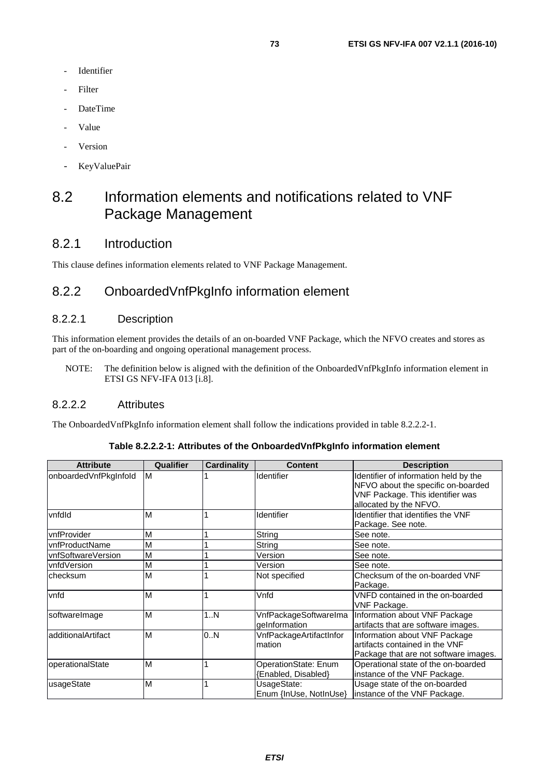- **Identifier**
- **Filter**
- DateTime
- Value
- **Version**
- KeyValuePair

# 8.2 Information elements and notifications related to VNF Package Management

## 8.2.1 Introduction

This clause defines information elements related to VNF Package Management.

## 8.2.2 OnboardedVnfPkgInfo information element

### 8.2.2.1 Description

This information element provides the details of an on-boarded VNF Package, which the NFVO creates and stores as part of the on-boarding and ongoing operational management process.

NOTE: The definition below is aligned with the definition of the OnboardedVnfPkgInfo information element in ETSI GS NFV-IFA 013 [\[i.8](#page-14-0)].

#### 8.2.2.2 Attributes

The OnboardedVnfPkgInfo information element shall follow the indications provided in table 8.2.2.2-1.

| <b>Attribute</b>      | Qualifier | Cardinality | <b>Content</b>                              | <b>Description</b>                                                                                                                        |
|-----------------------|-----------|-------------|---------------------------------------------|-------------------------------------------------------------------------------------------------------------------------------------------|
| onboardedVnfPkgInfold | IМ        |             | <b>Identifier</b>                           | Identifier of information held by the<br>NFVO about the specific on-boarded<br>VNF Package. This identifier was<br>allocated by the NFVO. |
| vnfdld                | ΙM        |             | Identifier                                  | Identifier that identifies the VNF<br>Package. See note.                                                                                  |
| vnfProvider           | ΙM        |             | String                                      | See note.                                                                                                                                 |
| vnfProductName        | ΙM        |             | String                                      | See note.                                                                                                                                 |
| vnfSoftwareVersion    | ΙM        |             | Version                                     | See note.                                                                                                                                 |
| vnfdVersion           | ΙM        |             | Version                                     | See note.                                                                                                                                 |
| checksum              | ΙM        |             | Not specified                               | Checksum of the on-boarded VNF<br>Package.                                                                                                |
| vnfd                  | <b>M</b>  |             | Vnfd                                        | VNFD contained in the on-boarded<br>VNF Package.                                                                                          |
| softwareImage         | ΙM        | 1N          | VnfPackageSoftwareIma<br>geInformation      | Information about VNF Package<br>artifacts that are software images.                                                                      |
| additionalArtifact    | M         | 0N          | VnfPackageArtifactInfor<br>mation           | Information about VNF Package<br>artifacts contained in the VNF<br>Package that are not software images.                                  |
| operationalState      | <b>M</b>  |             | OperationState: Enum<br>[Enabled, Disabled} | Operational state of the on-boarded<br>instance of the VNF Package.                                                                       |
| usageState            | ΙM        |             | UsageState:<br>Enum {InUse, NotInUse}       | Usage state of the on-boarded<br>instance of the VNF Package.                                                                             |

#### **Table 8.2.2.2-1: Attributes of the OnboardedVnfPkgInfo information element**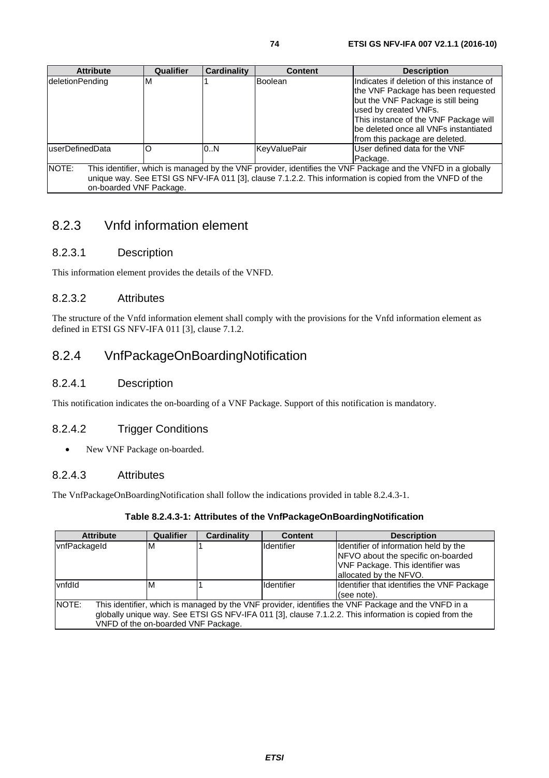| <b>Attribute</b>                 | <b>Qualifier</b> | <b>Cardinality</b> | <b>Content</b> | <b>Description</b>                                                                                                                                                                                                                                                   |
|----------------------------------|------------------|--------------------|----------------|----------------------------------------------------------------------------------------------------------------------------------------------------------------------------------------------------------------------------------------------------------------------|
| deletionPending                  | M                |                    | <b>Boolean</b> | IIndicates if deletion of this instance of<br>the VNF Package has been requested<br>but the VNF Package is still being<br>used by created VNFs.<br>This instance of the VNF Package will<br>lbe deleted once all VNFs instantiated<br>from this package are deleted. |
| luserDefinedData                 | O                | 0.N                | KeyValuePair   | User defined data for the VNF<br>Package.                                                                                                                                                                                                                            |
| NOTE:<br>on-boarded VNF Package. |                  |                    |                | This identifier, which is managed by the VNF provider, identifies the VNF Package and the VNFD in a globally<br>unique way. See ETSI GS NFV-IFA 011 [3], clause 7.1.2.2. This information is copied from the VNFD of the                                             |

## 8.2.3 Vnfd information element

## 8.2.3.1 Description

This information element provides the details of the VNFD.

## 8.2.3.2 Attributes

The structure of the Vnfd information element shall comply with the provisions for the Vnfd information element as defined in ETSI GS NFV-IFA 011 [[3\]](#page-13-0), clause 7.1.2.

## 8.2.4 VnfPackageOnBoardingNotification

### 8.2.4.1 Description

This notification indicates the on-boarding of a VNF Package. Support of this notification is mandatory.

### 8.2.4.2 Trigger Conditions

• New VNF Package on-boarded.

### 8.2.4.3 Attributes

The VnfPackageOnBoardingNotification shall follow the indications provided in table 8.2.4.3-1.

#### **Table 8.2.4.3-1: Attributes of the VnfPackageOnBoardingNotification**

| <b>Attribute</b>                                                                                             | Qualifier | <b>Cardinality</b> | <b>Content</b>    | <b>Description</b>                         |
|--------------------------------------------------------------------------------------------------------------|-----------|--------------------|-------------------|--------------------------------------------|
| vnfPackageld                                                                                                 | M         |                    | <b>Identifier</b> | Identifier of information held by the      |
|                                                                                                              |           |                    |                   | NFVO about the specific on-boarded         |
|                                                                                                              |           |                    |                   | VNF Package. This identifier was           |
|                                                                                                              |           |                    |                   | allocated by the NFVO.                     |
| vnfdld                                                                                                       | M         |                    | Identifier        | Identifier that identifies the VNF Package |
|                                                                                                              |           |                    |                   | (see note).                                |
| NOTE:<br>This identifier, which is managed by the VNF provider, identifies the VNF Package and the VNFD in a |           |                    |                   |                                            |
| globally unique way. See ETSI GS NFV-IFA 011 [3], clause 7.1.2.2. This information is copied from the        |           |                    |                   |                                            |
| VNFD of the on-boarded VNF Package.                                                                          |           |                    |                   |                                            |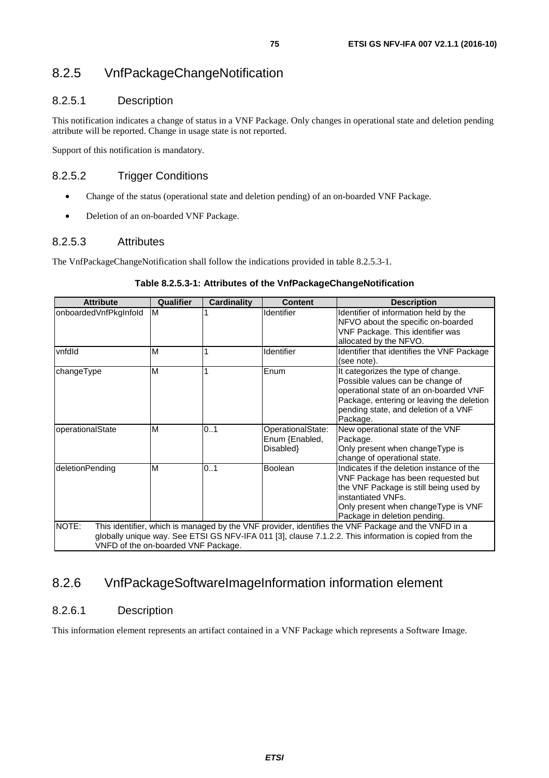## 8.2.5 VnfPackageChangeNotification

### 8.2.5.1 Description

This notification indicates a change of status in a VNF Package. Only changes in operational state and deletion pending attribute will be reported. Change in usage state is not reported.

Support of this notification is mandatory.

### 8.2.5.2 Trigger Conditions

- Change of the status (operational state and deletion pending) of an on-boarded VNF Package.
- Deletion of an on-boarded VNF Package.

#### 8.2.5.3 Attributes

The VnfPackageChangeNotification shall follow the indications provided in table 8.2.5.3-1.

| <b>Attribute</b>                             | Qualifier | <b>Cardinality</b> | <b>Content</b>                                  | <b>Description</b>                                                                                                                                                                                                     |
|----------------------------------------------|-----------|--------------------|-------------------------------------------------|------------------------------------------------------------------------------------------------------------------------------------------------------------------------------------------------------------------------|
| onboardedVnfPkgInfold                        | M         |                    | Identifier                                      | Identifier of information held by the<br>NFVO about the specific on-boarded<br>VNF Package. This identifier was<br>allocated by the NFVO.                                                                              |
| vnfdld                                       | M         |                    | Identifier                                      | Identifier that identifies the VNF Package<br>(see note).                                                                                                                                                              |
| changeType                                   | M         |                    | Enum                                            | It categorizes the type of change.<br>Possible values can be change of<br>operational state of an on-boarded VNF<br>Package, entering or leaving the deletion<br>pending state, and deletion of a VNF<br>Package.      |
| operationalState                             | M         | 01                 | OperationalState:<br>Enum {Enabled,<br>Disabled | New operational state of the VNF<br>Package.<br>Only present when changeType is<br>change of operational state.                                                                                                        |
| deletionPending                              | M         | 0.1                | <b>Boolean</b>                                  | Indicates if the deletion instance of the<br>VNF Package has been requested but<br>the VNF Package is still being used by<br>instantiated VNFs.<br>Only present when changeType is VNF<br>Package in deletion pending. |
| NOTE:<br>VNFD of the on-boarded VNF Package. |           |                    |                                                 | This identifier, which is managed by the VNF provider, identifies the VNF Package and the VNFD in a<br>globally unique way. See ETSI GS NFV-IFA 011 [3], clause 7.1.2.2. This information is copied from the           |

#### **Table 8.2.5.3-1: Attributes of the VnfPackageChangeNotification**

## 8.2.6 VnfPackageSoftwareImageInformation information element

### 8.2.6.1 Description

This information element represents an artifact contained in a VNF Package which represents a Software Image.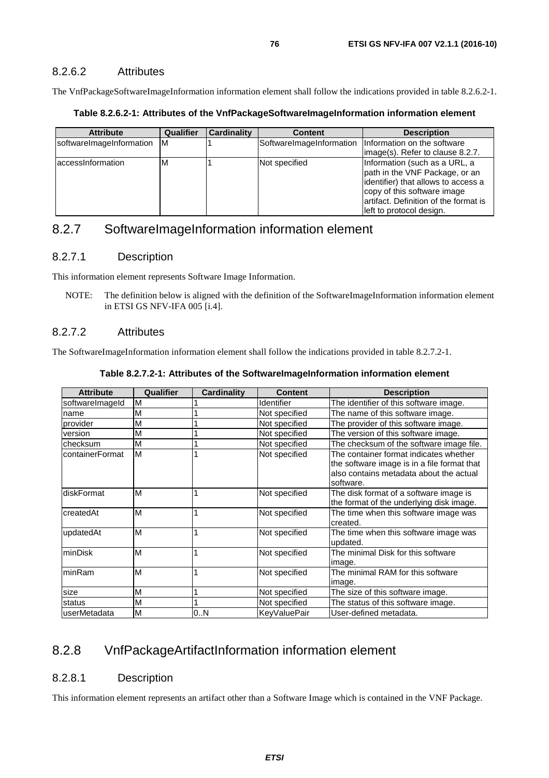#### 8.2.6.2 Attributes

The VnfPackageSoftwareImageInformation information element shall follow the indications provided in table 8.2.6.2-1.

#### **Table 8.2.6.2-1: Attributes of the VnfPackageSoftwareImageInformation information element**

| <b>Attribute</b>           | Qualifier | <b>Cardinality</b> | <b>Content</b>           | <b>Description</b>                                                                                                                                                                                          |
|----------------------------|-----------|--------------------|--------------------------|-------------------------------------------------------------------------------------------------------------------------------------------------------------------------------------------------------------|
| softwareImageInformation M |           |                    | SoftwareImageInformation | Information on the software<br>limage(s). Refer to clause 8.2.7.                                                                                                                                            |
| laccessinformation         | ΙM        |                    | Not specified            | Information (such as a URL, a<br>path in the VNF Package, or an<br>identifier) that allows to access a<br>copy of this software image<br>lartifact. Definition of the format is<br>left to protocol design. |

## 8.2.7 SoftwareImageInformation information element

#### 8.2.7.1 Description

This information element represents Software Image Information.

NOTE: The definition below is aligned with the definition of the SoftwareImageInformation information element in ETSI GS NFV-IFA 005 [\[i.4\]](#page-13-0).

#### 8.2.7.2 Attributes

The SoftwareImageInformation information element shall follow the indications provided in table 8.2.7.2-1.

| Table 8.2.7.2-1: Attributes of the SoftwareImageInformation information element |  |  |  |
|---------------------------------------------------------------------------------|--|--|--|
|---------------------------------------------------------------------------------|--|--|--|

| <b>Attribute</b> | Qualifier | <b>Cardinality</b> | <b>Content</b>    | <b>Description</b>                                                                                                                            |
|------------------|-----------|--------------------|-------------------|-----------------------------------------------------------------------------------------------------------------------------------------------|
| softwareImageId  | M         |                    | <b>Identifier</b> | The identifier of this software image.                                                                                                        |
| name             | М         |                    | Not specified     | The name of this software image.                                                                                                              |
| provider         | M         |                    | Not specified     | The provider of this software image.                                                                                                          |
| version          | М         |                    | Not specified     | The version of this software image.                                                                                                           |
| checksum         | M         |                    | Not specified     | The checksum of the software image file.                                                                                                      |
| containerFormat  | M         |                    | Not specified     | The container format indicates whether<br>the software image is in a file format that<br>also contains metadata about the actual<br>software. |
| diskFormat       | M         |                    | Not specified     | The disk format of a software image is<br>the format of the underlying disk image.                                                            |
| IcreatedAt       | M         |                    | Not specified     | The time when this software image was<br>created.                                                                                             |
| updatedAt        | M         |                    | Not specified     | The time when this software image was<br>updated.                                                                                             |
| lminDisk         | M         |                    | Not specified     | The minimal Disk for this software<br>image.                                                                                                  |
| <b>IminRam</b>   | M         |                    | Not specified     | The minimal RAM for this software<br>image.                                                                                                   |
| size             | M         |                    | Not specified     | The size of this software image.                                                                                                              |
| status           | M         |                    | Not specified     | The status of this software image.                                                                                                            |
| luserMetadata    | M         | 0.N                | KeyValuePair      | User-defined metadata.                                                                                                                        |

## 8.2.8 VnfPackageArtifactInformation information element

#### 8.2.8.1 Description

This information element represents an artifact other than a Software Image which is contained in the VNF Package.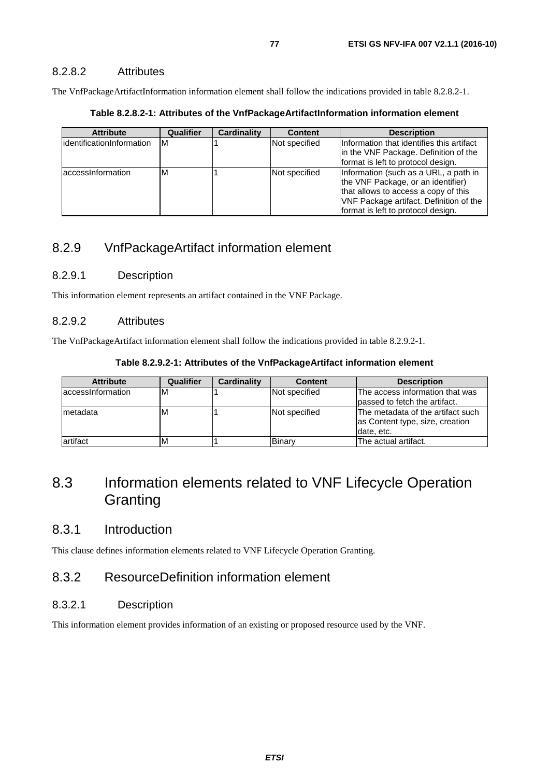The VnfPackageArtifactInformation information element shall follow the indications provided in table 8.2.8.2-1.

**Table 8.2.8.2-1: Attributes of the VnfPackageArtifactInformation information element** 

| <b>Attribute</b>           | Qualifier | Cardinality | <b>Content</b> | <b>Description</b>                                                                                                                                                                                   |
|----------------------------|-----------|-------------|----------------|------------------------------------------------------------------------------------------------------------------------------------------------------------------------------------------------------|
| lidentificationInformation | ΙM        |             | Not specified  | Information that identifies this artifact<br>in the VNF Package. Definition of the<br>format is left to protocol design.                                                                             |
| laccessinformation         | ΙM        |             | Not specified  | Information (such as a URL, a path in<br>the VNF Package, or an identifier)<br>that allows to access a copy of this<br>VNF Package artifact. Definition of the<br>format is left to protocol design. |

## 8.2.9 VnfPackageArtifact information element

#### 8.2.9.1 Description

This information element represents an artifact contained in the VNF Package.

## 8.2.9.2 Attributes

The VnfPackageArtifact information element shall follow the indications provided in table 8.2.9.2-1.

| <b>Attribute</b>   | Qualifier | Cardinality | <b>Content</b> | <b>Description</b>                                                                 |
|--------------------|-----------|-------------|----------------|------------------------------------------------------------------------------------|
| laccessinformation | ıм        |             | Not specified  | The access information that was<br>passed to fetch the artifact.                   |
| Imetadata          | M         |             | Not specified  | The metadata of the artifact such<br>as Content type, size, creation<br>date, etc. |
| artifact           | M         |             | Binarv         | The actual artifact.                                                               |

## 8.3 Information elements related to VNF Lifecycle Operation **Granting**

## 8.3.1 Introduction

This clause defines information elements related to VNF Lifecycle Operation Granting.

## 8.3.2 ResourceDefinition information element

### 8.3.2.1 Description

This information element provides information of an existing or proposed resource used by the VNF.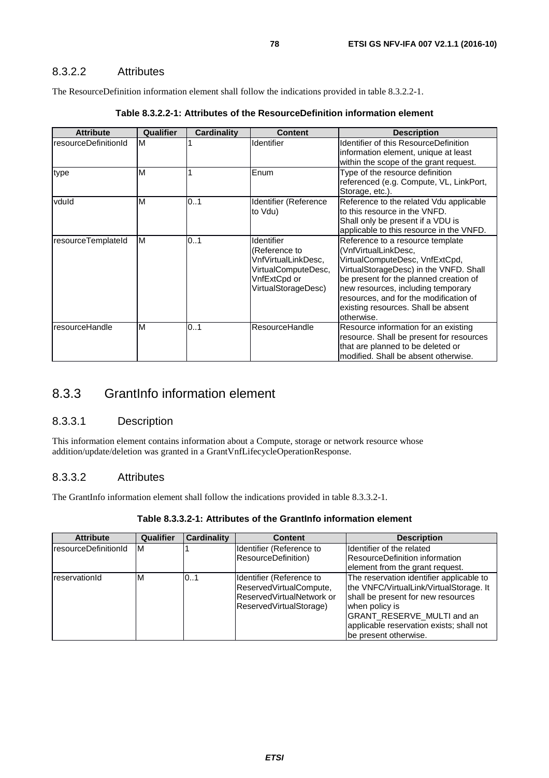The ResourceDefinition information element shall follow the indications provided in table 8.3.2.2-1.

| <b>Attribute</b>     | Qualifier | Cardinality | <b>Content</b>                                                                                                   | <b>Description</b>                                                                                                                                                                                                                                                                                                  |
|----------------------|-----------|-------------|------------------------------------------------------------------------------------------------------------------|---------------------------------------------------------------------------------------------------------------------------------------------------------------------------------------------------------------------------------------------------------------------------------------------------------------------|
| resourceDefinitionId | M         |             | Identifier                                                                                                       | Identifier of this ResourceDefinition<br>information element, unique at least<br>within the scope of the grant request.                                                                                                                                                                                             |
| type                 | M         |             | Enum                                                                                                             | Type of the resource definition<br>referenced (e.g. Compute, VL, LinkPort,<br>Storage, etc.).                                                                                                                                                                                                                       |
| vduld                | M         | 0.1         | Identifier (Reference<br>to Vdu)                                                                                 | Reference to the related Vdu applicable<br>to this resource in the VNFD.<br>Shall only be present if a VDU is<br>applicable to this resource in the VNFD.                                                                                                                                                           |
| resourceTemplateId   | M         | 0.1         | Identifier<br>(Reference to<br>VnfVirtualLinkDesc,<br>VirtualComputeDesc,<br>VnfExtCpd or<br>VirtualStorageDesc) | Reference to a resource template<br>(VnfVirtualLinkDesc,<br>VirtualComputeDesc, VnfExtCpd,<br>VirtualStorageDesc) in the VNFD. Shall<br>be present for the planned creation of<br>new resources, including temporary<br>resources, and for the modification of<br>existing resources. Shall be absent<br>otherwise. |
| resourceHandle       | M         | 0.1         | ResourceHandle                                                                                                   | Resource information for an existing<br>resource. Shall be present for resources<br>that are planned to be deleted or<br>modified. Shall be absent otherwise.                                                                                                                                                       |

|  |  | Table 8.3.2.2-1: Attributes of the ResourceDefinition information element |  |
|--|--|---------------------------------------------------------------------------|--|
|--|--|---------------------------------------------------------------------------|--|

## 8.3.3 GrantInfo information element

## 8.3.3.1 Description

This information element contains information about a Compute, storage or network resource whose addition/update/deletion was granted in a GrantVnfLifecycleOperationResponse.

## 8.3.3.2 Attributes

The GrantInfo information element shall follow the indications provided in table 8.3.3.2-1.

| Table 8.3.3.2-1: Attributes of the GrantInfo information element |
|------------------------------------------------------------------|
|------------------------------------------------------------------|

| <b>Attribute</b>     | <b>Qualifier</b> | <b>Cardinality</b> | <b>Content</b>                                                                                              | <b>Description</b>                                                                                                                                                                                                                             |
|----------------------|------------------|--------------------|-------------------------------------------------------------------------------------------------------------|------------------------------------------------------------------------------------------------------------------------------------------------------------------------------------------------------------------------------------------------|
| resourceDefinitionId | ΙM               |                    | Identifier (Reference to<br>ResourceDefinition)                                                             | Identifier of the related<br><b>ResourceDefinition information</b><br>element from the grant request.                                                                                                                                          |
| reservationId        | M                | 101                | Identifier (Reference to<br>ReservedVirtualCompute,<br>ReservedVirtualNetwork or<br>ReservedVirtualStorage) | The reservation identifier applicable to<br>the VNFC/VirtualLink/VirtualStorage. It<br>shall be present for new resources<br>when policy is<br>GRANT_RESERVE_MULTI and an<br>applicable reservation exists; shall not<br>be present otherwise. |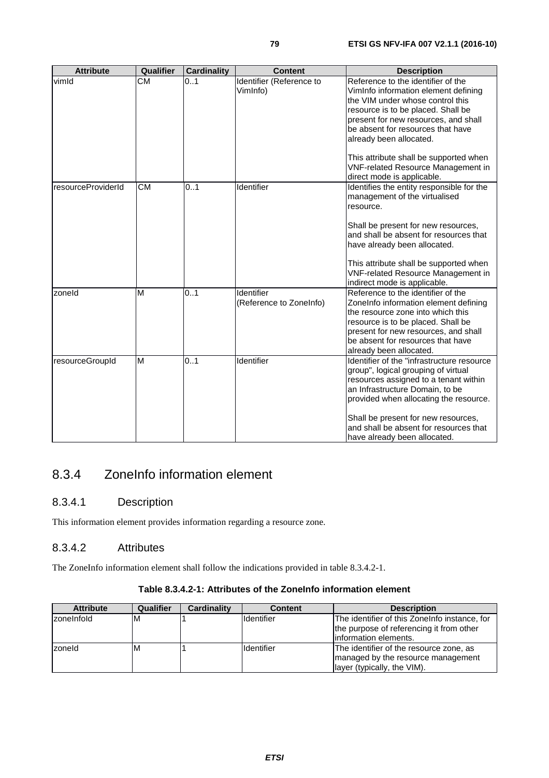| <b>Attribute</b>   | Qualifier | <b>Cardinality</b> | <b>Content</b>                        | <b>Description</b>                                                                                                                                                                                                                                                                                                                                                                |
|--------------------|-----------|--------------------|---------------------------------------|-----------------------------------------------------------------------------------------------------------------------------------------------------------------------------------------------------------------------------------------------------------------------------------------------------------------------------------------------------------------------------------|
| vimld              | <b>CM</b> | 0.1                | Identifier (Reference to<br>VimInfo)  | Reference to the identifier of the<br>VimInfo information element defining<br>the VIM under whose control this<br>resource is to be placed. Shall be<br>present for new resources, and shall<br>be absent for resources that have<br>already been allocated.<br>This attribute shall be supported when<br><b>VNF-related Resource Management in</b><br>direct mode is applicable. |
| resourceProviderId | <b>CM</b> | 0.1                | Identifier                            | Identifies the entity responsible for the<br>management of the virtualised<br>resource.<br>Shall be present for new resources,<br>and shall be absent for resources that<br>have already been allocated.<br>This attribute shall be supported when<br><b>VNF-related Resource Management in</b><br>indirect mode is applicable.                                                   |
| zoneld             | M         | 01                 | Identifier<br>(Reference to ZoneInfo) | Reference to the identifier of the<br>ZoneInfo information element defining<br>the resource zone into which this<br>resource is to be placed. Shall be<br>present for new resources, and shall<br>be absent for resources that have<br>already been allocated.                                                                                                                    |
| resourceGroupId    | M         | 0.1                | Identifier                            | Identifier of the "infrastructure resource<br>group", logical grouping of virtual<br>resources assigned to a tenant within<br>an Infrastructure Domain, to be<br>provided when allocating the resource.<br>Shall be present for new resources,<br>and shall be absent for resources that<br>have already been allocated.                                                          |

## 8.3.4 ZoneInfo information element

## 8.3.4.1 Description

This information element provides information regarding a resource zone.

## 8.3.4.2 Attributes

The ZoneInfo information element shall follow the indications provided in table 8.3.4.2-1.

### **Table 8.3.4.2-1: Attributes of the ZoneInfo information element**

| <b>Attribute</b>  | Qualifier | Cardinality | <b>Content</b>    | <b>Description</b>                                                                                                  |
|-------------------|-----------|-------------|-------------------|---------------------------------------------------------------------------------------------------------------------|
| <b>zoneInfold</b> | M         |             | Identifier        | The identifier of this ZoneInfo instance, for<br>the purpose of referencing it from other<br>linformation elements. |
| zoneld            | M         |             | <b>Identifier</b> | The identifier of the resource zone, as<br>managed by the resource management<br>layer (typically, the VIM).        |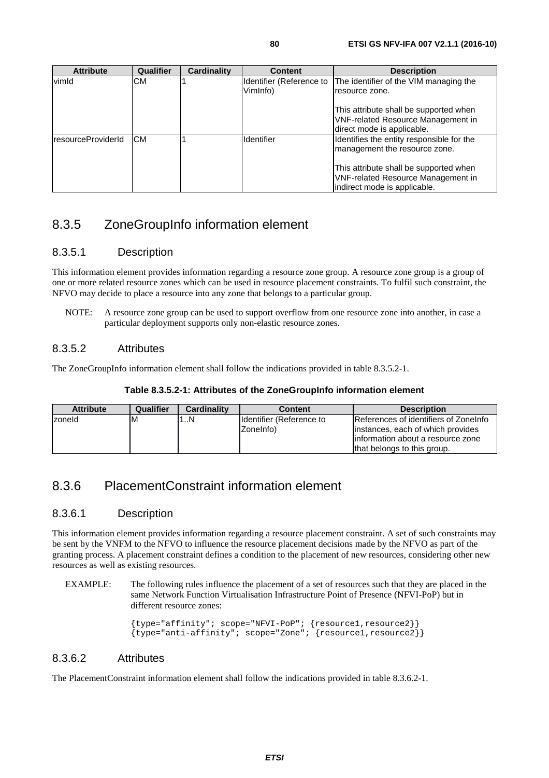|                            |            |             | $\overline{\phantom{a}}$ into all puts strain be supported writer.<br><b>VNF-related Resource Management in</b><br>direct mode is applicable. |
|----------------------------|------------|-------------|-----------------------------------------------------------------------------------------------------------------------------------------------|
| <b>IresourceProviderId</b> | <b>ICM</b> | lldentifier | Identifies the entity responsible for the<br>management the resource zone.                                                                    |
|                            |            |             | This attribute shall be supported when<br><b>VNF-related Resource Management in</b><br>indirect mode is applicable.                           |

## 8.3.5 ZoneGroupInfo information element

## 8.3.5.1 Description

This information element provides information regarding a resource zone group. A resource zone group is a group of one or more related resource zones which can be used in resource placement constraints. To fulfil such constraint, the NFVO may decide to place a resource into any zone that belongs to a particular group.

NOTE: A resource zone group can be used to support overflow from one resource zone into another, in case a particular deployment supports only non-elastic resource zones.

## 8.3.5.2 Attributes

The ZoneGroupInfo information element shall follow the indications provided in table 8.3.5.2-1.

| Table 8.3.5.2-1: Attributes of the ZoneGroupInfo information element |  |  |  |  |  |
|----------------------------------------------------------------------|--|--|--|--|--|
|----------------------------------------------------------------------|--|--|--|--|--|

| <b>Attribute</b> | Qualifier | <b>Cardinality</b> | <b>Content</b>                          | <b>Description</b>                                                                                                                              |
|------------------|-----------|--------------------|-----------------------------------------|-------------------------------------------------------------------------------------------------------------------------------------------------|
| zoneld           | ιм        | N                  | Ildentifier (Reference to<br>IZoneInfo) | References of identifiers of ZoneInfo<br>instances, each of which provides<br>linformation about a resource zone<br>that belongs to this group. |

## 8.3.6 PlacementConstraint information element

## 8.3.6.1 Description

This information element provides information regarding a resource placement constraint. A set of such constraints may be sent by the VNFM to the NFVO to influence the resource placement decisions made by the NFVO as part of the granting process. A placement constraint defines a condition to the placement of new resources, considering other new resources as well as existing resources.

EXAMPLE: The following rules influence the placement of a set of resources such that they are placed in the same Network Function Virtualisation Infrastructure Point of Presence (NFVI-PoP) but in different resource zones:

> {type="affinity"; scope="NFVI-PoP"; {resource1,resource2}}  ${\{type="anti-affinity":~scope="Zone":~{fresource1,resource2}\}}$

## 8.3.6.2 Attributes

The PlacementConstraint information element shall follow the indications provided in table 8.3.6.2-1.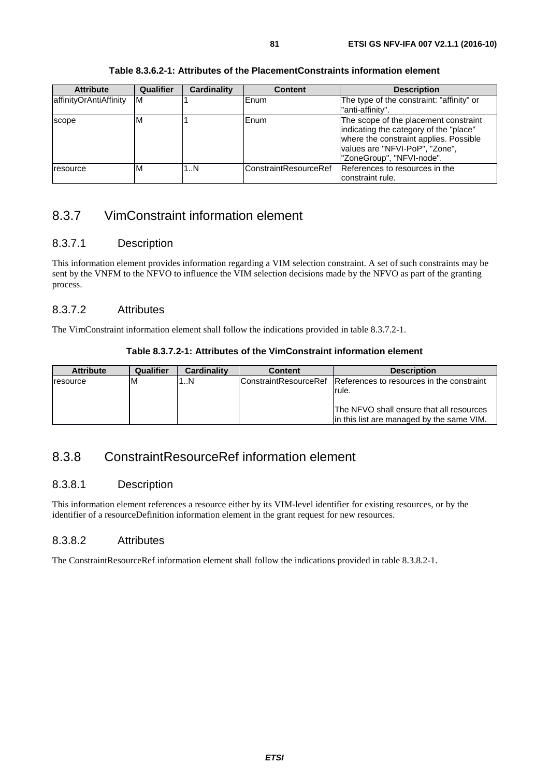| Table 8.3.6.2-1: Attributes of the PlacementConstraints information element |
|-----------------------------------------------------------------------------|
|-----------------------------------------------------------------------------|

| <b>Attribute</b>       | Qualifier | Cardinality | <b>Content</b>        | <b>Description</b>                                                                                                                                                                       |
|------------------------|-----------|-------------|-----------------------|------------------------------------------------------------------------------------------------------------------------------------------------------------------------------------------|
| affinityOrAntiAffinity | IМ        |             | Enum                  | The type of the constraint: "affinity" or<br>"anti-affinity".                                                                                                                            |
| scope                  | M         |             | Enum                  | The scope of the placement constraint<br>indicating the category of the "place"<br>where the constraint applies. Possible<br>values are "NFVI-PoP", "Zone",<br>"ZoneGroup", "NFVI-node". |
| resource               | ΙM        | 1N          | ConstraintResourceRef | References to resources in the<br>constraint rule.                                                                                                                                       |

## 8.3.7 VimConstraint information element

## 8.3.7.1 Description

This information element provides information regarding a VIM selection constraint. A set of such constraints may be sent by the VNFM to the NFVO to influence the VIM selection decisions made by the NFVO as part of the granting process.

## 8.3.7.2 Attributes

The VimConstraint information element shall follow the indications provided in table 8.3.7.2-1.

| Table 8.3.7.2-1: Attributes of the VimConstraint information element |
|----------------------------------------------------------------------|
|----------------------------------------------------------------------|

| <b>Attribute</b> | Qualifier | <b>Cardinality</b> | <b>Content</b> | <b>Description</b>                                                                     |
|------------------|-----------|--------------------|----------------|----------------------------------------------------------------------------------------|
| <b>resource</b>  | ΙM        | 1N                 |                | IConstraintResourceRef IReferences to resources in the constraint<br>rule.             |
|                  |           |                    |                | IThe NFVO shall ensure that all resources<br>in this list are managed by the same VIM. |

## 8.3.8 ConstraintResourceRef information element

## 8.3.8.1 Description

This information element references a resource either by its VIM-level identifier for existing resources, or by the identifier of a resourceDefinition information element in the grant request for new resources.

## 8.3.8.2 Attributes

The ConstraintResourceRef information element shall follow the indications provided in table 8.3.8.2-1.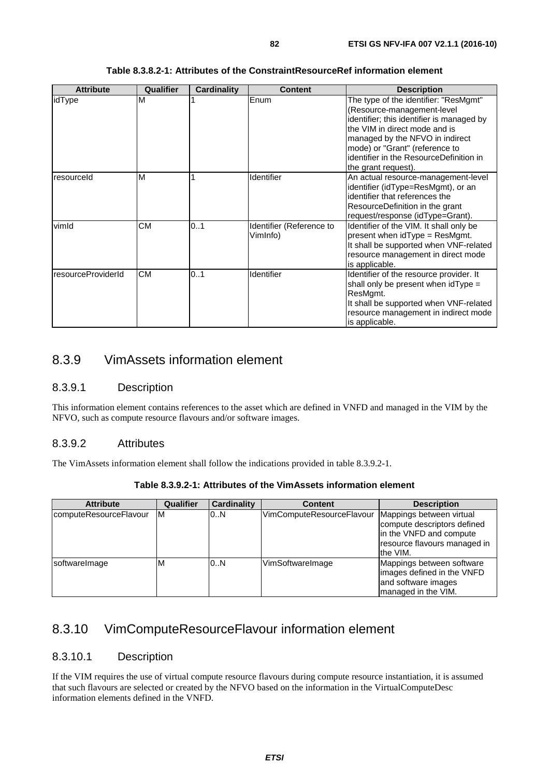| <b>Attribute</b>   | Qualifier | <b>Cardinality</b> | <b>Content</b>                       | <b>Description</b>                                                                                                                                                                                                                                                                       |
|--------------------|-----------|--------------------|--------------------------------------|------------------------------------------------------------------------------------------------------------------------------------------------------------------------------------------------------------------------------------------------------------------------------------------|
| idType             | M         |                    | Enum                                 | The type of the identifier: "ResMgmt"<br>(Resource-management-level<br>identifier; this identifier is managed by<br>the VIM in direct mode and is<br>managed by the NFVO in indirect<br>mode) or "Grant" (reference to<br>identifier in the ResourceDefinition in<br>the grant request). |
| resourceld         | M         |                    | Identifier                           | An actual resource-management-level<br>identifier (idType=ResMgmt), or an<br>identifier that references the<br>ResourceDefinition in the grant<br>request/response (idType=Grant).                                                                                                       |
| vimld              | <b>CM</b> | 0.1                | Identifier (Reference to<br>VimInfo) | Identifier of the VIM. It shall only be<br>present when idType = ResMgmt.<br>It shall be supported when VNF-related<br>resource management in direct mode<br>is applicable.                                                                                                              |
| resourceProviderId | <b>CM</b> | 0.1                | Identifier                           | Identifier of the resource provider. It<br>shall only be present when $\frac{1}{1}$ of $\frac{1}{1}$ only be present when $\frac{1}{1}$ of $\frac{1}{1}$<br>ResMgmt.<br>It shall be supported when VNF-related<br>resource management in indirect mode<br>is applicable.                 |

#### **Table 8.3.8.2-1: Attributes of the ConstraintResourceRef information element**

## 8.3.9 VimAssets information element

#### 8.3.9.1 Description

This information element contains references to the asset which are defined in VNFD and managed in the VIM by the NFVO, such as compute resource flavours and/or software images.

#### 8.3.9.2 Attributes

The VimAssets information element shall follow the indications provided in table 8.3.9.2-1.

| <b>Attribute</b>       | Qualifier | Cardinality | <b>Content</b>            | <b>Description</b>                                                                                                             |
|------------------------|-----------|-------------|---------------------------|--------------------------------------------------------------------------------------------------------------------------------|
| computeResourceFlavour | ΙM        | 0.N         | VimComputeResourceFlavour | Mappings between virtual<br>compute descriptors defined<br>in the VNFD and compute<br>resource flavours managed in<br>the VIM. |
| softwarelmage          | M         | 0.N         | VimSoftwareImage          | Mappings between software<br>limages defined in the VNFD<br>and software images<br>managed in the VIM.                         |

**Table 8.3.9.2-1: Attributes of the VimAssets information element** 

## 8.3.10 VimComputeResourceFlavour information element

#### 8.3.10.1 Description

If the VIM requires the use of virtual compute resource flavours during compute resource instantiation, it is assumed that such flavours are selected or created by the NFVO based on the information in the VirtualComputeDesc information elements defined in the VNFD.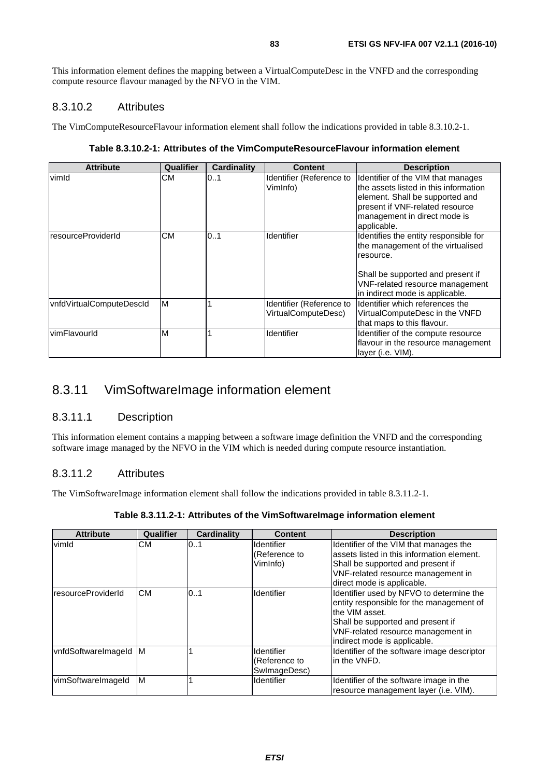This information element defines the mapping between a VirtualComputeDesc in the VNFD and the corresponding compute resource flavour managed by the NFVO in the VIM.

### 8.3.10.2 Attributes

The VimComputeResourceFlavour information element shall follow the indications provided in table 8.3.10.2-1.

**Table 8.3.10.2-1: Attributes of the VimComputeResourceFlavour information element** 

| <b>Attribute</b>         | Qualifier | <b>Cardinality</b> | <b>Content</b>                                  | <b>Description</b>                                                                                                                                                                                 |
|--------------------------|-----------|--------------------|-------------------------------------------------|----------------------------------------------------------------------------------------------------------------------------------------------------------------------------------------------------|
| vimId                    | CМ        | 01                 | Identifier (Reference to<br>VimInfo)            | Identifier of the VIM that manages<br>the assets listed in this information<br>element. Shall be supported and<br>present if VNF-related resource<br>management in direct mode is<br>applicable.   |
| resourceProviderId       | <b>CM</b> | 01                 | Identifier                                      | Identifies the entity responsible for<br>the management of the virtualised<br>resource.<br>Shall be supported and present if<br>VNF-related resource management<br>in indirect mode is applicable. |
| vnfdVirtualComputeDescld | M         |                    | Identifier (Reference to<br>VirtualComputeDesc) | Identifier which references the<br>VirtualComputeDesc in the VNFD<br>that maps to this flavour.                                                                                                    |
| vimFlavourld             | M         |                    | Identifier                                      | Identifier of the compute resource<br>flavour in the resource management<br>layer (i.e. VIM).                                                                                                      |

## 8.3.11 VimSoftwareImage information element

### 8.3.11.1 Description

This information element contains a mapping between a software image definition the VNFD and the corresponding software image managed by the NFVO in the VIM which is needed during compute resource instantiation.

#### 8.3.11.2 Attributes

The VimSoftwareImage information element shall follow the indications provided in table 8.3.11.2-1.

| <b>Attribute</b>    | <b>Qualifier</b> | <b>Cardinality</b> | <b>Content</b>                                 | <b>Description</b>                                                                                                                                                                                                |
|---------------------|------------------|--------------------|------------------------------------------------|-------------------------------------------------------------------------------------------------------------------------------------------------------------------------------------------------------------------|
| vimld               | <b>CM</b>        | 0.1                | <b>Identifier</b><br>(Reference to<br>VimInfo) | Identifier of the VIM that manages the<br>assets listed in this information element.<br>Shall be supported and present if<br>VNF-related resource management in<br>direct mode is applicable.                     |
| resourceProviderId  | <b>CM</b>        | 01                 | Identifier                                     | Identifier used by NFVO to determine the<br>entity responsible for the management of<br>the VIM asset.<br>Shall be supported and present if<br>VNF-related resource management in<br>indirect mode is applicable. |
| vnfdSoftwareImageId | M                |                    | Identifier<br>(Reference to<br>SwlmageDesc)    | Identifier of the software image descriptor<br>in the VNFD.                                                                                                                                                       |
| vimSoftwareImageId  | M                |                    | Identifier                                     | Identifier of the software image in the<br>resource management layer (i.e. VIM).                                                                                                                                  |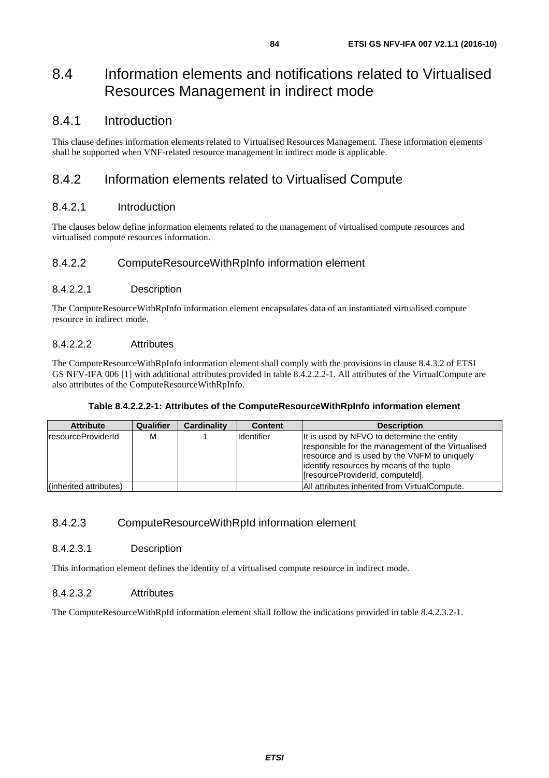## 8.4 Information elements and notifications related to Virtualised Resources Management in indirect mode

## 8.4.1 Introduction

This clause defines information elements related to Virtualised Resources Management. These information elements shall be supported when VNF-related resource management in indirect mode is applicable.

## 8.4.2 Information elements related to Virtualised Compute

### 8.4.2.1 Introduction

The clauses below define information elements related to the management of virtualised compute resources and virtualised compute resources information.

## 8.4.2.2 ComputeResourceWithRpInfo information element

#### 8.4.2.2.1 Description

The ComputeResourceWithRpInfo information element encapsulates data of an instantiated virtualised compute resource in indirect mode.

#### 8.4.2.2.2 Attributes

The ComputeResourceWithRpInfo information element shall comply with the provisions in clause 8.4.3.2 of ETSI GS NFV-IFA 006 [[1\]](#page-13-0) with additional attributes provided in table 8.4.2.2.2-1. All attributes of the VirtualCompute are also attributes of the ComputeResourceWithRpInfo.

#### **Table 8.4.2.2.2-1: Attributes of the ComputeResourceWithRpInfo information element**

| <b>Attribute</b>          | Qualifier | <b>Cardinality</b> | <b>Content</b>    | <b>Description</b>                                                                                                                                                                                                               |
|---------------------------|-----------|--------------------|-------------------|----------------------------------------------------------------------------------------------------------------------------------------------------------------------------------------------------------------------------------|
| <b>resourceProviderId</b> | м         |                    | <b>Identifier</b> | It is used by NFVO to determine the entity<br>responsible for the management of the Virtualised<br>resource and is used by the VNFM to uniquely<br>lidentify resources by means of the tuple<br>[resourceProviderId, computeId]. |
| (inherited attributes)    |           |                    |                   | All attributes inherited from VirtualCompute.                                                                                                                                                                                    |

## 8.4.2.3 ComputeResourceWithRpId information element

#### 8.4.2.3.1 Description

This information element defines the identity of a virtualised compute resource in indirect mode.

### 8.4.2.3.2 Attributes

The ComputeResourceWithRpId information element shall follow the indications provided in table 8.4.2.3.2-1.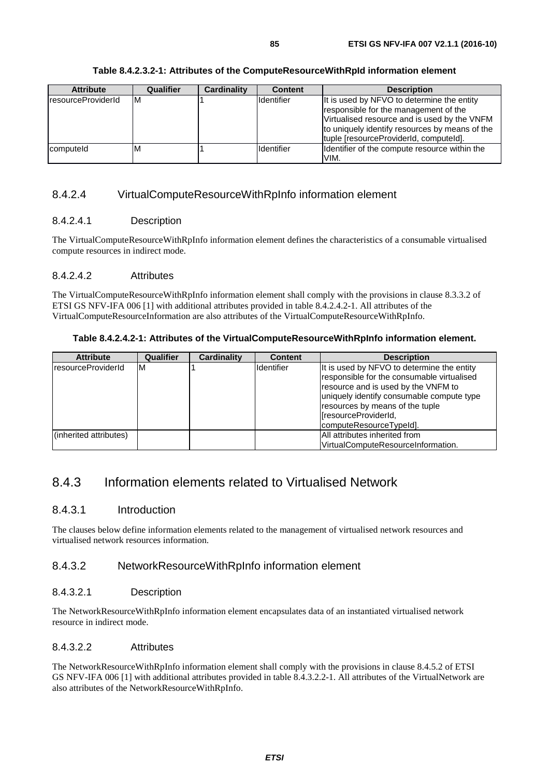| Table 8.4.2.3.2-1: Attributes of the ComputeResourceWithRpId information element |
|----------------------------------------------------------------------------------|
|----------------------------------------------------------------------------------|

| <b>Attribute</b>           | Qualifier | Cardinality | <b>Content</b>    | <b>Description</b>                                                                                                                                                                                                              |
|----------------------------|-----------|-------------|-------------------|---------------------------------------------------------------------------------------------------------------------------------------------------------------------------------------------------------------------------------|
| <b>IresourceProviderId</b> | ΙM        |             | Identifier        | It is used by NFVO to determine the entity<br>responsible for the management of the<br>Virtualised resource and is used by the VNFM<br>to uniquely identify resources by means of the<br>tuple [resourceProviderId, computeId]. |
| computeld                  | M         |             | <b>Identifier</b> | Identifier of the compute resource within the<br>VIM.                                                                                                                                                                           |

### 8.4.2.4 VirtualComputeResourceWithRpInfo information element

#### 8.4.2.4.1 Description

The VirtualComputeResourceWithRpInfo information element defines the characteristics of a consumable virtualised compute resources in indirect mode.

#### 8.4.2.4.2 Attributes

The VirtualComputeResourceWithRpInfo information element shall comply with the provisions in clause 8.3.3.2 of ETSI GS NFV-IFA 006 [\[1](#page-13-0)] with additional attributes provided in table 8.4.2.4.2-1. All attributes of the VirtualComputeResourceInformation are also attributes of the VirtualComputeResourceWithRpInfo.

#### **Table 8.4.2.4.2-1: Attributes of the VirtualComputeResourceWithRpInfo information element.**

| <b>Attribute</b>          | Qualifier | Cardinality | <b>Content</b> | <b>Description</b>                                                                                                                                                                                                                                                 |
|---------------------------|-----------|-------------|----------------|--------------------------------------------------------------------------------------------------------------------------------------------------------------------------------------------------------------------------------------------------------------------|
| <b>resourceProviderId</b> | M         |             | Identifier     | It is used by NFVO to determine the entity<br>responsible for the consumable virtualised<br>resource and is used by the VNFM to<br>uniquely identify consumable compute type<br>resources by means of the tuple<br>[resourceProviderId,<br>computeResourceTypeId]. |
| (inherited attributes)    |           |             |                | All attributes inherited from                                                                                                                                                                                                                                      |
|                           |           |             |                | VirtualComputeResourceInformation.                                                                                                                                                                                                                                 |

## 8.4.3 Information elements related to Virtualised Network

### 8.4.3.1 Introduction

The clauses below define information elements related to the management of virtualised network resources and virtualised network resources information.

### 8.4.3.2 NetworkResourceWithRpInfo information element

#### 8.4.3.2.1 Description

The NetworkResourceWithRpInfo information element encapsulates data of an instantiated virtualised network resource in indirect mode.

#### 8.4.3.2.2 Attributes

The NetworkResourceWithRpInfo information element shall comply with the provisions in clause 8.4.5.2 of ETSI GS NFV-IFA 006 [[1\]](#page-13-0) with additional attributes provided in table 8.4.3.2.2-1. All attributes of the VirtualNetwork are also attributes of the NetworkResourceWithRpInfo.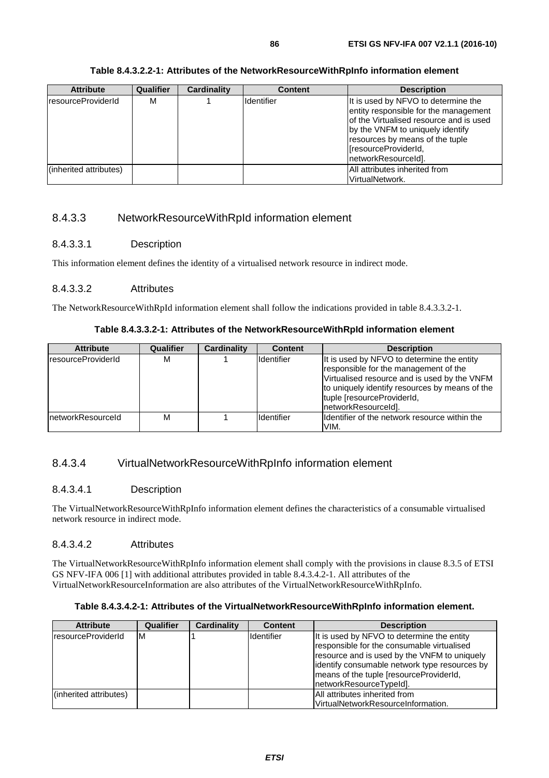| Table 8.4.3.2.2-1: Attributes of the NetworkResourceWithRpInfo information element |
|------------------------------------------------------------------------------------|
|------------------------------------------------------------------------------------|

| <b>Attribute</b>           | <b>Qualifier</b> | Cardinality | <b>Content</b> | <b>Description</b>                                                                                                                                                                                                                            |
|----------------------------|------------------|-------------|----------------|-----------------------------------------------------------------------------------------------------------------------------------------------------------------------------------------------------------------------------------------------|
| <b>IresourceProviderId</b> | м                |             | Identifier     | It is used by NFVO to determine the<br>entity responsible for the management<br>of the Virtualised resource and is used<br>by the VNFM to uniquely identify<br>resources by means of the tuple<br>[resourceProviderId,<br>networkResourceId]. |
| (inherited attributes)     |                  |             |                | All attributes inherited from<br>VirtualNetwork.                                                                                                                                                                                              |

## 8.4.3.3 NetworkResourceWithRpId information element

#### 8.4.3.3.1 Description

This information element defines the identity of a virtualised network resource in indirect mode.

#### 8.4.3.3.2 Attributes

The NetworkResourceWithRpId information element shall follow the indications provided in table 8.4.3.3.2-1.

| Table 8.4.3.3.2-1: Attributes of the NetworkResourceWithRpId information element |
|----------------------------------------------------------------------------------|
|----------------------------------------------------------------------------------|

| <b>Attribute</b>           | Qualifier | <b>Cardinality</b> | <b>Content</b>    | <b>Description</b>                                                                                                                                                                                                                         |
|----------------------------|-----------|--------------------|-------------------|--------------------------------------------------------------------------------------------------------------------------------------------------------------------------------------------------------------------------------------------|
| <b>IresourceProviderId</b> | м         |                    | Identifier        | It is used by NFVO to determine the entity<br>responsible for the management of the<br>Virtualised resource and is used by the VNFM<br>to uniquely identify resources by means of the<br>tuple [resourceProviderId,<br>networkResourceId]. |
| InetworkResourceId         | м         |                    | <b>Identifier</b> | Ildentifier of the network resource within the<br>VIM.                                                                                                                                                                                     |

### 8.4.3.4 VirtualNetworkResourceWithRpInfo information element

#### 8.4.3.4.1 Description

The VirtualNetworkResourceWithRpInfo information element defines the characteristics of a consumable virtualised network resource in indirect mode.

#### 8.4.3.4.2 Attributes

The VirtualNetworkResourceWithRpInfo information element shall comply with the provisions in clause 8.3.5 of ETSI GS NFV-IFA 006 [[1\]](#page-13-0) with additional attributes provided in table 8.4.3.4.2-1. All attributes of the VirtualNetworkResourceInformation are also attributes of the VirtualNetworkResourceWithRpInfo.

#### **Table 8.4.3.4.2-1: Attributes of the VirtualNetworkResourceWithRpInfo information element.**

| <b>Attribute</b>           | Qualifier | Cardinality | <b>Content</b> | <b>Description</b>                                                                                                                                                                                                                                              |
|----------------------------|-----------|-------------|----------------|-----------------------------------------------------------------------------------------------------------------------------------------------------------------------------------------------------------------------------------------------------------------|
| <i>IresourceProviderId</i> | M         |             | Identifier     | It is used by NFVO to determine the entity<br>responsible for the consumable virtualised<br>resource and is used by the VNFM to uniquely<br>identify consumable network type resources by<br>means of the tuple [resourceProviderId,<br>networkResourceTypeId]. |
|                            |           |             |                |                                                                                                                                                                                                                                                                 |
| (inherited attributes)     |           |             |                | All attributes inherited from                                                                                                                                                                                                                                   |
|                            |           |             |                | VirtualNetworkResourceInformation.                                                                                                                                                                                                                              |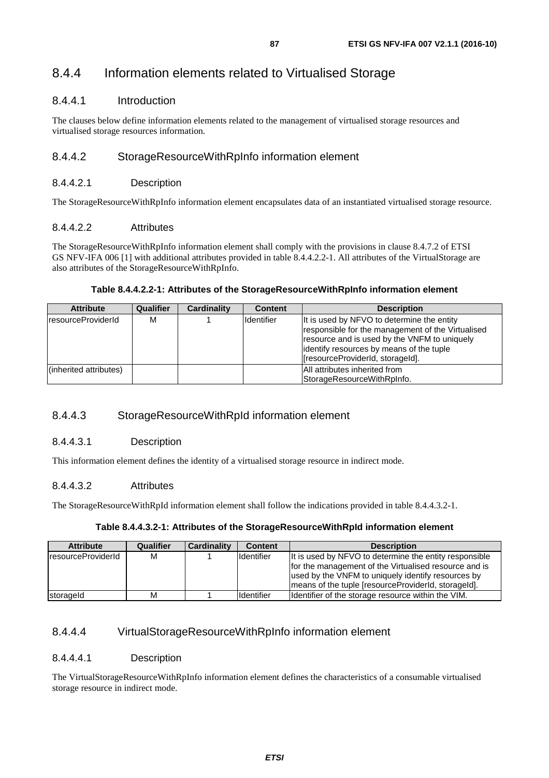## 8.4.4 Information elements related to Virtualised Storage

## 8.4.4.1 Introduction

The clauses below define information elements related to the management of virtualised storage resources and virtualised storage resources information.

## 8.4.4.2 StorageResourceWithRpInfo information element

### 8.4.4.2.1 Description

The StorageResourceWithRpInfo information element encapsulates data of an instantiated virtualised storage resource.

#### 8.4.4.2.2 Attributes

The StorageResourceWithRpInfo information element shall comply with the provisions in clause 8.4.7.2 of ETSI GS NFV-IFA 006 [[1\]](#page-13-0) with additional attributes provided in table 8.4.4.2.2-1. All attributes of the VirtualStorage are also attributes of the StorageResourceWithRpInfo.

#### **Table 8.4.4.2.2-1: Attributes of the StorageResourceWithRpInfo information element**

| <b>Attribute</b>       | Qualifier | Cardinality | <b>Content</b> | <b>Description</b>                                                                                                                                                                                                              |
|------------------------|-----------|-------------|----------------|---------------------------------------------------------------------------------------------------------------------------------------------------------------------------------------------------------------------------------|
| IresourceProviderId    | М         |             | Identifier     | It is used by NFVO to determine the entity<br>responsible for the management of the Virtualised<br>resource and is used by the VNFM to uniquely<br>identify resources by means of the tuple<br>[resourceProviderId, storageId]. |
| (inherited attributes) |           |             |                | All attributes inherited from<br>StorageResourceWithRpInfo.                                                                                                                                                                     |

## 8.4.4.3 StorageResourceWithRpId information element

#### 8.4.4.3.1 Description

This information element defines the identity of a virtualised storage resource in indirect mode.

### 8.4.4.3.2 Attributes

The StorageResourceWithRpId information element shall follow the indications provided in table 8.4.4.3.2-1.

#### **Table 8.4.4.3.2-1: Attributes of the StorageResourceWithRpId information element**

| <b>Attribute</b>    | Qualifier | Cardinality | <b>Content</b> | <b>Description</b>                                                                                                                                                                                                            |
|---------------------|-----------|-------------|----------------|-------------------------------------------------------------------------------------------------------------------------------------------------------------------------------------------------------------------------------|
| IresourceProviderId | M         |             | Identifier     | It is used by NFVO to determine the entity responsible<br>for the management of the Virtualised resource and is<br>used by the VNFM to uniquely identify resources by<br>Imeans of the tuple (resourceProviderId, storageId). |
| storageld           | М         |             | Identifier     | Identifier of the storage resource within the VIM.                                                                                                                                                                            |

## 8.4.4.4 VirtualStorageResourceWithRpInfo information element

#### 8.4.4.4.1 Description

The VirtualStorageResourceWithRpInfo information element defines the characteristics of a consumable virtualised storage resource in indirect mode.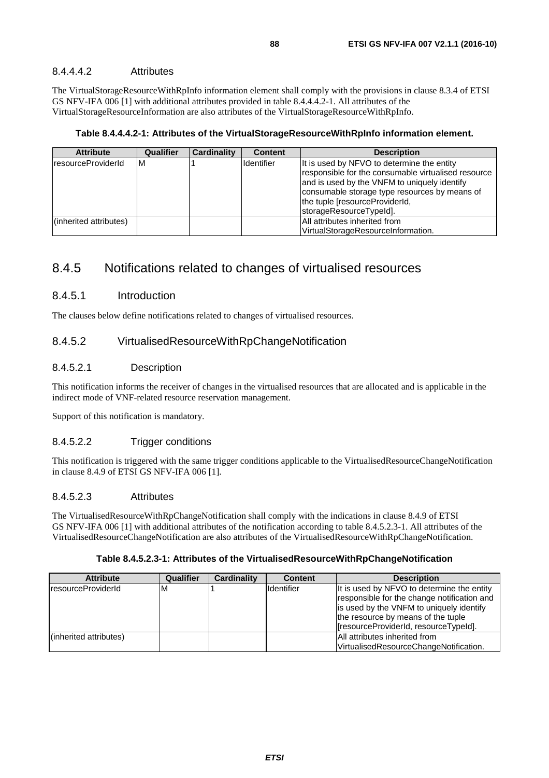#### 8.4.4.4.2 Attributes

The VirtualStorageResourceWithRpInfo information element shall comply with the provisions in clause 8.3.4 of ETSI GS NFV-IFA 006 [[1\]](#page-13-0) with additional attributes provided in table 8.4.4.4.2-1. All attributes of the VirtualStorageResourceInformation are also attributes of the VirtualStorageResourceWithRpInfo.

**Table 8.4.4.4.2-1: Attributes of the VirtualStorageResourceWithRpInfo information element.** 

| <b>Attribute</b>           | Qualifier | Cardinality | <b>Content</b>     | <b>Description</b>                                                                                                                                                                                                                                              |
|----------------------------|-----------|-------------|--------------------|-----------------------------------------------------------------------------------------------------------------------------------------------------------------------------------------------------------------------------------------------------------------|
| <b>IresourceProviderId</b> | M         |             | <b>I</b> dentifier | It is used by NFVO to determine the entity<br>responsible for the consumable virtualised resource<br>and is used by the VNFM to uniquely identify<br>consumable storage type resources by means of<br>the tuple [resourceProviderId,<br>storageResourceTypeId]. |
| (inherited attributes)     |           |             |                    | All attributes inherited from                                                                                                                                                                                                                                   |
|                            |           |             |                    | VirtualStorageResourceInformation.                                                                                                                                                                                                                              |

## 8.4.5 Notifications related to changes of virtualised resources

### 8.4.5.1 Introduction

The clauses below define notifications related to changes of virtualised resources.

## 8.4.5.2 VirtualisedResourceWithRpChangeNotification

#### 8.4.5.2.1 Description

This notification informs the receiver of changes in the virtualised resources that are allocated and is applicable in the indirect mode of VNF-related resource reservation management.

Support of this notification is mandatory.

#### 8.4.5.2.2 Trigger conditions

This notification is triggered with the same trigger conditions applicable to the VirtualisedResourceChangeNotification in clause 8.4.9 of ETSI GS NFV-IFA 006 [\[1](#page-13-0)].

#### 8.4.5.2.3 Attributes

The VirtualisedResourceWithRpChangeNotification shall comply with the indications in clause 8.4.9 of ETSI GS NFV-IFA 006 [[1\]](#page-13-0) with additional attributes of the notification according to table 8.4.5.2.3-1. All attributes of the VirtualisedResourceChangeNotification are also attributes of the VirtualisedResourceWithRpChangeNotification.

| <b>Attribute</b>       | Qualifier | Cardinality | <b>Content</b>      | <b>Description</b>                                                                                                                                                                                                    |
|------------------------|-----------|-------------|---------------------|-----------------------------------------------------------------------------------------------------------------------------------------------------------------------------------------------------------------------|
| IresourceProviderId    | ΙM        |             | <b>I</b> Identifier | It is used by NFVO to determine the entity<br>responsible for the change notification and<br>is used by the VNFM to uniquely identify<br>the resource by means of the tuple<br>[fresourceProviderId, resourceTypeId]. |
| (inherited attributes) |           |             |                     | All attributes inherited from<br>VirtualisedResourceChangeNotification.                                                                                                                                               |

**Table 8.4.5.2.3-1: Attributes of the VirtualisedResourceWithRpChangeNotification**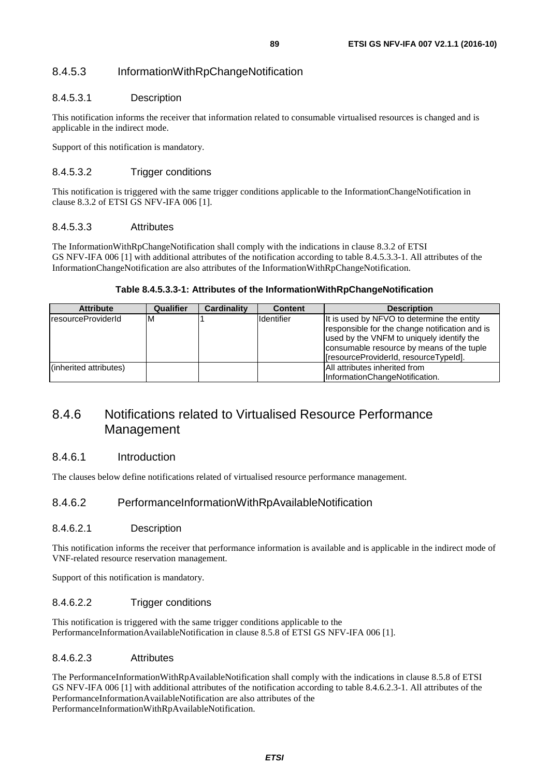## 8.4.5.3 InformationWithRpChangeNotification

### 8.4.5.3.1 Description

This notification informs the receiver that information related to consumable virtualised resources is changed and is applicable in the indirect mode.

Support of this notification is mandatory.

### 8.4.5.3.2 Trigger conditions

This notification is triggered with the same trigger conditions applicable to the InformationChangeNotification in clause 8.3.2 of ETSI GS NFV-IFA 006 [\[1](#page-13-0)].

#### 8.4.5.3.3 Attributes

The InformationWithRpChangeNotification shall comply with the indications in clause 8.3.2 of ETSI GS NFV-IFA 006 [[1\]](#page-13-0) with additional attributes of the notification according to table 8.4.5.3.3-1. All attributes of the InformationChangeNotification are also attributes of the InformationWithRpChangeNotification.

#### **Table 8.4.5.3.3-1: Attributes of the InformationWithRpChangeNotification**

| <b>Attribute</b>       | Qualifier | Cardinality | <b>Content</b>    | <b>Description</b>                                                                                                                                                                                                              |
|------------------------|-----------|-------------|-------------------|---------------------------------------------------------------------------------------------------------------------------------------------------------------------------------------------------------------------------------|
| IresourceProviderId    | ΙM        |             | <b>Identifier</b> | It is used by NFVO to determine the entity<br>responsible for the change notification and is<br>used by the VNFM to uniquely identify the<br>consumable resource by means of the tuple<br>[resourceProviderId, resourceTypeId]. |
| (inherited attributes) |           |             |                   | <b>All attributes inherited from</b><br>InformationChangeNotification.                                                                                                                                                          |

## 8.4.6 Notifications related to Virtualised Resource Performance Management

### 8.4.6.1 Introduction

The clauses below define notifications related of virtualised resource performance management.

### 8.4.6.2 PerformanceInformationWithRpAvailableNotification

#### 8.4.6.2.1 Description

This notification informs the receiver that performance information is available and is applicable in the indirect mode of VNF-related resource reservation management.

Support of this notification is mandatory.

#### 8.4.6.2.2 Trigger conditions

This notification is triggered with the same trigger conditions applicable to the PerformanceInformationAvailableNotification in clause 8.5.8 of ETSI GS NFV-IFA 006 [[1\]](#page-13-0).

#### 8.4.6.2.3 Attributes

The PerformanceInformationWithRpAvailableNotification shall comply with the indications in clause 8.5.8 of ETSI GS NFV-IFA 006 [[1\]](#page-13-0) with additional attributes of the notification according to table 8.4.6.2.3-1. All attributes of the PerformanceInformationAvailableNotification are also attributes of the PerformanceInformationWithRpAvailableNotification.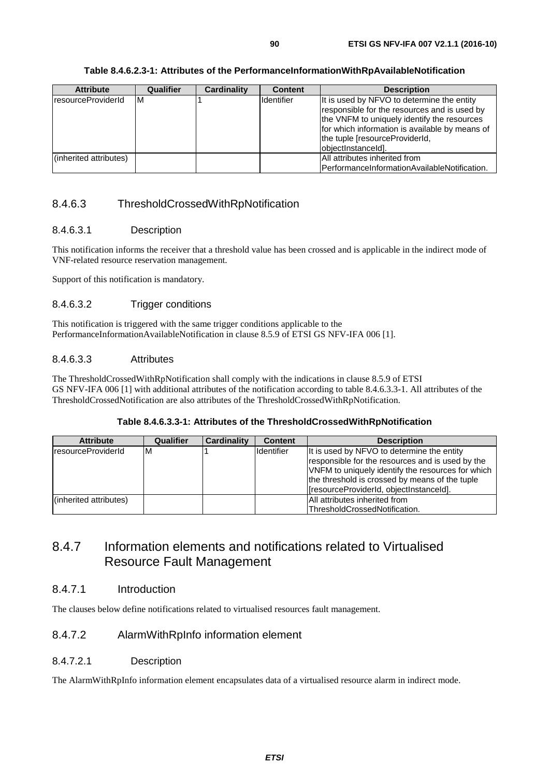#### **Table 8.4.6.2.3-1: Attributes of the PerformanceInformationWithRpAvailableNotification**

| <b>Attribute</b>       | Qualifier | <b>Cardinality</b> | <b>Content</b>     | <b>Description</b>                                                                                                                                                                                                                                  |
|------------------------|-----------|--------------------|--------------------|-----------------------------------------------------------------------------------------------------------------------------------------------------------------------------------------------------------------------------------------------------|
| IresourceProviderId    | ΙM        |                    | <b>Ildentifier</b> | It is used by NFVO to determine the entity<br>responsible for the resources and is used by<br>the VNFM to uniquely identify the resources<br>for which information is available by means of<br>the tuple [resourceProviderId,<br>objectInstanceId]. |
| (inherited attributes) |           |                    |                    | All attributes inherited from<br>IPerformanceInformationAvailableNotification.                                                                                                                                                                      |

## 8.4.6.3 ThresholdCrossedWithRpNotification

#### 8.4.6.3.1 Description

This notification informs the receiver that a threshold value has been crossed and is applicable in the indirect mode of VNF-related resource reservation management.

Support of this notification is mandatory.

#### 8.4.6.3.2 Trigger conditions

This notification is triggered with the same trigger conditions applicable to the PerformanceInformationAvailableNotification in clause 8.5.9 of ETSI GS NFV-IFA 006 [[1\]](#page-13-0).

#### 8.4.6.3.3 Attributes

The ThresholdCrossedWithRpNotification shall comply with the indications in clause 8.5.9 of ETSI GS NFV-IFA 006 [[1\]](#page-13-0) with additional attributes of the notification according to table 8.4.6.3.3-1. All attributes of the ThresholdCrossedNotification are also attributes of the ThresholdCrossedWithRpNotification.

#### **Table 8.4.6.3.3-1: Attributes of the ThresholdCrossedWithRpNotification**

| <b>Attribute</b>       | <b>Qualifier</b> | <b>Cardinality</b> | <b>Content</b> | <b>Description</b>                                |
|------------------------|------------------|--------------------|----------------|---------------------------------------------------|
| IresourceProviderId    | ΙM               |                    | Identifier     | It is used by NFVO to determine the entity        |
|                        |                  |                    |                | responsible for the resources and is used by the  |
|                        |                  |                    |                | VNFM to uniquely identify the resources for which |
|                        |                  |                    |                | the threshold is crossed by means of the tuple    |
|                        |                  |                    |                | [resourceProviderId, objectInstanceId].           |
| (inherited attributes) |                  |                    |                | All attributes inherited from                     |
|                        |                  |                    |                | ThresholdCrossedNotification.                     |

## 8.4.7 Information elements and notifications related to Virtualised Resource Fault Management

### 8.4.7.1 Introduction

The clauses below define notifications related to virtualised resources fault management.

## 8.4.7.2 AlarmWithRpInfo information element

#### 8.4.7.2.1 Description

The AlarmWithRpInfo information element encapsulates data of a virtualised resource alarm in indirect mode.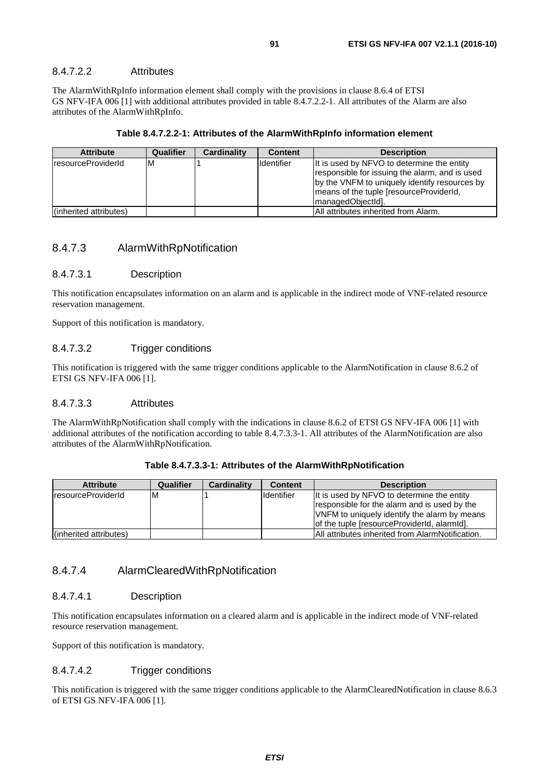#### 8.4.7.2.2 Attributes

The AlarmWithRpInfo information element shall comply with the provisions in clause 8.6.4 of ETSI GS NFV-IFA 006 [[1\]](#page-13-0) with additional attributes provided in table 8.4.7.2.2-1. All attributes of the Alarm are also attributes of the AlarmWithRpInfo.

#### **Table 8.4.7.2.2-1: Attributes of the AlarmWithRpInfo information element**

| <b>Attribute</b>           | <b>Qualifier</b> | Cardinality | <b>Content</b>    | <b>Description</b>                                                                                                                                                                                             |
|----------------------------|------------------|-------------|-------------------|----------------------------------------------------------------------------------------------------------------------------------------------------------------------------------------------------------------|
| <b>IresourceProviderId</b> | ΙM               |             | <b>Identifier</b> | It is used by NFVO to determine the entity<br>responsible for issuing the alarm, and is used<br>by the VNFM to uniquely identify resources by<br>means of the tuple [resourceProviderId,<br>ImanagedObiectIdl. |
| (inherited attributes)     |                  |             |                   | <b>All attributes inherited from Alarm.</b>                                                                                                                                                                    |

#### 8.4.7.3 AlarmWithRpNotification

#### 8.4.7.3.1 Description

This notification encapsulates information on an alarm and is applicable in the indirect mode of VNF-related resource reservation management.

Support of this notification is mandatory.

#### 8.4.7.3.2 Trigger conditions

This notification is triggered with the same trigger conditions applicable to the AlarmNotification in clause 8.6.2 of ETSI GS NFV-IFA 006 [\[1](#page-13-0)].

#### 8.4.7.3.3 Attributes

The AlarmWithRpNotification shall comply with the indications in clause 8.6.2 of ETSI GS NFV-IFA 006 [\[1](#page-13-0)] with additional attributes of the notification according to table 8.4.7.3.3-1. All attributes of the AlarmNotification are also attributes of the AlarmWithRpNotification.

| Table 8.4.7.3.3-1: Attributes of the AlarmWithRpNotification |  |
|--------------------------------------------------------------|--|
|--------------------------------------------------------------|--|

| <b>Attribute</b>          | Qualifier | <b>Cardinality</b> | <b>Content</b>    | <b>Description</b>                                      |
|---------------------------|-----------|--------------------|-------------------|---------------------------------------------------------|
| <b>resourceProviderId</b> | ıм        |                    | <b>Identifier</b> | It is used by NFVO to determine the entity              |
|                           |           |                    |                   | responsible for the alarm and is used by the            |
|                           |           |                    |                   | VNFM to uniquely identify the alarm by means            |
|                           |           |                    |                   | of the tuple [resourceProviderId, alarmId].             |
| (inherited attributes)    |           |                    |                   | <b>All attributes inherited from AlarmNotification.</b> |

#### 8.4.7.4 AlarmClearedWithRpNotification

#### 8.4.7.4.1 Description

This notification encapsulates information on a cleared alarm and is applicable in the indirect mode of VNF-related resource reservation management.

Support of this notification is mandatory.

#### 8.4.7.4.2 Trigger conditions

This notification is triggered with the same trigger conditions applicable to the AlarmClearedNotification in clause 8.6.3 of ETSI GS NFV-IFA 006 [\[1](#page-13-0)].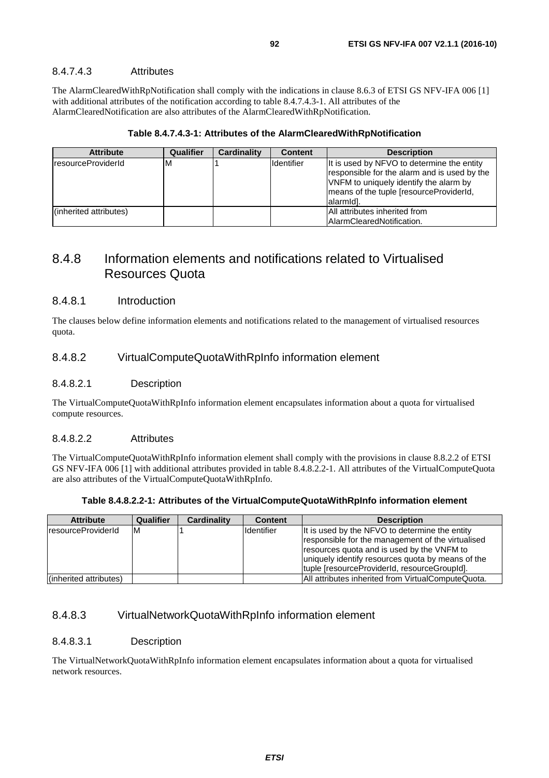#### 8.4.7.4.3 Attributes

The AlarmClearedWithRpNotification shall comply with the indications in clause 8.6.3 of ETSI GS NFV-IFA 006 [[1\]](#page-13-0) with additional attributes of the notification according to table 8.4.7.4.3-1. All attributes of the AlarmClearedNotification are also attributes of the AlarmClearedWithRpNotification.

|  | Table 8.4.7.4.3-1: Attributes of the AlarmClearedWithRpNotification |
|--|---------------------------------------------------------------------|
|--|---------------------------------------------------------------------|

| <b>Attribute</b>           | Qualifier | Cardinality | <b>Content</b>    | <b>Description</b>                                                                                                                                                                                        |
|----------------------------|-----------|-------------|-------------------|-----------------------------------------------------------------------------------------------------------------------------------------------------------------------------------------------------------|
| <b>IresourceProviderId</b> | M         |             | <b>Identifier</b> | It is used by NFVO to determine the entity<br>responsible for the alarm and is used by the<br>VNFM to uniquely identify the alarm by<br>means of the tuple [resourceProviderId,<br>alarmid <sub>1</sub> . |
| (inherited attributes)     |           |             |                   | All attributes inherited from<br>AlarmClearedNotification.                                                                                                                                                |

## 8.4.8 Information elements and notifications related to Virtualised Resources Quota

#### 8.4.8.1 Introduction

The clauses below define information elements and notifications related to the management of virtualised resources quota.

#### 8.4.8.2 VirtualComputeQuotaWithRpInfo information element

#### 8.4.8.2.1 Description

The VirtualComputeQuotaWithRpInfo information element encapsulates information about a quota for virtualised compute resources.

#### 8.4.8.2.2 Attributes

The VirtualComputeQuotaWithRpInfo information element shall comply with the provisions in clause 8.8.2.2 of ETSI GS NFV-IFA 006 [[1\]](#page-13-0) with additional attributes provided in table 8.4.8.2.2-1. All attributes of the VirtualComputeQuota are also attributes of the VirtualComputeQuotaWithRpInfo.

|  |  |  |  | Table 8.4.8.2.2-1: Attributes of the VirtualComputeQuotaWithRpInfo information element |
|--|--|--|--|----------------------------------------------------------------------------------------|
|--|--|--|--|----------------------------------------------------------------------------------------|

| <b>Attribute</b>       | Qualifier | Cardinality | <b>Content</b> | <b>Description</b>                                                                                                                                                                                                                                     |
|------------------------|-----------|-------------|----------------|--------------------------------------------------------------------------------------------------------------------------------------------------------------------------------------------------------------------------------------------------------|
| IresourceProviderId    | ΙM        |             | Identifier     | It is used by the NFVO to determine the entity<br>responsible for the management of the virtualised<br>resources quota and is used by the VNFM to<br>uniquely identify resources quota by means of the<br>tuple [resourceProviderId, resourceGroupId]. |
| (inherited attributes) |           |             |                | All attributes inherited from VirtualComputeQuota.                                                                                                                                                                                                     |

### 8.4.8.3 VirtualNetworkQuotaWithRpInfo information element

#### 8.4.8.3.1 Description

The VirtualNetworkQuotaWithRpInfo information element encapsulates information about a quota for virtualised network resources.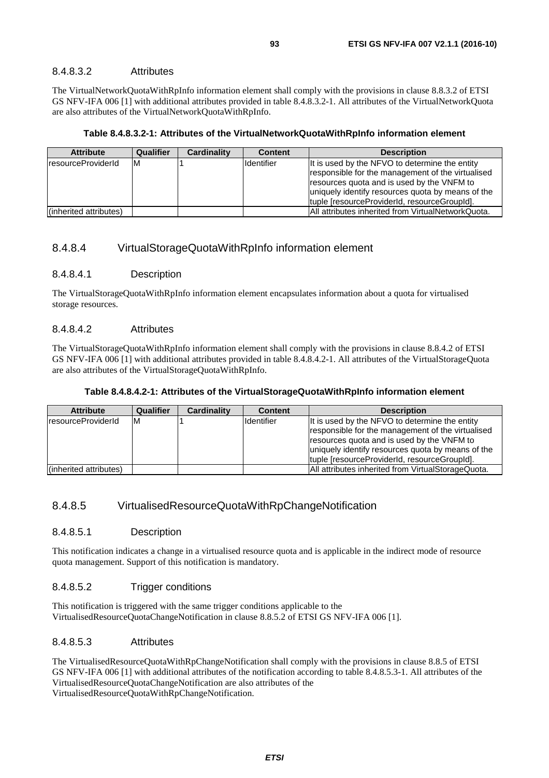#### 8.4.8.3.2 Attributes

The VirtualNetworkQuotaWithRpInfo information element shall comply with the provisions in clause 8.8.3.2 of ETSI GS NFV-IFA 006 [[1\]](#page-13-0) with additional attributes provided in table 8.4.8.3.2-1. All attributes of the VirtualNetworkQuota are also attributes of the VirtualNetworkQuotaWithRpInfo.

#### **Table 8.4.8.3.2-1: Attributes of the VirtualNetworkQuotaWithRpInfo information element**

| <b>Attribute</b>       | Qualifier | Cardinality | <b>Content</b>    | <b>Description</b>                                                                                                                                                                                                                                     |
|------------------------|-----------|-------------|-------------------|--------------------------------------------------------------------------------------------------------------------------------------------------------------------------------------------------------------------------------------------------------|
| resourceProviderId     | ΙM        |             | <b>Identifier</b> | It is used by the NFVO to determine the entity<br>responsible for the management of the virtualised<br>resources quota and is used by the VNFM to<br>uniquely identify resources quota by means of the<br>tuple [resourceProviderId, resourceGroupId]. |
| (inherited attributes) |           |             |                   | All attributes inherited from VirtualNetworkQuota.                                                                                                                                                                                                     |

#### 8.4.8.4 VirtualStorageQuotaWithRpInfo information element

#### 8.4.8.4.1 Description

The VirtualStorageQuotaWithRpInfo information element encapsulates information about a quota for virtualised storage resources.

#### 8.4.8.4.2 Attributes

The VirtualStorageQuotaWithRpInfo information element shall comply with the provisions in clause 8.8.4.2 of ETSI GS NFV-IFA 006 [[1\]](#page-13-0) with additional attributes provided in table 8.4.8.4.2-1. All attributes of the VirtualStorageQuota are also attributes of the VirtualStorageQuotaWithRpInfo.

#### **Table 8.4.8.4.2-1: Attributes of the VirtualStorageQuotaWithRpInfo information element**

| <b>Attribute</b>       | Qualifier | <b>Cardinality</b> | <b>Content</b> | <b>Description</b>                                                                                                                                                                                                                                     |
|------------------------|-----------|--------------------|----------------|--------------------------------------------------------------------------------------------------------------------------------------------------------------------------------------------------------------------------------------------------------|
| IresourceProviderId    | ΙM        |                    | Identifier     | It is used by the NFVO to determine the entity<br>responsible for the management of the virtualised<br>resources quota and is used by the VNFM to<br>uniquely identify resources quota by means of the<br>tuple [resourceProviderId, resourceGroupId]. |
| (inherited attributes) |           |                    |                | All attributes inherited from VirtualStorageQuota.                                                                                                                                                                                                     |

#### 8.4.8.5 VirtualisedResourceQuotaWithRpChangeNotification

#### 8.4.8.5.1 Description

This notification indicates a change in a virtualised resource quota and is applicable in the indirect mode of resource quota management. Support of this notification is mandatory.

#### 8.4.8.5.2 Trigger conditions

This notification is triggered with the same trigger conditions applicable to the VirtualisedResourceQuotaChangeNotification in clause 8.8.5.2 of ETSI GS NFV-IFA 006 [\[1](#page-13-0)].

#### 8.4.8.5.3 Attributes

The VirtualisedResourceQuotaWithRpChangeNotification shall comply with the provisions in clause 8.8.5 of ETSI GS NFV-IFA 006 [[1\]](#page-13-0) with additional attributes of the notification according to table 8.4.8.5.3-1. All attributes of the VirtualisedResourceQuotaChangeNotification are also attributes of the VirtualisedResourceQuotaWithRpChangeNotification.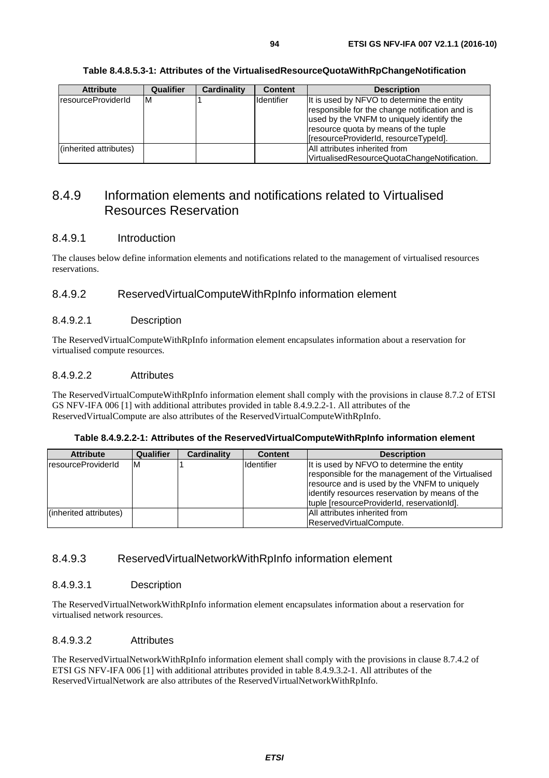| <b>Attribute</b>       | Qualifier | <b>Cardinality</b> | <b>Content</b>    | <b>Description</b>                                                                                                                                                                                                         |
|------------------------|-----------|--------------------|-------------------|----------------------------------------------------------------------------------------------------------------------------------------------------------------------------------------------------------------------------|
| resourceProviderId     | ıм        |                    | <b>Identifier</b> | It is used by NFVO to determine the entity<br>responsible for the change notification and is<br>used by the VNFM to uniquely identify the<br>resource quota by means of the tuple<br>[resourceProviderId, resourceTypeId]. |
| (inherited attributes) |           |                    |                   | <b>All attributes inherited from</b><br>VirtualisedResourceQuotaChangeNotification.                                                                                                                                        |

#### **Table 8.4.8.5.3-1: Attributes of the VirtualisedResourceQuotaWithRpChangeNotification**

## 8.4.9 Information elements and notifications related to Virtualised Resources Reservation

#### 8.4.9.1 Introduction

The clauses below define information elements and notifications related to the management of virtualised resources reservations.

### 8.4.9.2 ReservedVirtualComputeWithRpInfo information element

#### 8.4.9.2.1 Description

The ReservedVirtualComputeWithRpInfo information element encapsulates information about a reservation for virtualised compute resources.

#### 8.4.9.2.2 Attributes

The ReservedVirtualComputeWithRpInfo information element shall comply with the provisions in clause 8.7.2 of ETSI GS NFV-IFA 006 [[1\]](#page-13-0) with additional attributes provided in table 8.4.9.2.2-1. All attributes of the ReservedVirtualCompute are also attributes of the ReservedVirtualComputeWithRpInfo.

| <b>Attribute</b>          | Qualifier | <b>Cardinality</b> | <b>Content</b> | <b>Description</b>                                                                                                                                                                                                                               |
|---------------------------|-----------|--------------------|----------------|--------------------------------------------------------------------------------------------------------------------------------------------------------------------------------------------------------------------------------------------------|
| <b>resourceProviderId</b> | ΙM        |                    | Identifier     | It is used by NFVO to determine the entity<br>responsible for the management of the Virtualised<br>resource and is used by the VNFM to uniquely<br>lidentify resources reservation by means of the<br>tuple [resourceProviderId, reservationId]. |
| (inherited attributes)    |           |                    |                | All attributes inherited from<br>ReservedVirtualCompute.                                                                                                                                                                                         |

**Table 8.4.9.2.2-1: Attributes of the ReservedVirtualComputeWithRpInfo information element** 

### 8.4.9.3 ReservedVirtualNetworkWithRpInfo information element

#### 8.4.9.3.1 Description

The ReservedVirtualNetworkWithRpInfo information element encapsulates information about a reservation for virtualised network resources.

#### 8.4.9.3.2 Attributes

The ReservedVirtualNetworkWithRpInfo information element shall comply with the provisions in clause 8.7.4.2 of ETSI GS NFV-IFA 006 [\[1](#page-13-0)] with additional attributes provided in table 8.4.9.3.2-1. All attributes of the ReservedVirtualNetwork are also attributes of the ReservedVirtualNetworkWithRpInfo.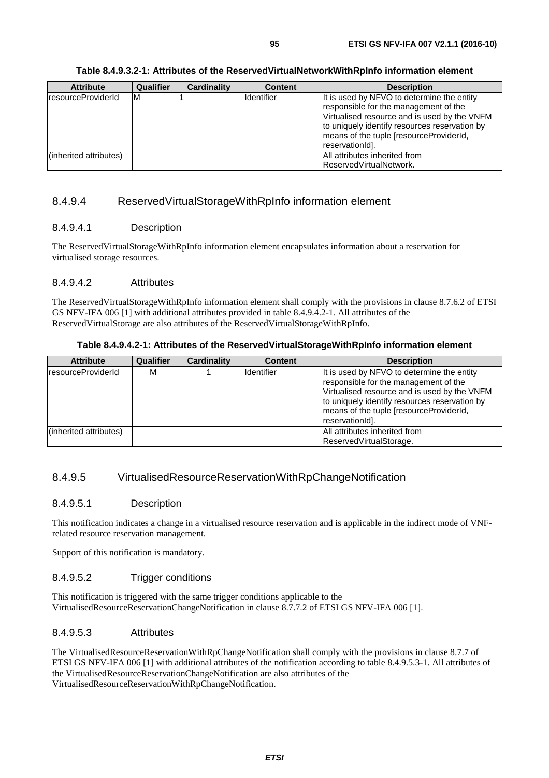#### **Table 8.4.9.3.2-1: Attributes of the ReservedVirtualNetworkWithRpInfo information element**

| <b>Attribute</b>          | Qualifier | <b>Cardinality</b> | <b>Content</b> | <b>Description</b>                                                                                                                                                                                                                                 |
|---------------------------|-----------|--------------------|----------------|----------------------------------------------------------------------------------------------------------------------------------------------------------------------------------------------------------------------------------------------------|
| <b>resourceProviderId</b> | ΙM        |                    | Identifier     | It is used by NFVO to determine the entity<br>responsible for the management of the<br>Virtualised resource and is used by the VNFM<br>to uniquely identify resources reservation by<br>means of the tuple [resourceProviderId,<br>reservationId]. |
| (inherited attributes)    |           |                    |                | All attributes inherited from                                                                                                                                                                                                                      |
|                           |           |                    |                | ReservedVirtualNetwork.                                                                                                                                                                                                                            |

## 8.4.9.4 ReservedVirtualStorageWithRpInfo information element

### 8.4.9.4.1 Description

The ReservedVirtualStorageWithRpInfo information element encapsulates information about a reservation for virtualised storage resources.

#### 8.4.9.4.2 Attributes

The ReservedVirtualStorageWithRpInfo information element shall comply with the provisions in clause 8.7.6.2 of ETSI GS NFV-IFA 006 [[1\]](#page-13-0) with additional attributes provided in table 8.4.9.4.2-1. All attributes of the ReservedVirtualStorage are also attributes of the ReservedVirtualStorageWithRpInfo.

#### **Table 8.4.9.4.2-1: Attributes of the ReservedVirtualStorageWithRpInfo information element**

| <b>Attribute</b>       | Qualifier | Cardinality | <b>Content</b> | <b>Description</b>                                                                                                                                                                                                                                    |
|------------------------|-----------|-------------|----------------|-------------------------------------------------------------------------------------------------------------------------------------------------------------------------------------------------------------------------------------------------------|
| IresourceProviderId    | M         |             | Identifier     | It is used by NFVO to determine the entity<br>responsible for the management of the<br>Virtualised resource and is used by the VNFM<br>to uniquely identify resources reservation by<br>Imeans of the tuple (resource Provider Id.<br>reservationId]. |
| (inherited attributes) |           |             |                | <b>All attributes inherited from</b>                                                                                                                                                                                                                  |
|                        |           |             |                | ReservedVirtualStorage.                                                                                                                                                                                                                               |

### 8.4.9.5 VirtualisedResourceReservationWithRpChangeNotification

#### 8.4.9.5.1 Description

This notification indicates a change in a virtualised resource reservation and is applicable in the indirect mode of VNFrelated resource reservation management.

Support of this notification is mandatory.

#### 8.4.9.5.2 Trigger conditions

This notification is triggered with the same trigger conditions applicable to the VirtualisedResourceReservationChangeNotification in clause 8.7.7.2 of ETSI GS NFV-IFA 006 [[1\]](#page-13-0).

#### 8.4.9.5.3 Attributes

The VirtualisedResourceReservationWithRpChangeNotification shall comply with the provisions in clause 8.7.7 of ETSI GS NFV-IFA 006 [\[1](#page-13-0)] with additional attributes of the notification according to table 8.4.9.5.3-1. All attributes of the VirtualisedResourceReservationChangeNotification are also attributes of the VirtualisedResourceReservationWithRpChangeNotification.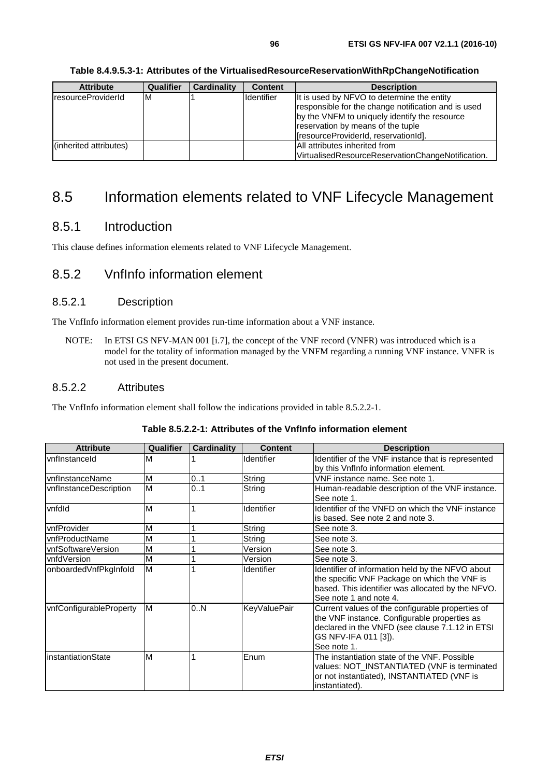| <b>Attribute</b>       | <b>Qualifier</b> | <b>Cardinality</b> | <b>Content</b>    | <b>Description</b>                                                                                                                                                                                                               |
|------------------------|------------------|--------------------|-------------------|----------------------------------------------------------------------------------------------------------------------------------------------------------------------------------------------------------------------------------|
| resourceProviderId     | м                |                    | <b>Identifier</b> | It is used by NFVO to determine the entity<br>responsible for the change notification and is used<br>by the VNFM to uniquely identify the resource<br>reservation by means of the tuple<br>[fresourceProviderId, reservationId]. |
| (inherited attributes) |                  |                    |                   | All attributes inherited from<br>VirtualisedResourceReservationChangeNotification.                                                                                                                                               |

**Table 8.4.9.5.3-1: Attributes of the VirtualisedResourceReservationWithRpChangeNotification** 

## 8.5 Information elements related to VNF Lifecycle Management

## 8.5.1 Introduction

This clause defines information elements related to VNF Lifecycle Management.

## 8.5.2 VnfInfo information element

## 8.5.2.1 Description

The VnfInfo information element provides run-time information about a VNF instance.

NOTE: In ETSI GS NFV-MAN 001 [\[i.7](#page-14-0)], the concept of the VNF record (VNFR) was introduced which is a model for the totality of information managed by the VNFM regarding a running VNF instance. VNFR is not used in the present document.

### 8.5.2.2 Attributes

The VnfInfo information element shall follow the indications provided in table 8.5.2.2-1.

| <b>Attribute</b>        | <b>Qualifier</b> | <b>Cardinality</b> | <b>Content</b>      | <b>Description</b>                                                                                                                                                                         |
|-------------------------|------------------|--------------------|---------------------|--------------------------------------------------------------------------------------------------------------------------------------------------------------------------------------------|
| lvnflnstanceld          | м                |                    | <b>Identifier</b>   | Identifier of the VNF instance that is represented<br>by this VnfInfo information element.                                                                                                 |
| lvnflnstanceName        | M                | 0.1                | String              | VNF instance name. See note 1.                                                                                                                                                             |
| vnfInstanceDescription  | M                | 0.1                | String              | Human-readable description of the VNF instance.<br>See note 1.                                                                                                                             |
| vnfdld                  | M                |                    | <b>Identifier</b>   | Identifier of the VNFD on which the VNF instance<br>is based. See note 2 and note 3.                                                                                                       |
| vnfProvider             | M                |                    | String              | See note 3.                                                                                                                                                                                |
| IvnfProductName         | M                |                    | String              | See note 3.                                                                                                                                                                                |
| vnfSoftwareVersion      | М                |                    | Version             | See note 3.                                                                                                                                                                                |
| lvnfdVersion            | M                |                    | Version             | See note 3.                                                                                                                                                                                |
| onboardedVnfPkgInfold   | M                |                    | Identifier          | Identifier of information held by the NFVO about<br>the specific VNF Package on which the VNF is<br>based. This identifier was allocated by the NFVO.<br>See note 1 and note 4.            |
| vnfConfigurableProperty | M                | 0.N                | <b>KeyValuePair</b> | Current values of the configurable properties of<br>the VNF instance. Configurable properties as<br>declared in the VNFD (see clause 7.1.12 in ETSI<br>GS NFV-IFA 011 [3]).<br>See note 1. |
| linstantiationState     | M                |                    | Enum                | The instantiation state of the VNF. Possible<br>values: NOT_INSTANTIATED (VNF is terminated<br>or not instantiated), INSTANTIATED (VNF is<br>instantiated).                                |

### **Table 8.5.2.2-1: Attributes of the VnfInfo information element**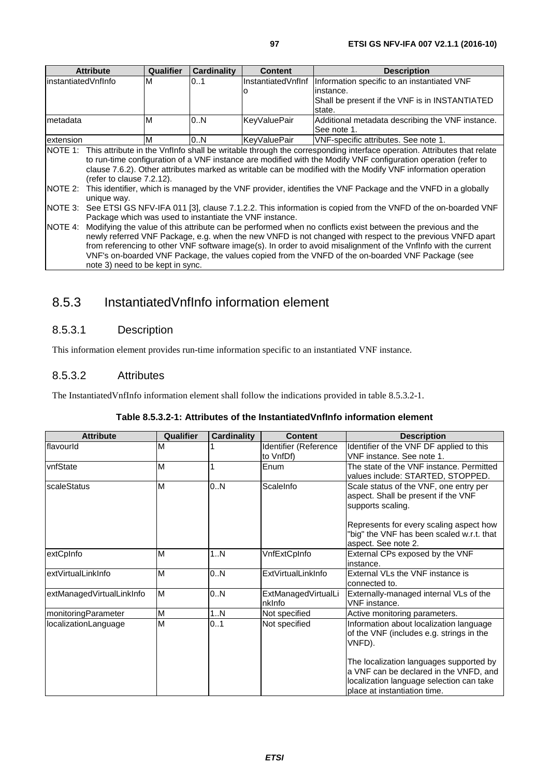| <b>Attribute</b>     | <b>Qualifier</b>                                                                                          | <b>Cardinality</b>                                                       | <b>Content</b> | <b>Description</b>                                                                                                            |  |
|----------------------|-----------------------------------------------------------------------------------------------------------|--------------------------------------------------------------------------|----------------|-------------------------------------------------------------------------------------------------------------------------------|--|
| linstantiatedVnfInfo | М                                                                                                         | 0.1<br>InstantiatedVnfInf<br>Information specific to an instantiated VNF |                |                                                                                                                               |  |
|                      |                                                                                                           |                                                                          |                | linstance.                                                                                                                    |  |
|                      |                                                                                                           |                                                                          |                | Shall be present if the VNF is in INSTANTIATED                                                                                |  |
|                      |                                                                                                           |                                                                          |                | state.                                                                                                                        |  |
| Imetadata            | M                                                                                                         | 0N                                                                       | KeyValuePair   | Additional metadata describing the VNF instance.                                                                              |  |
|                      |                                                                                                           |                                                                          |                | See note 1.                                                                                                                   |  |
| lextension           | M                                                                                                         | 0N                                                                       | KeyValuePair   | VNF-specific attributes. See note 1.                                                                                          |  |
|                      |                                                                                                           |                                                                          |                | NOTE 1: This attribute in the VnfInfo shall be writable through the corresponding interface operation. Attributes that relate |  |
|                      |                                                                                                           |                                                                          |                | to run-time configuration of a VNF instance are modified with the Modify VNF configuration operation (refer to                |  |
|                      |                                                                                                           |                                                                          |                | clause 7.6.2). Other attributes marked as writable can be modified with the Modify VNF information operation                  |  |
|                      | (refer to clause 7.2.12).                                                                                 |                                                                          |                |                                                                                                                               |  |
| NOTE 2:              |                                                                                                           |                                                                          |                | This identifier, which is managed by the VNF provider, identifies the VNF Package and the VNFD in a globally                  |  |
| unique way.          |                                                                                                           |                                                                          |                |                                                                                                                               |  |
| NOTE 3:              |                                                                                                           |                                                                          |                | See ETSI GS NFV-IFA 011 [3], clause 7.1.2.2. This information is copied from the VNFD of the on-boarded VNF                   |  |
|                      | Package which was used to instantiate the VNF instance.                                                   |                                                                          |                |                                                                                                                               |  |
| <b>INOTE 4:</b>      |                                                                                                           |                                                                          |                | Modifying the value of this attribute can be performed when no conflicts exist between the previous and the                   |  |
|                      | newly referred VNF Package, e.g. when the new VNFD is not changed with respect to the previous VNFD apart |                                                                          |                |                                                                                                                               |  |
|                      |                                                                                                           |                                                                          |                | from referencing to other VNF software image(s). In order to avoid misalignment of the Vnflnfo with the current               |  |
|                      |                                                                                                           |                                                                          |                | VNF's on-boarded VNF Package, the values copied from the VNFD of the on-boarded VNF Package (see                              |  |

note 3) need to be kept in sync.

## 8.5.3 InstantiatedVnfInfo information element

## 8.5.3.1 Description

This information element provides run-time information specific to an instantiated VNF instance.

## 8.5.3.2 Attributes

The InstantiatedVnfInfo information element shall follow the indications provided in table 8.5.3.2-1.

| <b>Attribute</b>          | Qualifier | Cardinality | Content                            | <b>Description</b>                                                                                                                                            |
|---------------------------|-----------|-------------|------------------------------------|---------------------------------------------------------------------------------------------------------------------------------------------------------------|
| flavourld                 | M         |             | Identifier (Reference<br>to VnfDf) | Identifier of the VNF DF applied to this<br>VNF instance. See note 1.                                                                                         |
| vnfState                  | M         |             | Enum                               | The state of the VNF instance. Permitted<br>values include: STARTED, STOPPED.                                                                                 |
| scaleStatus               | M         | 0.N         | ScaleInfo                          | Scale status of the VNF, one entry per<br>aspect. Shall be present if the VNF<br>supports scaling.                                                            |
|                           |           |             |                                    | Represents for every scaling aspect how<br>"big" the VNF has been scaled w.r.t. that<br>aspect. See note 2.                                                   |
| extCpInfo                 | M         | 1N          | VnfExtCpInfo                       | External CPs exposed by the VNF<br>instance.                                                                                                                  |
| extVirtualLinkInfo        | M         | 0N          | ExtVirtualLinkInfo                 | External VLs the VNF instance is<br>connected to.                                                                                                             |
| extManagedVirtualLinkInfo | M         | 0N          | ExtManagedVirtualLi<br>nklnfo      | Externally-managed internal VLs of the<br>VNF instance.                                                                                                       |
| monitoringParameter       | M         | 1N          | Not specified                      | Active monitoring parameters.                                                                                                                                 |
| localizationLanguage      | M         | 0.1         | Not specified                      | Information about localization language<br>of the VNF (includes e.g. strings in the<br>VNFD).                                                                 |
|                           |           |             |                                    | The localization languages supported by<br>a VNF can be declared in the VNFD, and<br>localization language selection can take<br>place at instantiation time. |

#### **Table 8.5.3.2-1: Attributes of the InstantiatedVnfInfo information element**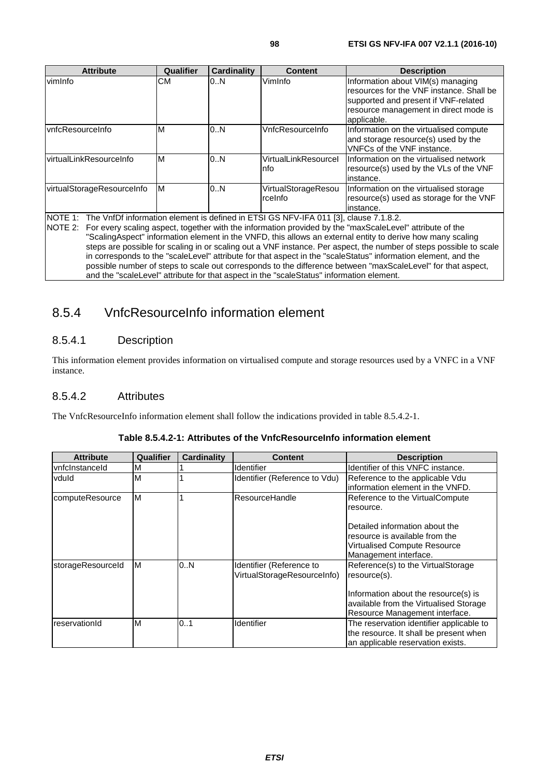| <b>Attribute</b>                                                                                        | <b>Qualifier</b> | Cardinality | <b>Content</b>                 | <b>Description</b>                                                                                                                                                                                                                                                                                                                                                                                                                                                                                                                                                             |
|---------------------------------------------------------------------------------------------------------|------------------|-------------|--------------------------------|--------------------------------------------------------------------------------------------------------------------------------------------------------------------------------------------------------------------------------------------------------------------------------------------------------------------------------------------------------------------------------------------------------------------------------------------------------------------------------------------------------------------------------------------------------------------------------|
| vimInfo                                                                                                 | СM               | 0.N         | VimInfo                        | Information about VIM(s) managing<br>resources for the VNF instance. Shall be<br>supported and present if VNF-related<br>resource management in direct mode is<br>applicable.                                                                                                                                                                                                                                                                                                                                                                                                  |
| vnfcResourceInfo                                                                                        | м                | 0N          | VnfcResourceInfo               | Information on the virtualised compute<br>and storage resource(s) used by the<br>VNFCs of the VNF instance.                                                                                                                                                                                                                                                                                                                                                                                                                                                                    |
| virtualLinkResourceInfo                                                                                 | M                | 0.N         | VirtualLinkResourcel<br>nfo    | Information on the virtualised network<br>resource(s) used by the VLs of the VNF<br>instance.                                                                                                                                                                                                                                                                                                                                                                                                                                                                                  |
| virtualStorageResourceInfo                                                                              | M                | 0N          | VirtualStorageResou<br>rcelnfo | Information on the virtualised storage<br>resource(s) used as storage for the VNF<br>instance.                                                                                                                                                                                                                                                                                                                                                                                                                                                                                 |
| NOTE 1: The VnfDf information element is defined in ETSI GS NFV-IFA 011 [3], clause 7.1.8.2.<br>NOTE 2: |                  |             |                                | For every scaling aspect, together with the information provided by the "maxScaleLevel" attribute of the<br>"ScalingAspect" information element in the VNFD, this allows an external entity to derive how many scaling<br>steps are possible for scaling in or scaling out a VNF instance. Per aspect, the number of steps possible to scale<br>in corresponds to the "scaleLevel" attribute for that aspect in the "scaleStatus" information element, and the<br>possible number of steps to scale out corresponds to the difference between "maxScaleLevel" for that aspect, |

and the "scaleLevel" attribute for that aspect in the "scaleStatus" information element.

## 8.5.4 VnfcResourceInfo information element

## 8.5.4.1 Description

This information element provides information on virtualised compute and storage resources used by a VNFC in a VNF instance.

### 8.5.4.2 Attributes

The VnfcResourceInfo information element shall follow the indications provided in table 8.5.4.2-1.

| <b>Attribute</b>  | Qualifier | <b>Cardinality</b> | <b>Content</b>                                          | <b>Description</b>                                 |
|-------------------|-----------|--------------------|---------------------------------------------------------|----------------------------------------------------|
| vnfclnstanceld    | M         |                    | Identifier                                              | Identifier of this VNFC instance.                  |
| vduld             | M         |                    | Identifier (Reference to Vdu)                           | Reference to the applicable Vdu                    |
|                   |           |                    |                                                         | information element in the VNFD.                   |
| computeResource   | M         |                    | ResourceHandle                                          | Reference to the VirtualCompute<br>resource.       |
|                   |           |                    |                                                         | lDetailed information about the                    |
|                   |           |                    |                                                         | resource is available from the                     |
|                   |           |                    |                                                         | Virtualised Compute Resource                       |
|                   |           |                    |                                                         | Management interface.                              |
| storageResourceId | M         | 0.N                | Identifier (Reference to<br>VirtualStorageResourceInfo) | Reference(s) to the VirtualStorage<br>resource(s). |
|                   |           |                    |                                                         | Information about the resource(s) is               |
|                   |           |                    |                                                         | available from the Virtualised Storage             |
|                   |           |                    |                                                         | Resource Management interface.                     |
| reservationId     | M         | 0.1                | <b>Identifier</b>                                       | The reservation identifier applicable to           |
|                   |           |                    |                                                         | the resource. It shall be present when             |
|                   |           |                    |                                                         | an applicable reservation exists.                  |

#### **Table 8.5.4.2-1: Attributes of the VnfcResourceInfo information element**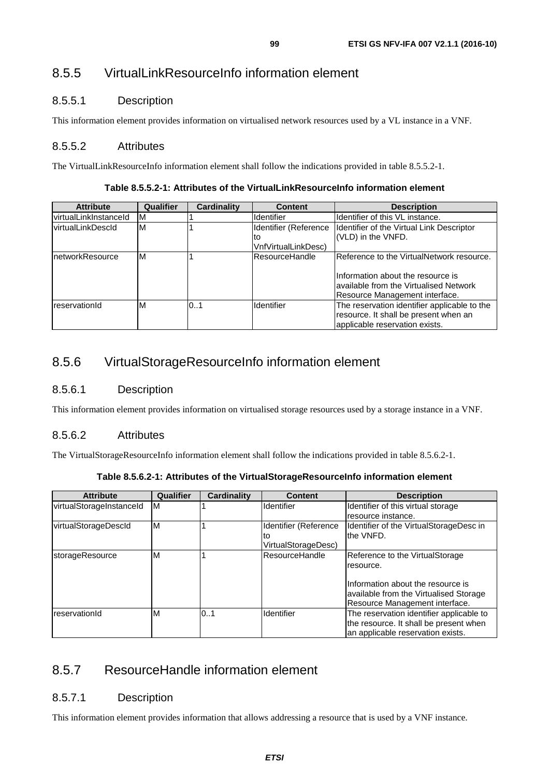## 8.5.5 VirtualLinkResourceInfo information element

## 8.5.5.1 Description

This information element provides information on virtualised network resources used by a VL instance in a VNF.

### 8.5.5.2 Attributes

The VirtualLinkResourceInfo information element shall follow the indications provided in table 8.5.5.2-1.

|  | Table 8.5.5.2-1: Attributes of the VirtualLinkResourceInfo information element |
|--|--------------------------------------------------------------------------------|
|--|--------------------------------------------------------------------------------|

| <b>Attribute</b>      | Qualifier | Cardinality | <b>Content</b>        | <b>Description</b>                           |
|-----------------------|-----------|-------------|-----------------------|----------------------------------------------|
| virtualLinkInstanceId | ΙM        |             | <b>Identifier</b>     | Identifier of this VL instance.              |
| virtualLinkDescId     | M         |             | Identifier (Reference | Identifier of the Virtual Link Descriptor    |
|                       |           |             | lto                   | (VLD) in the VNFD.                           |
|                       |           |             | VnfVirtualLinkDesc)   |                                              |
| InetworkResource      | ΙM        |             | lResourceHandle       | Reference to the VirtualNetwork resource.    |
|                       |           |             |                       |                                              |
|                       |           |             |                       | Information about the resource is            |
|                       |           |             |                       | available from the Virtualised Network       |
|                       |           |             |                       | Resource Management interface.               |
| reservationId         | M         | 0.1         | Identifier            | The reservation identifier applicable to the |
|                       |           |             |                       | resource. It shall be present when an        |
|                       |           |             |                       | applicable reservation exists.               |

## 8.5.6 VirtualStorageResourceInfo information element

### 8.5.6.1 Description

This information element provides information on virtualised storage resources used by a storage instance in a VNF.

### 8.5.6.2 Attributes

The VirtualStorageResourceInfo information element shall follow the indications provided in table 8.5.6.2-1.

| <b>Attribute</b>         | Qualifier | <b>Cardinality</b> | <b>Content</b>        | <b>Description</b>                       |
|--------------------------|-----------|--------------------|-----------------------|------------------------------------------|
| virtualStorageInstanceId | IМ        |                    | Identifier            | Identifier of this virtual storage       |
|                          |           |                    |                       | resource instance.                       |
| virtualStorageDescld     | IМ        |                    | Identifier (Reference | Identifier of the VirtualStorageDesc in  |
|                          |           |                    | to                    | the VNFD.                                |
|                          |           |                    | VirtualStorageDesc)   |                                          |
| storageResource          | M         |                    | ResourceHandle        | Reference to the VirtualStorage          |
|                          |           |                    |                       | resource.                                |
|                          |           |                    |                       |                                          |
|                          |           |                    |                       | Information about the resource is        |
|                          |           |                    |                       | available from the Virtualised Storage   |
|                          |           |                    |                       | Resource Management interface.           |
| reservationId            | ΙM        | 0.1                | Identifier            | The reservation identifier applicable to |
|                          |           |                    |                       | the resource. It shall be present when   |
|                          |           |                    |                       | an applicable reservation exists.        |

## 8.5.7 ResourceHandle information element

## 8.5.7.1 Description

This information element provides information that allows addressing a resource that is used by a VNF instance.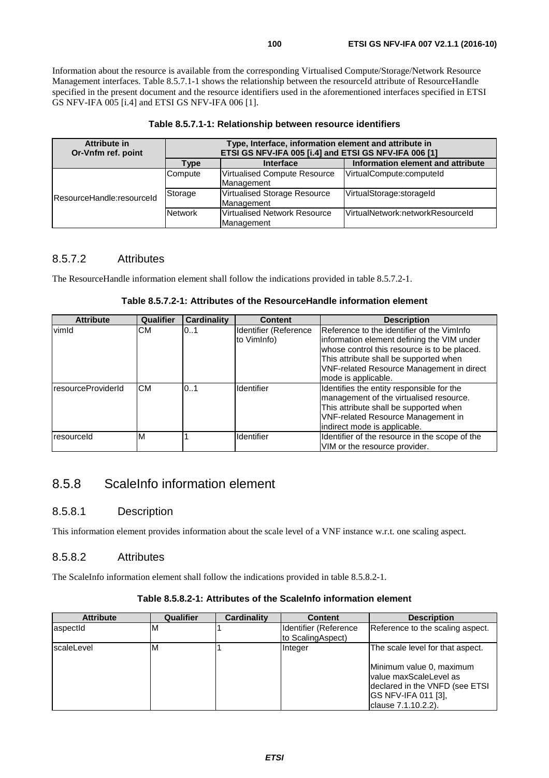Information about the resource is available from the corresponding Virtualised Compute/Storage/Network Resource Management interfaces. Table 8.5.7.1-1 shows the relationship between the resourceId attribute of ResourceHandle specified in the present document and the resource identifiers used in the aforementioned interfaces specified in ETSI GS NFV-IFA 005 [[i.4\]](#page-13-0) and ETSI GS NFV-IFA 006 [\[1](#page-13-0)].

| Attribute in              | Type, Interface, information element and attribute in |                                                       |                                   |  |  |
|---------------------------|-------------------------------------------------------|-------------------------------------------------------|-----------------------------------|--|--|
| Or-Vnfm ref. point        |                                                       | ETSI GS NFV-IFA 005 [i.4] and ETSI GS NFV-IFA 006 [1] |                                   |  |  |
|                           | Type                                                  | <b>Interface</b>                                      | Information element and attribute |  |  |
| ResourceHandle:resourceId | Compute                                               | Virtualised Compute Resource<br>Management            | VirtualCompute:computeId          |  |  |
|                           | Storage                                               | Virtualised Storage Resource<br>Management            | VirtualStorage:storageId          |  |  |
|                           | <b>Network</b>                                        | lVirtualised Network Resource<br>Management           | VirtualNetwork:networkResourceId  |  |  |

### **Table 8.5.7.1-1: Relationship between resource identifiers**

## 8.5.7.2 Attributes

The ResourceHandle information element shall follow the indications provided in table 8.5.7.2-1.

| Table 8.5.7.2-1: Attributes of the ResourceHandle information element |  |  |
|-----------------------------------------------------------------------|--|--|
|-----------------------------------------------------------------------|--|--|

| <b>Attribute</b>   | <b>Qualifier</b> | <b>Cardinality</b> | <b>Content</b>                       | <b>Description</b>                                                                                                                                                                                          |
|--------------------|------------------|--------------------|--------------------------------------|-------------------------------------------------------------------------------------------------------------------------------------------------------------------------------------------------------------|
| vimld              | CM.              | 0.1                | Identifier (Reference<br>to VimInfo) | Reference to the identifier of the VimInfo<br>information element defining the VIM under<br>whose control this resource is to be placed.                                                                    |
|                    |                  |                    |                                      | This attribute shall be supported when<br><b>VNF-related Resource Management in direct</b><br>mode is applicable.                                                                                           |
| resourceProviderId | CМ               | 101                | Identifier                           | Identifies the entity responsible for the<br>management of the virtualised resource.<br>This attribute shall be supported when<br><b>VNF-related Resource Management in</b><br>indirect mode is applicable. |
| resourceld         | M                |                    | Identifier                           | Identifier of the resource in the scope of the<br>VIM or the resource provider.                                                                                                                             |

## 8.5.8 ScaleInfo information element

## 8.5.8.1 Description

This information element provides information about the scale level of a VNF instance w.r.t. one scaling aspect.

## 8.5.8.2 Attributes

The ScaleInfo information element shall follow the indications provided in table 8.5.8.2-1.

## **Table 8.5.8.2-1: Attributes of the ScaleInfo information element**

| <b>Qualifier</b> | Cardinality | <b>Content</b>                             | <b>Description</b>                                                                                                                          |
|------------------|-------------|--------------------------------------------|---------------------------------------------------------------------------------------------------------------------------------------------|
| M                |             | Identifier (Reference<br>to ScalingAspect) | Reference to the scaling aspect.                                                                                                            |
| M                |             | Integer                                    | The scale level for that aspect.                                                                                                            |
|                  |             |                                            | Minimum value 0, maximum<br><b>Ivalue maxScaleLevel as</b><br>declared in the VNFD (see ETSI<br>IGS NFV-IFA 011 [3],<br>clause 7.1.10.2.2). |
|                  |             |                                            |                                                                                                                                             |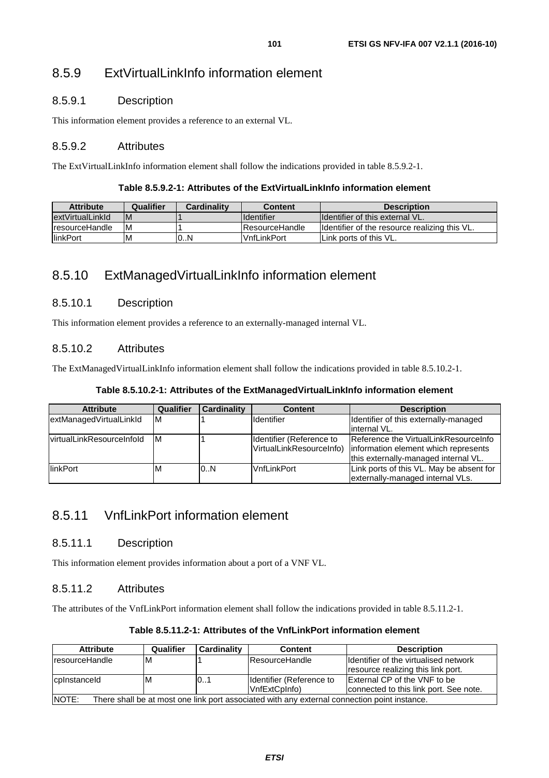## 8.5.9 ExtVirtualLinkInfo information element

## 8.5.9.1 Description

This information element provides a reference to an external VL.

## 8.5.9.2 Attributes

The ExtVirtualLinkInfo information element shall follow the indications provided in table 8.5.9.2-1.

#### **Table 8.5.9.2-1: Attributes of the ExtVirtualLinkInfo information element**

| <b>Attribute</b>       | Qualifier | Cardinality | <b>Content</b>         | <b>Description</b>                            |
|------------------------|-----------|-------------|------------------------|-----------------------------------------------|
| lextVirtualLinkId      | IM        |             | <b>I</b> Identifier    | <b>Ildentifier of this external VL.</b>       |
| <b>IresourceHandle</b> | ΙM        |             | <b>IResourceHandle</b> | Identifier of the resource realizing this VL. |
| <b>linkPort</b>        | ΙM        | l0N         | <b>VnfLinkPort</b>     | I Link ports of this VL.                      |

## 8.5.10 ExtManagedVirtualLinkInfo information element

## 8.5.10.1 Description

This information element provides a reference to an externally-managed internal VL.

## 8.5.10.2 Attributes

The ExtManagedVirtualLinkInfo information element shall follow the indications provided in table 8.5.10.2-1.

#### **Table 8.5.10.2-1: Attributes of the ExtManagedVirtualLinkInfo information element**

| <b>Attribute</b>           | Qualifier | Cardinality | <b>Content</b>                                       | <b>Description</b>                                                                                                    |
|----------------------------|-----------|-------------|------------------------------------------------------|-----------------------------------------------------------------------------------------------------------------------|
| extManagedVirtualLinkId    | ΙM        |             | Identifier                                           | Identifier of this externally-managed                                                                                 |
|                            |           |             |                                                      | internal VL.                                                                                                          |
| lvirtualLinkResourceInfold | ΙM        |             | Identifier (Reference to<br>VirtualLinkResourceInfo) | Reference the VirtualLinkResourceInfo<br>information element which represents<br>this externally-managed internal VL. |
| linkPort                   | м         | 0.N         | <b>VnfLinkPort</b>                                   | Link ports of this VL. May be absent for<br>externally-managed internal VLs.                                          |

## 8.5.11 VnfLinkPort information element

### 8.5.11.1 Description

This information element provides information about a port of a VNF VL.

### 8.5.11.2 Attributes

The attributes of the VnfLinkPort information element shall follow the indications provided in table 8.5.11.2-1.

| <b>Attribute</b>                                                                                      | Qualifier | <b>Cardinality</b> | <b>Content</b>                            | <b>Description</b>                                                            |
|-------------------------------------------------------------------------------------------------------|-----------|--------------------|-------------------------------------------|-------------------------------------------------------------------------------|
| IresourceHandle                                                                                       | ıΜ        |                    | <b>ResourceHandle</b>                     | Identifier of the virtualised network<br>resource realizing this link port.   |
| cplnstanceld                                                                                          | ıΜ        | 01                 | Identifier (Reference to<br>VnfExtCpInfo) | <b>External CP of the VNF to be</b><br>connected to this link port. See note. |
| NOTE:<br>There shall be at most one link port associated with any external connection point instance. |           |                    |                                           |                                                                               |

#### **Table 8.5.11.2-1: Attributes of the VnfLinkPort information element**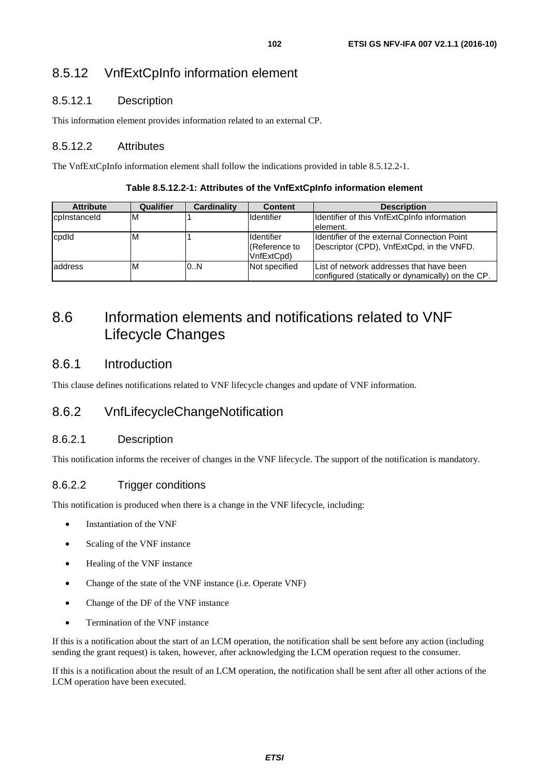## 8.5.12 VnfExtCpInfo information element

## 8.5.12.1 Description

This information element provides information related to an external CP.

## 8.5.12.2 Attributes

The VnfExtCpInfo information element shall follow the indications provided in table 8.5.12.2-1.

| Table 8.5.12.2-1: Attributes of the VnfExtCpInfo information element |  |  |  |  |  |
|----------------------------------------------------------------------|--|--|--|--|--|
|----------------------------------------------------------------------|--|--|--|--|--|

| <b>Attribute</b> | Qualifier | Cardinality | <b>Content</b>                                     | <b>Description</b>                                                                            |
|------------------|-----------|-------------|----------------------------------------------------|-----------------------------------------------------------------------------------------------|
| cpinstanceld     | M         |             | Identifier                                         | Identifier of this VnfExtCpInfo information<br>lelement.                                      |
| cpdld            | ιM        |             | <b>I</b> Identifier<br>(Reference to<br>VnfExtCpd) | Ildentifier of the external Connection Point<br>Descriptor (CPD), VnfExtCpd, in the VNFD.     |
| laddress         | M         | 0.N         | Not specified                                      | List of network addresses that have been<br>configured (statically or dynamically) on the CP. |

## 8.6 Information elements and notifications related to VNF Lifecycle Changes

## 8.6.1 Introduction

This clause defines notifications related to VNF lifecycle changes and update of VNF information.

## 8.6.2 VnfLifecycleChangeNotification

### 8.6.2.1 Description

This notification informs the receiver of changes in the VNF lifecycle. The support of the notification is mandatory.

## 8.6.2.2 Trigger conditions

This notification is produced when there is a change in the VNF lifecycle, including:

- Instantiation of the VNF
- Scaling of the VNF instance
- Healing of the VNF instance
- Change of the state of the VNF instance (i.e. Operate VNF)
- Change of the DF of the VNF instance
- Termination of the VNF instance

If this is a notification about the start of an LCM operation, the notification shall be sent before any action (including sending the grant request) is taken, however, after acknowledging the LCM operation request to the consumer.

If this is a notification about the result of an LCM operation, the notification shall be sent after all other actions of the LCM operation have been executed.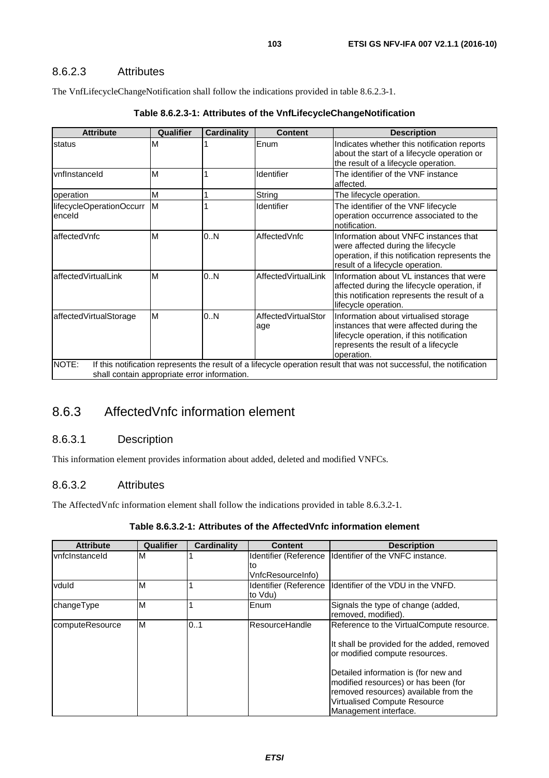## 8.6.2.3 Attributes

The VnfLifecycleChangeNotification shall follow the indications provided in table 8.6.2.3-1.

| <b>Attribute</b>                                      | Qualifier | <b>Cardinality</b> | <b>Content</b>             | <b>Description</b>                                                                                                                                                                  |
|-------------------------------------------------------|-----------|--------------------|----------------------------|-------------------------------------------------------------------------------------------------------------------------------------------------------------------------------------|
| status                                                | M         |                    | Enum                       | Indicates whether this notification reports<br>about the start of a lifecycle operation or<br>the result of a lifecycle operation.                                                  |
| vnflnstanceld                                         | M         |                    | <b>Identifier</b>          | The identifier of the VNF instance<br>affected.                                                                                                                                     |
| operation                                             | M         |                    | String                     | The lifecycle operation.                                                                                                                                                            |
| lifecycleOperationOccurr<br>enceld                    | M         |                    | Identifier                 | The identifier of the VNF lifecycle<br>operation occurrence associated to the<br>notification.                                                                                      |
| affectedVnfc                                          | M         | 0.N                | AffectedVnfc               | Information about VNFC instances that<br>were affected during the lifecycle<br>operation, if this notification represents the<br>result of a lifecycle operation.                   |
| affectedVirtualLink                                   | M         | 0.N                | AffectedVirtualLink        | Information about VL instances that were<br>affected during the lifecycle operation, if<br>this notification represents the result of a<br>lifecycle operation.                     |
| affectedVirtualStorage                                | M         | 0.N                | AffectedVirtualStor<br>age | Information about virtualised storage<br>instances that were affected during the<br>lifecycle operation, if this notification<br>represents the result of a lifecycle<br>operation. |
| NOTE:<br>shall contain appropriate error information. |           |                    |                            | If this notification represents the result of a lifecycle operation result that was not successful, the notification                                                                |

## 8.6.3 AffectedVnfc information element

## 8.6.3.1 Description

This information element provides information about added, deleted and modified VNFCs.

### 8.6.3.2 Attributes

The AffectedVnfc information element shall follow the indications provided in table 8.6.3.2-1.

| <b>Attribute</b> | Qualifier | <b>Cardinality</b> | <b>Content</b>                   | <b>Description</b>                                                                                                    |
|------------------|-----------|--------------------|----------------------------------|-----------------------------------------------------------------------------------------------------------------------|
| vnfcInstanceId   | M         |                    | Identifier (Reference            | Identifier of the VNFC instance.                                                                                      |
|                  |           |                    | lto                              |                                                                                                                       |
|                  |           |                    | VnfcResourceInfo)                |                                                                                                                       |
| vduld            | M         |                    | Identifier (Reference<br>to Vdu) | <b>I</b> Identifier of the VDU in the VNFD.                                                                           |
| changeType       | M         |                    | Enum                             | Signals the type of change (added,<br>removed, modified).                                                             |
| computeResource  | M         | 0.1                | <b>ResourceHandle</b>            | Reference to the VirtualCompute resource.                                                                             |
|                  |           |                    |                                  | It shall be provided for the added, removed<br>or modified compute resources.                                         |
|                  |           |                    |                                  | Detailed information is (for new and<br>modified resources) or has been (for<br>removed resources) available from the |
|                  |           |                    |                                  | Virtualised Compute Resource<br>Management interface.                                                                 |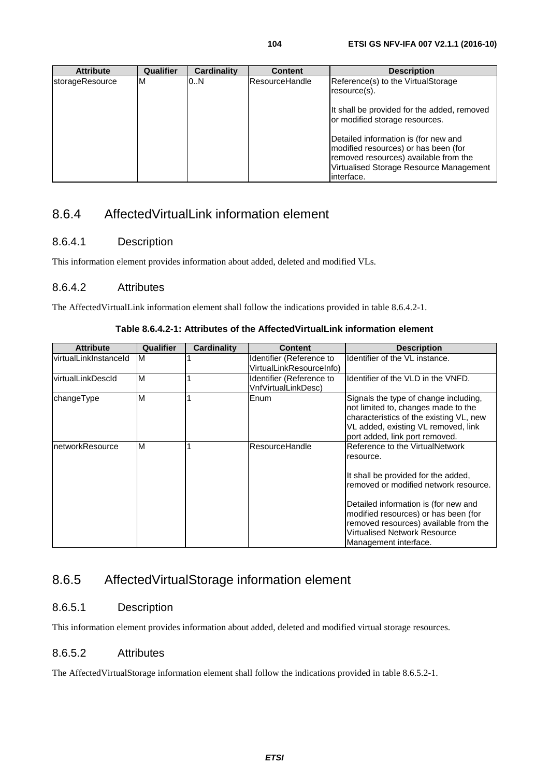**Attribute Qualifier Cardinality Content Description** storageResource M 0..N ResourceHandle Reference(s) to the VirtualStorage resource(s). It shall be provided for the added, removed or modified storage resources. Detailed information is (for new and modified resources) or has been (for removed resources) available from the Virtualised Storage Resource Management interface.

## 8.6.4 AffectedVirtualLink information element

## 8.6.4.1 Description

This information element provides information about added, deleted and modified VLs.

### 8.6.4.2 Attributes

The AffectedVirtualLink information element shall follow the indications provided in table 8.6.4.2-1.

#### **Table 8.6.4.2-1: Attributes of the AffectedVirtualLink information element**

| <b>Attribute</b>      | Qualifier | <b>Cardinality</b> | <b>Content</b>                                       | <b>Description</b>                                                                                                                                                                                                                                                                                                    |
|-----------------------|-----------|--------------------|------------------------------------------------------|-----------------------------------------------------------------------------------------------------------------------------------------------------------------------------------------------------------------------------------------------------------------------------------------------------------------------|
| virtualLinkInstanceId | ΙM        |                    | Identifier (Reference to<br>VirtualLinkResourceInfo) | Identifier of the VL instance.                                                                                                                                                                                                                                                                                        |
| virtualLinkDescld     | M         |                    | Identifier (Reference to<br>VnfVirtualLinkDesc)      | Identifier of the VLD in the VNFD.                                                                                                                                                                                                                                                                                    |
| changeType            | M         |                    | Enum                                                 | Signals the type of change including,<br>not limited to, changes made to the<br>characteristics of the existing VL, new<br>VL added, existing VL removed, link<br>port added, link port removed.                                                                                                                      |
| networkResource       | M         |                    | ResourceHandle                                       | Reference to the VirtualNetwork<br>resource.<br>It shall be provided for the added,<br>removed or modified network resource.<br>Detailed information is (for new and<br>modified resources) or has been (for<br>removed resources) available from the<br><b>Virtualised Network Resource</b><br>Management interface. |

## 8.6.5 AffectedVirtualStorage information element

### 8.6.5.1 Description

This information element provides information about added, deleted and modified virtual storage resources.

## 8.6.5.2 Attributes

The AffectedVirtualStorage information element shall follow the indications provided in table 8.6.5.2-1.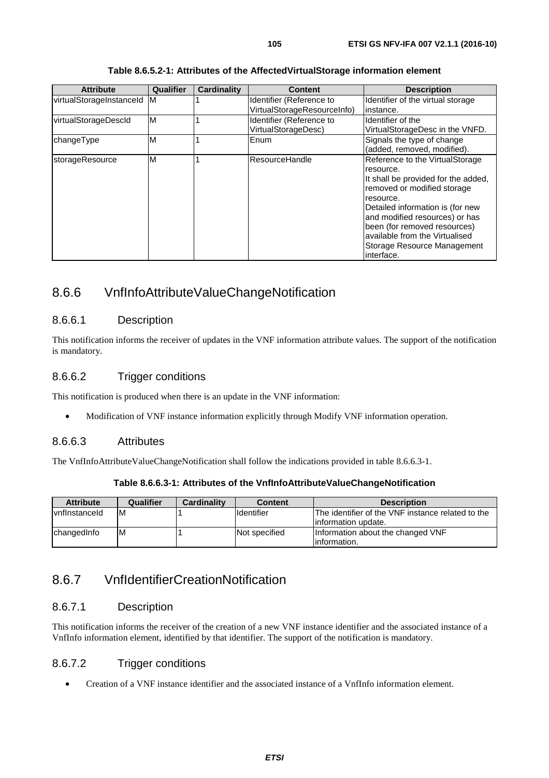| <b>Attribute</b>           | Qualifier | Cardinality | <b>Content</b>                                          | <b>Description</b>                                                                                                                                                                                                                                                                                                   |
|----------------------------|-----------|-------------|---------------------------------------------------------|----------------------------------------------------------------------------------------------------------------------------------------------------------------------------------------------------------------------------------------------------------------------------------------------------------------------|
| virtualStorageInstanceId M |           |             | Identifier (Reference to<br>VirtualStorageResourceInfo) | Identifier of the virtual storage<br>linstance.                                                                                                                                                                                                                                                                      |
| virtualStorageDescld       | M         |             | Identifier (Reference to<br>VirtualStorageDesc)         | Identifier of the<br>VirtualStorageDesc in the VNFD.                                                                                                                                                                                                                                                                 |
| changeType                 | M         |             | Enum                                                    | Signals the type of change<br>(added, removed, modified).                                                                                                                                                                                                                                                            |
| storageResource            | M         |             | ResourceHandle                                          | Reference to the VirtualStorage<br>resource.<br>It shall be provided for the added,<br>removed or modified storage<br>resource.<br>Detailed information is (for new<br>and modified resources) or has<br>been (for removed resources)<br>available from the Virtualised<br>Storage Resource Management<br>interface. |

#### **Table 8.6.5.2-1: Attributes of the AffectedVirtualStorage information element**

## 8.6.6 VnfInfoAttributeValueChangeNotification

#### 8.6.6.1 Description

This notification informs the receiver of updates in the VNF information attribute values. The support of the notification is mandatory.

#### 8.6.6.2 Trigger conditions

This notification is produced when there is an update in the VNF information:

• Modification of VNF instance information explicitly through Modify VNF information operation.

### 8.6.6.3 Attributes

The VnfInfoAttributeValueChangeNotification shall follow the indications provided in table 8.6.6.3-1.

**Table 8.6.6.3-1: Attributes of the VnfInfoAttributeValueChangeNotification** 

| <b>Attribute</b>     | Qualifier | <b>Cardinality</b> | <b>Content</b>     | <b>Description</b>                                                        |
|----------------------|-----------|--------------------|--------------------|---------------------------------------------------------------------------|
| <b>vnflnstanceld</b> | ΙM        |                    | <b>I</b> dentifier | The identifier of the VNF instance related to the<br>linformation update. |
| changedInfo          | ΙM        |                    | Not specified      | Information about the changed VNF<br>linformation.                        |

## 8.6.7 VnfIdentifierCreationNotification

#### 8.6.7.1 Description

This notification informs the receiver of the creation of a new VNF instance identifier and the associated instance of a VnfInfo information element, identified by that identifier. The support of the notification is mandatory.

## 8.6.7.2 Trigger conditions

• Creation of a VNF instance identifier and the associated instance of a VnfInfo information element.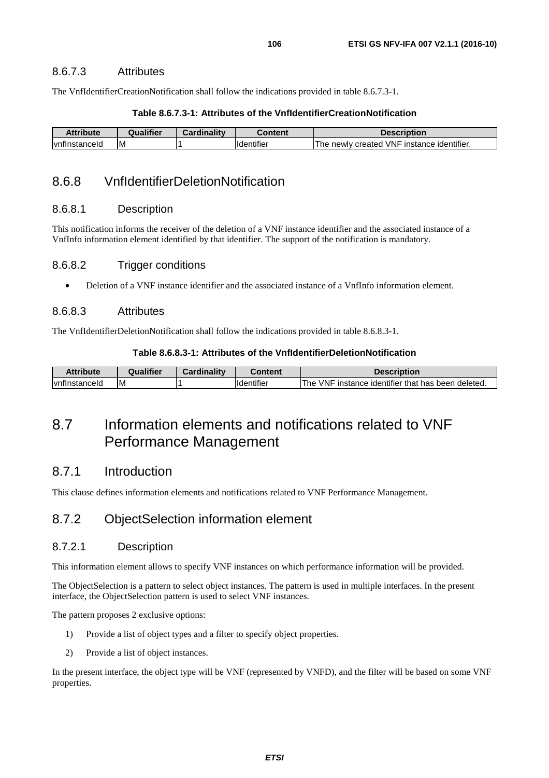#### 8.6.7.3 Attributes

The VnfIdentifierCreationNotification shall follow the indications provided in table 8.6.7.3-1.

#### **Table 8.6.7.3-1: Attributes of the VnfIdentifierCreationNotification**

| <b>Attribute</b>      | <b>Australifier</b> | Cardinalitv | วontent                        | <b>Description</b>                                 |
|-----------------------|---------------------|-------------|--------------------------------|----------------------------------------------------|
| <b>Ivnflnstanceld</b> | ΙM                  |             | $\cdots$<br><b>ildentifier</b> | 'VNF instance identifier.<br>∠created<br>The newly |

## 8.6.8 VnfIdentifierDeletionNotification

#### 8.6.8.1 Description

This notification informs the receiver of the deletion of a VNF instance identifier and the associated instance of a VnfInfo information element identified by that identifier. The support of the notification is mandatory.

#### 8.6.8.2 Trigger conditions

• Deletion of a VNF instance identifier and the associated instance of a VnfInfo information element.

#### 8.6.8.3 Attributes

The VnfIdentifierDeletionNotification shall follow the indications provided in table 8.6.8.3-1.

#### **Table 8.6.8.3-1: Attributes of the VnfIdentifierDeletionNotification**

| Attribute      | Qualifier | Cardinality | :ontent           | <b>Description</b>                                               |
|----------------|-----------|-------------|-------------------|------------------------------------------------------------------|
| Ivnflnstanceld | ΙM        |             | <b>Identifier</b> | <b>VNF</b><br>The<br>Finstance identifier that has been deleted. |

## 8.7 Information elements and notifications related to VNF Performance Management

## 8.7.1 Introduction

This clause defines information elements and notifications related to VNF Performance Management.

## 8.7.2 ObjectSelection information element

#### 8.7.2.1 Description

This information element allows to specify VNF instances on which performance information will be provided.

The ObjectSelection is a pattern to select object instances. The pattern is used in multiple interfaces. In the present interface, the ObjectSelection pattern is used to select VNF instances.

The pattern proposes 2 exclusive options:

- 1) Provide a list of object types and a filter to specify object properties.
- 2) Provide a list of object instances.

In the present interface, the object type will be VNF (represented by VNFD), and the filter will be based on some VNF properties.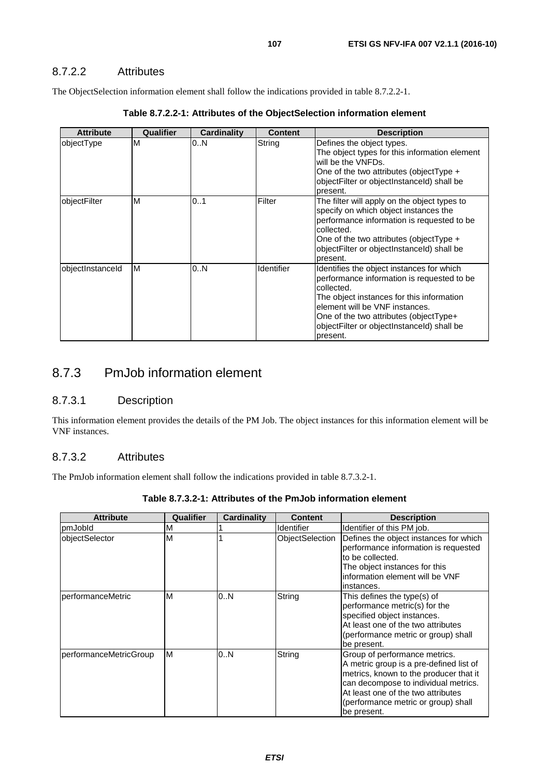## 8.7.2.2 Attributes

The ObjectSelection information element shall follow the indications provided in table 8.7.2.2-1.

| <b>Attribute</b> | Qualifier | Cardinality | <b>Content</b> | <b>Description</b>                                                                                                                                                                                                                                                                       |
|------------------|-----------|-------------|----------------|------------------------------------------------------------------------------------------------------------------------------------------------------------------------------------------------------------------------------------------------------------------------------------------|
| objectType       | M         | 0N          | String         | Defines the object types.<br>The object types for this information element<br>will be the VNFDs.<br>One of the two attributes (object Type $+$<br>objectFilter or objectInstanceId) shall be<br>present.                                                                                 |
| objectFilter     | M         | 01          | Filter         | The filter will apply on the object types to<br>specify on which object instances the<br>performance information is requested to be<br>collected.<br>One of the two attributes (object Type $+$<br>objectFilter or objectInstanceId) shall be<br>present.                                |
| objectInstanceId | M         | 0N          | Identifier     | Identifies the object instances for which<br>performance information is requested to be<br>collected.<br>The object instances for this information<br>element will be VNF instances.<br>One of the two attributes (objectType+<br>objectFilter or objectInstanceId) shall be<br>present. |

**Table 8.7.2.2-1: Attributes of the ObjectSelection information element** 

## 8.7.3 PmJob information element

### 8.7.3.1 Description

This information element provides the details of the PM Job. The object instances for this information element will be VNF instances.

### 8.7.3.2 Attributes

The PmJob information element shall follow the indications provided in table 8.7.3.2-1.

| <b>Attribute</b>       | Qualifier | <b>Cardinality</b> | <b>Content</b>  | <b>Description</b>                                                                                                                                                                                                                                     |
|------------------------|-----------|--------------------|-----------------|--------------------------------------------------------------------------------------------------------------------------------------------------------------------------------------------------------------------------------------------------------|
| pmJobId                | M         |                    | Identifier      | Identifier of this PM job.                                                                                                                                                                                                                             |
| objectSelector         | M         |                    | ObjectSelection | Defines the object instances for which<br>performance information is requested<br>to be collected.<br>The object instances for this<br>information element will be VNF<br>instances.                                                                   |
| performanceMetric      | M         | 0.N                | String          | This defines the type(s) of<br>performance metric(s) for the<br>specified object instances.<br>At least one of the two attributes<br>(performance metric or group) shall<br>be present.                                                                |
| performanceMetricGroup | M         | 0.N                | String          | Group of performance metrics.<br>A metric group is a pre-defined list of<br>metrics, known to the producer that it<br>can decompose to individual metrics.<br>At least one of the two attributes<br>(performance metric or group) shall<br>be present. |

#### **Table 8.7.3.2-1: Attributes of the PmJob information element**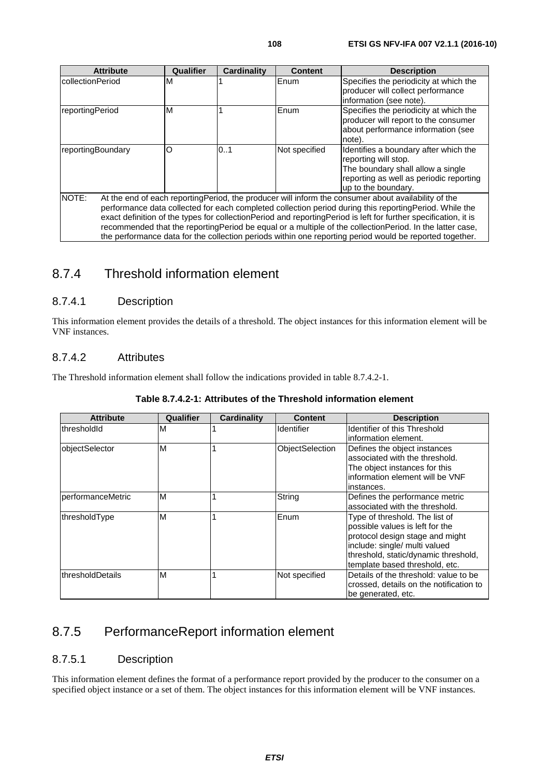| <b>Attribute</b>                                                                                                                                                                                                                                                                                                                                                                                                                                                                                                                                                       | Qualifier | <b>Cardinality</b> | <b>Content</b> | <b>Description</b>                                                                                                                                                   |  |  |
|------------------------------------------------------------------------------------------------------------------------------------------------------------------------------------------------------------------------------------------------------------------------------------------------------------------------------------------------------------------------------------------------------------------------------------------------------------------------------------------------------------------------------------------------------------------------|-----------|--------------------|----------------|----------------------------------------------------------------------------------------------------------------------------------------------------------------------|--|--|
| IcollectionPeriod                                                                                                                                                                                                                                                                                                                                                                                                                                                                                                                                                      | M         |                    | Enum           | Specifies the periodicity at which the<br>producer will collect performance<br>information (see note).                                                               |  |  |
| reportingPeriod                                                                                                                                                                                                                                                                                                                                                                                                                                                                                                                                                        | M         |                    | Enum           | Specifies the periodicity at which the<br>producer will report to the consumer<br>about performance information (see<br>note).                                       |  |  |
| reportingBoundary                                                                                                                                                                                                                                                                                                                                                                                                                                                                                                                                                      | O         | 01                 | Not specified  | Identifies a boundary after which the<br>reporting will stop.<br>The boundary shall allow a single<br>reporting as well as periodic reporting<br>up to the boundary. |  |  |
| NOTE:<br>At the end of each reporting Period, the producer will inform the consumer about availability of the<br>performance data collected for each completed collection period during this reporting Period. While the<br>exact definition of the types for collection Period and reporting Period is left for further specification, it is<br>recommended that the reporting Period be equal or a multiple of the collection Period. In the latter case,<br>the performance data for the collection periods within one reporting period would be reported together. |           |                    |                |                                                                                                                                                                      |  |  |

## 8.7.4 Threshold information element

## 8.7.4.1 Description

This information element provides the details of a threshold. The object instances for this information element will be VNF instances.

### 8.7.4.2 Attributes

The Threshold information element shall follow the indications provided in table 8.7.4.2-1.

| <b>Attribute</b>  | Qualifier | Cardinality | <b>Content</b>    | <b>Description</b>                      |
|-------------------|-----------|-------------|-------------------|-----------------------------------------|
| thresholdId       | м         |             | <b>Identifier</b> | Identifier of this Threshold            |
|                   |           |             |                   | linformation element.                   |
| objectSelector    | M         |             | ObjectSelection   | Defines the object instances            |
|                   |           |             |                   | associated with the threshold.          |
|                   |           |             |                   | The object instances for this           |
|                   |           |             |                   | information element will be VNF         |
|                   |           |             |                   | linstances.                             |
| performanceMetric | M         |             | String            | Defines the performance metric          |
|                   |           |             |                   | associated with the threshold.          |
| thresholdType     | M         |             | Enum              | Type of threshold. The list of          |
|                   |           |             |                   | possible values is left for the         |
|                   |           |             |                   | protocol design stage and might         |
|                   |           |             |                   | include: single/ multi valued           |
|                   |           |             |                   | threshold, static/dynamic threshold,    |
|                   |           |             |                   | template based threshold, etc.          |
| thresholdDetails  | M         |             | Not specified     | Details of the threshold: value to be   |
|                   |           |             |                   | crossed, details on the notification to |
|                   |           |             |                   | be generated, etc.                      |

#### **Table 8.7.4.2-1: Attributes of the Threshold information element**

## 8.7.5 PerformanceReport information element

### 8.7.5.1 Description

This information element defines the format of a performance report provided by the producer to the consumer on a specified object instance or a set of them. The object instances for this information element will be VNF instances.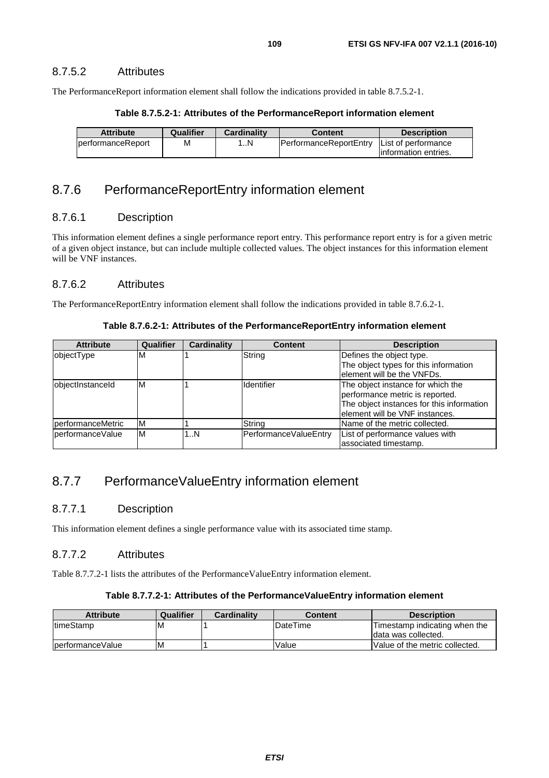### 8.7.5.2 Attributes

The PerformanceReport information element shall follow the indications provided in table 8.7.5.2-1.

#### **Table 8.7.5.2-1: Attributes of the PerformanceReport information element**

| <b>Attribute</b>          | Qualifier | <b>Cardinality</b> | Content                                      | <b>Description</b>    |
|---------------------------|-----------|--------------------|----------------------------------------------|-----------------------|
| <b>IperformanceReport</b> | м         | …N                 | PerformanceReportEntry   List of performance |                       |
|                           |           |                    |                                              | linformation entries. |

# 8.7.6 PerformanceReportEntry information element

#### 8.7.6.1 Description

This information element defines a single performance report entry. This performance report entry is for a given metric of a given object instance, but can include multiple collected values. The object instances for this information element will be VNF instances.

#### 8.7.6.2 Attributes

The PerformanceReportEntry information element shall follow the indications provided in table 8.7.6.2-1.

**Table 8.7.6.2-1: Attributes of the PerformanceReportEntry information element** 

| <b>Attribute</b>  | Qualifier | <b>Cardinality</b> | <b>Content</b>        | <b>Description</b>                        |
|-------------------|-----------|--------------------|-----------------------|-------------------------------------------|
| objectType        | м         |                    | String                | Defines the object type.                  |
|                   |           |                    |                       | The object types for this information     |
|                   |           |                    |                       | element will be the VNFDs.                |
| objectInstanceId  | M         |                    | Identifier            | The object instance for which the         |
|                   |           |                    |                       | performance metric is reported.           |
|                   |           |                    |                       | The object instances for this information |
|                   |           |                    |                       | element will be VNF instances.            |
| performanceMetric | M         |                    | String                | Name of the metric collected.             |
| performanceValue  | M         | 1N                 | PerformanceValueEntry | List of performance values with           |
|                   |           |                    |                       | associated timestamp.                     |

# 8.7.7 PerformanceValueEntry information element

### 8.7.7.1 Description

This information element defines a single performance value with its associated time stamp.

#### 8.7.7.2 Attributes

Table 8.7.7.2-1 lists the attributes of the PerformanceValueEntry information element.

#### **Table 8.7.7.2-1: Attributes of the PerformanceValueEntry information element**

| <b>Attribute</b>   | Qualifier | <b>Cardinality</b> | Content          | <b>Description</b>             |
|--------------------|-----------|--------------------|------------------|--------------------------------|
| <b>ItimeStamp</b>  | ΙM        |                    | <b>IDateTime</b> | Timestamp indicating when the  |
|                    |           |                    |                  | Idata was collected.           |
| lperformance Value | ΙM        |                    | Value            | Value of the metric collected. |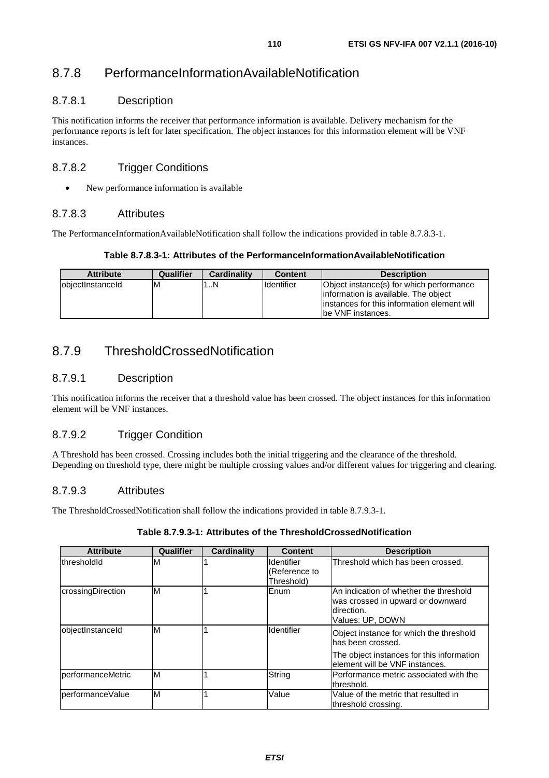# 8.7.8 PerformanceInformationAvailableNotification

### 8.7.8.1 Description

This notification informs the receiver that performance information is available. Delivery mechanism for the performance reports is left for later specification. The object instances for this information element will be VNF instances.

## 8.7.8.2 Trigger Conditions

• New performance information is available

### 8.7.8.3 Attributes

The PerformanceInformationAvailableNotification shall follow the indications provided in table 8.7.8.3-1.

#### **Table 8.7.8.3-1: Attributes of the PerformanceInformationAvailableNotification**

| <b>Attribute</b>  | <b>Qualifier</b> | <b>Cardinality</b> | <b>Content</b> | <b>Description</b>                                                                                                                                     |
|-------------------|------------------|--------------------|----------------|--------------------------------------------------------------------------------------------------------------------------------------------------------|
| lobiectInstanceId | ıΜ               | .N                 | Ildentifier    | Object instance(s) for which performance<br>information is available. The object<br>linstances for this information element will<br>lbe VNF instances. |

# 8.7.9 ThresholdCrossedNotification

## 8.7.9.1 Description

This notification informs the receiver that a threshold value has been crossed. The object instances for this information element will be VNF instances.

## 8.7.9.2 Trigger Condition

A Threshold has been crossed. Crossing includes both the initial triggering and the clearance of the threshold. Depending on threshold type, there might be multiple crossing values and/or different values for triggering and clearing.

### 8.7.9.3 Attributes

The ThresholdCrossedNotification shall follow the indications provided in table 8.7.9.3-1.

| <b>Attribute</b>  | Qualifier | Cardinality | <b>Content</b>                            | <b>Description</b>                                                                                                                           |
|-------------------|-----------|-------------|-------------------------------------------|----------------------------------------------------------------------------------------------------------------------------------------------|
| thresholdId       | м         |             | Identifier<br>(Reference to<br>Threshold) | Threshold which has been crossed.                                                                                                            |
| crossingDirection | M         |             | Enum                                      | IAn indication of whether the threshold<br>was crossed in upward or downward<br>Idirection.<br>Values: UP, DOWN                              |
| objectInstanceId  | M         |             | Identifier                                | Object instance for which the threshold<br>has been crossed.<br>The object instances for this information<br>lelement will be VNF instances. |
| performanceMetric | M         |             | String                                    | IPerformance metric associated with the<br>threshold.                                                                                        |
| performanceValue  | M         |             | Value                                     | Value of the metric that resulted in<br>threshold crossing.                                                                                  |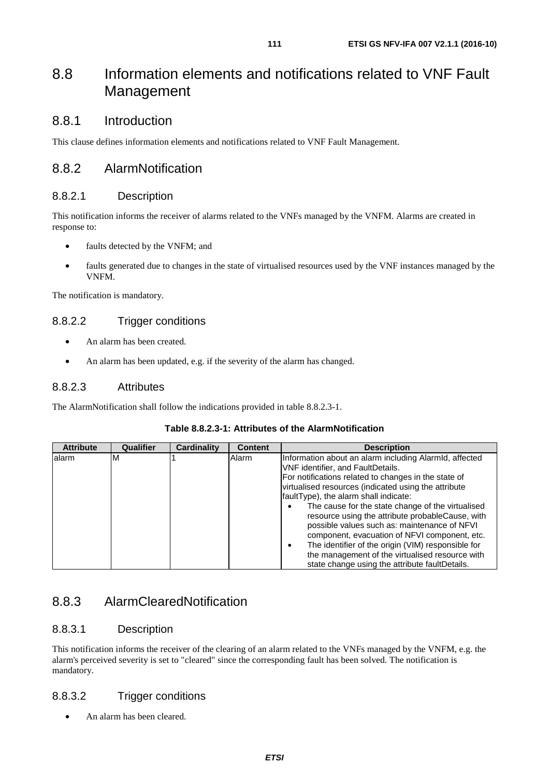# 8.8 Information elements and notifications related to VNF Fault Management

# 8.8.1 Introduction

This clause defines information elements and notifications related to VNF Fault Management.

# 8.8.2 AlarmNotification

# 8.8.2.1 Description

This notification informs the receiver of alarms related to the VNFs managed by the VNFM. Alarms are created in response to:

- faults detected by the VNFM; and
- faults generated due to changes in the state of virtualised resources used by the VNF instances managed by the VNFM.

The notification is mandatory.

# 8.8.2.2 Trigger conditions

- An alarm has been created.
- An alarm has been updated, e.g. if the severity of the alarm has changed.

## 8.8.2.3 Attributes

The AlarmNotification shall follow the indications provided in table 8.8.2.3-1.

| <b>Attribute</b> | Qualifier | <b>Cardinality</b> | <b>Content</b> | <b>Description</b>                                                                                                                                                                                                                                                                                                                                                                                                                                                                                                                                                                                                        |
|------------------|-----------|--------------------|----------------|---------------------------------------------------------------------------------------------------------------------------------------------------------------------------------------------------------------------------------------------------------------------------------------------------------------------------------------------------------------------------------------------------------------------------------------------------------------------------------------------------------------------------------------------------------------------------------------------------------------------------|
| alarm            | м         |                    | Alarm          | Information about an alarm including AlarmId, affected<br>VNF identifier, and FaultDetails.<br>For notifications related to changes in the state of<br>virtualised resources (indicated using the attribute<br>faultType), the alarm shall indicate:<br>The cause for the state change of the virtualised<br>resource using the attribute probableCause, with<br>possible values such as: maintenance of NFVI<br>component, evacuation of NFVI component, etc.<br>The identifier of the origin (VIM) responsible for<br>the management of the virtualised resource with<br>state change using the attribute faultDetails. |

## **Table 8.8.2.3-1: Attributes of the AlarmNotification**

# 8.8.3 AlarmClearedNotification

# 8.8.3.1 Description

This notification informs the receiver of the clearing of an alarm related to the VNFs managed by the VNFM, e.g. the alarm's perceived severity is set to "cleared" since the corresponding fault has been solved. The notification is mandatory.

# 8.8.3.2 Trigger conditions

• An alarm has been cleared.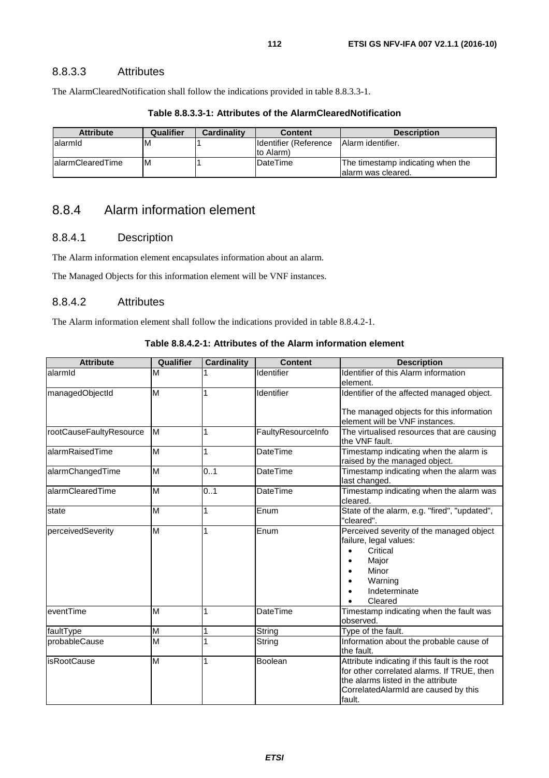### 8.8.3.3 Attributes

The AlarmClearedNotification shall follow the indications provided in table 8.8.3.3-1.

| <b>Attribute</b>  | Qualifier | <b>Cardinality</b> | <b>Content</b>                      | <b>Description</b>                                      |
|-------------------|-----------|--------------------|-------------------------------------|---------------------------------------------------------|
| lalarmId          | M         |                    | Ildentifier (Reference<br>to Alarm) | <b>Alarm identifier.</b>                                |
| lalarmClearedTime | ΙM        |                    | DateTime                            | The timestamp indicating when the<br>alarm was cleared. |

#### **Table 8.8.3.3-1: Attributes of the AlarmClearedNotification**

# 8.8.4 Alarm information element

### 8.8.4.1 Description

The Alarm information element encapsulates information about an alarm.

The Managed Objects for this information element will be VNF instances.

### 8.8.4.2 Attributes

The Alarm information element shall follow the indications provided in table 8.8.4.2-1.

#### **Table 8.8.4.2-1: Attributes of the Alarm information element**

| <b>Attribute</b>        | Qualifier               | <b>Cardinality</b> | <b>Content</b>     | <b>Description</b>                                                                                                                                                                   |  |
|-------------------------|-------------------------|--------------------|--------------------|--------------------------------------------------------------------------------------------------------------------------------------------------------------------------------------|--|
| alarmid                 | M                       |                    | Identifier         | <b>Identifier of this Alarm information</b><br>element.                                                                                                                              |  |
| managedObjectId         | M                       |                    | Identifier         | Identifier of the affected managed object.                                                                                                                                           |  |
|                         |                         |                    |                    | The managed objects for this information<br>element will be VNF instances.                                                                                                           |  |
| rootCauseFaultyResource | M                       | 1                  | FaultyResourceInfo | The virtualised resources that are causing<br>the VNF fault.                                                                                                                         |  |
| alarmRaisedTime         | M                       | 1                  | <b>DateTime</b>    | Timestamp indicating when the alarm is<br>raised by the managed object.                                                                                                              |  |
| alarmChangedTime        | M                       | 0.1                | DateTime           | Timestamp indicating when the alarm was<br>last changed.                                                                                                                             |  |
| alarmClearedTime        | M                       | 0.1                | <b>DateTime</b>    | Timestamp indicating when the alarm was<br>cleared.                                                                                                                                  |  |
| state                   | M                       | 1                  | Enum               | State of the alarm, e.g. "fired", "updated",<br>"cleared".                                                                                                                           |  |
| perceivedSeverity       | M                       | 1                  | Enum               | Perceived severity of the managed object<br>failure, legal values:<br>Critical<br>Major<br>Minor<br>Warning<br>Indeterminate<br>Cleared                                              |  |
| eventTime               | M                       | 1                  | <b>DateTime</b>    | Timestamp indicating when the fault was<br>observed.                                                                                                                                 |  |
| faultType               | M                       | 1                  | String             | Type of the fault.                                                                                                                                                                   |  |
| probableCause           | $\overline{\mathsf{M}}$ | 1                  | String             | Information about the probable cause of<br>the fault.                                                                                                                                |  |
| <b>isRootCause</b>      | M                       | 1                  | Boolean            | Attribute indicating if this fault is the root<br>for other correlated alarms. If TRUE, then<br>the alarms listed in the attribute<br>CorrelatedAlarmId are caused by this<br>fault. |  |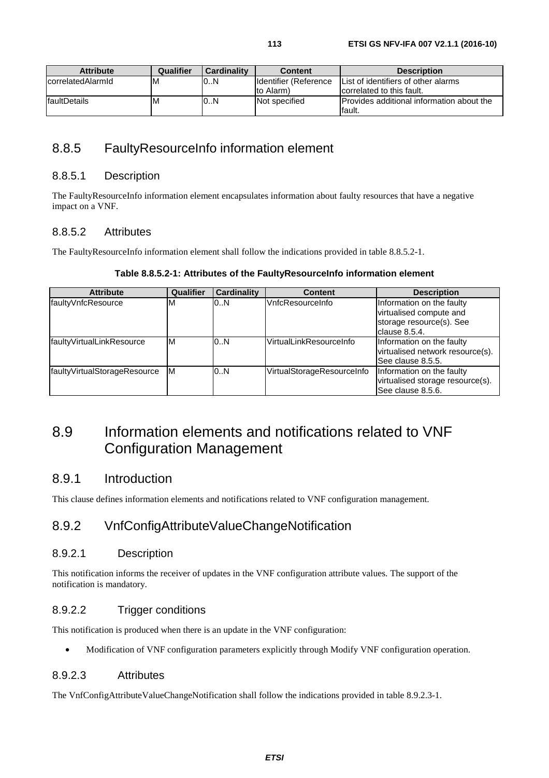| <b>Attribute</b>  | Qualifier | <b>Cardinality</b> | <b>Content</b>         | <b>Description</b>                                |
|-------------------|-----------|--------------------|------------------------|---------------------------------------------------|
| correlatedAlarmId | ΙM        | 0.N                | Ildentifier (Reference | List of identifiers of other alarms               |
|                   |           |                    | to Alarm)              | correlated to this fault.                         |
| faultDetails      | ıм        | 0.N                | Not specified          | <b>IProvides additional information about the</b> |
|                   |           |                    |                        | lfault.                                           |

# 8.8.5 FaultyResourceInfo information element

### 8.8.5.1 Description

The FaultyResourceInfo information element encapsulates information about faulty resources that have a negative impact on a VNF.

### 8.8.5.2 Attributes

The FaultyResourceInfo information element shall follow the indications provided in table 8.8.5.2-1.

#### **Table 8.8.5.2-1: Attributes of the FaultyResourceInfo information element**

| <b>Attribute</b>             | Qualifier | <b>Cardinality</b> | <b>Content</b>             | <b>Description</b>                                                                                |
|------------------------------|-----------|--------------------|----------------------------|---------------------------------------------------------------------------------------------------|
| faultyVnfcResource           | M         | 0.N                | VnfcResourceInfo           | Information on the faulty<br>virtualised compute and<br>storage resource(s). See<br>clause 8.5.4. |
| faultyVirtualLinkResource    | ΙM        | 0.N                | VirtualLinkResourceInfo    | Information on the faulty<br>virtualised network resource(s).<br>See clause 8.5.5.                |
| faultyVirtualStorageResource | ΙM        | 0.N                | VirtualStorageResourceInfo | Information on the faulty<br>virtualised storage resource(s).<br>See clause 8.5.6.                |

# 8.9 Information elements and notifications related to VNF Configuration Management

## 8.9.1 Introduction

This clause defines information elements and notifications related to VNF configuration management.

# 8.9.2 VnfConfigAttributeValueChangeNotification

### 8.9.2.1 Description

This notification informs the receiver of updates in the VNF configuration attribute values. The support of the notification is mandatory.

## 8.9.2.2 Trigger conditions

This notification is produced when there is an update in the VNF configuration:

• Modification of VNF configuration parameters explicitly through Modify VNF configuration operation.

### 8.9.2.3 Attributes

The VnfConfigAttributeValueChangeNotification shall follow the indications provided in table 8.9.2.3-1.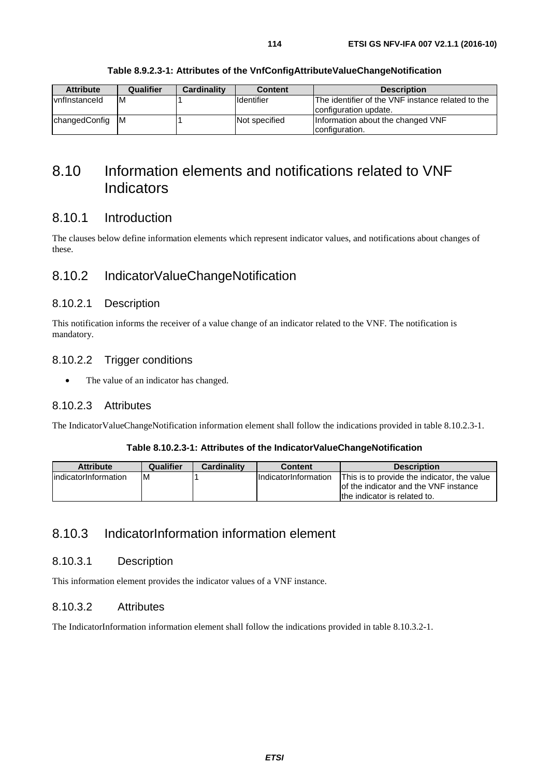| <b>Attribute</b>     | Qualifier | <b>Cardinality</b> | <b>Content</b>     | <b>Description</b>                                                         |
|----------------------|-----------|--------------------|--------------------|----------------------------------------------------------------------------|
| <b>vnflnstanceld</b> | ΙM        |                    | <b>I</b> dentifier | The identifier of the VNF instance related to the<br>configuration update. |
| changedConfig        | - M       |                    | Not specified      | Information about the changed VNF<br>configuration.                        |

# 8.10 Information elements and notifications related to VNF Indicators

## 8.10.1 Introduction

The clauses below define information elements which represent indicator values, and notifications about changes of these.

## 8.10.2 IndicatorValueChangeNotification

#### 8.10.2.1 Description

This notification informs the receiver of a value change of an indicator related to the VNF. The notification is mandatory.

#### 8.10.2.2 Trigger conditions

• The value of an indicator has changed.

#### 8.10.2.3 Attributes

The IndicatorValueChangeNotification information element shall follow the indications provided in table 8.10.2.3-1.

#### **Table 8.10.2.3-1: Attributes of the IndicatorValueChangeNotification**

| <b>Attribute</b>      | Qualifier | <b>Cardinality</b> | Content                     | <b>Description</b>                                                                                                   |
|-----------------------|-----------|--------------------|-----------------------------|----------------------------------------------------------------------------------------------------------------------|
| lindicatorInformation | -M        |                    | <b>IndicatorInformation</b> | This is to provide the indicator, the value<br>of the indicator and the VNF instance<br>the indicator is related to. |

# 8.10.3 IndicatorInformation information element

### 8.10.3.1 Description

This information element provides the indicator values of a VNF instance.

### 8.10.3.2 Attributes

The IndicatorInformation information element shall follow the indications provided in table 8.10.3.2-1.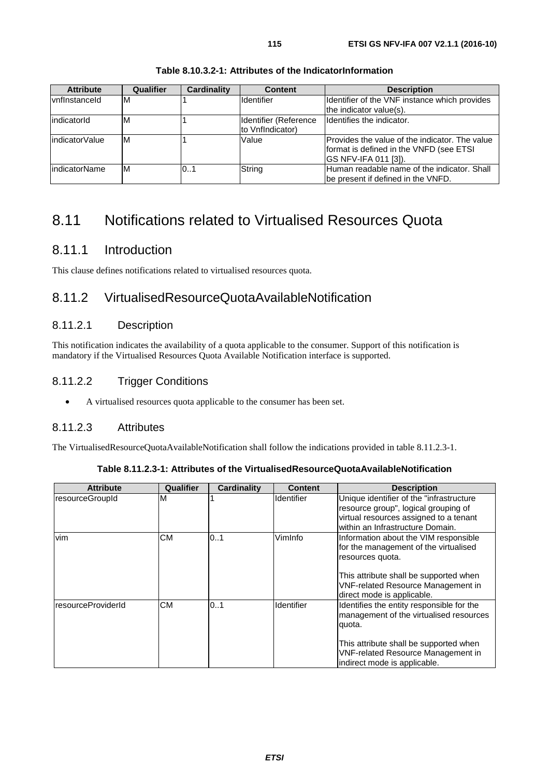| <b>Attribute</b> | Qualifier | Cardinality | <b>Content</b>                            | <b>Description</b>                                                                                                       |
|------------------|-----------|-------------|-------------------------------------------|--------------------------------------------------------------------------------------------------------------------------|
| vnflnstanceld    | ΙM        |             | <b>Identifier</b>                         | Identifier of the VNF instance which provides<br>the indicator value(s).                                                 |
| indicatorId      | ΙM        |             | Identifier (Reference<br>to VnfIndicator) | Identifies the indicator.                                                                                                |
| lindicatorValue  | IM        |             | Value                                     | Provides the value of the indicator. The value<br>format is defined in the VNFD (see ETSI<br><b>GS NFV-IFA 011 [3]).</b> |
| lindicatorName   | ΙM        | 0.1         | String                                    | Human readable name of the indicator. Shall<br>be present if defined in the VNFD.                                        |

#### **Table 8.10.3.2-1: Attributes of the IndicatorInformation**

# 8.11 Notifications related to Virtualised Resources Quota

## 8.11.1 Introduction

This clause defines notifications related to virtualised resources quota.

## 8.11.2 VirtualisedResourceQuotaAvailableNotification

## 8.11.2.1 Description

This notification indicates the availability of a quota applicable to the consumer. Support of this notification is mandatory if the Virtualised Resources Quota Available Notification interface is supported.

## 8.11.2.2 Trigger Conditions

• A virtualised resources quota applicable to the consumer has been set.

### 8.11.2.3 Attributes

The VirtualisedResourceQuotaAvailableNotification shall follow the indications provided in table 8.11.2.3-1.

| <b>Attribute</b>   | Qualifier | <b>Cardinality</b> | <b>Content</b>    | <b>Description</b>                                                                                                                                                                                                      |
|--------------------|-----------|--------------------|-------------------|-------------------------------------------------------------------------------------------------------------------------------------------------------------------------------------------------------------------------|
| resourceGroupId    | M         |                    | <b>Identifier</b> | Unique identifier of the "infrastructure"<br>resource group", logical grouping of<br>virtual resources assigned to a tenant<br>within an Infrastructure Domain.                                                         |
| vim                | СM        | 101                | VimInfo           | Information about the VIM responsible<br>for the management of the virtualised<br>resources quota.<br>This attribute shall be supported when<br><b>VNF-related Resource Management in</b><br>direct mode is applicable. |
| resourceProviderId | <b>CM</b> | 0.1                | <b>Identifier</b> | Identifies the entity responsible for the<br>management of the virtualised resources<br>quota.<br>This attribute shall be supported when<br><b>VNF-related Resource Management in</b><br>indirect mode is applicable.   |

| Table 8.11.2.3-1: Attributes of the VirtualisedResourceQuotaAvailableNotification_ |  |  |
|------------------------------------------------------------------------------------|--|--|
|------------------------------------------------------------------------------------|--|--|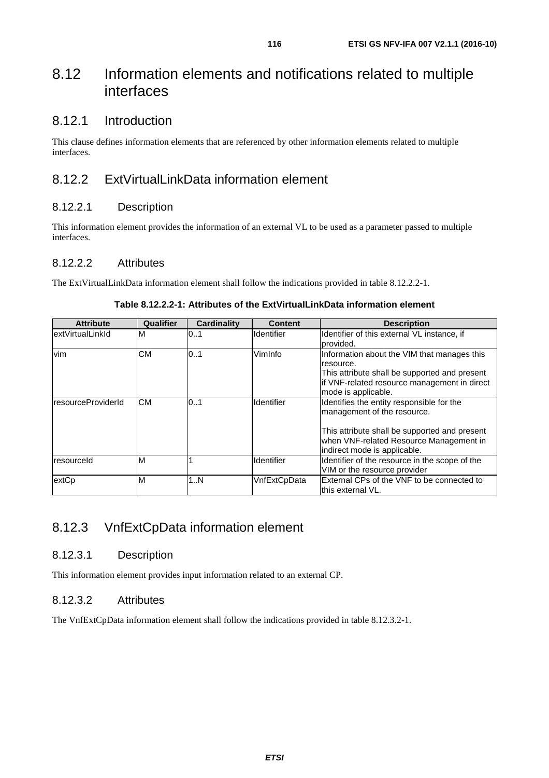# 8.12 Information elements and notifications related to multiple interfaces

## 8.12.1 Introduction

This clause defines information elements that are referenced by other information elements related to multiple interfaces.

# 8.12.2 ExtVirtualLinkData information element

### 8.12.2.1 Description

This information element provides the information of an external VL to be used as a parameter passed to multiple interfaces.

### 8.12.2.2 Attributes

The ExtVirtualLinkData information element shall follow the indications provided in table 8.12.2.2-1.

| <b>Attribute</b>    | Qualifier | <b>Cardinality</b> | <b>Content</b>    | <b>Description</b>                                                                                                                                                                                   |
|---------------------|-----------|--------------------|-------------------|------------------------------------------------------------------------------------------------------------------------------------------------------------------------------------------------------|
| lextVirtualLinkId   | M         | 01                 | <b>Identifier</b> | Identifier of this external VL instance, if<br>provided.                                                                                                                                             |
| vim                 | <b>CM</b> | 0.1                | VimInfo           | Information about the VIM that manages this<br>resource.<br>This attribute shall be supported and present<br>lif VNF-related resource management in direct<br>mode is applicable.                    |
| IresourceProviderId | <b>CM</b> | 0.1                | Identifier        | Identifies the entity responsible for the<br>management of the resource.<br>This attribute shall be supported and present<br>when VNF-related Resource Management in<br>indirect mode is applicable. |
| <b>Iresourceld</b>  | M         |                    | Identifier        | Identifier of the resource in the scope of the<br>VIM or the resource provider                                                                                                                       |
| extCp               | M         | 1N                 | VnfExtCpData      | External CPs of the VNF to be connected to<br>lthis external VL.                                                                                                                                     |

#### **Table 8.12.2.2-1: Attributes of the ExtVirtualLinkData information element**

# 8.12.3 VnfExtCpData information element

### 8.12.3.1 Description

This information element provides input information related to an external CP.

### 8.12.3.2 Attributes

The VnfExtCpData information element shall follow the indications provided in table 8.12.3.2-1.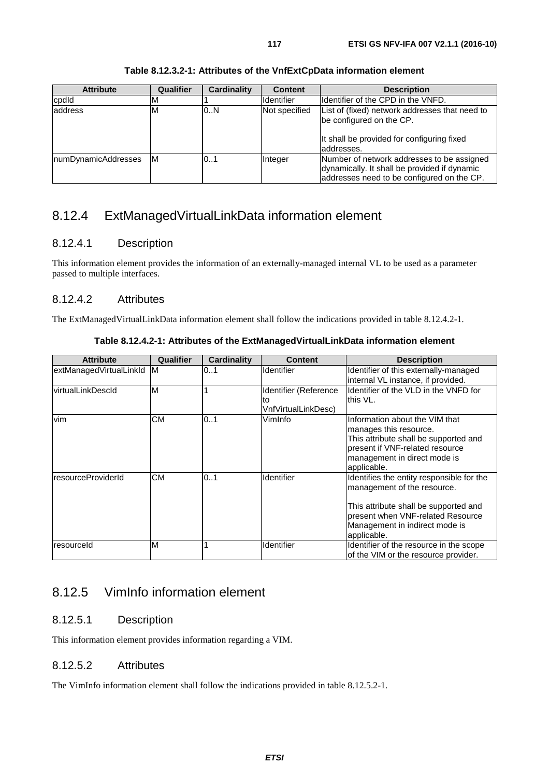| <b>Attribute</b>    | Qualifier | Cardinality | <b>Content</b>    | <b>Description</b>                                                                                                                       |
|---------------------|-----------|-------------|-------------------|------------------------------------------------------------------------------------------------------------------------------------------|
| cpdld               | M         |             | <b>Identifier</b> | Ildentifier of the CPD in the VNFD.                                                                                                      |
| address             | M         | 0.N         | Not specified     | List of (fixed) network addresses that need to<br>be configured on the CP.<br>It shall be provided for configuring fixed<br>laddresses.  |
| numDynamicAddresses | IM        | 0.1         | Integer           | Number of network addresses to be assigned<br>dynamically. It shall be provided if dynamic<br>addresses need to be configured on the CP. |

#### **Table 8.12.3.2-1: Attributes of the VnfExtCpData information element**

# 8.12.4 ExtManagedVirtualLinkData information element

## 8.12.4.1 Description

This information element provides the information of an externally-managed internal VL to be used as a parameter passed to multiple interfaces.

## 8.12.4.2 Attributes

The ExtManagedVirtualLinkData information element shall follow the indications provided in table 8.12.4.2-1.

| <b>Attribute</b>        | Qualifier | Cardinality | <b>Content</b>                                     | <b>Description</b>                                                                                                                                                                                      |
|-------------------------|-----------|-------------|----------------------------------------------------|---------------------------------------------------------------------------------------------------------------------------------------------------------------------------------------------------------|
| extManagedVirtualLinkId | IM.       | 0.1         | <b>Identifier</b>                                  | Identifier of this externally-managed<br>internal VL instance, if provided.                                                                                                                             |
| virtualLinkDescld       | M         |             | Identifier (Reference<br>to<br>VnfVirtualLinkDesc) | Identifier of the VLD in the VNFD for<br>this VL.                                                                                                                                                       |
| <b>vim</b>              | CМ        | 01          | VimInfo                                            | Information about the VIM that<br>manages this resource.<br>This attribute shall be supported and<br>present if VNF-related resource<br>management in direct mode is<br>applicable.                     |
| resourceProviderId      | <b>CM</b> | 0.1         | Identifier                                         | Identifies the entity responsible for the<br>management of the resource.<br>This attribute shall be supported and<br>present when VNF-related Resource<br>Management in indirect mode is<br>applicable. |
| resourceld              | M         |             | Identifier                                         | Identifier of the resource in the scope<br>of the VIM or the resource provider.                                                                                                                         |

**Table 8.12.4.2-1: Attributes of the ExtManagedVirtualLinkData information element** 

# 8.12.5 VimInfo information element

## 8.12.5.1 Description

This information element provides information regarding a VIM.

## 8.12.5.2 Attributes

The VimInfo information element shall follow the indications provided in table 8.12.5.2-1.

*ETSI*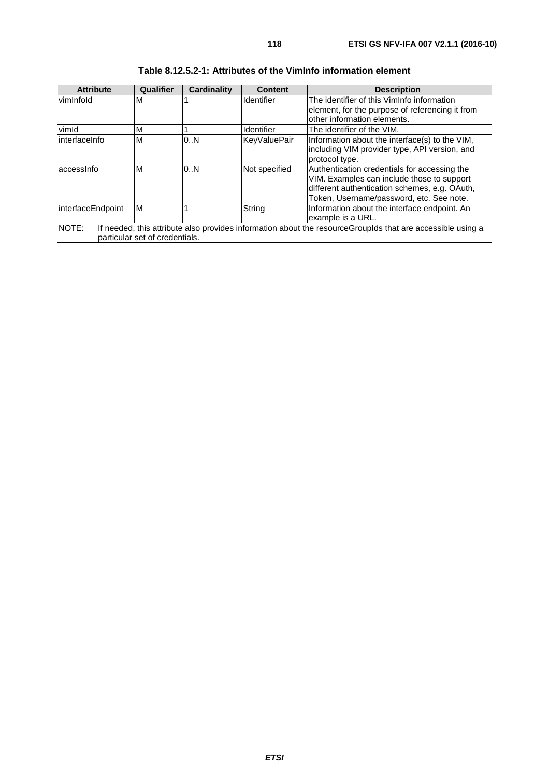| <b>Attribute</b>  | Qualifier                      | <b>Cardinality</b> | <b>Content</b> | <b>Description</b>                                                                                                                                                                      |
|-------------------|--------------------------------|--------------------|----------------|-----------------------------------------------------------------------------------------------------------------------------------------------------------------------------------------|
| vimInfold         | M                              |                    | Identifier     | The identifier of this VimInfo information<br>element, for the purpose of referencing it from<br>other information elements.                                                            |
| vimld             | M                              |                    | Identifier     | The identifier of the VIM.                                                                                                                                                              |
| linterfaceInfo    | M                              | 0.N                | KeyValuePair   | Information about the interface(s) to the VIM,<br>including VIM provider type, API version, and<br>protocol type.                                                                       |
| laccessinfo       | M                              | 0.N                | Not specified  | Authentication credentials for accessing the<br>VIM. Examples can include those to support<br>different authentication schemes, e.g. OAuth,<br>Token, Username/password, etc. See note. |
| interfaceEndpoint | M                              |                    | String         | Information about the interface endpoint. An<br>example is a URL.                                                                                                                       |
| NOTE:             | particular set of credentials. |                    |                | If needed, this attribute also provides information about the resourceGroupIds that are accessible using a                                                                              |

| Table 8.12.5.2-1: Attributes of the VimInfo information element |  |
|-----------------------------------------------------------------|--|
|-----------------------------------------------------------------|--|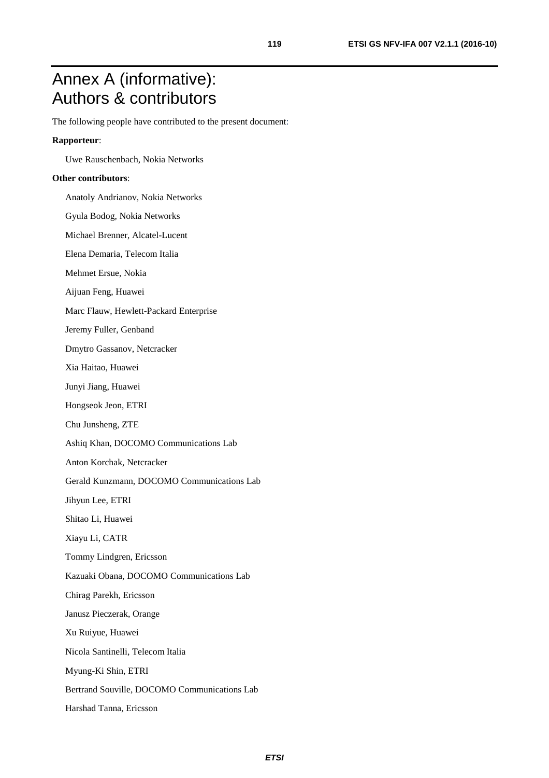# Annex A (informative): Authors & contributors

The following people have contributed to the present document:

#### **Rapporteur**:

Uwe Rauschenbach, Nokia Networks

#### **Other contributors**:

Anatoly Andrianov, Nokia Networks

Gyula Bodog, Nokia Networks

Michael Brenner, Alcatel-Lucent

Elena Demaria, Telecom Italia

Mehmet Ersue, Nokia

Aijuan Feng, Huawei

Marc Flauw, Hewlett-Packard Enterprise

Jeremy Fuller, Genband

Dmytro Gassanov, Netcracker

Xia Haitao, Huawei

Junyi Jiang, Huawei

Hongseok Jeon, ETRI

Chu Junsheng, ZTE

Ashiq Khan, DOCOMO Communications Lab

Anton Korchak, Netcracker

Gerald Kunzmann, DOCOMO Communications Lab

Jihyun Lee, ETRI

Shitao Li, Huawei

Xiayu Li, CATR

Tommy Lindgren, Ericsson

Kazuaki Obana, DOCOMO Communications Lab

Chirag Parekh, Ericsson

Janusz Pieczerak, Orange

Xu Ruiyue, Huawei

Nicola Santinelli, Telecom Italia

Myung-Ki Shin, ETRI

Bertrand Souville, DOCOMO Communications Lab

Harshad Tanna, Ericsson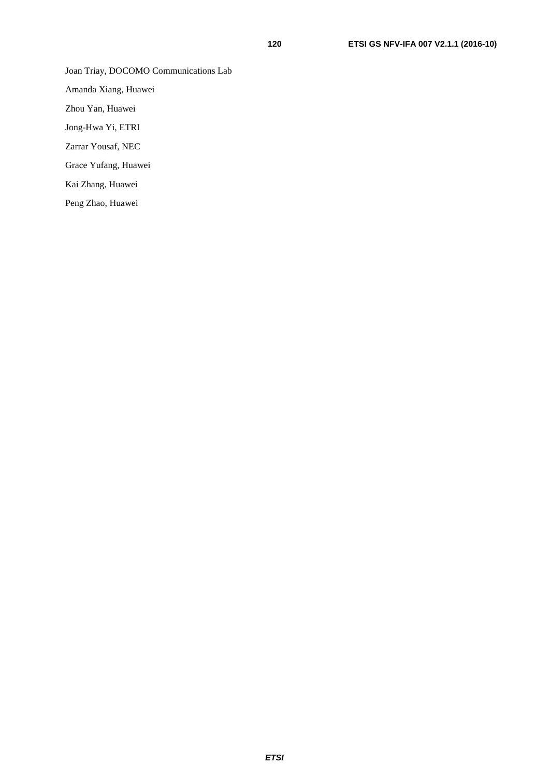Joan Triay, DOCOMO Communications Lab

Amanda Xiang, Huawei

Zhou Yan, Huawei

Jong-Hwa Yi, ETRI

Zarrar Yousaf, NEC

Grace Yufang, Huawei

Kai Zhang, Huawei

Peng Zhao, Huawei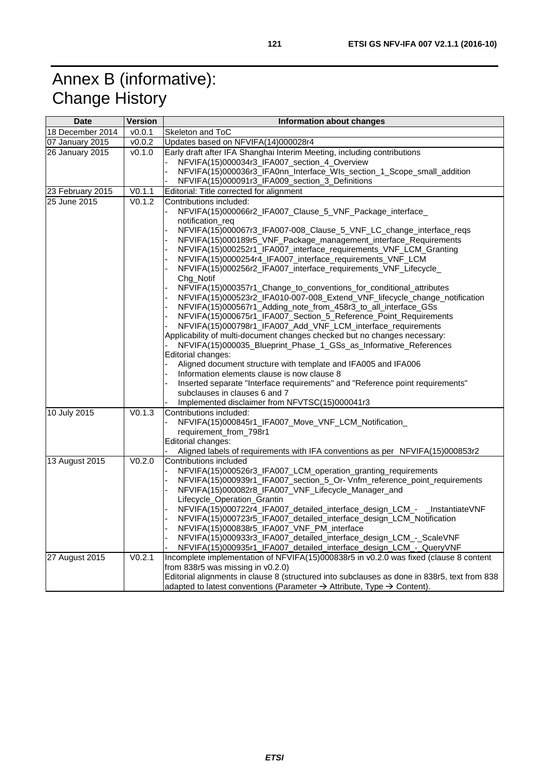# Annex B (informative): Change History

| <b>Date</b>           | <b>Version</b>       | Information about changes                                                                                                                 |  |  |
|-----------------------|----------------------|-------------------------------------------------------------------------------------------------------------------------------------------|--|--|
| 18 December 2014      | $\overline{v}$ 0.0.1 | Skeleton and ToC                                                                                                                          |  |  |
| 07 January 2015       | v0.0.2               | Updates based on NFVIFA(14)000028r4                                                                                                       |  |  |
| 26 January 2015       | v0.1.0               | Early draft after IFA Shanghai Interim Meeting, including contributions                                                                   |  |  |
|                       |                      | NFVIFA(15)000034r3_IFA007_section_4_Overview                                                                                              |  |  |
|                       |                      | NFVIFA(15)000036r3_IFA0nn_Interface_WIs_section_1_Scope_small_addition                                                                    |  |  |
|                       |                      | NFVIFA(15)000091r3_IFA009_section_3_Definitions                                                                                           |  |  |
| 23 February 2015      | V0.1.1               | Editorial: Title corrected for alignment                                                                                                  |  |  |
| 25 June 2015          | V <sub>0.1.2</sub>   | Contributions included:                                                                                                                   |  |  |
|                       |                      | NFVIFA(15)000066r2_IFA007_Clause_5_VNF_Package_interface_                                                                                 |  |  |
|                       |                      | notification reg                                                                                                                          |  |  |
|                       |                      | NFVIFA(15)000067r3_IFA007-008_Clause_5_VNF_LC_change_interface_reqs                                                                       |  |  |
|                       |                      | NFVIFA(15)000189r5_VNF_Package_management_interface_Requirements                                                                          |  |  |
|                       |                      | NFVIFA(15)000252r1_IFA007_interface_requirements_VNF_LCM_Granting                                                                         |  |  |
|                       |                      | NFVIFA(15)0000254r4_IFA007_interface_requirements_VNF_LCM<br>NFVIFA(15)000256r2_IFA007_interface_requirements_VNF_Lifecycle_              |  |  |
|                       |                      | Chg_Notif                                                                                                                                 |  |  |
|                       |                      | NFVIFA(15)000357r1_Change_to_conventions_for_conditional_attributes                                                                       |  |  |
|                       |                      | NFVIFA(15)000523r2_IFA010-007-008_Extend_VNF_lifecycle_change_notification                                                                |  |  |
|                       |                      | NFVIFA(15)000567r1_Adding_note_from_458r3_to_all_interface_GSs                                                                            |  |  |
|                       |                      | NFVIFA(15)000675r1_IFA007_Section_5_Reference_Point_Requirements                                                                          |  |  |
|                       |                      | NFVIFA(15)000798r1_IFA007_Add_VNF_LCM_interface_requirements                                                                              |  |  |
|                       |                      | Applicability of multi-document changes checked but no changes necessary:                                                                 |  |  |
|                       |                      | NFVIFA(15)000035_Blueprint_Phase_1_GSs_as_Informative_References                                                                          |  |  |
|                       |                      | Editorial changes:                                                                                                                        |  |  |
|                       |                      | Aligned document structure with template and IFA005 and IFA006                                                                            |  |  |
|                       |                      | Information elements clause is now clause 8                                                                                               |  |  |
|                       |                      | Inserted separate "Interface requirements" and "Reference point requirements"                                                             |  |  |
|                       |                      | subclauses in clauses 6 and 7                                                                                                             |  |  |
|                       |                      | Implemented disclaimer from NFVTSC(15)000041r3                                                                                            |  |  |
| 10 July 2015          | V0.1.3               | Contributions included:                                                                                                                   |  |  |
|                       |                      | NFVIFA(15)000845r1_IFA007_Move_VNF_LCM_Notification_                                                                                      |  |  |
|                       |                      | requirement_from_798r1                                                                                                                    |  |  |
|                       |                      | Editorial changes:                                                                                                                        |  |  |
| 13 August 2015        | V <sub>0.2.0</sub>   | Aligned labels of requirements with IFA conventions as per NFVIFA(15)000853r2                                                             |  |  |
|                       |                      | Contributions included                                                                                                                    |  |  |
|                       |                      | NFVIFA(15)000526r3 IFA007 LCM operation granting requirements<br>NFVIFA(15)000939r1_IFA007_section_5_Or-Vnfm_reference_point_requirements |  |  |
|                       |                      | NFVIFA(15)000082r8_IFA007_VNF_Lifecycle_Manager_and                                                                                       |  |  |
|                       |                      | Lifecycle_Operation_Grantin                                                                                                               |  |  |
|                       |                      | NFVIFA(15)000722r4_IFA007_detailed_interface_design_LCM_- _InstantiateVNF                                                                 |  |  |
|                       |                      | NFVIFA(15)000723r5_IFA007_detailed_interface_design_LCM_Notification                                                                      |  |  |
|                       |                      | NFVIFA(15)000838r5_IFA007_VNF_PM_interface                                                                                                |  |  |
|                       |                      | NFVIFA(15)000933r3_IFA007_detailed_interface_design_LCM_-_ScaleVNF                                                                        |  |  |
|                       |                      | NFVIFA(15)000935r1_IFA007_detailed_interface_design_LCM_-_QueryVNF                                                                        |  |  |
| <b>27 August 2015</b> | V0.2.1               | Incomplete implementation of NFVIFA(15)000838r5 in v0.2.0 was fixed (clause 8 content                                                     |  |  |
|                       |                      | from 838r5 was missing in v0.2.0)                                                                                                         |  |  |
|                       |                      | Editorial alignments in clause 8 (structured into subclauses as done in 838r5, text from 838                                              |  |  |
|                       |                      | adapted to latest conventions (Parameter $\rightarrow$ Attribute, Type $\rightarrow$ Content).                                            |  |  |
|                       |                      |                                                                                                                                           |  |  |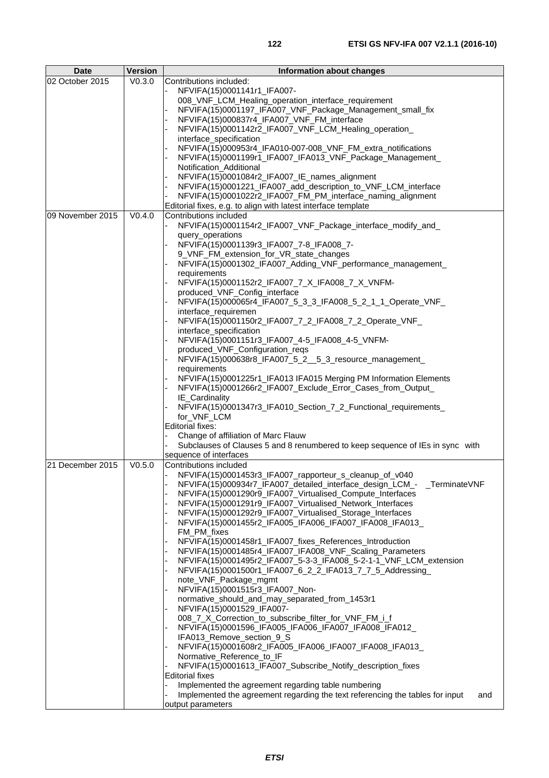| <b>Date</b>      | <b>Version</b> | Information about changes                                                                                                    |  |  |  |
|------------------|----------------|------------------------------------------------------------------------------------------------------------------------------|--|--|--|
| 02 October 2015  | V0.3.0         | Contributions included:                                                                                                      |  |  |  |
|                  |                | NFVIFA(15)0001141r1_IFA007-                                                                                                  |  |  |  |
|                  |                | 008_VNF_LCM_Healing_operation_interface_requirement                                                                          |  |  |  |
|                  |                | NFVIFA(15)0001197_IFA007_VNF_Package_Management_small_fix<br>NFVIFA(15)000837r4_IFA007_VNF_FM_interface                      |  |  |  |
|                  |                | NFVIFA(15)0001142r2_IFA007_VNF_LCM_Healing_operation_                                                                        |  |  |  |
|                  |                | interface_specification                                                                                                      |  |  |  |
|                  |                | NFVIFA(15)000953r4_IFA010-007-008_VNF_FM_extra_notifications                                                                 |  |  |  |
|                  |                | NFVIFA(15)0001199r1_IFA007_IFA013_VNF_Package_Management_                                                                    |  |  |  |
|                  |                | Notification_Additional                                                                                                      |  |  |  |
|                  |                | NFVIFA(15)0001084r2_IFA007_IE_names_alignment                                                                                |  |  |  |
|                  |                | NFVIFA(15)0001221_IFA007_add_description_to_VNF_LCM_interface                                                                |  |  |  |
|                  |                | NFVIFA(15)0001022r2_IFA007_FM_PM_interface_naming_alignment<br>Editorial fixes, e.g. to align with latest interface template |  |  |  |
| 09 November 2015 | V0.4.0         | Contributions included                                                                                                       |  |  |  |
|                  |                | NFVIFA(15)0001154r2_IFA007_VNF_Package_interface_modify_and_                                                                 |  |  |  |
|                  |                | query_operations                                                                                                             |  |  |  |
|                  |                | NFVIFA(15)0001139r3_IFA007_7-8_IFA008_7-                                                                                     |  |  |  |
|                  |                | 9_VNF_FM_extension_for_VR_state_changes                                                                                      |  |  |  |
|                  |                | NFVIFA(15)0001302_IFA007_Adding_VNF_performance_management_                                                                  |  |  |  |
|                  |                | requirements<br>NFVIFA(15)0001152r2_IFA007_7_X_IFA008_7_X_VNFM-                                                              |  |  |  |
|                  |                | produced_VNF_Config_interface                                                                                                |  |  |  |
|                  |                | NFVIFA(15)000065r4_IFA007_5_3_3_IFA008_5_2_1_1_Operate_VNF_                                                                  |  |  |  |
|                  |                | interface_requiremen                                                                                                         |  |  |  |
|                  |                | NFVIFA(15)0001150r2_IFA007_7_2_IFA008_7_2_Operate_VNF_                                                                       |  |  |  |
|                  |                | interface_specification                                                                                                      |  |  |  |
|                  |                | NFVIFA(15)0001151r3_IFA007_4-5_IFA008_4-5_VNFM-                                                                              |  |  |  |
|                  |                | produced_VNF_Configuration_reqs                                                                                              |  |  |  |
|                  |                | NFVIFA(15)000638r8_IFA007_5_2__5_3_resource_management_<br>requirements                                                      |  |  |  |
|                  |                | NFVIFA(15)0001225r1_IFA013 IFA015 Merging PM Information Elements                                                            |  |  |  |
|                  |                | NFVIFA(15)0001266r2_IFA007_Exclude_Error_Cases_from_Output_                                                                  |  |  |  |
|                  |                | IE_Cardinality                                                                                                               |  |  |  |
|                  |                | NFVIFA(15)0001347r3_IFA010_Section_7_2_Functional_requirements_                                                              |  |  |  |
|                  |                | for_VNF_LCM                                                                                                                  |  |  |  |
|                  |                | Editorial fixes:                                                                                                             |  |  |  |
|                  |                | Change of affiliation of Marc Flauw<br>Subclauses of Clauses 5 and 8 renumbered to keep sequence of IEs in sync with         |  |  |  |
|                  |                | sequence of interfaces                                                                                                       |  |  |  |
| 21 December 2015 | V0.5.0         | Contributions included                                                                                                       |  |  |  |
|                  |                | NFVIFA(15)0001453r3_IFA007_rapporteur_s_cleanup_of_v040                                                                      |  |  |  |
|                  |                | NFVIFA(15)000934r7_IFA007_detailed_interface_design_LCM_- _TerminateVNF                                                      |  |  |  |
|                  |                | NFVIFA(15)0001290r9_IFA007_Virtualised_Compute_Interfaces                                                                    |  |  |  |
|                  |                | NFVIFA(15)0001291r9_IFA007_Virtualised_Network_Interfaces                                                                    |  |  |  |
|                  |                | NFVIFA(15)0001292r9_IFA007_Virtualised_Storage_Interfaces                                                                    |  |  |  |
|                  |                | NFVIFA(15)0001455r2_IFA005_IFA006_IFA007_IFA008_IFA013_<br>FM_PM_fixes                                                       |  |  |  |
|                  |                | NFVIFA(15)0001458r1_IFA007_fixes_References_Introduction                                                                     |  |  |  |
|                  |                | NFVIFA(15)0001485r4_IFA007_IFA008_VNF_Scaling_Parameters                                                                     |  |  |  |
|                  |                | NFVIFA(15)0001495r2_IFA007_5-3-3_IFA008_5-2-1-1_VNF_LCM_extension                                                            |  |  |  |
|                  |                | NFVIFA(15)0001500r1_IFA007_6_2_2_IFA013_7_7_5_Addressing_                                                                    |  |  |  |
|                  |                | note_VNF_Package_mgmt                                                                                                        |  |  |  |
|                  |                | NFVIFA(15)0001515r3_IFA007_Non-                                                                                              |  |  |  |
|                  |                | normative_should_and_may_separated_from_1453r1<br>NFVIFA(15)0001529_IFA007-                                                  |  |  |  |
|                  |                | 008_7_X_Correction_to_subscribe_filter_for_VNF_FM_i_f                                                                        |  |  |  |
|                  |                | NFVIFA(15)0001596_IFA005_IFA006_IFA007_IFA008_IFA012_                                                                        |  |  |  |
|                  |                | IFA013_Remove_section_9_S                                                                                                    |  |  |  |
|                  |                | NFVIFA(15)0001608r2_IFA005_IFA006_IFA007_IFA008_IFA013_                                                                      |  |  |  |
|                  |                | Normative_Reference_to_IF                                                                                                    |  |  |  |
|                  |                | NFVIFA(15)0001613_IFA007_Subscribe_Notify_description_fixes                                                                  |  |  |  |
|                  |                | <b>Editorial fixes</b><br>Implemented the agreement regarding table numbering                                                |  |  |  |
|                  |                | Implemented the agreement regarding the text referencing the tables for input<br>and                                         |  |  |  |
|                  |                | output parameters                                                                                                            |  |  |  |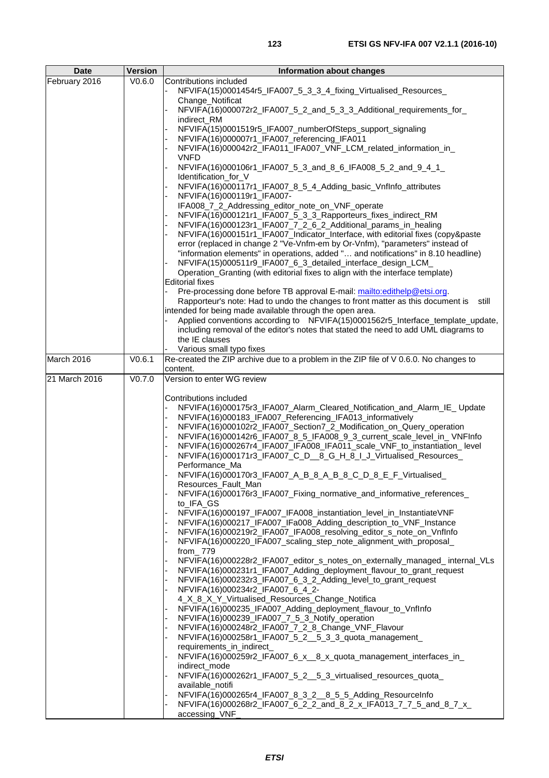| <b>Date</b>   | <b>Version</b> | Information about changes                                                                                                                            |
|---------------|----------------|------------------------------------------------------------------------------------------------------------------------------------------------------|
| February 2016 | V0.6.0         | Contributions included                                                                                                                               |
|               |                | NFVIFA(15)0001454r5_IFA007_5_3_3_4_fixing_Virtualised_Resources_                                                                                     |
|               |                | Change_Notificat                                                                                                                                     |
|               |                | NFVIFA(16)000072r2_IFA007_5_2_and_5_3_3_Additional_requirements_for_                                                                                 |
|               |                | indirect RM<br>NFVIFA(15)0001519r5_IFA007_numberOfSteps_support_signaling                                                                            |
|               |                | NFVIFA(16)000007r1_IFA007_referencing_IFA011                                                                                                         |
|               |                | NFVIFA(16)000042r2_IFA011_IFA007_VNF_LCM_related_information_in_                                                                                     |
|               |                | <b>VNFD</b>                                                                                                                                          |
|               |                | NFVIFA(16)000106r1_IFA007_5_3_and_8_6_IFA008_5_2_and_9_4_1_                                                                                          |
|               |                | Identification_for_V                                                                                                                                 |
|               |                | NFVIFA(16)000117r1_IFA007_8_5_4_Adding_basic_VnfInfo_attributes                                                                                      |
|               |                | NFVIFA(16)000119r1_IFA007-                                                                                                                           |
|               |                | IFA008_7_2_Addressing_editor_note_on_VNF_operate<br>NFVIFA(16)000121r1_IFA007_5_3_3_Rapporteurs_fixes_indirect_RM                                    |
|               |                | NFVIFA(16)000123r1_IFA007_7_2_6_2_Additional_params_in_healing                                                                                       |
|               |                | NFVIFA(16)000151r1_IFA007_Indicator_Interface, with editorial fixes (copy&paste                                                                      |
|               |                | error (replaced in change 2 "Ve-Vnfm-em by Or-Vnfm), "parameters" instead of                                                                         |
|               |                | "information elements" in operations, added " and notifications" in 8.10 headline)                                                                   |
|               |                | NFVIFA(15)000511r9_IFA007_6_3_detailed_interface_design_LCM_                                                                                         |
|               |                | Operation_Granting (with editorial fixes to align with the interface template)                                                                       |
|               |                | <b>Editorial fixes</b><br>Pre-processing done before TB approval E-mail: mailto:edithelp@etsi.org.                                                   |
|               |                | Rapporteur's note: Had to undo the changes to front matter as this document is<br>still                                                              |
|               |                | intended for being made available through the open area.                                                                                             |
|               |                | Applied conventions according to NFVIFA(15)0001562r5_Interface_template_update,                                                                      |
|               |                | including removal of the editor's notes that stated the need to add UML diagrams to                                                                  |
|               |                | the IE clauses                                                                                                                                       |
|               |                | Various small typo fixes                                                                                                                             |
| March 2016    | V0.6.1         | Re-created the ZIP archive due to a problem in the ZIP file of V 0.6.0. No changes to<br>content.                                                    |
| 21 March 2016 | V0.7.0         | Version to enter WG review                                                                                                                           |
|               |                |                                                                                                                                                      |
|               |                | Contributions included                                                                                                                               |
|               |                | NFVIFA(16)000175r3_IFA007_Alarm_Cleared_Notification_and_Alarm_IE_Update                                                                             |
|               |                | NFVIFA(16)000183_IFA007_Referencing_IFA013_informatively                                                                                             |
|               |                | NFVIFA(16)000102r2_IFA007_Section7_2_Modification_on_Query_operation<br>NFVIFA(16)000142r6_IFA007_8_5_IFA008_9_3_current_scale_level_in_VNFInfo      |
|               |                | NFVIFA(16)000267r4_IFA007_IFA008_IFA011_scale_VNF_to_instantiation_ level                                                                            |
|               |                | NFVIFA(16)000171r3_IFA007_C_D__8_G_H_8_I_J_Virtualised_Resources_                                                                                    |
|               |                | Performance_Ma                                                                                                                                       |
|               |                | NFVIFA(16)000170r3_IFA007_A_B_8_A_B_8_C_D_8_E_F_Virtualised_                                                                                         |
|               |                | Resources_Fault_Man                                                                                                                                  |
|               |                | NFVIFA(16)000176r3_IFA007_Fixing_normative_and_informative_references_<br>to_IFA_GS                                                                  |
|               |                | NFVIFA(16)000197_IFA007_IFA008_instantiation_level_in_InstantiateVNF                                                                                 |
|               |                | NFVIFA(16)000217_IFA007_IFa008_Adding_description_to_VNF_Instance                                                                                    |
|               |                | NFVIFA(16)000219r2_IFA007_IFA008_resolving_editor_s_note_on_VnfInfo                                                                                  |
|               |                | NFVIFA(16)000220_IFA007_scaling_step_note_alignment_with_proposal_                                                                                   |
|               |                | from_779                                                                                                                                             |
|               |                | NFVIFA(16)000228r2_IFA007_editor_s_notes_on_externally_managed_ internal_VLs<br>NFVIFA(16)000231r1_IFA007_Adding_deployment_flavour_to_grant_request |
|               |                | NFVIFA(16)000232r3_IFA007_6_3_2_Adding_level_to_grant_request                                                                                        |
|               |                | NFVIFA(16)000234r2_IFA007_6_4_2-                                                                                                                     |
|               |                | 4_X_8_X_Y_Virtualised_Resources_Change_Notifica                                                                                                      |
|               |                | NFVIFA(16)000235_IFA007_Adding_deployment_flavour_to_VnfInfo                                                                                         |
|               |                | NFVIFA(16)000239_IFA007_7_5_3_Notify_operation                                                                                                       |
|               |                | NFVIFA(16)000248r2_IFA007_7_2_8_Change_VNF_Flavour                                                                                                   |
|               |                | NFVIFA(16)000258r1_IFA007_5_2__5_3_3_quota_management_                                                                                               |
|               |                | requirements_in_indirect_<br>NFVIFA(16)000259r2_IFA007_6_x__8_x_quota_management_interfaces_in_                                                      |
|               |                | indirect_mode                                                                                                                                        |
|               |                | NFVIFA(16)000262r1_IFA007_5_2__5_3_virtualised_resources_quota_                                                                                      |
|               |                | available_notifi                                                                                                                                     |
|               |                | NFVIFA(16)000265r4_IFA007_8_3_2__8_5_5_Adding_ResourceInfo                                                                                           |
|               |                | NFVIFA(16)000268r2_IFA007_6_2_2_and_8_2_x_IFA013_7_7_5_and_8_7_x_<br>accessing_VNF                                                                   |
|               |                |                                                                                                                                                      |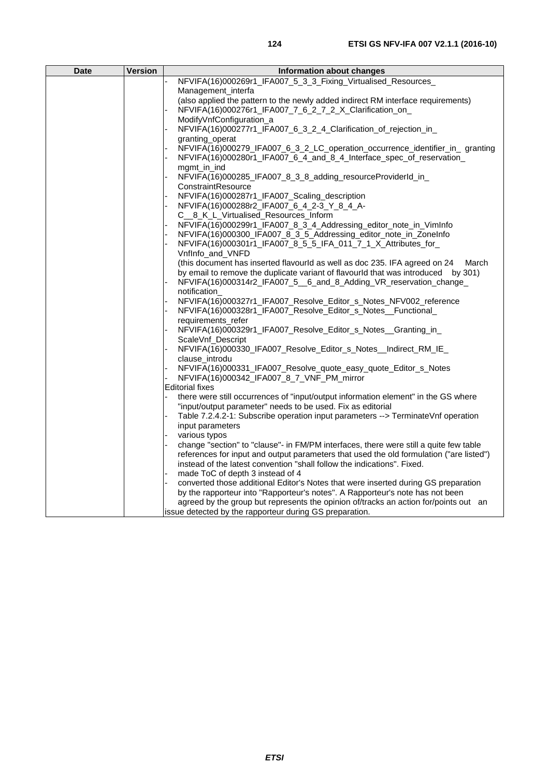| <b>Date</b> | <b>Version</b> | <b>Information about changes</b>                                                                           |
|-------------|----------------|------------------------------------------------------------------------------------------------------------|
|             |                | NFVIFA(16)000269r1_IFA007_5_3_3_Fixing_Virtualised_Resources_                                              |
|             |                | Management interfa                                                                                         |
|             |                | (also applied the pattern to the newly added indirect RM interface requirements)                           |
|             |                | NFVIFA(16)000276r1_IFA007_7_6_2_7_2_X_Clarification_on_                                                    |
|             |                | ModifyVnfConfiguration_a                                                                                   |
|             |                | NFVIFA(16)000277r1_IFA007_6_3_2_4_Clarification_of_rejection_in_                                           |
|             |                | granting operat                                                                                            |
|             |                | NFVIFA(16)000279_IFA007_6_3_2_LC_operation_occurrence_identifier_in_ granting                              |
|             |                | NFVIFA(16)000280r1_IFA007_6_4_and_8_4_Interface_spec_of_reservation_                                       |
|             |                | mgmt_in_ind                                                                                                |
|             |                | NFVIFA(16)000285_IFA007_8_3_8_adding_resourceProviderId_in_                                                |
|             |                | ConstraintResource                                                                                         |
|             |                | NFVIFA(16)000287r1_IFA007_Scaling_description                                                              |
|             |                | NFVIFA(16)000288r2_IFA007_6_4_2-3_Y_8_4_A-                                                                 |
|             |                | C__8_K_L_Virtualised_Resources_Inform<br>NFVIFA(16)000299r1_IFA007_8_3_4_Addressing_editor_note_in_VimInfo |
|             |                | NFVIFA(16)000300_IFA007_8_3_5_Addressing_editor_note_in_ZoneInfo                                           |
|             |                | NFVIFA(16)000301r1_IFA007_8_5_5_IFA_011_7_1_X_Attributes_for_                                              |
|             |                | VnfInfo_and_VNFD                                                                                           |
|             |                | (this document has inserted flavourld as well as doc 235. IFA agreed on 24<br>March                        |
|             |                | by email to remove the duplicate variant of flavourld that was introduced by 301)                          |
|             |                | NFVIFA(16)000314r2_IFA007_5__6_and_8_Adding_VR_reservation_change_                                         |
|             |                | notification                                                                                               |
|             |                | NFVIFA(16)000327r1_IFA007_Resolve_Editor_s_Notes_NFV002_reference                                          |
|             |                | NFVIFA(16)000328r1_IFA007_Resolve_Editor_s_Notes__Functional_                                              |
|             |                | requirements refer                                                                                         |
|             |                | NFVIFA(16)000329r1_IFA007_Resolve_Editor_s_Notes__Granting_in_                                             |
|             |                | ScaleVnf_Descript                                                                                          |
|             |                | NFVIFA(16)000330_IFA007_Resolve_Editor_s_Notes__Indirect_RM_IE_                                            |
|             |                | clause introdu                                                                                             |
|             |                | NFVIFA(16)000331_IFA007_Resolve_quote_easy_quote_Editor_s_Notes                                            |
|             |                | NFVIFA(16)000342_IFA007_8_7_VNF_PM_mirror                                                                  |
|             |                | <b>Editorial fixes</b>                                                                                     |
|             |                | there were still occurrences of "input/output information element" in the GS where                         |
|             |                | "input/output parameter" needs to be used. Fix as editorial                                                |
|             |                | Table 7.2.4.2-1: Subscribe operation input parameters --> TerminateVnf operation<br>input parameters       |
|             |                | various typos                                                                                              |
|             |                | change "section" to "clause"- in FM/PM interfaces, there were still a quite few table                      |
|             |                | references for input and output parameters that used the old formulation ("are listed")                    |
|             |                | instead of the latest convention "shall follow the indications". Fixed.                                    |
|             |                | made ToC of depth 3 instead of 4                                                                           |
|             |                | converted those additional Editor's Notes that were inserted during GS preparation                         |
|             |                | by the rapporteur into "Rapporteur's notes". A Rapporteur's note has not been                              |
|             |                | agreed by the group but represents the opinion of/tracks an action for/points out an                       |
|             |                | issue detected by the rapporteur during GS preparation.                                                    |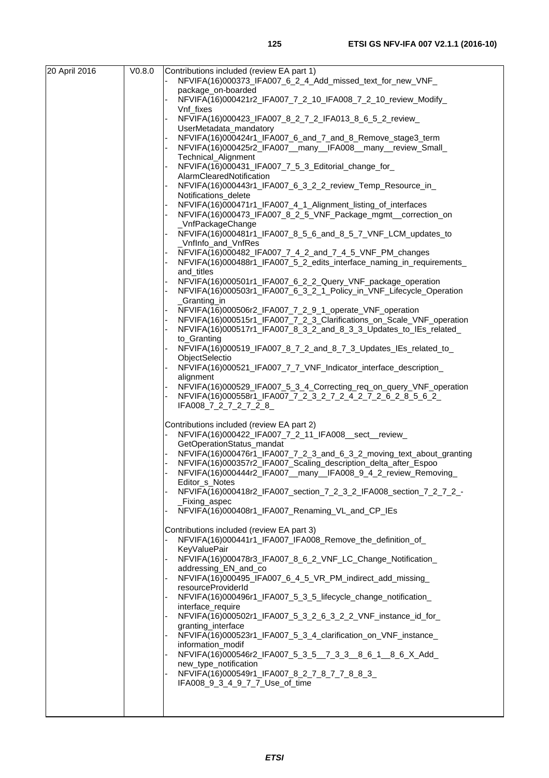| 20 April 2016 | V <sub>0.8.0</sub> | Contributions included (review EA part 1)                                                                                         |
|---------------|--------------------|-----------------------------------------------------------------------------------------------------------------------------------|
|               |                    | NFVIFA(16)000373_IFA007_6_2_4_Add_missed_text_for_new_VNF_                                                                        |
|               |                    | package_on-boarded<br>NFVIFA(16)000421r2_IFA007_7_2_10_IFA008_7_2_10_review_Modify_                                               |
|               |                    | Vnf_fixes                                                                                                                         |
|               |                    | NFVIFA(16)000423_IFA007_8_2_7_2_IFA013_8_6_5_2_review_                                                                            |
|               |                    | UserMetadata_mandatory                                                                                                            |
|               |                    | NFVIFA(16)000424r1_IFA007_6_and_7_and_8_Remove_stage3_term                                                                        |
|               |                    | NFVIFA(16)000425r2_IFA007__many__IFA008__many__review_Small_                                                                      |
|               |                    | Technical_Alignment<br>NFVIFA(16)000431_IFA007_7_5_3_Editorial_change_for_                                                        |
|               |                    | AlarmClearedNotification                                                                                                          |
|               |                    | NFVIFA(16)000443r1_IFA007_6_3_2_2_review_Temp_Resource_in_                                                                        |
|               |                    | Notifications delete                                                                                                              |
|               |                    | NFVIFA(16)000471r1_IFA007_4_1_Alignment_listing_of_interfaces                                                                     |
|               |                    | NFVIFA(16)000473_IFA007_8_2_5_VNF_Package_mgmt_correction_on<br>_VnfPackageChange                                                 |
|               |                    | NFVIFA(16)000481r1_IFA007_8_5_6_and_8_5_7_VNF_LCM_updates_to                                                                      |
|               |                    | _VnfInfo_and_VnfRes                                                                                                               |
|               |                    | NFVIFA(16)000482_IFA007_7_4_2_and_7_4_5_VNF_PM_changes                                                                            |
|               |                    | NFVIFA(16)000488r1_IFA007_5_2_edits_interface_naming_in_requirements_<br>and_titles                                               |
|               |                    | NFVIFA(16)000501r1_IFA007_6_2_2_Query_VNF_package_operation                                                                       |
|               |                    | NFVIFA(16)000503r1_IFA007_6_3_2_1_Policy_in_VNF_Lifecycle_Operation                                                               |
|               |                    | Granting in                                                                                                                       |
|               |                    | NFVIFA(16)000506r2_IFA007_7_2_9_1_operate_VNF_operation<br>NFVIFA(16)000515r1_IFA007_7_2_3_Clarifications_on_Scale_VNF_operation  |
|               |                    | NFVIFA(16)000517r1_IFA007_8_3_2_and_8_3_3_Updates_to_IEs_related_                                                                 |
|               |                    | to_Granting                                                                                                                       |
|               |                    | NFVIFA(16)000519_IFA007_8_7_2_and_8_7_3_Updates_IEs_related_to_                                                                   |
|               |                    | ObjectSelectio                                                                                                                    |
|               |                    | NFVIFA(16)000521_IFA007_7_7_VNF_Indicator_interface_description_<br>alignment                                                     |
|               |                    | NFVIFA(16)000529_IFA007_5_3_4_Correcting_req_on_query_VNF_operation                                                               |
|               |                    | NFVIFA(16)000558r1_IFA007_7_2_3_2_7_2_4_2_7_2_6_2_8_5_6_2_                                                                        |
|               |                    | IFA008_7_2_7_2_7_2_8_                                                                                                             |
|               |                    | Contributions included (review EA part 2)                                                                                         |
|               |                    | NFVIFA(16)000422_IFA007_7_2_11_IFA008__sect__review_                                                                              |
|               |                    | GetOperationStatus_mandat                                                                                                         |
|               |                    | NFVIFA(16)000476r1_IFA007_7_2_3_and_6_3_2_moving_text_about_granting                                                              |
|               |                    | NFVIFA(16)000357r2_IFA007_Scaling_description_delta_after_Espoo<br>NFVIFA(16)000444r2_IFA007__many__IFA008_9_4_2_review_Removing_ |
|               |                    | Editor s Notes                                                                                                                    |
|               |                    | NFVIFA(16)000418r2_IFA007_section_7_2_3_2_IFA008_section_7_2_7_2_-                                                                |
|               |                    | _Fixing_aspec                                                                                                                     |
|               |                    | NFVIFA(16)000408r1_IFA007_Renaming_VL_and_CP_IEs                                                                                  |
|               |                    | Contributions included (review EA part 3)                                                                                         |
|               |                    | NFVIFA(16)000441r1_IFA007_IFA008_Remove_the_definition_of_                                                                        |
|               |                    | <b>KeyValuePair</b>                                                                                                               |
|               |                    | NFVIFA(16)000478r3_IFA007_8_6_2_VNF_LC_Change_Notification_<br>addressing EN and co                                               |
|               |                    | NFVIFA(16)000495_IFA007_6_4_5_VR_PM_indirect_add_missing_                                                                         |
|               |                    | resourceProviderId                                                                                                                |
|               |                    | NFVIFA(16)000496r1_IFA007_5_3_5_lifecycle_change_notification_                                                                    |
|               |                    | interface_require<br>NFVIFA(16)000502r1_IFA007_5_3_2_6_3_2_2_VNF_instance_id_for_                                                 |
|               |                    | granting_interface                                                                                                                |
|               |                    | NFVIFA(16)000523r1_IFA007_5_3_4_clarification_on_VNF_instance_                                                                    |
|               |                    | information_modif                                                                                                                 |
|               |                    | NFVIFA(16)000546r2_IFA007_5_3_5__7_3_3__8_6_1__8_6_X_Add_<br>new_type_notification                                                |
|               |                    | NFVIFA(16)000549r1_IFA007_8_2_7_8_7_7_8_8_3_                                                                                      |
|               |                    | IFA008_9_3_4_9_7_7_Use_of_time                                                                                                    |
|               |                    |                                                                                                                                   |
|               |                    |                                                                                                                                   |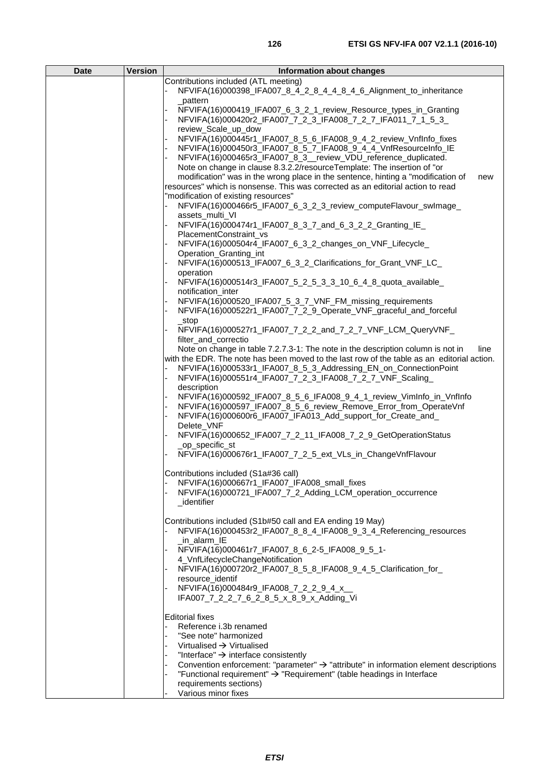| <b>Date</b> | <b>Version</b> | Information about changes                                                                         |
|-------------|----------------|---------------------------------------------------------------------------------------------------|
|             |                | Contributions included (ATL meeting)                                                              |
|             |                | NFVIFA(16)000398_IFA007_8_4_2_8_4_4_8_4_6_Alignment_to_inheritance                                |
|             |                | pattern                                                                                           |
|             |                | NFVIFA(16)000419_IFA007_6_3_2_1_review_Resource_types_in_Granting                                 |
|             |                | NFVIFA(16)000420r2_IFA007_7_2_3_IFA008_7_2_7_IFA011_7_1_5_3_                                      |
|             |                | review_Scale_up_dow                                                                               |
|             |                | NFVIFA(16)000445r1_IFA007_8_5_6_IFA008_9_4_2_review_VnfInfo_fixes                                 |
|             |                | NFVIFA(16)000450r3_IFA007_8_5_7_IFA008_9_4_4_VnfResourceInfo_IE                                   |
|             |                | NFVIFA(16)000465r3_IFA007_8_3_review_VDU_reference_duplicated.                                    |
|             |                | Note on change in clause 8.3.2.2/resourceTemplate: The insertion of "or                           |
|             |                | modification" was in the wrong place in the sentence, hinting a "modification of<br>new           |
|             |                | resources" which is nonsense. This was corrected as an editorial action to read                   |
|             |                | "modification of existing resources"                                                              |
|             |                | NFVIFA(16)000466r5_IFA007_6_3_2_3_review_computeFlavour_swImage_                                  |
|             |                | assets_multi_VI                                                                                   |
|             |                | NFVIFA(16)000474r1_IFA007_8_3_7_and_6_3_2_2_Granting_IE_                                          |
|             |                | PlacementConstraint vs                                                                            |
|             |                | NFVIFA(16)000504r4_IFA007_6_3_2_changes_on_VNF_Lifecycle_                                         |
|             |                | Operation Granting int                                                                            |
|             |                | NFVIFA(16)000513_IFA007_6_3_2_Clarifications_for_Grant_VNF_LC_                                    |
|             |                | operation                                                                                         |
|             |                | NFVIFA(16)000514r3_IFA007_5_2_5_3_3_10_6_4_8_quota_available_                                     |
|             |                | notification_inter                                                                                |
|             |                | NFVIFA(16)000520_IFA007_5_3_7_VNF_FM_missing_requirements                                         |
|             |                | NFVIFA(16)000522r1_IFA007_7_2_9_Operate_VNF_graceful_and_forceful                                 |
|             |                | $\_stop$                                                                                          |
|             |                | NFVIFA(16)000527r1_IFA007_7_2_2_and_7_2_7_VNF_LCM_QueryVNF_                                       |
|             |                | filter_and_correctio                                                                              |
|             |                | Note on change in table 7.2.7.3-1: The note in the description column is not in<br>line           |
|             |                | with the EDR. The note has been moved to the last row of the table as an editorial action.        |
|             |                | NFVIFA(16)000533r1_IFA007_8_5_3_Addressing_EN_on_ConnectionPoint                                  |
|             |                | NFVIFA(16)000551r4_IFA007_7_2_3_IFA008_7_2_7_VNF_Scaling_                                         |
|             |                | description                                                                                       |
|             |                | NFVIFA(16)000592_IFA007_8_5_6_IFA008_9_4_1_review_VimInfo_in_VnfInfo                              |
|             |                | NFVIFA(16)000597_IFA007_8_5_6_review_Remove_Error_from_OperateVnf                                 |
|             |                | NFVIFA(16)000600r6_IFA007_IFA013_Add_support_for_Create_and_                                      |
|             |                | Delete_VNF                                                                                        |
|             |                | NFVIFA(16)000652_IFA007_7_2_11_IFA008_7_2_9_GetOperationStatus                                    |
|             |                | _op_specific_st                                                                                   |
|             |                | NFVIFA(16)000676r1_IFA007_7_2_5_ext_VLs_in_ChangeVnfFlavour                                       |
|             |                |                                                                                                   |
|             |                | Contributions included (S1a#36 call)                                                              |
|             |                | NFVIFA(16)000667r1_IFA007_IFA008_small_fixes                                                      |
|             |                | NFVIFA(16)000721_IFA007_7_2_Adding_LCM_operation_occurrence                                       |
|             |                | identifier                                                                                        |
|             |                |                                                                                                   |
|             |                | Contributions included (S1b#50 call and EA ending 19 May)                                         |
|             |                | NFVIFA(16)000453r2_IFA007_8_8_4_IFA008_9_3_4_Referencing_resources                                |
|             |                | _in_alarm_IE                                                                                      |
|             |                | NFVIFA(16)000461r7_IFA007_8_6_2-5_IFA008_9_5_1-<br>4_VnfLifecycleChangeNotification               |
|             |                | NFVIFA(16)000720r2_IFA007_8_5_8_IFA008_9_4_5_Clarification_for_                                   |
|             |                | resource_identif                                                                                  |
|             |                | NFVIFA(16)000484r9_IFA008_7_2_2_9_4_x_                                                            |
|             |                | IFA007_7_2_2_7_6_2_8_5_x_8_9_x_Adding_Vi                                                          |
|             |                |                                                                                                   |
|             |                | <b>Editorial fixes</b>                                                                            |
|             |                | Reference i.3b renamed                                                                            |
|             |                | "See note" harmonized                                                                             |
|             |                | Virtualised $\rightarrow$ Virtualised                                                             |
|             |                | "Interface" $\rightarrow$ interface consistently                                                  |
|             |                | Convention enforcement: "parameter" $\rightarrow$ "attribute" in information element descriptions |
|             |                | "Functional requirement" $\rightarrow$ "Requirement" (table headings in Interface                 |
|             |                | requirements sections)                                                                            |
|             |                | Various minor fixes                                                                               |
|             |                |                                                                                                   |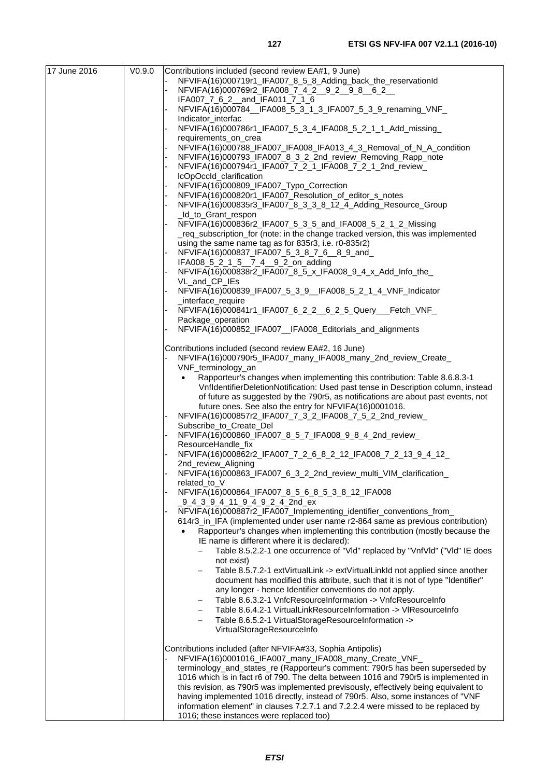| 17 June 2016 | V <sub>0.9.0</sub> | Contributions included (second review EA#1, 9 June)                                                                                                                      |
|--------------|--------------------|--------------------------------------------------------------------------------------------------------------------------------------------------------------------------|
|              |                    | NFVIFA(16)000719r1_IFA007_8_5_8_Adding_back_the_reservationId                                                                                                            |
|              |                    | NFVIFA(16)000769r2_IFA008_7_4_2__9_2__9_8__6_2__                                                                                                                         |
|              |                    | IFA007_7_6_2_and_IFA011_7_1_6                                                                                                                                            |
|              |                    | NFVIFA(16)000784_IFA008_5_3_1_3_IFA007_5_3_9_renaming_VNF_<br>Indicator_interfac                                                                                         |
|              |                    | NFVIFA(16)000786r1_IFA007_5_3_4_IFA008_5_2_1_1_Add_missing_                                                                                                              |
|              |                    | requirements_on_crea                                                                                                                                                     |
|              |                    | NFVIFA(16)000788_IFA007_IFA008_IFA013_4_3_Removal_of_N_A_condition<br>NFVIFA(16)000793_IFA007_8_3_2_2nd_review_Removing_Rapp_note                                        |
|              |                    | NFVIFA(16)000794r1_IFA007_7_2_1_IFA008_7_2_1_2nd_review_                                                                                                                 |
|              |                    | IcOpOccId_clarification                                                                                                                                                  |
|              |                    | NFVIFA(16)000809_IFA007_Typo_Correction                                                                                                                                  |
|              |                    | NFVIFA(16)000820r1_IFA007_Resolution_of_editor_s_notes                                                                                                                   |
|              |                    | NFVIFA(16)000835r3_IFA007_8_3_3_8_12_4_Adding_Resource_Group                                                                                                             |
|              |                    | _Id_to_Grant_respon                                                                                                                                                      |
|              |                    | NFVIFA(16)000836r2_IFA007_5_3_5_and_IFA008_5_2_1_2_Missing<br>_req_subscription_for (note: in the change tracked version, this was implemented                           |
|              |                    | using the same name tag as for 835r3, i.e. r0-835r2)                                                                                                                     |
|              |                    | NFVIFA(16)000837_IFA007_5_3_8_7_6__8_9_and_                                                                                                                              |
|              |                    | IFA008_5_2_1_5__7_4__9_2_on_adding                                                                                                                                       |
|              |                    | NFVIFA(16)000838r2_IFA007_8_5_x_IFA008_9_4_x_Add_Info_the_                                                                                                               |
|              |                    | VL_and_CP_IEs<br>NFVIFA(16)000839_IFA007_5_3_9_IFA008_5_2_1_4_VNF_Indicator                                                                                              |
|              |                    | _interface_require                                                                                                                                                       |
|              |                    | NFVIFA(16)000841r1_IFA007_6_2_2__6_2_5_Query___Fetch_VNF_                                                                                                                |
|              |                    | Package_operation                                                                                                                                                        |
|              |                    | NFVIFA(16)000852_IFA007__IFA008_Editorials_and_alignments                                                                                                                |
|              |                    | Contributions included (second review EA#2, 16 June)                                                                                                                     |
|              |                    | NFVIFA(16)000790r5_IFA007_many_IFA008_many_2nd_review_Create_                                                                                                            |
|              |                    | VNF_terminology_an                                                                                                                                                       |
|              |                    | Rapporteur's changes when implementing this contribution: Table 8.6.8.3-1<br>$\bullet$                                                                                   |
|              |                    | VnfldentifierDeletionNotification: Used past tense in Description column, instead<br>of future as suggested by the 790r5, as notifications are about past events, not    |
|              |                    | future ones. See also the entry for NFVIFA(16)0001016.                                                                                                                   |
|              |                    | NFVIFA(16)000857r2_IFA007_7_3_2_IFA008_7_5_2_2nd_review_                                                                                                                 |
|              |                    | Subscribe_to_Create_Del                                                                                                                                                  |
|              |                    | NFVIFA(16)000860_IFA007_8_5_7_IFA008_9_8_4_2nd_review_                                                                                                                   |
|              |                    | ResourceHandle_fix<br>NFVIFA(16)000862r2_IFA007_7_2_6_8_2_12_IFA008_7_2_13_9_4_12_                                                                                       |
|              |                    | 2nd review Aligning                                                                                                                                                      |
|              |                    | NFVIFA(16)000863_IFA007_6_3_2_2nd_review_multi_VIM_clarification_                                                                                                        |
|              |                    | related_to_V                                                                                                                                                             |
|              |                    | NFVIFA(16)000864_IFA007_8_5_6_8_5_3_8_12_IFA008                                                                                                                          |
|              |                    | _9_4_3_9_4_11_9_4_9_2_4_2nd_ex<br>NFVIFA(16)000887r2_IFA007_Implementing_identifier_conventions_from_                                                                    |
|              |                    | 614r3_in_IFA (implemented under user name r2-864 same as previous contribution)                                                                                          |
|              |                    | Rapporteur's changes when implementing this contribution (mostly because the                                                                                             |
|              |                    | IE name is different where it is declared):                                                                                                                              |
|              |                    | Table 8.5.2.2-1 one occurrence of "VId" replaced by "VnfVId" ("VId" IE does<br>-                                                                                         |
|              |                    | not exist)                                                                                                                                                               |
|              |                    | Table 8.5.7.2-1 extVirtualLink -> extVirtualLinkId not applied since another<br>document has modified this attribute, such that it is not of type "Identifier"           |
|              |                    | any longer - hence Identifier conventions do not apply.                                                                                                                  |
|              |                    | Table 8.6.3.2-1 VnfcResourceInformation -> VnfcResourceInfo<br>$\qquad \qquad -$                                                                                         |
|              |                    | Table 8.6.4.2-1 VirtualLinkResourceInformation -> VIResourceInfo<br>$\qquad \qquad -$                                                                                    |
|              |                    | Table 8.6.5.2-1 VirtualStorageResourceInformation ->                                                                                                                     |
|              |                    | VirtualStorageResourceInfo                                                                                                                                               |
|              |                    | Contributions included (after NFVIFA#33, Sophia Antipolis)                                                                                                               |
|              |                    | NFVIFA(16)0001016_IFA007_many_IFA008_many_Create_VNF_                                                                                                                    |
|              |                    | terminology_and_states_re (Rapporteur's comment: 790r5 has been superseded by                                                                                            |
|              |                    | 1016 which is in fact r6 of 790. The delta between 1016 and 790r5 is implemented in                                                                                      |
|              |                    | this revision, as 790r5 was implemented previsously, effectively being equivalent to<br>having implemented 1016 directly, instead of 790r5. Also, some instances of "VNF |
|              |                    | information element" in clauses 7.2.7.1 and 7.2.2.4 were missed to be replaced by                                                                                        |
|              |                    | 1016; these instances were replaced too)                                                                                                                                 |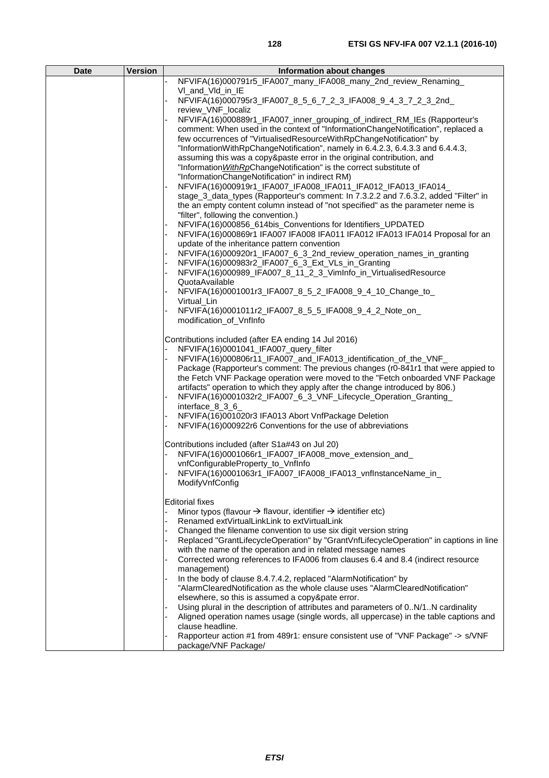| <b>Date</b> | <b>Version</b> | Information about changes                                                                                                                                              |
|-------------|----------------|------------------------------------------------------------------------------------------------------------------------------------------------------------------------|
|             |                | NFVIFA(16)000791r5_IFA007_many_IFA008_many_2nd_review_Renaming_                                                                                                        |
|             |                | VI_and_VId_in_IE<br>NFVIFA(16)000795r3_IFA007_8_5_6_7_2_3_IFA008_9_4_3_7_2_3_2nd_                                                                                      |
|             |                | review_VNF_localiz                                                                                                                                                     |
|             |                | NFVIFA(16)000889r1_IFA007_inner_grouping_of_indirect_RM_IEs (Rapporteur's                                                                                              |
|             |                | comment: When used in the context of "InformationChangeNotification", replaced a                                                                                       |
|             |                | few occurrences of "VirtualisedResourceWithRpChangeNotification" by<br>"InformationWithRpChangeNotification", namely in 6.4.2.3, 6.4.3.3 and 6.4.4.3,                  |
|             |                | assuming this was a copy&paste error in the original contribution, and                                                                                                 |
|             |                | "Information WithRpChangeNotification" is the correct substitute of                                                                                                    |
|             |                | "InformationChangeNotification" in indirect RM)                                                                                                                        |
|             |                | NFVIFA(16)000919r1_IFA007_IFA008_IFA011_IFA012_IFA013_IFA014_                                                                                                          |
|             |                | stage 3 data types (Rapporteur's comment: In 7.3.2.2 and 7.6.3.2, added "Filter" in<br>the an empty content column instead of "not specified" as the parameter neme is |
|             |                | "filter", following the convention.)                                                                                                                                   |
|             |                | NFVIFA(16)000856_614bis_Conventions for Identifiers_UPDATED                                                                                                            |
|             |                | NFVIFA(16)000869r1 IFA007 IFA008 IFA011 IFA012 IFA013 IFA014 Proposal for an                                                                                           |
|             |                | update of the inheritance pattern convention<br>NFVIFA(16)000920r1_IFA007_6_3_2nd_review_operation_names_in_granting                                                   |
|             |                | NFVIFA(16)000983r2_IFA007_6_3_Ext_VLs_in_Granting                                                                                                                      |
|             |                | NFVIFA(16)000989_IFA007_8_11_2_3_VimInfo_in_VirtualisedResource                                                                                                        |
|             |                | QuotaAvailable                                                                                                                                                         |
|             |                | NFVIFA(16)0001001r3_IFA007_8_5_2_IFA008_9_4_10_Change_to_<br>Virtual Lin                                                                                               |
|             |                | NFVIFA(16)0001011r2_IFA007_8_5_5_IFA008_9_4_2_Note_on_                                                                                                                 |
|             |                | modification_of_VnfInfo                                                                                                                                                |
|             |                |                                                                                                                                                                        |
|             |                | Contributions included (after EA ending 14 Jul 2016)<br>NFVIFA(16)0001041_IFA007_query_filter                                                                          |
|             |                | NFVIFA(16)000806r11_IFA007_and_IFA013_identification_of_the_VNF_                                                                                                       |
|             |                | Package (Rapporteur's comment: The previous changes (r0-841r1 that were appied to                                                                                      |
|             |                | the Fetch VNF Package operation were moved to the "Fetch onboarded VNF Package                                                                                         |
|             |                | artifacts" operation to which they apply after the change introduced by 806.)<br>NFVIFA(16)0001032r2_IFA007_6_3_VNF_Lifecycle_Operation_Granting_                      |
|             |                | interface $8\,3\,6$                                                                                                                                                    |
|             |                | NFVIFA(16)001020r3 IFA013 Abort VnfPackage Deletion                                                                                                                    |
|             |                | NFVIFA(16)000922r6 Conventions for the use of abbreviations                                                                                                            |
|             |                | Contributions included (after S1a#43 on Jul 20)                                                                                                                        |
|             |                | NFVIFA(16)0001066r1_IFA007_IFA008_move_extension_and_                                                                                                                  |
|             |                | vnfConfigurableProperty_to_VnfInfo                                                                                                                                     |
|             |                | NFVIFA(16)0001063r1_IFA007_IFA008_IFA013_vnflnstanceName_in_<br>ModifyVnfConfig                                                                                        |
|             |                |                                                                                                                                                                        |
|             |                | <b>Editorial fixes</b>                                                                                                                                                 |
|             |                | Minor typos (flavour $\rightarrow$ flavour, identifier $\rightarrow$ identifier etc)<br>Renamed extVirtualLinkLink to extVirtualLink                                   |
|             |                | Changed the filename convention to use six digit version string                                                                                                        |
|             |                | Replaced "GrantLifecycleOperation" by "GrantVnfLifecycleOperation" in captions in line                                                                                 |
|             |                | with the name of the operation and in related message names                                                                                                            |
|             |                | Corrected wrong references to IFA006 from clauses 6.4 and 8.4 (indirect resource<br>management)                                                                        |
|             |                | In the body of clause 8.4.7.4.2, replaced "AlarmNotification" by<br>"AlarmClearedNotification as the whole clause uses "AlarmClearedNotification"                      |
|             |                | elsewhere, so this is assumed a copy&pate error.                                                                                                                       |
|             |                | Using plural in the description of attributes and parameters of 0N/1N cardinality                                                                                      |
|             |                | Aligned operation names usage (single words, all uppercase) in the table captions and<br>clause headline.                                                              |
|             |                | Rapporteur action #1 from 489r1: ensure consistent use of "VNF Package" -> s/VNF                                                                                       |
|             |                | package/VNF Package/                                                                                                                                                   |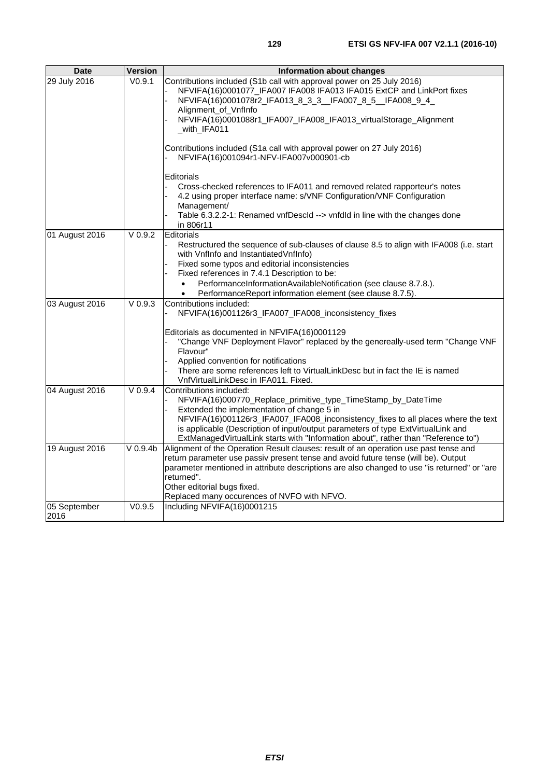| <b>Date</b>          | <b>Version</b>      | <b>Information about changes</b>                                                                                                                                                                                                                                                                                                                                                                            |
|----------------------|---------------------|-------------------------------------------------------------------------------------------------------------------------------------------------------------------------------------------------------------------------------------------------------------------------------------------------------------------------------------------------------------------------------------------------------------|
| 29 July 2016         | $\overline{V0.9.1}$ | Contributions included (S1b call with approval power on 25 July 2016)<br>NFVIFA(16)0001077_IFA007 IFA008 IFA013 IFA015 ExtCP and LinkPort fixes<br>NFVIFA(16)0001078r2_IFA013_8_3_3__IFA007_8_5__IFA008_9_4_<br>Alignment_of_VnfInfo<br>NFVIFA(16)0001088r1_IFA007_IFA008_IFA013_virtualStorage_Alignment<br>_with_IFA011<br>Contributions included (S1a call with approval power on 27 July 2016)          |
|                      |                     | NFVIFA(16)001094r1-NFV-IFA007v000901-cb<br><b>Editorials</b><br>Cross-checked references to IFA011 and removed related rapporteur's notes<br>4.2 using proper interface name: s/VNF Configuration/VNF Configuration<br>Management/<br>Table 6.3.2.2-1: Renamed vnfDescId --> vnfdId in line with the changes done<br>in 806r11                                                                              |
| 01 August 2016       | $V$ 0.9.2           | Editorials<br>Restructured the sequence of sub-clauses of clause 8.5 to align with IFA008 (i.e. start<br>with VnfInfo and InstantiatedVnfInfo)<br>Fixed some typos and editorial inconsistencies<br>Fixed references in 7.4.1 Description to be:<br>PerformanceInformationAvailableNotification (see clause 8.7.8.).<br>$\bullet$<br>PerformanceReport information element (see clause 8.7.5).<br>$\bullet$ |
| 03 August 2016       | $V$ 0.9.3           | Contributions included:<br>NFVIFA(16)001126r3_IFA007_IFA008_inconsistency_fixes<br>Editorials as documented in NFVIFA(16)0001129<br>"Change VNF Deployment Flavor" replaced by the genereally-used term "Change VNF<br>Flavour"<br>Applied convention for notifications<br>There are some references left to VirtualLinkDesc but in fact the IE is named<br>VnfVirtualLinkDesc in IFA011. Fixed.            |
| 04 August 2016       | V 0.9.4             | Contributions included:<br>NFVIFA(16)000770_Replace_primitive_type_TimeStamp_by_DateTime<br>Extended the implementation of change 5 in<br>NFVIFA(16)001126r3_IFA007_IFA008_inconsistency_fixes to all places where the text<br>is applicable (Description of input/output parameters of type ExtVirtualLink and<br>ExtManagedVirtualLink starts with "Information about", rather than "Reference to")       |
| 19 August 2016       | $V$ 0.9.4b          | Alignment of the Operation Result clauses: result of an operation use past tense and<br>return parameter use passiv present tense and avoid future tense (will be). Output<br>parameter mentioned in attribute descriptions are also changed to use "is returned" or "are<br>returned".<br>Other editorial bugs fixed.<br>Replaced many occurences of NVFO with NFVO.                                       |
| 05 September<br>2016 | V0.9.5              | Including NFVIFA(16)0001215                                                                                                                                                                                                                                                                                                                                                                                 |